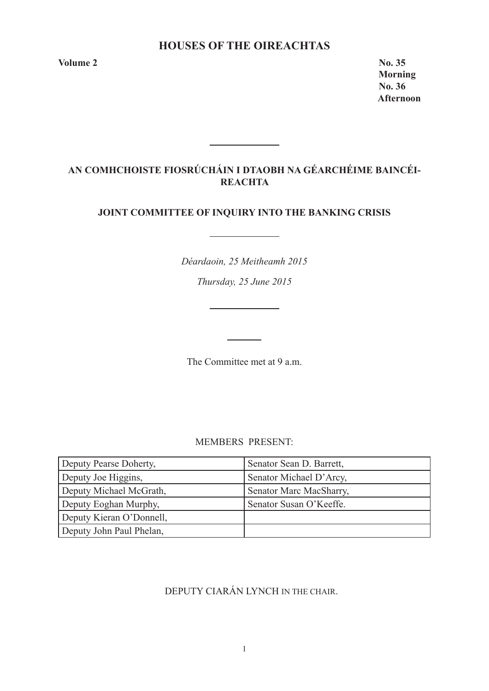# **HOUSES OF THE OIREACHTAS**

**Volume 2 No. 35** 

 **Morning No. 36 Afternoon** 

# **AN COMHCHOISTE FIOSRÚCHÁIN I DTAOBH NA GÉARCHÉIME BAINCÉI-REACHTA**

<u> 1990 - Jan Barnett, fransk politiker</u>

# **JOINT COMMITTEE OF INQUIRY INTO THE BANKING CRISIS**

*Déardaoin, 25 Meitheamh 2015*

*Thursday, 25 June 2015*

<u> 1989 - Johann Barnett, fransk politiker</u>

The Committee met at 9 a.m.

MEMBERS PRESENT:

| Deputy Pearse Doherty,   | Senator Sean D. Barrett, |
|--------------------------|--------------------------|
| Deputy Joe Higgins,      | Senator Michael D'Arcy,  |
| Deputy Michael McGrath,  | Senator Marc MacSharry,  |
| Deputy Eoghan Murphy,    | Senator Susan O'Keeffe.  |
| Deputy Kieran O'Donnell, |                          |
| Deputy John Paul Phelan, |                          |

# DEPUTY CIARÁN LYNCH IN THE CHAIR.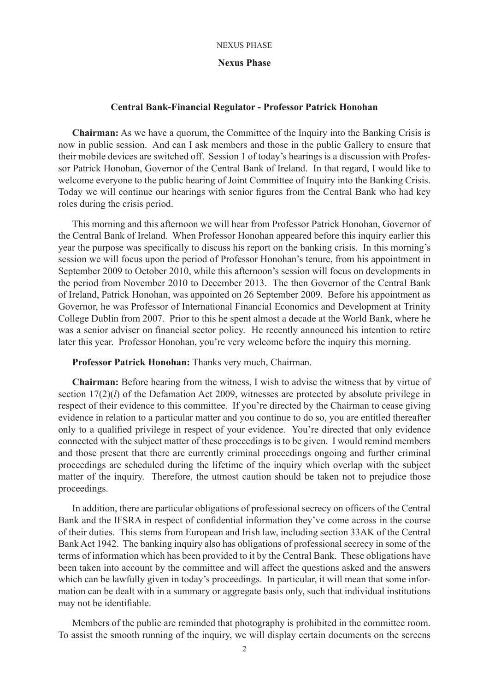### **Nexus Phase**

### **Central Bank-Financial Regulator - Professor Patrick Honohan**

**Chairman:** As we have a quorum, the Committee of the Inquiry into the Banking Crisis is now in public session. And can I ask members and those in the public Gallery to ensure that their mobile devices are switched off. Session 1 of today's hearings is a discussion with Professor Patrick Honohan, Governor of the Central Bank of Ireland. In that regard, I would like to welcome everyone to the public hearing of Joint Committee of Inquiry into the Banking Crisis. Today we will continue our hearings with senior figures from the Central Bank who had key roles during the crisis period.

This morning and this afternoon we will hear from Professor Patrick Honohan, Governor of the Central Bank of Ireland. When Professor Honohan appeared before this inquiry earlier this year the purpose was specifically to discuss his report on the banking crisis. In this morning's session we will focus upon the period of Professor Honohan's tenure, from his appointment in September 2009 to October 2010, while this afternoon's session will focus on developments in the period from November 2010 to December 2013. The then Governor of the Central Bank of Ireland, Patrick Honohan, was appointed on 26 September 2009. Before his appointment as Governor, he was Professor of International Financial Economics and Development at Trinity College Dublin from 2007. Prior to this he spent almost a decade at the World Bank, where he was a senior adviser on financial sector policy. He recently announced his intention to retire later this year. Professor Honohan, you're very welcome before the inquiry this morning.

### **Professor Patrick Honohan:** Thanks very much, Chairman.

**Chairman:** Before hearing from the witness, I wish to advise the witness that by virtue of section 17(2)(*l*) of the Defamation Act 2009, witnesses are protected by absolute privilege in respect of their evidence to this committee. If you're directed by the Chairman to cease giving evidence in relation to a particular matter and you continue to do so, you are entitled thereafter only to a qualified privilege in respect of your evidence. You're directed that only evidence connected with the subject matter of these proceedings is to be given. I would remind members and those present that there are currently criminal proceedings ongoing and further criminal proceedings are scheduled during the lifetime of the inquiry which overlap with the subject matter of the inquiry. Therefore, the utmost caution should be taken not to prejudice those proceedings.

In addition, there are particular obligations of professional secrecy on officers of the Central Bank and the IFSRA in respect of confidential information they've come across in the course of their duties. This stems from European and Irish law, including section 33AK of the Central Bank Act 1942. The banking inquiry also has obligations of professional secrecy in some of the terms of information which has been provided to it by the Central Bank. These obligations have been taken into account by the committee and will affect the questions asked and the answers which can be lawfully given in today's proceedings. In particular, it will mean that some information can be dealt with in a summary or aggregate basis only, such that individual institutions may not be identifiable.

Members of the public are reminded that photography is prohibited in the committee room. To assist the smooth running of the inquiry, we will display certain documents on the screens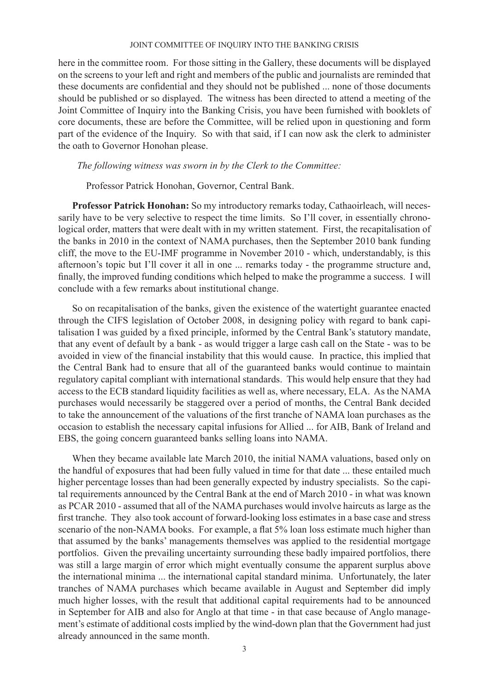here in the committee room. For those sitting in the Gallery, these documents will be displayed on the screens to your left and right and members of the public and journalists are reminded that these documents are confidential and they should not be published ... none of those documents should be published or so displayed. The witness has been directed to attend a meeting of the Joint Committee of Inquiry into the Banking Crisis, you have been furnished with booklets of core documents, these are before the Committee, will be relied upon in questioning and form part of the evidence of the Inquiry. So with that said, if I can now ask the clerk to administer the oath to Governor Honohan please.

### *The following witness was sworn in by the Clerk to the Committee:*

Professor Patrick Honohan, Governor, Central Bank.

**Professor Patrick Honohan:** So my introductory remarks today, Cathaoirleach, will necessarily have to be very selective to respect the time limits. So I'll cover, in essentially chronological order, matters that were dealt with in my written statement. First, the recapitalisation of the banks in 2010 in the context of NAMA purchases, then the September 2010 bank funding cliff, the move to the EU-IMF programme in November 2010 - which, understandably, is this afternoon's topic but I'll cover it all in one ... remarks today - the programme structure and, finally, the improved funding conditions which helped to make the programme a success. I will conclude with a few remarks about institutional change.

So on recapitalisation of the banks, given the existence of the watertight guarantee enacted through the CIFS legislation of October 2008, in designing policy with regard to bank capitalisation I was guided by a fixed principle, informed by the Central Bank's statutory mandate, that any event of default by a bank - as would trigger a large cash call on the State - was to be avoided in view of the financial instability that this would cause. In practice, this implied that the Central Bank had to ensure that all of the guaranteed banks would continue to maintain regulatory capital compliant with international standards. This would help ensure that they had access to the ECB standard liquidity facilities as well as, where necessary, ELA. As the NAMA purchases would necessarily be staggered over a period of months, the Central Bank decided to take the announcement of the valuations of the first tranche of NAMA loan purchases as the occasion to establish the necessary capital infusions for Allied ... for AIB, Bank of Ireland and EBS, the going concern guaranteed banks selling loans into NAMA.

When they became available late March 2010, the initial NAMA valuations, based only on the handful of exposures that had been fully valued in time for that date ... these entailed much higher percentage losses than had been generally expected by industry specialists. So the capital requirements announced by the Central Bank at the end of March 2010 - in what was known as PCAR 2010 - assumed that all of the NAMA purchases would involve haircuts as large as the first tranche. They also took account of forward-looking loss estimates in a base case and stress scenario of the non-NAMA books. For example, a flat 5% loan loss estimate much higher than that assumed by the banks' managements themselves was applied to the residential mortgage portfolios. Given the prevailing uncertainty surrounding these badly impaired portfolios, there was still a large margin of error which might eventually consume the apparent surplus above the international minima ... the international capital standard minima. Unfortunately, the later tranches of NAMA purchases which became available in August and September did imply much higher losses, with the result that additional capital requirements had to be announced in September for AIB and also for Anglo at that time - in that case because of Anglo management's estimate of additional costs implied by the wind-down plan that the Government had just already announced in the same month.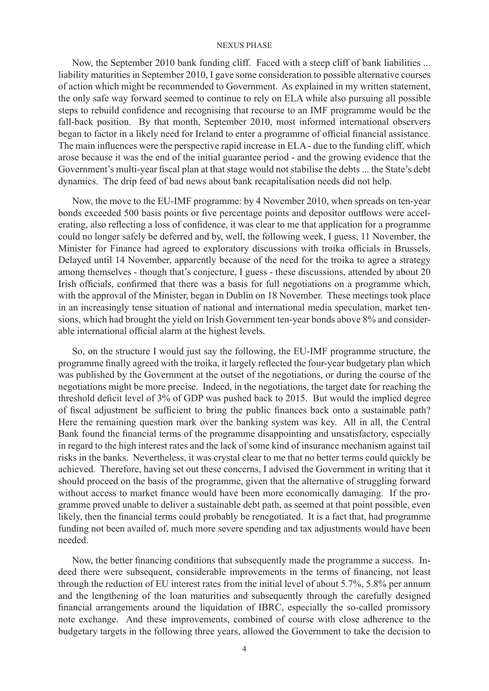Now, the September 2010 bank funding cliff. Faced with a steep cliff of bank liabilities ... liability maturities in September 2010, I gave some consideration to possible alternative courses of action which might be recommended to Government. As explained in my written statement, the only safe way forward seemed to continue to rely on ELA while also pursuing all possible steps to rebuild confidence and recognising that recourse to an IMF programme would be the fall-back position. By that month, September 2010, most informed international observers began to factor in a likely need for Ireland to enter a programme of official financial assistance. The main influences were the perspective rapid increase in ELA - due to the funding cliff, which arose because it was the end of the initial guarantee period - and the growing evidence that the Government's multi-year fiscal plan at that stage would not stabilise the debts ... the State's debt dynamics. The drip feed of bad news about bank recapitalisation needs did not help.

Now, the move to the EU-IMF programme: by 4 November 2010, when spreads on ten-year bonds exceeded 500 basis points or five percentage points and depositor outflows were accelerating, also reflecting a loss of confidence, it was clear to me that application for a programme could no longer safely be deferred and by, well, the following week, I guess, 11 November, the Minister for Finance had agreed to exploratory discussions with troika officials in Brussels. Delayed until 14 November, apparently because of the need for the troika to agree a strategy among themselves - though that's conjecture, I guess - these discussions, attended by about 20 Irish officials, confirmed that there was a basis for full negotiations on a programme which, with the approval of the Minister, began in Dublin on 18 November. These meetings took place in an increasingly tense situation of national and international media speculation, market tensions, which had brought the yield on Irish Government ten-year bonds above 8% and considerable international official alarm at the highest levels.

So, on the structure I would just say the following, the EU-IMF programme structure, the programme finally agreed with the troika, it largely reflected the four-year budgetary plan which was published by the Government at the outset of the negotiations, or during the course of the negotiations might be more precise. Indeed, in the negotiations, the target date for reaching the threshold deficit level of 3% of GDP was pushed back to 2015. But would the implied degree of fiscal adjustment be sufficient to bring the public finances back onto a sustainable path? Here the remaining question mark over the banking system was key. All in all, the Central Bank found the financial terms of the programme disappointing and unsatisfactory, especially in regard to the high interest rates and the lack of some kind of insurance mechanism against tail risks in the banks. Nevertheless, it was crystal clear to me that no better terms could quickly be achieved. Therefore, having set out these concerns, I advised the Government in writing that it should proceed on the basis of the programme, given that the alternative of struggling forward without access to market finance would have been more economically damaging. If the programme proved unable to deliver a sustainable debt path, as seemed at that point possible, even likely, then the financial terms could probably be renegotiated. It is a fact that, had programme funding not been availed of, much more severe spending and tax adjustments would have been needed.

Now, the better financing conditions that subsequently made the programme a success. Indeed there were subsequent, considerable improvements in the terms of financing, not least through the reduction of EU interest rates from the initial level of about 5.7%, 5.8% per annum and the lengthening of the loan maturities and subsequently through the carefully designed financial arrangements around the liquidation of IBRC, especially the so-called promissory note exchange. And these improvements, combined of course with close adherence to the budgetary targets in the following three years, allowed the Government to take the decision to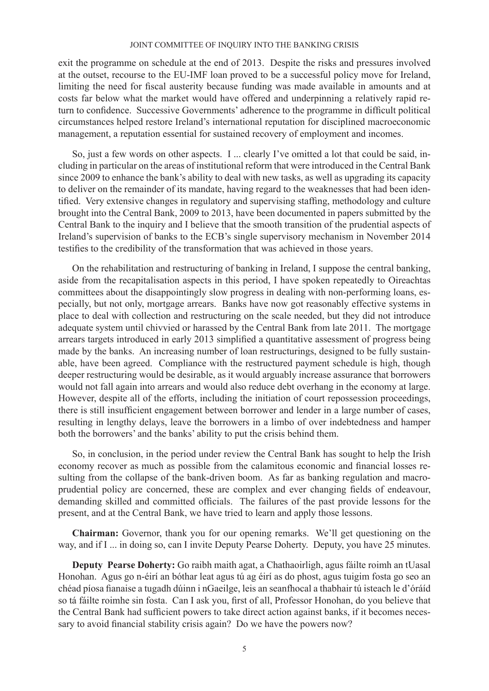exit the programme on schedule at the end of 2013. Despite the risks and pressures involved at the outset, recourse to the EU-IMF loan proved to be a successful policy move for Ireland, limiting the need for fiscal austerity because funding was made available in amounts and at costs far below what the market would have offered and underpinning a relatively rapid return to confidence. Successive Governments' adherence to the programme in difficult political circumstances helped restore Ireland's international reputation for disciplined macroeconomic management, a reputation essential for sustained recovery of employment and incomes.

So, just a few words on other aspects. I ... clearly I've omitted a lot that could be said, including in particular on the areas of institutional reform that were introduced in the Central Bank since 2009 to enhance the bank's ability to deal with new tasks, as well as upgrading its capacity to deliver on the remainder of its mandate, having regard to the weaknesses that had been identified. Very extensive changes in regulatory and supervising staffing, methodology and culture brought into the Central Bank, 2009 to 2013, have been documented in papers submitted by the Central Bank to the inquiry and I believe that the smooth transition of the prudential aspects of Ireland's supervision of banks to the ECB's single supervisory mechanism in November 2014 testifies to the credibility of the transformation that was achieved in those years.

On the rehabilitation and restructuring of banking in Ireland, I suppose the central banking, aside from the recapitalisation aspects in this period, I have spoken repeatedly to Oireachtas committees about the disappointingly slow progress in dealing with non-performing loans, especially, but not only, mortgage arrears. Banks have now got reasonably effective systems in place to deal with collection and restructuring on the scale needed, but they did not introduce adequate system until chivvied or harassed by the Central Bank from late 2011. The mortgage arrears targets introduced in early 2013 simplified a quantitative assessment of progress being made by the banks. An increasing number of loan restructurings, designed to be fully sustainable, have been agreed. Compliance with the restructured payment schedule is high, though deeper restructuring would be desirable, as it would arguably increase assurance that borrowers would not fall again into arrears and would also reduce debt overhang in the economy at large. However, despite all of the efforts, including the initiation of court repossession proceedings, there is still insufficient engagement between borrower and lender in a large number of cases, resulting in lengthy delays, leave the borrowers in a limbo of over indebtedness and hamper both the borrowers' and the banks' ability to put the crisis behind them.

So, in conclusion, in the period under review the Central Bank has sought to help the Irish economy recover as much as possible from the calamitous economic and financial losses resulting from the collapse of the bank-driven boom. As far as banking regulation and macroprudential policy are concerned, these are complex and ever changing fields of endeavour, demanding skilled and committed officials. The failures of the past provide lessons for the present, and at the Central Bank, we have tried to learn and apply those lessons.

**Chairman:** Governor, thank you for our opening remarks. We'll get questioning on the way, and if I ... in doing so, can I invite Deputy Pearse Doherty. Deputy, you have 25 minutes.

**Deputy Pearse Doherty:** Go raibh maith agat, a Chathaoirligh, agus fáilte roimh an tUasal Honohan. Agus go n-éirí an bóthar leat agus tú ag éirí as do phost, agus tuigim fosta go seo an chéad píosa fianaise a tugadh dúinn i nGaeilge, leis an seanfhocal a thabhair tú isteach le d'óráíd so tá fáilte roimhe sin fosta. Can I ask you, first of all, Professor Honohan, do you believe that the Central Bank had sufficient powers to take direct action against banks, if it becomes necessary to avoid financial stability crisis again? Do we have the powers now?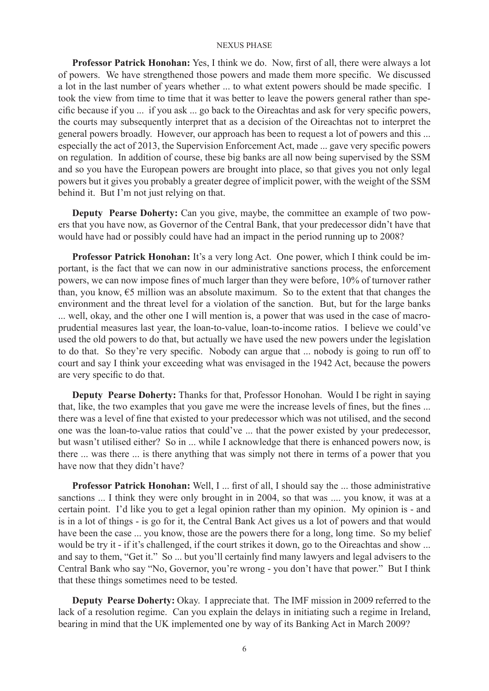**Professor Patrick Honohan:** Yes, I think we do. Now, first of all, there were always a lot of powers. We have strengthened those powers and made them more specific. We discussed a lot in the last number of years whether ... to what extent powers should be made specific. I took the view from time to time that it was better to leave the powers general rather than specific because if you ... if you ask ... go back to the Oireachtas and ask for very specific powers, the courts may subsequently interpret that as a decision of the Oireachtas not to interpret the general powers broadly. However, our approach has been to request a lot of powers and this ... especially the act of 2013, the Supervision Enforcement Act, made ... gave very specific powers on regulation. In addition of course, these big banks are all now being supervised by the SSM and so you have the European powers are brought into place, so that gives you not only legal powers but it gives you probably a greater degree of implicit power, with the weight of the SSM behind it. But I'm not just relying on that.

**Deputy Pearse Doherty:** Can you give, maybe, the committee an example of two powers that you have now, as Governor of the Central Bank, that your predecessor didn't have that would have had or possibly could have had an impact in the period running up to 2008?

**Professor Patrick Honohan:** It's a very long Act. One power, which I think could be important, is the fact that we can now in our administrative sanctions process, the enforcement powers, we can now impose fines of much larger than they were before, 10% of turnover rather than, you know,  $\epsilon$ 5 million was an absolute maximum. So to the extent that that changes the environment and the threat level for a violation of the sanction. But, but for the large banks ... well, okay, and the other one I will mention is, a power that was used in the case of macroprudential measures last year, the loan-to-value, loan-to-income ratios. I believe we could've used the old powers to do that, but actually we have used the new powers under the legislation to do that. So they're very specific. Nobody can argue that ... nobody is going to run off to court and say I think your exceeding what was envisaged in the 1942 Act, because the powers are very specific to do that.

**Deputy Pearse Doherty:** Thanks for that, Professor Honohan. Would I be right in saying that, like, the two examples that you gave me were the increase levels of fines, but the fines ... there was a level of fine that existed to your predecessor which was not utilised, and the second one was the loan-to-value ratios that could've ... that the power existed by your predecessor, but wasn't utilised either? So in ... while I acknowledge that there is enhanced powers now, is there ... was there ... is there anything that was simply not there in terms of a power that you have now that they didn't have?

**Professor Patrick Honohan:** Well, I ... first of all, I should say the ... those administrative sanctions ... I think they were only brought in in 2004, so that was .... you know, it was at a certain point. I'd like you to get a legal opinion rather than my opinion. My opinion is - and is in a lot of things - is go for it, the Central Bank Act gives us a lot of powers and that would have been the case ... you know, those are the powers there for a long, long time. So my belief would be try it - if it's challenged, if the court strikes it down, go to the Oireachtas and show ... and say to them, "Get it." So ... but you'll certainly find many lawyers and legal advisers to the Central Bank who say "No, Governor, you're wrong - you don't have that power." But I think that these things sometimes need to be tested.

**Deputy Pearse Doherty:** Okay. I appreciate that. The IMF mission in 2009 referred to the lack of a resolution regime. Can you explain the delays in initiating such a regime in Ireland, bearing in mind that the UK implemented one by way of its Banking Act in March 2009?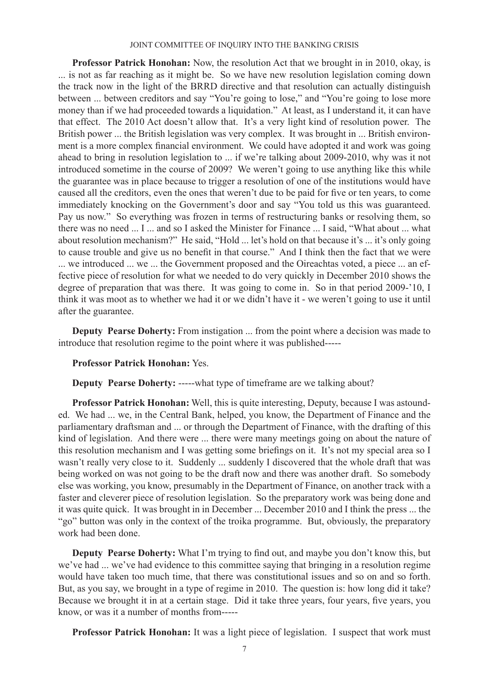**Professor Patrick Honohan:** Now, the resolution Act that we brought in in 2010, okay, is ... is not as far reaching as it might be. So we have new resolution legislation coming down the track now in the light of the BRRD directive and that resolution can actually distinguish between ... between creditors and say "You're going to lose," and "You're going to lose more money than if we had proceeded towards a liquidation." At least, as I understand it, it can have that effect. The 2010 Act doesn't allow that. It's a very light kind of resolution power. The British power ... the British legislation was very complex. It was brought in ... British environment is a more complex financial environment. We could have adopted it and work was going ahead to bring in resolution legislation to ... if we're talking about 2009-2010, why was it not introduced sometime in the course of 2009? We weren't going to use anything like this while the guarantee was in place because to trigger a resolution of one of the institutions would have caused all the creditors, even the ones that weren't due to be paid for five or ten years, to come immediately knocking on the Government's door and say "You told us this was guaranteed. Pay us now." So everything was frozen in terms of restructuring banks or resolving them, so there was no need ... I ... and so I asked the Minister for Finance ... I said, "What about ... what about resolution mechanism?" He said, "Hold ... let's hold on that because it's ... it's only going to cause trouble and give us no benefit in that course." And I think then the fact that we were ... we introduced ... we ... the Government proposed and the Oireachtas voted, a piece ... an effective piece of resolution for what we needed to do very quickly in December 2010 shows the degree of preparation that was there. It was going to come in. So in that period 2009-'10, I think it was moot as to whether we had it or we didn't have it - we weren't going to use it until after the guarantee.

**Deputy Pearse Doherty:** From instigation ... from the point where a decision was made to introduce that resolution regime to the point where it was published-----

### **Professor Patrick Honohan:** Yes.

**Deputy Pearse Doherty:** -----what type of timeframe are we talking about?

**Professor Patrick Honohan:** Well, this is quite interesting, Deputy, because I was astounded. We had ... we, in the Central Bank, helped, you know, the Department of Finance and the parliamentary draftsman and ... or through the Department of Finance, with the drafting of this kind of legislation. And there were ... there were many meetings going on about the nature of this resolution mechanism and I was getting some briefings on it. It's not my special area so I wasn't really very close to it. Suddenly ... suddenly I discovered that the whole draft that was being worked on was not going to be the draft now and there was another draft. So somebody else was working, you know, presumably in the Department of Finance, on another track with a faster and cleverer piece of resolution legislation. So the preparatory work was being done and it was quite quick. It was brought in in December ... December 2010 and I think the press ... the "go" button was only in the context of the troika programme. But, obviously, the preparatory work had been done.

**Deputy Pearse Doherty:** What I'm trying to find out, and maybe you don't know this, but we've had ... we've had evidence to this committee saying that bringing in a resolution regime would have taken too much time, that there was constitutional issues and so on and so forth. But, as you say, we brought in a type of regime in 2010. The question is: how long did it take? Because we brought it in at a certain stage. Did it take three years, four years, five years, you know, or was it a number of months from-----

**Professor Patrick Honohan:** It was a light piece of legislation. I suspect that work must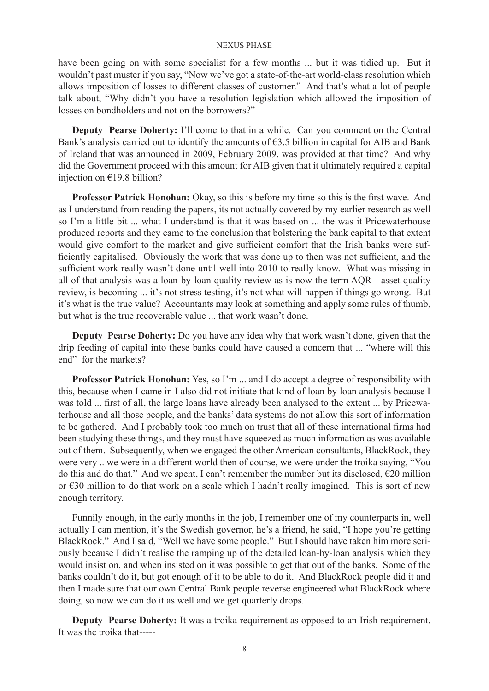have been going on with some specialist for a few months ... but it was tidied up. But it wouldn't past muster if you say, "Now we've got a state-of-the-art world-class resolution which allows imposition of losses to different classes of customer." And that's what a lot of people talk about, "Why didn't you have a resolution legislation which allowed the imposition of losses on bondholders and not on the borrowers?"

**Deputy Pearse Doherty:** I'll come to that in a while. Can you comment on the Central Bank's analysis carried out to identify the amounts of  $63.5$  billion in capital for AIB and Bank of Ireland that was announced in 2009, February 2009, was provided at that time? And why did the Government proceed with this amount for AIB given that it ultimately required a capital injection on €19.8 billion?

**Professor Patrick Honohan:** Okay, so this is before my time so this is the first wave. And as I understand from reading the papers, its not actually covered by my earlier research as well so I'm a little bit ... what I understand is that it was based on ... the was it Pricewaterhouse produced reports and they came to the conclusion that bolstering the bank capital to that extent would give comfort to the market and give sufficient comfort that the Irish banks were sufficiently capitalised. Obviously the work that was done up to then was not sufficient, and the sufficient work really wasn't done until well into 2010 to really know. What was missing in all of that analysis was a loan-by-loan quality review as is now the term AQR - asset quality review, is becoming ... it's not stress testing, it's not what will happen if things go wrong. But it's what is the true value? Accountants may look at something and apply some rules of thumb, but what is the true recoverable value ... that work wasn't done.

**Deputy Pearse Doherty:** Do you have any idea why that work wasn't done, given that the drip feeding of capital into these banks could have caused a concern that ... "where will this end" for the markets?

**Professor Patrick Honohan:** Yes, so I'm ... and I do accept a degree of responsibility with this, because when I came in I also did not initiate that kind of loan by loan analysis because I was told ... first of all, the large loans have already been analysed to the extent ... by Pricewaterhouse and all those people, and the banks' data systems do not allow this sort of information to be gathered. And I probably took too much on trust that all of these international firms had been studying these things, and they must have squeezed as much information as was available out of them. Subsequently, when we engaged the other American consultants, BlackRock, they were very .. we were in a different world then of course, we were under the troika saying, "You do this and do that." And we spent, I can't remember the number but its disclosed,  $\epsilon$ 20 million or €30 million to do that work on a scale which I hadn't really imagined. This is sort of new enough territory.

Funnily enough, in the early months in the job, I remember one of my counterparts in, well actually I can mention, it's the Swedish governor, he's a friend, he said, "I hope you're getting BlackRock." And I said, "Well we have some people." But I should have taken him more seriously because I didn't realise the ramping up of the detailed loan-by-loan analysis which they would insist on, and when insisted on it was possible to get that out of the banks. Some of the banks couldn't do it, but got enough of it to be able to do it. And BlackRock people did it and then I made sure that our own Central Bank people reverse engineered what BlackRock where doing, so now we can do it as well and we get quarterly drops.

**Deputy Pearse Doherty:** It was a troika requirement as opposed to an Irish requirement. It was the troika that-----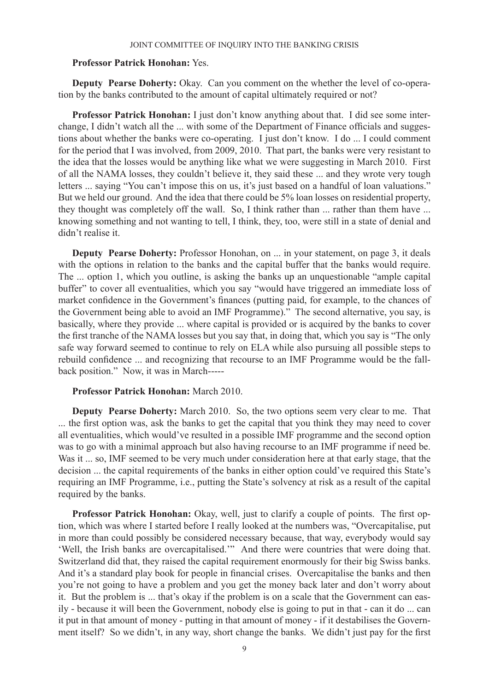### **Professor Patrick Honohan:** Yes.

**Deputy Pearse Doherty:** Okay. Can you comment on the whether the level of co-operation by the banks contributed to the amount of capital ultimately required or not?

**Professor Patrick Honohan:** I just don't know anything about that. I did see some interchange, I didn't watch all the ... with some of the Department of Finance officials and suggestions about whether the banks were co-operating. I just don't know. I do ... I could comment for the period that I was involved, from 2009, 2010. That part, the banks were very resistant to the idea that the losses would be anything like what we were suggesting in March 2010. First of all the NAMA losses, they couldn't believe it, they said these ... and they wrote very tough letters ... saying "You can't impose this on us, it's just based on a handful of loan valuations." But we held our ground. And the idea that there could be 5% loan losses on residential property, they thought was completely off the wall. So, I think rather than ... rather than them have ... knowing something and not wanting to tell, I think, they, too, were still in a state of denial and didn't realise it.

**Deputy Pearse Doherty:** Professor Honohan, on ... in your statement, on page 3, it deals with the options in relation to the banks and the capital buffer that the banks would require. The ... option 1, which you outline, is asking the banks up an unquestionable "ample capital buffer" to cover all eventualities, which you say "would have triggered an immediate loss of market confidence in the Government's finances (putting paid, for example, to the chances of the Government being able to avoid an IMF Programme)." The second alternative, you say, is basically, where they provide ... where capital is provided or is acquired by the banks to cover the first tranche of the NAMA losses but you say that, in doing that, which you say is "The only safe way forward seemed to continue to rely on ELA while also pursuing all possible steps to rebuild confidence ... and recognizing that recourse to an IMF Programme would be the fallback position." Now, it was in March-----

# **Professor Patrick Honohan:** March 2010.

**Deputy Pearse Doherty:** March 2010. So, the two options seem very clear to me. That ... the first option was, ask the banks to get the capital that you think they may need to cover all eventualities, which would've resulted in a possible IMF programme and the second option was to go with a minimal approach but also having recourse to an IMF programme if need be. Was it ... so, IMF seemed to be very much under consideration here at that early stage, that the decision ... the capital requirements of the banks in either option could've required this State's requiring an IMF Programme, i.e., putting the State's solvency at risk as a result of the capital required by the banks.

**Professor Patrick Honohan:** Okay, well, just to clarify a couple of points. The first option, which was where I started before I really looked at the numbers was, "Overcapitalise, put in more than could possibly be considered necessary because, that way, everybody would say 'Well, the Irish banks are overcapitalised.'" And there were countries that were doing that. Switzerland did that, they raised the capital requirement enormously for their big Swiss banks. And it's a standard play book for people in financial crises. Overcapitalise the banks and then you're not going to have a problem and you get the money back later and don't worry about it. But the problem is ... that's okay if the problem is on a scale that the Government can easily - because it will been the Government, nobody else is going to put in that - can it do ... can it put in that amount of money - putting in that amount of money - if it destabilises the Government itself? So we didn't, in any way, short change the banks. We didn't just pay for the first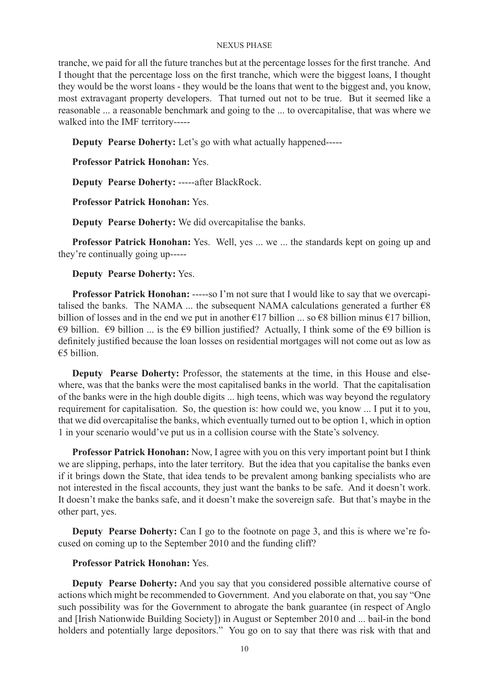tranche, we paid for all the future tranches but at the percentage losses for the first tranche. And I thought that the percentage loss on the first tranche, which were the biggest loans, I thought they would be the worst loans - they would be the loans that went to the biggest and, you know, most extravagant property developers. That turned out not to be true. But it seemed like a reasonable ... a reasonable benchmark and going to the ... to overcapitalise, that was where we walked into the IMF territory-----

**Deputy Pearse Doherty:** Let's go with what actually happened-----

**Professor Patrick Honohan:** Yes.

**Deputy Pearse Doherty:** -----after BlackRock.

**Professor Patrick Honohan:** Yes.

**Deputy Pearse Doherty:** We did overcapitalise the banks.

**Professor Patrick Honohan:** Yes. Well, yes ... we ... the standards kept on going up and they're continually going up-----

**Deputy Pearse Doherty:** Yes.

**Professor Patrick Honohan:** -----so I'm not sure that I would like to say that we overcapitalised the banks. The NAMA ... the subsequent NAMA calculations generated a further  $\epsilon$ 8 billion of losses and in the end we put in another  $\epsilon$ 17 billion ... so  $\epsilon$ 8 billion minus  $\epsilon$ 17 billion, €9 billion. €9 billion ... is the €9 billion justified? Actually, I think some of the €9 billion is definitely justified because the loan losses on residential mortgages will not come out as low as €5 billion.

**Deputy Pearse Doherty:** Professor, the statements at the time, in this House and elsewhere, was that the banks were the most capitalised banks in the world. That the capitalisation of the banks were in the high double digits ... high teens, which was way beyond the regulatory requirement for capitalisation. So, the question is: how could we, you know ... I put it to you, that we did overcapitalise the banks, which eventually turned out to be option 1, which in option 1 in your scenario would've put us in a collision course with the State's solvency.

**Professor Patrick Honohan:** Now, I agree with you on this very important point but I think we are slipping, perhaps, into the later territory. But the idea that you capitalise the banks even if it brings down the State, that idea tends to be prevalent among banking specialists who are not interested in the fiscal accounts, they just want the banks to be safe. And it doesn't work. It doesn't make the banks safe, and it doesn't make the sovereign safe. But that's maybe in the other part, yes.

**Deputy Pearse Doherty:** Can I go to the footnote on page 3, and this is where we're focused on coming up to the September 2010 and the funding cliff?

# **Professor Patrick Honohan:** Yes.

**Deputy Pearse Doherty:** And you say that you considered possible alternative course of actions which might be recommended to Government. And you elaborate on that, you say "One such possibility was for the Government to abrogate the bank guarantee (in respect of Anglo and [Irish Nationwide Building Society]) in August or September 2010 and ... bail-in the bond holders and potentially large depositors." You go on to say that there was risk with that and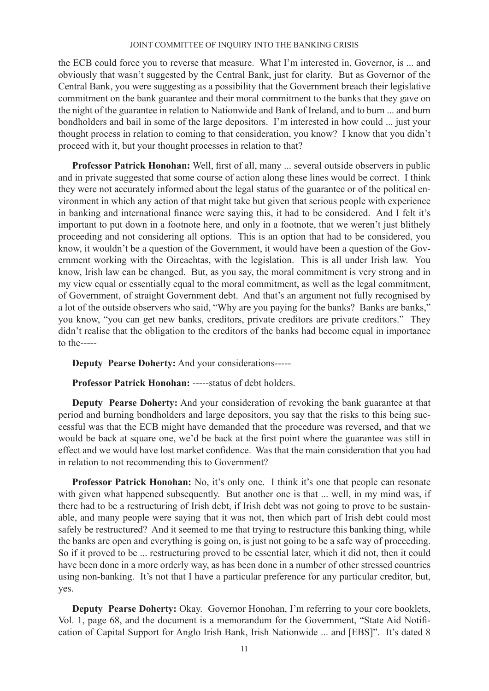the ECB could force you to reverse that measure. What I'm interested in, Governor, is ... and obviously that wasn't suggested by the Central Bank, just for clarity. But as Governor of the Central Bank, you were suggesting as a possibility that the Government breach their legislative commitment on the bank guarantee and their moral commitment to the banks that they gave on the night of the guarantee in relation to Nationwide and Bank of Ireland, and to burn ... and burn bondholders and bail in some of the large depositors. I'm interested in how could ... just your thought process in relation to coming to that consideration, you know? I know that you didn't proceed with it, but your thought processes in relation to that?

**Professor Patrick Honohan:** Well, first of all, many ... several outside observers in public and in private suggested that some course of action along these lines would be correct. I think they were not accurately informed about the legal status of the guarantee or of the political environment in which any action of that might take but given that serious people with experience in banking and international finance were saying this, it had to be considered. And I felt it's important to put down in a footnote here, and only in a footnote, that we weren't just blithely proceeding and not considering all options. This is an option that had to be considered, you know, it wouldn't be a question of the Government, it would have been a question of the Government working with the Oireachtas, with the legislation. This is all under Irish law. You know, Irish law can be changed. But, as you say, the moral commitment is very strong and in my view equal or essentially equal to the moral commitment, as well as the legal commitment, of Government, of straight Government debt. And that's an argument not fully recognised by a lot of the outside observers who said, "Why are you paying for the banks? Banks are banks," you know, "you can get new banks, creditors, private creditors are private creditors." They didn't realise that the obligation to the creditors of the banks had become equal in importance to the-----

**Deputy Pearse Doherty:** And your considerations-----

**Professor Patrick Honohan:** -----status of debt holders.

**Deputy Pearse Doherty:** And your consideration of revoking the bank guarantee at that period and burning bondholders and large depositors, you say that the risks to this being successful was that the ECB might have demanded that the procedure was reversed, and that we would be back at square one, we'd be back at the first point where the guarantee was still in effect and we would have lost market confidence. Was that the main consideration that you had in relation to not recommending this to Government?

**Professor Patrick Honohan:** No, it's only one. I think it's one that people can resonate with given what happened subsequently. But another one is that ... well, in my mind was, if there had to be a restructuring of Irish debt, if Irish debt was not going to prove to be sustainable, and many people were saying that it was not, then which part of Irish debt could most safely be restructured? And it seemed to me that trying to restructure this banking thing, while the banks are open and everything is going on, is just not going to be a safe way of proceeding. So if it proved to be ... restructuring proved to be essential later, which it did not, then it could have been done in a more orderly way, as has been done in a number of other stressed countries using non-banking. It's not that I have a particular preference for any particular creditor, but, yes.

**Deputy Pearse Doherty:** Okay. Governor Honohan, I'm referring to your core booklets, Vol. 1, page 68, and the document is a memorandum for the Government, "State Aid Notification of Capital Support for Anglo Irish Bank, Irish Nationwide ... and [EBS]". It's dated 8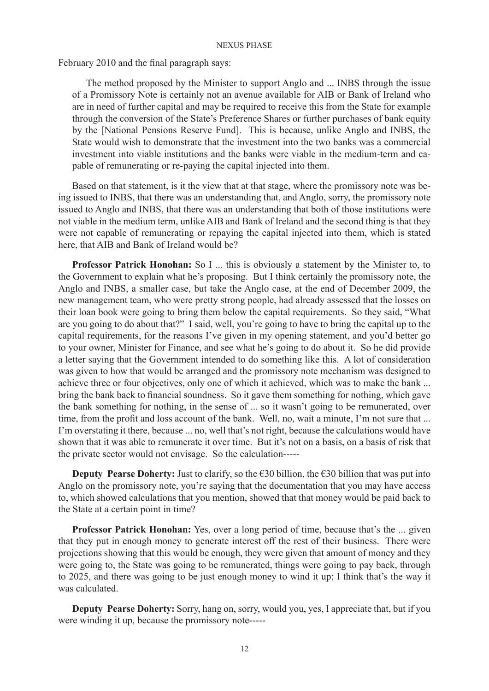February 2010 and the final paragraph says:

The method proposed by the Minister to support Anglo and ... INBS through the issue of a Promissory Note is certainly not an avenue available for AIB or Bank of Ireland who are in need of further capital and may be required to receive this from the State for example through the conversion of the State's Preference Shares or further purchases of bank equity by the [National Pensions Reserve Fund]. This is because, unlike Anglo and INBS, the State would wish to demonstrate that the investment into the two banks was a commercial investment into viable institutions and the banks were viable in the medium-term and capable of remunerating or re-paying the capital injected into them.

Based on that statement, is it the view that at that stage, where the promissory note was being issued to INBS, that there was an understanding that, and Anglo, sorry, the promissory note issued to Anglo and INBS, that there was an understanding that both of those institutions were not viable in the medium term, unlike AIB and Bank of Ireland and the second thing is that they were not capable of remunerating or repaying the capital injected into them, which is stated here, that AIB and Bank of Ireland would be?

**Professor Patrick Honohan:** So I ... this is obviously a statement by the Minister to, to the Government to explain what he's proposing. But I think certainly the promissory note, the Anglo and INBS, a smaller case, but take the Anglo case, at the end of December 2009, the new management team, who were pretty strong people, had already assessed that the losses on their loan book were going to bring them below the capital requirements. So they said, "What are you going to do about that?" I said, well, you're going to have to bring the capital up to the capital requirements, for the reasons I've given in my opening statement, and you'd better go to your owner, Minister for Finance, and see what he's going to do about it. So he did provide a letter saying that the Government intended to do something like this. A lot of consideration was given to how that would be arranged and the promissory note mechanism was designed to achieve three or four objectives, only one of which it achieved, which was to make the bank ... bring the bank back to financial soundness. So it gave them something for nothing, which gave the bank something for nothing, in the sense of ... so it wasn't going to be remunerated, over time, from the profit and loss account of the bank. Well, no, wait a minute, I'm not sure that ... I'm overstating it there, because ... no, well that's not right, because the calculations would have shown that it was able to remunerate it over time. But it's not on a basis, on a basis of risk that the private sector would not envisage. So the calculation-----

**Deputy Pearse Doherty:** Just to clarify, so the  $\epsilon$ 30 billion, the  $\epsilon$ 30 billion that was put into Anglo on the promissory note, you're saying that the documentation that you may have access to, which showed calculations that you mention, showed that that money would be paid back to the State at a certain point in time?

**Professor Patrick Honohan:** Yes, over a long period of time, because that's the ... given that they put in enough money to generate interest off the rest of their business. There were projections showing that this would be enough, they were given that amount of money and they were going to, the State was going to be remunerated, things were going to pay back, through to 2025, and there was going to be just enough money to wind it up; I think that's the way it was calculated.

**Deputy Pearse Doherty:** Sorry, hang on, sorry, would you, yes, I appreciate that, but if you were winding it up, because the promissory note-----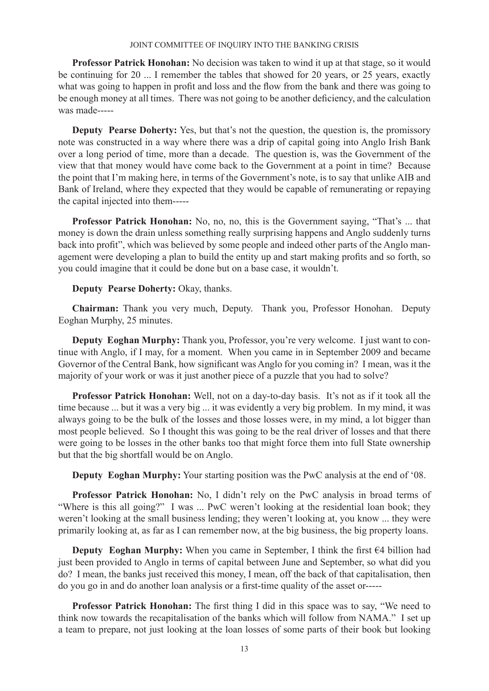**Professor Patrick Honohan:** No decision was taken to wind it up at that stage, so it would be continuing for 20 ... I remember the tables that showed for 20 years, or 25 years, exactly what was going to happen in profit and loss and the flow from the bank and there was going to be enough money at all times. There was not going to be another deficiency, and the calculation was made-----

**Deputy Pearse Doherty:** Yes, but that's not the question, the question is, the promissory note was constructed in a way where there was a drip of capital going into Anglo Irish Bank over a long period of time, more than a decade. The question is, was the Government of the view that that money would have come back to the Government at a point in time? Because the point that I'm making here, in terms of the Government's note, is to say that unlike AIB and Bank of Ireland, where they expected that they would be capable of remunerating or repaying the capital injected into them-----

**Professor Patrick Honohan:** No, no, no, this is the Government saying, "That's ... that money is down the drain unless something really surprising happens and Anglo suddenly turns back into profit", which was believed by some people and indeed other parts of the Anglo management were developing a plan to build the entity up and start making profits and so forth, so you could imagine that it could be done but on a base case, it wouldn't.

# **Deputy Pearse Doherty:** Okay, thanks.

**Chairman:** Thank you very much, Deputy. Thank you, Professor Honohan. Deputy Eoghan Murphy, 25 minutes.

**Deputy Eoghan Murphy:** Thank you, Professor, you're very welcome. I just want to continue with Anglo, if I may, for a moment. When you came in in September 2009 and became Governor of the Central Bank, how significant was Anglo for you coming in? I mean, was it the majority of your work or was it just another piece of a puzzle that you had to solve?

**Professor Patrick Honohan:** Well, not on a day-to-day basis. It's not as if it took all the time because ... but it was a very big ... it was evidently a very big problem. In my mind, it was always going to be the bulk of the losses and those losses were, in my mind, a lot bigger than most people believed. So I thought this was going to be the real driver of losses and that there were going to be losses in the other banks too that might force them into full State ownership but that the big shortfall would be on Anglo.

**Deputy Eoghan Murphy:** Your starting position was the PwC analysis at the end of '08.

**Professor Patrick Honohan:** No, I didn't rely on the PwC analysis in broad terms of "Where is this all going?" I was ... PwC weren't looking at the residential loan book; they weren't looking at the small business lending; they weren't looking at, you know ... they were primarily looking at, as far as I can remember now, at the big business, the big property loans.

**Deputy Eoghan Murphy:** When you came in September, I think the first €4 billion had just been provided to Anglo in terms of capital between June and September, so what did you do? I mean, the banks just received this money, I mean, off the back of that capitalisation, then do you go in and do another loan analysis or a first-time quality of the asset or-----

**Professor Patrick Honohan:** The first thing I did in this space was to say, "We need to think now towards the recapitalisation of the banks which will follow from NAMA." I set up a team to prepare, not just looking at the loan losses of some parts of their book but looking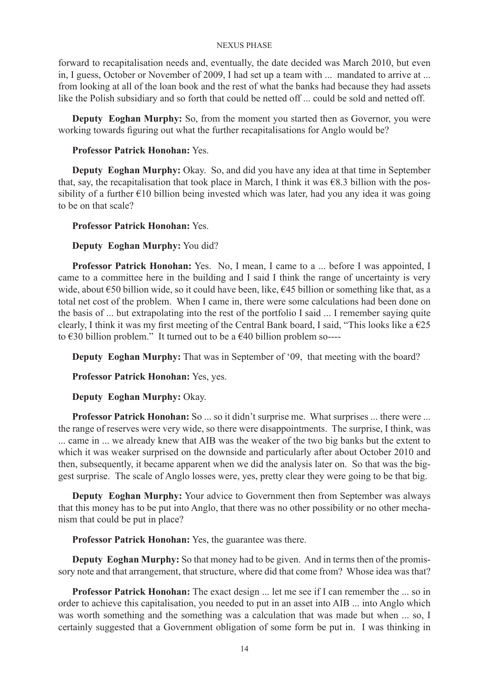forward to recapitalisation needs and, eventually, the date decided was March 2010, but even in, I guess, October or November of 2009, I had set up a team with ... mandated to arrive at ... from looking at all of the loan book and the rest of what the banks had because they had assets like the Polish subsidiary and so forth that could be netted off ... could be sold and netted off.

**Deputy Eoghan Murphy:** So, from the moment you started then as Governor, you were working towards figuring out what the further recapitalisations for Anglo would be?

# **Professor Patrick Honohan:** Yes.

**Deputy Eoghan Murphy:** Okay. So, and did you have any idea at that time in September that, say, the recapitalisation that took place in March, I think it was  $\epsilon$ 8.3 billion with the possibility of a further  $\epsilon$ 10 billion being invested which was later, had you any idea it was going to be on that scale?

## **Professor Patrick Honohan:** Yes.

# **Deputy Eoghan Murphy:** You did?

**Professor Patrick Honohan:** Yes. No, I mean, I came to a ... before I was appointed, I came to a committee here in the building and I said I think the range of uncertainty is very wide, about €50 billion wide, so it could have been, like, €45 billion or something like that, as a total net cost of the problem. When I came in, there were some calculations had been done on the basis of ... but extrapolating into the rest of the portfolio I said ... I remember saying quite clearly, I think it was my first meeting of the Central Bank board, I said, "This looks like a  $\epsilon$ 25 to  $\epsilon$ 30 billion problem." It turned out to be a  $\epsilon$ 40 billion problem so----

**Deputy Eoghan Murphy:** That was in September of '09, that meeting with the board?

**Professor Patrick Honohan:** Yes, yes.

**Deputy Eoghan Murphy:** Okay.

**Professor Patrick Honohan:** So ... so it didn't surprise me. What surprises ... there were ... the range of reserves were very wide, so there were disappointments. The surprise, I think, was ... came in ... we already knew that AIB was the weaker of the two big banks but the extent to which it was weaker surprised on the downside and particularly after about October 2010 and then, subsequently, it became apparent when we did the analysis later on. So that was the biggest surprise. The scale of Anglo losses were, yes, pretty clear they were going to be that big.

**Deputy Eoghan Murphy:** Your advice to Government then from September was always that this money has to be put into Anglo, that there was no other possibility or no other mechanism that could be put in place?

**Professor Patrick Honohan:** Yes, the guarantee was there.

**Deputy Eoghan Murphy:** So that money had to be given. And in terms then of the promissory note and that arrangement, that structure, where did that come from? Whose idea was that?

**Professor Patrick Honohan:** The exact design ... let me see if I can remember the ... so in order to achieve this capitalisation, you needed to put in an asset into AIB ... into Anglo which was worth something and the something was a calculation that was made but when ... so, I certainly suggested that a Government obligation of some form be put in. I was thinking in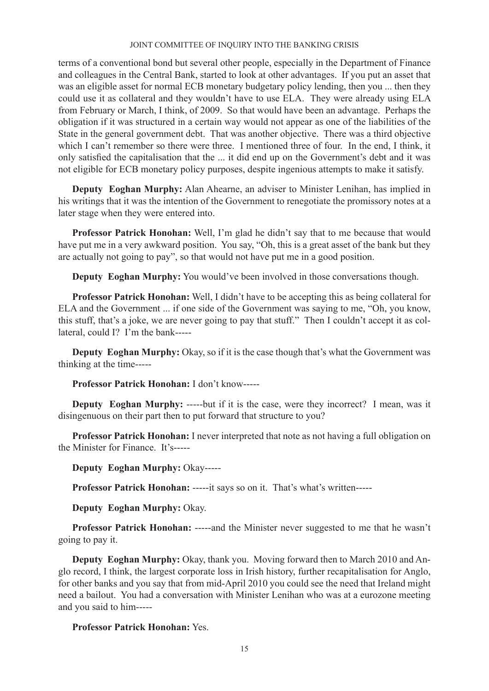terms of a conventional bond but several other people, especially in the Department of Finance and colleagues in the Central Bank, started to look at other advantages. If you put an asset that was an eligible asset for normal ECB monetary budgetary policy lending, then you ... then they could use it as collateral and they wouldn't have to use ELA. They were already using ELA from February or March, I think, of 2009. So that would have been an advantage. Perhaps the obligation if it was structured in a certain way would not appear as one of the liabilities of the State in the general government debt. That was another objective. There was a third objective which I can't remember so there were three. I mentioned three of four. In the end, I think, it only satisfied the capitalisation that the ... it did end up on the Government's debt and it was not eligible for ECB monetary policy purposes, despite ingenious attempts to make it satisfy.

**Deputy Eoghan Murphy:** Alan Ahearne, an adviser to Minister Lenihan, has implied in his writings that it was the intention of the Government to renegotiate the promissory notes at a later stage when they were entered into.

**Professor Patrick Honohan:** Well, I'm glad he didn't say that to me because that would have put me in a very awkward position. You say, "Oh, this is a great asset of the bank but they are actually not going to pay", so that would not have put me in a good position.

**Deputy Eoghan Murphy:** You would've been involved in those conversations though.

**Professor Patrick Honohan:** Well, I didn't have to be accepting this as being collateral for ELA and the Government ... if one side of the Government was saying to me, "Oh, you know, this stuff, that's a joke, we are never going to pay that stuff." Then I couldn't accept it as collateral, could I? I'm the bank-----

**Deputy Eoghan Murphy:** Okay, so if it is the case though that's what the Government was thinking at the time-----

**Professor Patrick Honohan:** I don't know-----

**Deputy Eoghan Murphy:** -----but if it is the case, were they incorrect? I mean, was it disingenuous on their part then to put forward that structure to you?

**Professor Patrick Honohan:** I never interpreted that note as not having a full obligation on the Minister for Finance. It's-----

**Deputy Eoghan Murphy:** Okay-----

**Professor Patrick Honohan:** -----it says so on it. That's what's written-----

**Deputy Eoghan Murphy:** Okay.

**Professor Patrick Honohan:** -----and the Minister never suggested to me that he wasn't going to pay it.

**Deputy Eoghan Murphy:** Okay, thank you. Moving forward then to March 2010 and Anglo record, I think, the largest corporate loss in Irish history, further recapitalisation for Anglo, for other banks and you say that from mid-April 2010 you could see the need that Ireland might need a bailout. You had a conversation with Minister Lenihan who was at a eurozone meeting and you said to him-----

# **Professor Patrick Honohan:** Yes.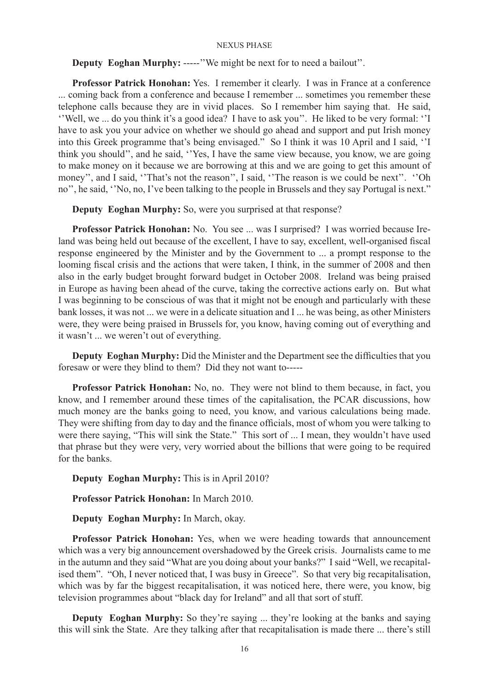# **Deputy Eoghan Murphy:** -----''We might be next for to need a bailout''.

**Professor Patrick Honohan:** Yes. I remember it clearly. I was in France at a conference ... coming back from a conference and because I remember ... sometimes you remember these telephone calls because they are in vivid places. So I remember him saying that. He said, ''Well, we ... do you think it's a good idea? I have to ask you''. He liked to be very formal: ''I have to ask you your advice on whether we should go ahead and support and put Irish money into this Greek programme that's being envisaged." So I think it was 10 April and I said, ''I think you should'', and he said, ''Yes, I have the same view because, you know, we are going to make money on it because we are borrowing at this and we are going to get this amount of money", and I said, "That's not the reason", I said, "The reason is we could be next". "Oh no'', he said, ''No, no, I've been talking to the people in Brussels and they say Portugal is next."

**Deputy Eoghan Murphy:** So, were you surprised at that response?

**Professor Patrick Honohan:** No. You see ... was I surprised? I was worried because Ireland was being held out because of the excellent, I have to say, excellent, well-organised fiscal response engineered by the Minister and by the Government to ... a prompt response to the looming fiscal crisis and the actions that were taken, I think, in the summer of 2008 and then also in the early budget brought forward budget in October 2008. Ireland was being praised in Europe as having been ahead of the curve, taking the corrective actions early on. But what I was beginning to be conscious of was that it might not be enough and particularly with these bank losses, it was not ... we were in a delicate situation and I ... he was being, as other Ministers were, they were being praised in Brussels for, you know, having coming out of everything and it wasn't ... we weren't out of everything.

**Deputy Eoghan Murphy:** Did the Minister and the Department see the difficulties that you foresaw or were they blind to them? Did they not want to-----

**Professor Patrick Honohan:** No, no. They were not blind to them because, in fact, you know, and I remember around these times of the capitalisation, the PCAR discussions, how much money are the banks going to need, you know, and various calculations being made. They were shifting from day to day and the finance officials, most of whom you were talking to were there saying, "This will sink the State." This sort of ... I mean, they wouldn't have used that phrase but they were very, very worried about the billions that were going to be required for the banks.

**Deputy Eoghan Murphy:** This is in April 2010?

**Professor Patrick Honohan:** In March 2010.

**Deputy Eoghan Murphy:** In March, okay.

**Professor Patrick Honohan:** Yes, when we were heading towards that announcement which was a very big announcement overshadowed by the Greek crisis. Journalists came to me in the autumn and they said "What are you doing about your banks?" I said "Well, we recapitalised them". "Oh, I never noticed that, I was busy in Greece". So that very big recapitalisation, which was by far the biggest recapitalisation, it was noticed here, there were, you know, big television programmes about "black day for Ireland" and all that sort of stuff.

**Deputy Eoghan Murphy:** So they're saying ... they're looking at the banks and saying this will sink the State. Are they talking after that recapitalisation is made there ... there's still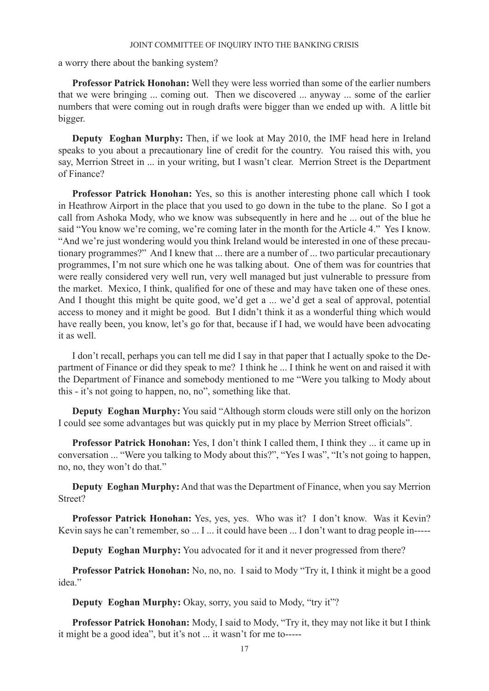a worry there about the banking system?

**Professor Patrick Honohan:** Well they were less worried than some of the earlier numbers that we were bringing ... coming out. Then we discovered ... anyway ... some of the earlier numbers that were coming out in rough drafts were bigger than we ended up with. A little bit bigger.

**Deputy Eoghan Murphy:** Then, if we look at May 2010, the IMF head here in Ireland speaks to you about a precautionary line of credit for the country. You raised this with, you say, Merrion Street in ... in your writing, but I wasn't clear. Merrion Street is the Department of Finance?

**Professor Patrick Honohan:** Yes, so this is another interesting phone call which I took in Heathrow Airport in the place that you used to go down in the tube to the plane. So I got a call from Ashoka Mody, who we know was subsequently in here and he ... out of the blue he said "You know we're coming, we're coming later in the month for the Article 4." Yes I know. "And we're just wondering would you think Ireland would be interested in one of these precautionary programmes?" And I knew that ... there are a number of ... two particular precautionary programmes, I'm not sure which one he was talking about. One of them was for countries that were really considered very well run, very well managed but just vulnerable to pressure from the market. Mexico, I think, qualified for one of these and may have taken one of these ones. And I thought this might be quite good, we'd get a ... we'd get a seal of approval, potential access to money and it might be good. But I didn't think it as a wonderful thing which would have really been, you know, let's go for that, because if I had, we would have been advocating it as well.

I don't recall, perhaps you can tell me did I say in that paper that I actually spoke to the Department of Finance or did they speak to me? I think he ... I think he went on and raised it with the Department of Finance and somebody mentioned to me "Were you talking to Mody about this - it's not going to happen, no, no", something like that.

**Deputy Eoghan Murphy:** You said "Although storm clouds were still only on the horizon I could see some advantages but was quickly put in my place by Merrion Street officials".

**Professor Patrick Honohan:** Yes, I don't think I called them, I think they ... it came up in conversation ... "Were you talking to Mody about this?", "Yes I was", "It's not going to happen, no, no, they won't do that."

**Deputy Eoghan Murphy:** And that was the Department of Finance, when you say Merrion Street?

**Professor Patrick Honohan:** Yes, yes, yes. Who was it? I don't know. Was it Kevin? Kevin says he can't remember, so ... I ... it could have been ... I don't want to drag people in-----

**Deputy Eoghan Murphy:** You advocated for it and it never progressed from there?

**Professor Patrick Honohan:** No, no, no. I said to Mody "Try it, I think it might be a good idea."

**Deputy Eoghan Murphy:** Okay, sorry, you said to Mody, "try it"?

**Professor Patrick Honohan:** Mody, I said to Mody, "Try it, they may not like it but I think it might be a good idea", but it's not ... it wasn't for me to-----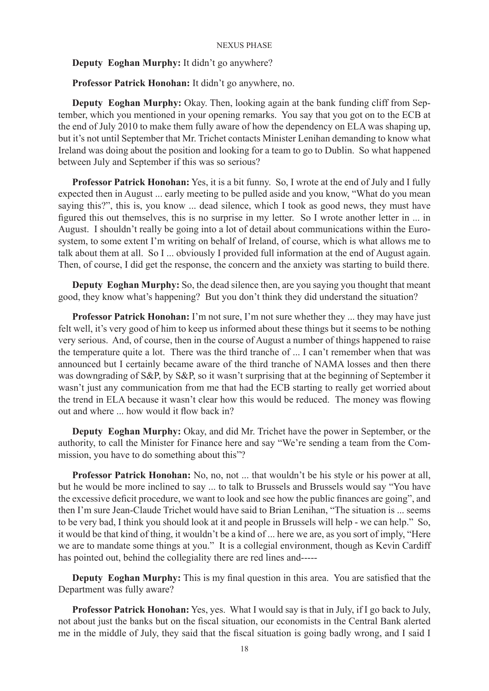### **Deputy Eoghan Murphy:** It didn't go anywhere?

**Professor Patrick Honohan:** It didn't go anywhere, no.

**Deputy Eoghan Murphy:** Okay. Then, looking again at the bank funding cliff from September, which you mentioned in your opening remarks. You say that you got on to the ECB at the end of July 2010 to make them fully aware of how the dependency on ELA was shaping up, but it's not until September that Mr. Trichet contacts Minister Lenihan demanding to know what Ireland was doing about the position and looking for a team to go to Dublin. So what happened between July and September if this was so serious?

**Professor Patrick Honohan:** Yes, it is a bit funny. So, I wrote at the end of July and I fully expected then in August ... early meeting to be pulled aside and you know, "What do you mean saying this?", this is, you know ... dead silence, which I took as good news, they must have figured this out themselves, this is no surprise in my letter. So I wrote another letter in ... in August. I shouldn't really be going into a lot of detail about communications within the Eurosystem, to some extent I'm writing on behalf of Ireland, of course, which is what allows me to talk about them at all. So I ... obviously I provided full information at the end of August again. Then, of course, I did get the response, the concern and the anxiety was starting to build there.

**Deputy Eoghan Murphy:** So, the dead silence then, are you saying you thought that meant good, they know what's happening? But you don't think they did understand the situation?

**Professor Patrick Honohan:** I'm not sure, I'm not sure whether they ... they may have just felt well, it's very good of him to keep us informed about these things but it seems to be nothing very serious. And, of course, then in the course of August a number of things happened to raise the temperature quite a lot. There was the third tranche of ... I can't remember when that was announced but I certainly became aware of the third tranche of NAMA losses and then there was downgrading of S&P, by S&P, so it wasn't surprising that at the beginning of September it wasn't just any communication from me that had the ECB starting to really get worried about the trend in ELA because it wasn't clear how this would be reduced. The money was flowing out and where ... how would it flow back in?

**Deputy Eoghan Murphy:** Okay, and did Mr. Trichet have the power in September, or the authority, to call the Minister for Finance here and say "We're sending a team from the Commission, you have to do something about this"?

**Professor Patrick Honohan:** No, no, not ... that wouldn't be his style or his power at all, but he would be more inclined to say ... to talk to Brussels and Brussels would say "You have the excessive deficit procedure, we want to look and see how the public finances are going", and then I'm sure Jean-Claude Trichet would have said to Brian Lenihan, "The situation is ... seems to be very bad, I think you should look at it and people in Brussels will help - we can help." So, it would be that kind of thing, it wouldn't be a kind of ... here we are, as you sort of imply, "Here we are to mandate some things at you." It is a collegial environment, though as Kevin Cardiff has pointed out, behind the collegiality there are red lines and-----

**Deputy Eoghan Murphy:** This is my final question in this area. You are satisfied that the Department was fully aware?

**Professor Patrick Honohan:** Yes, yes. What I would say is that in July, if I go back to July, not about just the banks but on the fiscal situation, our economists in the Central Bank alerted me in the middle of July, they said that the fiscal situation is going badly wrong, and I said I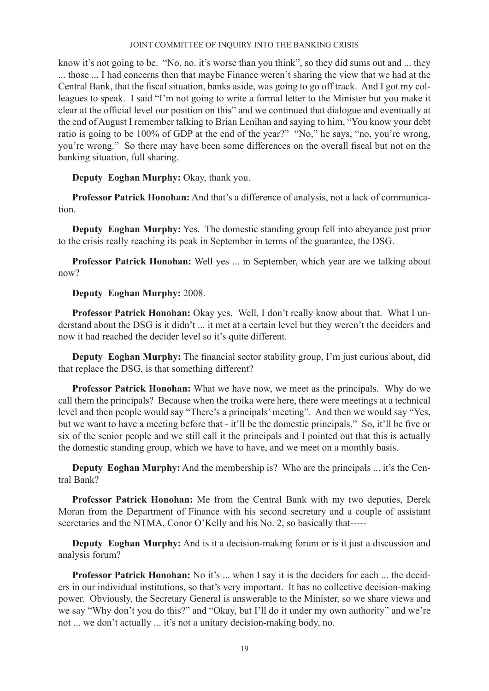know it's not going to be. "No, no. it's worse than you think", so they did sums out and ... they ... those ... I had concerns then that maybe Finance weren't sharing the view that we had at the Central Bank, that the fiscal situation, banks aside, was going to go off track. And I got my colleagues to speak. I said "I'm not going to write a formal letter to the Minister but you make it clear at the official level our position on this" and we continued that dialogue and eventually at the end of August I remember talking to Brian Lenihan and saying to him, "You know your debt ratio is going to be 100% of GDP at the end of the year?" "No," he says, "no, you're wrong, you're wrong." So there may have been some differences on the overall fiscal but not on the banking situation, full sharing.

**Deputy Eoghan Murphy:** Okay, thank you.

**Professor Patrick Honohan:** And that's a difference of analysis, not a lack of communication.

**Deputy Eoghan Murphy:** Yes. The domestic standing group fell into abeyance just prior to the crisis really reaching its peak in September in terms of the guarantee, the DSG.

**Professor Patrick Honohan:** Well yes ... in September, which year are we talking about now?

# **Deputy Eoghan Murphy:** 2008.

**Professor Patrick Honohan:** Okay yes. Well, I don't really know about that. What I understand about the DSG is it didn't ... it met at a certain level but they weren't the deciders and now it had reached the decider level so it's quite different.

**Deputy Eoghan Murphy:** The financial sector stability group, I'm just curious about, did that replace the DSG, is that something different?

**Professor Patrick Honohan:** What we have now, we meet as the principals. Why do we call them the principals? Because when the troika were here, there were meetings at a technical level and then people would say "There's a principals' meeting". And then we would say "Yes, but we want to have a meeting before that - it'll be the domestic principals." So, it'll be five or six of the senior people and we still call it the principals and I pointed out that this is actually the domestic standing group, which we have to have, and we meet on a monthly basis.

**Deputy Eoghan Murphy:** And the membership is? Who are the principals ... it's the Central Bank?

**Professor Patrick Honohan:** Me from the Central Bank with my two deputies, Derek Moran from the Department of Finance with his second secretary and a couple of assistant secretaries and the NTMA, Conor O'Kelly and his No. 2, so basically that-----

**Deputy Eoghan Murphy:** And is it a decision-making forum or is it just a discussion and analysis forum?

**Professor Patrick Honohan:** No it's ... when I say it is the deciders for each ... the deciders in our individual institutions, so that's very important. It has no collective decision-making power. Obviously, the Secretary General is answerable to the Minister, so we share views and we say "Why don't you do this?" and "Okay, but I'll do it under my own authority" and we're not ... we don't actually ... it's not a unitary decision-making body, no.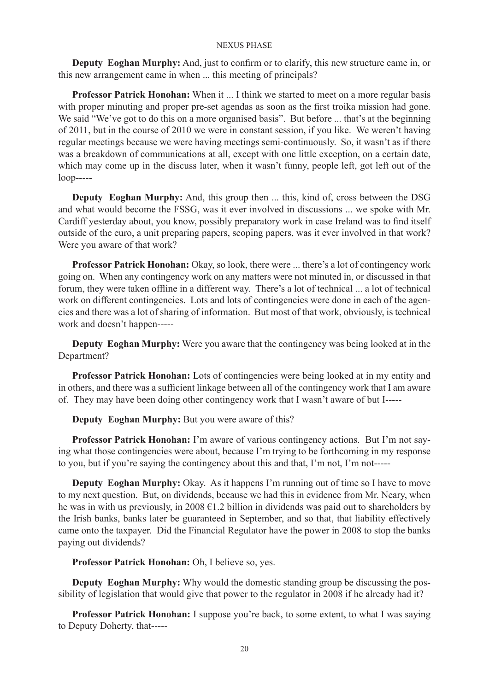**Deputy Eoghan Murphy:** And, just to confirm or to clarify, this new structure came in, or this new arrangement came in when ... this meeting of principals?

**Professor Patrick Honohan:** When it ... I think we started to meet on a more regular basis with proper minuting and proper pre-set agendas as soon as the first troika mission had gone. We said "We've got to do this on a more organised basis". But before ... that's at the beginning of 2011, but in the course of 2010 we were in constant session, if you like. We weren't having regular meetings because we were having meetings semi-continuously. So, it wasn't as if there was a breakdown of communications at all, except with one little exception, on a certain date, which may come up in the discuss later, when it wasn't funny, people left, got left out of the loop-----

**Deputy Eoghan Murphy:** And, this group then ... this, kind of, cross between the DSG and what would become the FSSG, was it ever involved in discussions ... we spoke with Mr. Cardiff yesterday about, you know, possibly preparatory work in case Ireland was to find itself outside of the euro, a unit preparing papers, scoping papers, was it ever involved in that work? Were you aware of that work?

**Professor Patrick Honohan:** Okay, so look, there were ... there's a lot of contingency work going on. When any contingency work on any matters were not minuted in, or discussed in that forum, they were taken offline in a different way. There's a lot of technical ... a lot of technical work on different contingencies. Lots and lots of contingencies were done in each of the agencies and there was a lot of sharing of information. But most of that work, obviously, is technical work and doesn't happen-----

**Deputy Eoghan Murphy:** Were you aware that the contingency was being looked at in the Department?

**Professor Patrick Honohan:** Lots of contingencies were being looked at in my entity and in others, and there was a sufficient linkage between all of the contingency work that I am aware of. They may have been doing other contingency work that I wasn't aware of but I-----

**Deputy Eoghan Murphy:** But you were aware of this?

**Professor Patrick Honohan:** I'm aware of various contingency actions. But I'm not saying what those contingencies were about, because I'm trying to be forthcoming in my response to you, but if you're saying the contingency about this and that, I'm not, I'm not-----

**Deputy Eoghan Murphy:** Okay. As it happens I'm running out of time so I have to move to my next question. But, on dividends, because we had this in evidence from Mr. Neary, when he was in with us previously, in 2008 €1.2 billion in dividends was paid out to shareholders by the Irish banks, banks later be guaranteed in September, and so that, that liability effectively came onto the taxpayer. Did the Financial Regulator have the power in 2008 to stop the banks paying out dividends?

**Professor Patrick Honohan:** Oh, I believe so, yes.

**Deputy Eoghan Murphy:** Why would the domestic standing group be discussing the possibility of legislation that would give that power to the regulator in 2008 if he already had it?

**Professor Patrick Honohan:** I suppose you're back, to some extent, to what I was saying to Deputy Doherty, that-----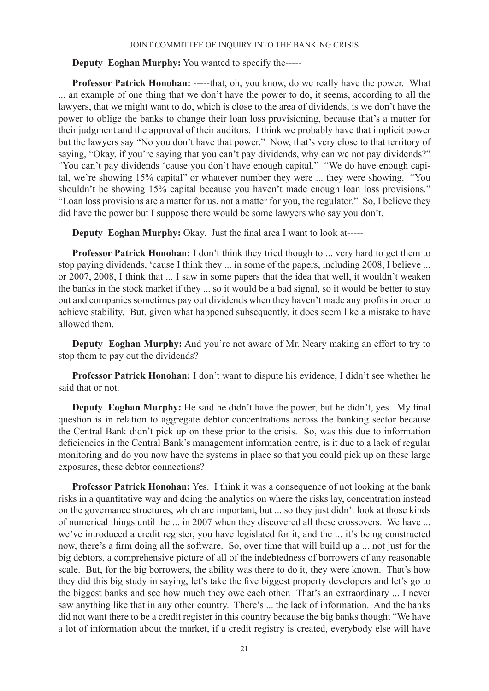**Deputy Eoghan Murphy:** You wanted to specify the-----

**Professor Patrick Honohan:** -----that, oh, you know, do we really have the power. What ... an example of one thing that we don't have the power to do, it seems, according to all the lawyers, that we might want to do, which is close to the area of dividends, is we don't have the power to oblige the banks to change their loan loss provisioning, because that's a matter for their judgment and the approval of their auditors. I think we probably have that implicit power but the lawyers say "No you don't have that power." Now, that's very close to that territory of saying, "Okay, if you're saying that you can't pay dividends, why can we not pay dividends?" "You can't pay dividends 'cause you don't have enough capital." "We do have enough capital, we're showing 15% capital" or whatever number they were ... they were showing. "You shouldn't be showing 15% capital because you haven't made enough loan loss provisions." "Loan loss provisions are a matter for us, not a matter for you, the regulator." So, I believe they did have the power but I suppose there would be some lawyers who say you don't.

**Deputy Eoghan Murphy:** Okay. Just the final area I want to look at-----

**Professor Patrick Honohan:** I don't think they tried though to ... very hard to get them to stop paying dividends, 'cause I think they ... in some of the papers, including 2008, I believe ... or 2007, 2008, I think that ... I saw in some papers that the idea that well, it wouldn't weaken the banks in the stock market if they ... so it would be a bad signal, so it would be better to stay out and companies sometimes pay out dividends when they haven't made any profits in order to achieve stability. But, given what happened subsequently, it does seem like a mistake to have allowed them.

**Deputy Eoghan Murphy:** And you're not aware of Mr. Neary making an effort to try to stop them to pay out the dividends?

**Professor Patrick Honohan:** I don't want to dispute his evidence, I didn't see whether he said that or not.

**Deputy Eoghan Murphy:** He said he didn't have the power, but he didn't, yes. My final question is in relation to aggregate debtor concentrations across the banking sector because the Central Bank didn't pick up on these prior to the crisis. So, was this due to information deficiencies in the Central Bank's management information centre, is it due to a lack of regular monitoring and do you now have the systems in place so that you could pick up on these large exposures, these debtor connections?

**Professor Patrick Honohan:** Yes. I think it was a consequence of not looking at the bank risks in a quantitative way and doing the analytics on where the risks lay, concentration instead on the governance structures, which are important, but ... so they just didn't look at those kinds of numerical things until the ... in 2007 when they discovered all these crossovers. We have ... we've introduced a credit register, you have legislated for it, and the ... it's being constructed now, there's a firm doing all the software. So, over time that will build up a ... not just for the big debtors, a comprehensive picture of all of the indebtedness of borrowers of any reasonable scale. But, for the big borrowers, the ability was there to do it, they were known. That's how they did this big study in saying, let's take the five biggest property developers and let's go to the biggest banks and see how much they owe each other. That's an extraordinary ... I never saw anything like that in any other country. There's ... the lack of information. And the banks did not want there to be a credit register in this country because the big banks thought "We have a lot of information about the market, if a credit registry is created, everybody else will have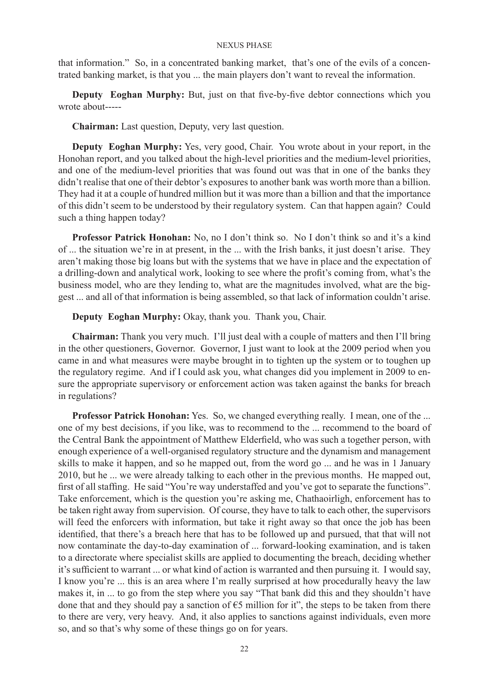that information." So, in a concentrated banking market, that's one of the evils of a concentrated banking market, is that you ... the main players don't want to reveal the information.

**Deputy Eoghan Murphy:** But, just on that five-by-five debtor connections which you wrote about-----

**Chairman:** Last question, Deputy, very last question.

**Deputy Eoghan Murphy:** Yes, very good, Chair. You wrote about in your report, in the Honohan report, and you talked about the high-level priorities and the medium-level priorities, and one of the medium-level priorities that was found out was that in one of the banks they didn't realise that one of their debtor's exposures to another bank was worth more than a billion. They had it at a couple of hundred million but it was more than a billion and that the importance of this didn't seem to be understood by their regulatory system. Can that happen again? Could such a thing happen today?

**Professor Patrick Honohan:** No, no I don't think so. No I don't think so and it's a kind of ... the situation we're in at present, in the ... with the Irish banks, it just doesn't arise. They aren't making those big loans but with the systems that we have in place and the expectation of a drilling-down and analytical work, looking to see where the profit's coming from, what's the business model, who are they lending to, what are the magnitudes involved, what are the biggest ... and all of that information is being assembled, so that lack of information couldn't arise.

**Deputy Eoghan Murphy:** Okay, thank you. Thank you, Chair.

**Chairman:** Thank you very much. I'll just deal with a couple of matters and then I'll bring in the other questioners, Governor. Governor, I just want to look at the 2009 period when you came in and what measures were maybe brought in to tighten up the system or to toughen up the regulatory regime. And if I could ask you, what changes did you implement in 2009 to ensure the appropriate supervisory or enforcement action was taken against the banks for breach in regulations?

**Professor Patrick Honohan:** Yes. So, we changed everything really. I mean, one of the ... one of my best decisions, if you like, was to recommend to the ... recommend to the board of the Central Bank the appointment of Matthew Elderfield, who was such a together person, with enough experience of a well-organised regulatory structure and the dynamism and management skills to make it happen, and so he mapped out, from the word go ... and he was in 1 January 2010, but he ... we were already talking to each other in the previous months. He mapped out, first of all staffing. He said "You're way understaffed and you've got to separate the functions". Take enforcement, which is the question you're asking me, Chathaoirligh, enforcement has to be taken right away from supervision. Of course, they have to talk to each other, the supervisors will feed the enforcers with information, but take it right away so that once the job has been identified, that there's a breach here that has to be followed up and pursued, that that will not now contaminate the day-to-day examination of ... forward-looking examination, and is taken to a directorate where specialist skills are applied to documenting the breach, deciding whether it's sufficient to warrant ... or what kind of action is warranted and then pursuing it. I would say, I know you're ... this is an area where I'm really surprised at how procedurally heavy the law makes it, in ... to go from the step where you say "That bank did this and they shouldn't have done that and they should pay a sanction of  $\epsilon$ 5 million for it", the steps to be taken from there to there are very, very heavy. And, it also applies to sanctions against individuals, even more so, and so that's why some of these things go on for years.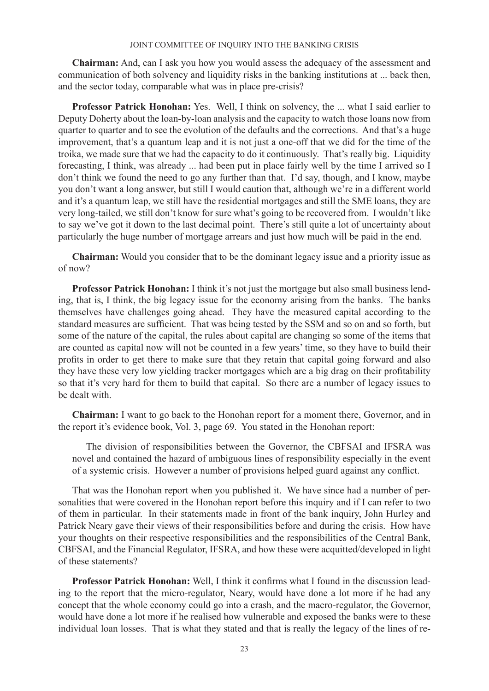**Chairman:** And, can I ask you how you would assess the adequacy of the assessment and communication of both solvency and liquidity risks in the banking institutions at ... back then, and the sector today, comparable what was in place pre-crisis?

**Professor Patrick Honohan:** Yes. Well, I think on solvency, the ... what I said earlier to Deputy Doherty about the loan-by-loan analysis and the capacity to watch those loans now from quarter to quarter and to see the evolution of the defaults and the corrections. And that's a huge improvement, that's a quantum leap and it is not just a one-off that we did for the time of the troika, we made sure that we had the capacity to do it continuously. That's really big. Liquidity forecasting, I think, was already ... had been put in place fairly well by the time I arrived so I don't think we found the need to go any further than that. I'd say, though, and I know, maybe you don't want a long answer, but still I would caution that, although we're in a different world and it's a quantum leap, we still have the residential mortgages and still the SME loans, they are very long-tailed, we still don't know for sure what's going to be recovered from. I wouldn't like to say we've got it down to the last decimal point. There's still quite a lot of uncertainty about particularly the huge number of mortgage arrears and just how much will be paid in the end.

**Chairman:** Would you consider that to be the dominant legacy issue and a priority issue as of now?

**Professor Patrick Honohan:** I think it's not just the mortgage but also small business lending, that is, I think, the big legacy issue for the economy arising from the banks. The banks themselves have challenges going ahead. They have the measured capital according to the standard measures are sufficient. That was being tested by the SSM and so on and so forth, but some of the nature of the capital, the rules about capital are changing so some of the items that are counted as capital now will not be counted in a few years' time, so they have to build their profits in order to get there to make sure that they retain that capital going forward and also they have these very low yielding tracker mortgages which are a big drag on their profitability so that it's very hard for them to build that capital. So there are a number of legacy issues to be dealt with.

**Chairman:** I want to go back to the Honohan report for a moment there, Governor, and in the report it's evidence book, Vol. 3, page 69. You stated in the Honohan report:

The division of responsibilities between the Governor, the CBFSAI and IFSRA was novel and contained the hazard of ambiguous lines of responsibility especially in the event of a systemic crisis. However a number of provisions helped guard against any conflict.

That was the Honohan report when you published it. We have since had a number of personalities that were covered in the Honohan report before this inquiry and if I can refer to two of them in particular. In their statements made in front of the bank inquiry, John Hurley and Patrick Neary gave their views of their responsibilities before and during the crisis. How have your thoughts on their respective responsibilities and the responsibilities of the Central Bank, CBFSAI, and the Financial Regulator, IFSRA, and how these were acquitted/developed in light of these statements?

**Professor Patrick Honohan:** Well, I think it confirms what I found in the discussion leading to the report that the micro-regulator, Neary, would have done a lot more if he had any concept that the whole economy could go into a crash, and the macro-regulator, the Governor, would have done a lot more if he realised how vulnerable and exposed the banks were to these individual loan losses. That is what they stated and that is really the legacy of the lines of re-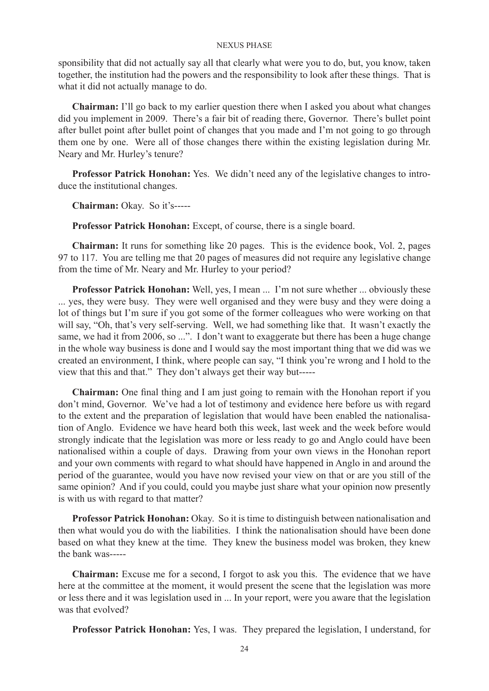sponsibility that did not actually say all that clearly what were you to do, but, you know, taken together, the institution had the powers and the responsibility to look after these things. That is what it did not actually manage to do.

**Chairman:** I'll go back to my earlier question there when I asked you about what changes did you implement in 2009. There's a fair bit of reading there, Governor. There's bullet point after bullet point after bullet point of changes that you made and I'm not going to go through them one by one. Were all of those changes there within the existing legislation during Mr. Neary and Mr. Hurley's tenure?

**Professor Patrick Honohan:** Yes. We didn't need any of the legislative changes to introduce the institutional changes.

**Chairman:** Okay. So it's-----

**Professor Patrick Honohan:** Except, of course, there is a single board.

**Chairman:** It runs for something like 20 pages. This is the evidence book, Vol. 2, pages 97 to 117. You are telling me that 20 pages of measures did not require any legislative change from the time of Mr. Neary and Mr. Hurley to your period?

**Professor Patrick Honohan:** Well, yes, I mean ... I'm not sure whether ... obviously these ... yes, they were busy. They were well organised and they were busy and they were doing a lot of things but I'm sure if you got some of the former colleagues who were working on that will say, "Oh, that's very self-serving. Well, we had something like that. It wasn't exactly the same, we had it from 2006, so ...". I don't want to exaggerate but there has been a huge change in the whole way business is done and I would say the most important thing that we did was we created an environment, I think, where people can say, "I think you're wrong and I hold to the view that this and that." They don't always get their way but-----

**Chairman:** One final thing and I am just going to remain with the Honohan report if you don't mind, Governor. We've had a lot of testimony and evidence here before us with regard to the extent and the preparation of legislation that would have been enabled the nationalisation of Anglo. Evidence we have heard both this week, last week and the week before would strongly indicate that the legislation was more or less ready to go and Anglo could have been nationalised within a couple of days. Drawing from your own views in the Honohan report and your own comments with regard to what should have happened in Anglo in and around the period of the guarantee, would you have now revised your view on that or are you still of the same opinion? And if you could, could you maybe just share what your opinion now presently is with us with regard to that matter?

**Professor Patrick Honohan:** Okay. So it is time to distinguish between nationalisation and then what would you do with the liabilities. I think the nationalisation should have been done based on what they knew at the time. They knew the business model was broken, they knew the bank was-----

**Chairman:** Excuse me for a second, I forgot to ask you this. The evidence that we have here at the committee at the moment, it would present the scene that the legislation was more or less there and it was legislation used in ... In your report, were you aware that the legislation was that evolved?

**Professor Patrick Honohan:** Yes, I was. They prepared the legislation, I understand, for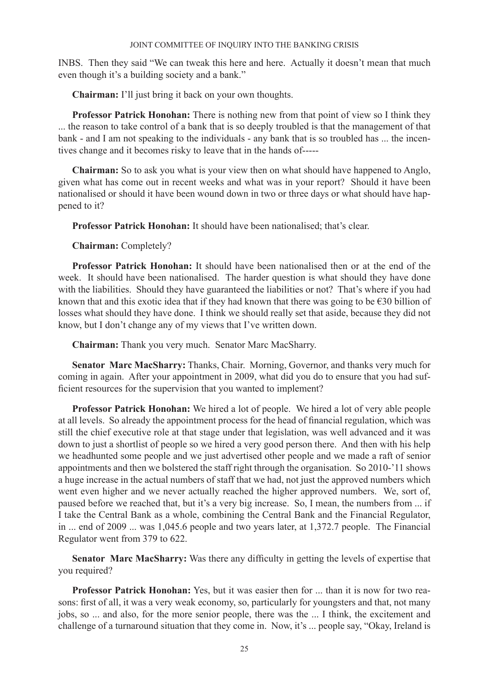INBS. Then they said "We can tweak this here and here. Actually it doesn't mean that much even though it's a building society and a bank."

**Chairman:** I'll just bring it back on your own thoughts.

**Professor Patrick Honohan:** There is nothing new from that point of view so I think they ... the reason to take control of a bank that is so deeply troubled is that the management of that bank - and I am not speaking to the individuals - any bank that is so troubled has ... the incentives change and it becomes risky to leave that in the hands of-----

**Chairman:** So to ask you what is your view then on what should have happened to Anglo, given what has come out in recent weeks and what was in your report? Should it have been nationalised or should it have been wound down in two or three days or what should have happened to it?

**Professor Patrick Honohan:** It should have been nationalised; that's clear.

**Chairman:** Completely?

**Professor Patrick Honohan:** It should have been nationalised then or at the end of the week. It should have been nationalised. The harder question is what should they have done with the liabilities. Should they have guaranteed the liabilities or not? That's where if you had known that and this exotic idea that if they had known that there was going to be  $\epsilon$ 30 billion of losses what should they have done. I think we should really set that aside, because they did not know, but I don't change any of my views that I've written down.

**Chairman:** Thank you very much. Senator Marc MacSharry.

**Senator Marc MacSharry:** Thanks, Chair. Morning, Governor, and thanks very much for coming in again. After your appointment in 2009, what did you do to ensure that you had sufficient resources for the supervision that you wanted to implement?

**Professor Patrick Honohan:** We hired a lot of people. We hired a lot of very able people at all levels. So already the appointment process for the head of financial regulation, which was still the chief executive role at that stage under that legislation, was well advanced and it was down to just a shortlist of people so we hired a very good person there. And then with his help we headhunted some people and we just advertised other people and we made a raft of senior appointments and then we bolstered the staff right through the organisation. So 2010-'11 shows a huge increase in the actual numbers of staff that we had, not just the approved numbers which went even higher and we never actually reached the higher approved numbers. We, sort of, paused before we reached that, but it's a very big increase. So, I mean, the numbers from ... if I take the Central Bank as a whole, combining the Central Bank and the Financial Regulator, in ... end of 2009 ... was 1,045.6 people and two years later, at 1,372.7 people. The Financial Regulator went from 379 to 622.

**Senator Marc MacSharry:** Was there any difficulty in getting the levels of expertise that you required?

**Professor Patrick Honohan:** Yes, but it was easier then for ... than it is now for two reasons: first of all, it was a very weak economy, so, particularly for youngsters and that, not many jobs, so ... and also, for the more senior people, there was the ... I think, the excitement and challenge of a turnaround situation that they come in. Now, it's ... people say, "Okay, Ireland is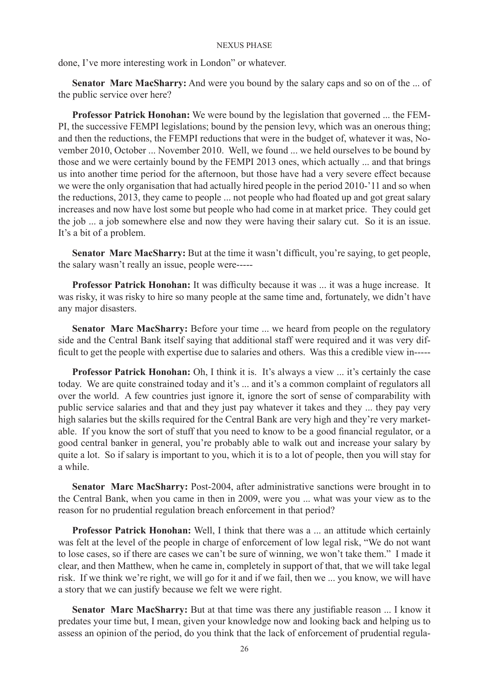done, I've more interesting work in London" or whatever.

**Senator Marc MacSharry:** And were you bound by the salary caps and so on of the ... of the public service over here?

**Professor Patrick Honohan:** We were bound by the legislation that governed ... the FEM-PI, the successive FEMPI legislations; bound by the pension levy, which was an onerous thing; and then the reductions, the FEMPI reductions that were in the budget of, whatever it was, November 2010, October ... November 2010. Well, we found ... we held ourselves to be bound by those and we were certainly bound by the FEMPI 2013 ones, which actually ... and that brings us into another time period for the afternoon, but those have had a very severe effect because we were the only organisation that had actually hired people in the period 2010-'11 and so when the reductions, 2013, they came to people ... not people who had floated up and got great salary increases and now have lost some but people who had come in at market price. They could get the job ... a job somewhere else and now they were having their salary cut. So it is an issue. It's a bit of a problem.

**Senator Marc MacSharry:** But at the time it wasn't difficult, you're saying, to get people, the salary wasn't really an issue, people were-----

**Professor Patrick Honohan:** It was difficulty because it was ... it was a huge increase. It was risky, it was risky to hire so many people at the same time and, fortunately, we didn't have any major disasters.

**Senator Marc MacSharry:** Before your time ... we heard from people on the regulatory side and the Central Bank itself saying that additional staff were required and it was very difficult to get the people with expertise due to salaries and others. Was this a credible view in-----

**Professor Patrick Honohan:** Oh, I think it is. It's always a view ... it's certainly the case today. We are quite constrained today and it's ... and it's a common complaint of regulators all over the world. A few countries just ignore it, ignore the sort of sense of comparability with public service salaries and that and they just pay whatever it takes and they ... they pay very high salaries but the skills required for the Central Bank are very high and they're very marketable. If you know the sort of stuff that you need to know to be a good financial regulator, or a good central banker in general, you're probably able to walk out and increase your salary by quite a lot. So if salary is important to you, which it is to a lot of people, then you will stay for a while.

**Senator Marc MacSharry:** Post-2004, after administrative sanctions were brought in to the Central Bank, when you came in then in 2009, were you ... what was your view as to the reason for no prudential regulation breach enforcement in that period?

**Professor Patrick Honohan:** Well, I think that there was a ... an attitude which certainly was felt at the level of the people in charge of enforcement of low legal risk, "We do not want to lose cases, so if there are cases we can't be sure of winning, we won't take them." I made it clear, and then Matthew, when he came in, completely in support of that, that we will take legal risk. If we think we're right, we will go for it and if we fail, then we ... you know, we will have a story that we can justify because we felt we were right.

**Senator Marc MacSharry:** But at that time was there any justifiable reason ... I know it predates your time but, I mean, given your knowledge now and looking back and helping us to assess an opinion of the period, do you think that the lack of enforcement of prudential regula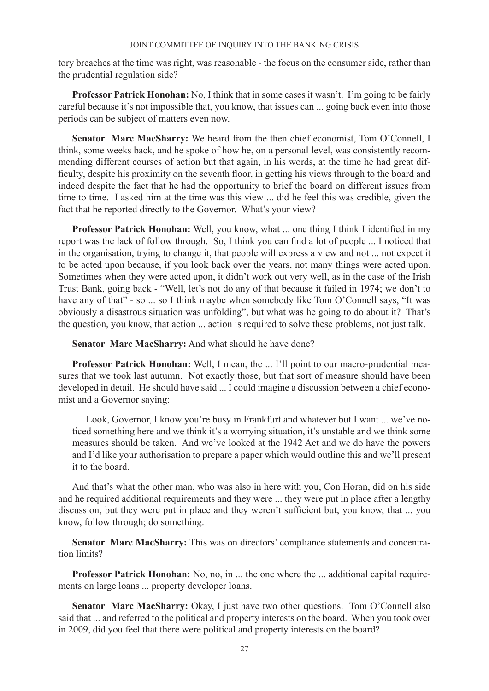tory breaches at the time was right, was reasonable - the focus on the consumer side, rather than the prudential regulation side?

**Professor Patrick Honohan:** No, I think that in some cases it wasn't. I'm going to be fairly careful because it's not impossible that, you know, that issues can ... going back even into those periods can be subject of matters even now.

**Senator Marc MacSharry:** We heard from the then chief economist, Tom O'Connell, I think, some weeks back, and he spoke of how he, on a personal level, was consistently recommending different courses of action but that again, in his words, at the time he had great difficulty, despite his proximity on the seventh floor, in getting his views through to the board and indeed despite the fact that he had the opportunity to brief the board on different issues from time to time. I asked him at the time was this view ... did he feel this was credible, given the fact that he reported directly to the Governor. What's your view?

**Professor Patrick Honohan:** Well, you know, what ... one thing I think I identified in my report was the lack of follow through. So, I think you can find a lot of people ... I noticed that in the organisation, trying to change it, that people will express a view and not ... not expect it to be acted upon because, if you look back over the years, not many things were acted upon. Sometimes when they were acted upon, it didn't work out very well, as in the case of the Irish Trust Bank, going back - "Well, let's not do any of that because it failed in 1974; we don't to have any of that" - so ... so I think maybe when somebody like Tom O'Connell says, "It was obviously a disastrous situation was unfolding", but what was he going to do about it? That's the question, you know, that action ... action is required to solve these problems, not just talk.

**Senator Marc MacSharry:** And what should he have done?

**Professor Patrick Honohan:** Well, I mean, the ... I'll point to our macro-prudential measures that we took last autumn. Not exactly those, but that sort of measure should have been developed in detail. He should have said ... I could imagine a discussion between a chief economist and a Governor saying:

Look, Governor, I know you're busy in Frankfurt and whatever but I want ... we've noticed something here and we think it's a worrying situation, it's unstable and we think some measures should be taken. And we've looked at the 1942 Act and we do have the powers and I'd like your authorisation to prepare a paper which would outline this and we'll present it to the board.

And that's what the other man, who was also in here with you, Con Horan, did on his side and he required additional requirements and they were ... they were put in place after a lengthy discussion, but they were put in place and they weren't sufficient but, you know, that ... you know, follow through; do something.

**Senator Marc MacSharry:** This was on directors' compliance statements and concentration limits?

**Professor Patrick Honohan:** No, no, in ... the one where the ... additional capital requirements on large loans ... property developer loans.

**Senator Marc MacSharry:** Okay, I just have two other questions. Tom O'Connell also said that ... and referred to the political and property interests on the board. When you took over in 2009, did you feel that there were political and property interests on the board?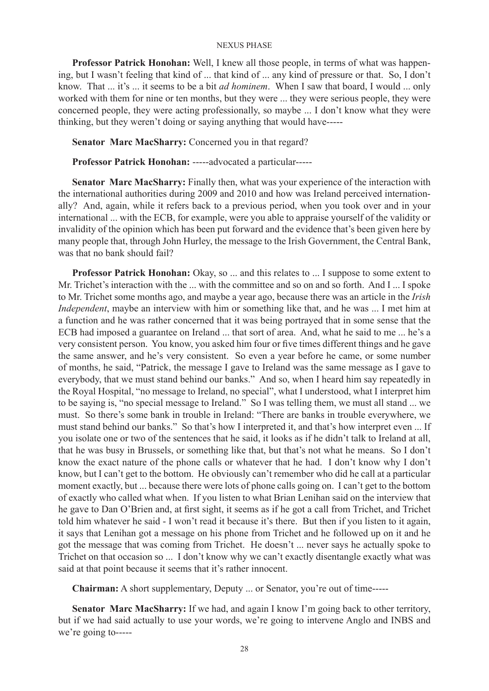**Professor Patrick Honohan:** Well, I knew all those people, in terms of what was happening, but I wasn't feeling that kind of ... that kind of ... any kind of pressure or that. So, I don't know. That ... it's ... it seems to be a bit *ad hominem*. When I saw that board, I would ... only worked with them for nine or ten months, but they were ... they were serious people, they were concerned people, they were acting professionally, so maybe ... I don't know what they were thinking, but they weren't doing or saying anything that would have-----

**Senator Marc MacSharry:** Concerned you in that regard?

**Professor Patrick Honohan:** -----advocated a particular-----

**Senator Marc MacSharry:** Finally then, what was your experience of the interaction with the international authorities during 2009 and 2010 and how was Ireland perceived internationally? And, again, while it refers back to a previous period, when you took over and in your international ... with the ECB, for example, were you able to appraise yourself of the validity or invalidity of the opinion which has been put forward and the evidence that's been given here by many people that, through John Hurley, the message to the Irish Government, the Central Bank, was that no bank should fail?

**Professor Patrick Honohan:** Okay, so ... and this relates to ... I suppose to some extent to Mr. Trichet's interaction with the ... with the committee and so on and so forth. And I ... I spoke to Mr. Trichet some months ago, and maybe a year ago, because there was an article in the *Irish Independent*, maybe an interview with him or something like that, and he was ... I met him at a function and he was rather concerned that it was being portrayed that in some sense that the ECB had imposed a guarantee on Ireland ... that sort of area. And, what he said to me ... he's a very consistent person. You know, you asked him four or five times different things and he gave the same answer, and he's very consistent. So even a year before he came, or some number of months, he said, "Patrick, the message I gave to Ireland was the same message as I gave to everybody, that we must stand behind our banks." And so, when I heard him say repeatedly in the Royal Hospital, "no message to Ireland, no special", what I understood, what I interpret him to be saying is, "no special message to Ireland." So I was telling them, we must all stand ... we must. So there's some bank in trouble in Ireland: "There are banks in trouble everywhere, we must stand behind our banks." So that's how I interpreted it, and that's how interpret even ... If you isolate one or two of the sentences that he said, it looks as if he didn't talk to Ireland at all, that he was busy in Brussels, or something like that, but that's not what he means. So I don't know the exact nature of the phone calls or whatever that he had. I don't know why I don't know, but I can't get to the bottom. He obviously can't remember who did he call at a particular moment exactly, but ... because there were lots of phone calls going on. I can't get to the bottom of exactly who called what when. If you listen to what Brian Lenihan said on the interview that he gave to Dan O'Brien and, at first sight, it seems as if he got a call from Trichet, and Trichet told him whatever he said - I won't read it because it's there. But then if you listen to it again, it says that Lenihan got a message on his phone from Trichet and he followed up on it and he got the message that was coming from Trichet. He doesn't ... never says he actually spoke to Trichet on that occasion so ... I don't know why we can't exactly disentangle exactly what was said at that point because it seems that it's rather innocent.

**Chairman:** A short supplementary, Deputy ... or Senator, you're out of time-----

Senator Marc MacSharry: If we had, and again I know I'm going back to other territory, but if we had said actually to use your words, we're going to intervene Anglo and INBS and we're going to-----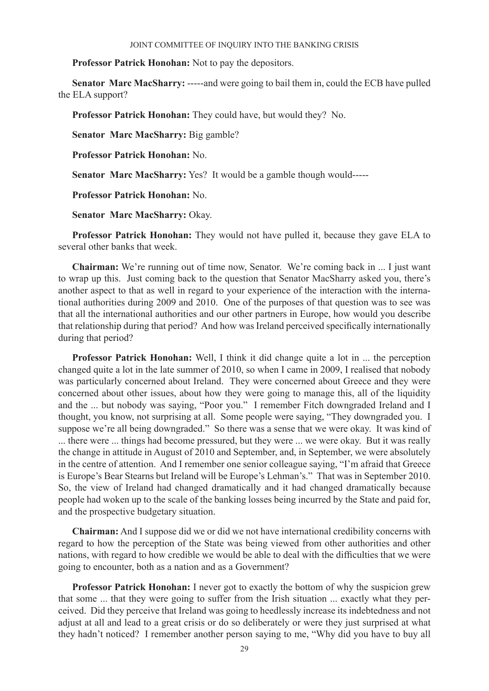**Professor Patrick Honohan:** Not to pay the depositors.

**Senator Marc MacSharry:** -----and were going to bail them in, could the ECB have pulled the ELA support?

**Professor Patrick Honohan:** They could have, but would they? No.

**Senator Marc MacSharry:** Big gamble?

**Professor Patrick Honohan:** No.

**Senator Marc MacSharry:** Yes? It would be a gamble though would-----

**Professor Patrick Honohan:** No.

**Senator Marc MacSharry:** Okay.

**Professor Patrick Honohan:** They would not have pulled it, because they gave ELA to several other banks that week.

**Chairman:** We're running out of time now, Senator. We're coming back in ... I just want to wrap up this. Just coming back to the question that Senator MacSharry asked you, there's another aspect to that as well in regard to your experience of the interaction with the international authorities during 2009 and 2010. One of the purposes of that question was to see was that all the international authorities and our other partners in Europe, how would you describe that relationship during that period? And how was Ireland perceived specifically internationally during that period?

**Professor Patrick Honohan:** Well, I think it did change quite a lot in ... the perception changed quite a lot in the late summer of 2010, so when I came in 2009, I realised that nobody was particularly concerned about Ireland. They were concerned about Greece and they were concerned about other issues, about how they were going to manage this, all of the liquidity and the ... but nobody was saying, "Poor you." I remember Fitch downgraded Ireland and I thought, you know, not surprising at all. Some people were saying, "They downgraded you. I suppose we're all being downgraded." So there was a sense that we were okay. It was kind of ... there were ... things had become pressured, but they were ... we were okay. But it was really the change in attitude in August of 2010 and September, and, in September, we were absolutely in the centre of attention. And I remember one senior colleague saying, "I'm afraid that Greece is Europe's Bear Stearns but Ireland will be Europe's Lehman's." That was in September 2010. So, the view of Ireland had changed dramatically and it had changed dramatically because people had woken up to the scale of the banking losses being incurred by the State and paid for, and the prospective budgetary situation.

**Chairman:** And I suppose did we or did we not have international credibility concerns with regard to how the perception of the State was being viewed from other authorities and other nations, with regard to how credible we would be able to deal with the difficulties that we were going to encounter, both as a nation and as a Government?

**Professor Patrick Honohan:** I never got to exactly the bottom of why the suspicion grew that some ... that they were going to suffer from the Irish situation ... exactly what they perceived. Did they perceive that Ireland was going to heedlessly increase its indebtedness and not adjust at all and lead to a great crisis or do so deliberately or were they just surprised at what they hadn't noticed? I remember another person saying to me, "Why did you have to buy all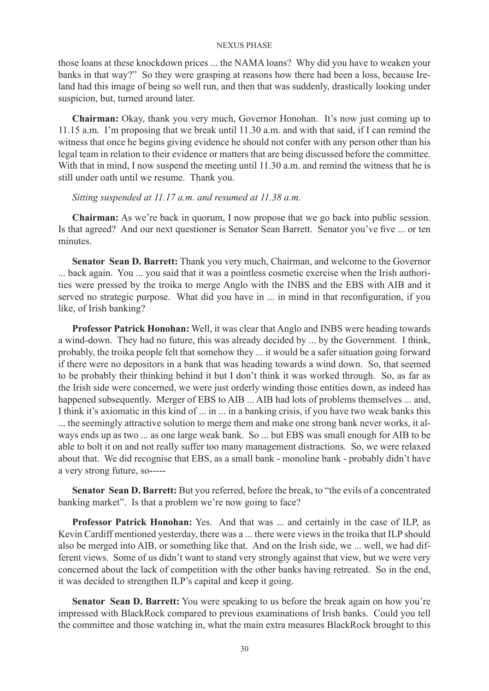those loans at these knockdown prices ... the NAMA loans? Why did you have to weaken your banks in that way?" So they were grasping at reasons how there had been a loss, because Ireland had this image of being so well run, and then that was suddenly, drastically looking under suspicion, but, turned around later.

**Chairman:** Okay, thank you very much, Governor Honohan. It's now just coming up to 11.15 a.m. I'm proposing that we break until 11.30 a.m. and with that said, if I can remind the witness that once he begins giving evidence he should not confer with any person other than his legal team in relation to their evidence or matters that are being discussed before the committee. With that in mind, I now suspend the meeting until 11.30 a.m. and remind the witness that he is still under oath until we resume. Thank you.

## *Sitting suspended at 11.17 a.m. and resumed at 11.38 a.m.*

**Chairman:** As we're back in quorum, I now propose that we go back into public session. Is that agreed? And our next questioner is Senator Sean Barrett. Senator you've five ... or ten minutes.

**Senator Sean D. Barrett:** Thank you very much, Chairman, and welcome to the Governor ... back again. You ... you said that it was a pointless cosmetic exercise when the Irish authorities were pressed by the troika to merge Anglo with the INBS and the EBS with AIB and it served no strategic purpose. What did you have in ... in mind in that reconfiguration, if you like, of Irish banking?

**Professor Patrick Honohan:** Well, it was clear that Anglo and INBS were heading towards a wind-down. They had no future, this was already decided by ... by the Government. I think, probably, the troika people felt that somehow they ... it would be a safer situation going forward if there were no depositors in a bank that was heading towards a wind down. So, that seemed to be probably their thinking behind it but I don't think it was worked through. So, as far as the Irish side were concerned, we were just orderly winding those entities down, as indeed has happened subsequently. Merger of EBS to AIB ... AIB had lots of problems themselves ... and, I think it's axiomatic in this kind of ... in ... in a banking crisis, if you have two weak banks this ... the seemingly attractive solution to merge them and make one strong bank never works, it always ends up as two ... as one large weak bank. So ... but EBS was small enough for AIB to be able to bolt it on and not really suffer too many management distractions. So, we were relaxed about that. We did recognise that EBS, as a small bank - monoline bank - probably didn't have a very strong future, so-----

**Senator Sean D. Barrett:** But you referred, before the break, to "the evils of a concentrated banking market". Is that a problem we're now going to face?

**Professor Patrick Honohan:** Yes. And that was ... and certainly in the case of ILP, as Kevin Cardiff mentioned yesterday, there was a ... there were views in the troika that ILP should also be merged into AIB, or something like that. And on the Irish side, we ... well, we had different views. Some of us didn't want to stand very strongly against that view, but we were very concerned about the lack of competition with the other banks having retreated. So in the end, it was decided to strengthen ILP's capital and keep it going.

**Senator Sean D. Barrett:** You were speaking to us before the break again on how you're impressed with BlackRock compared to previous examinations of Irish banks. Could you tell the committee and those watching in, what the main extra measures BlackRock brought to this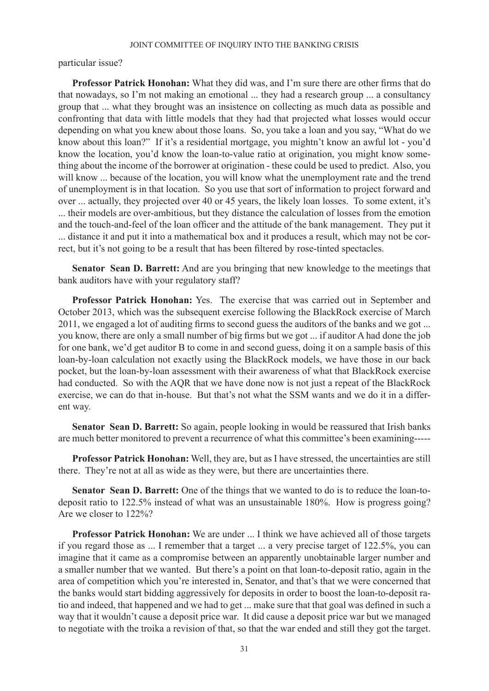particular issue?

**Professor Patrick Honohan:** What they did was, and I'm sure there are other firms that do that nowadays, so I'm not making an emotional ... they had a research group ... a consultancy group that ... what they brought was an insistence on collecting as much data as possible and confronting that data with little models that they had that projected what losses would occur depending on what you knew about those loans. So, you take a loan and you say, "What do we know about this loan?" If it's a residential mortgage, you mightn't know an awful lot - you'd know the location, you'd know the loan-to-value ratio at origination, you might know something about the income of the borrower at origination - these could be used to predict. Also, you will know ... because of the location, you will know what the unemployment rate and the trend of unemployment is in that location. So you use that sort of information to project forward and over ... actually, they projected over 40 or 45 years, the likely loan losses. To some extent, it's ... their models are over-ambitious, but they distance the calculation of losses from the emotion and the touch-and-feel of the loan officer and the attitude of the bank management. They put it ... distance it and put it into a mathematical box and it produces a result, which may not be correct, but it's not going to be a result that has been filtered by rose-tinted spectacles.

**Senator Sean D. Barrett:** And are you bringing that new knowledge to the meetings that bank auditors have with your regulatory staff?

**Professor Patrick Honohan:** Yes. The exercise that was carried out in September and October 2013, which was the subsequent exercise following the BlackRock exercise of March 2011, we engaged a lot of auditing firms to second guess the auditors of the banks and we got ... you know, there are only a small number of big firms but we got ... if auditor A had done the job for one bank, we'd get auditor B to come in and second guess, doing it on a sample basis of this loan-by-loan calculation not exactly using the BlackRock models, we have those in our back pocket, but the loan-by-loan assessment with their awareness of what that BlackRock exercise had conducted. So with the AQR that we have done now is not just a repeat of the BlackRock exercise, we can do that in-house. But that's not what the SSM wants and we do it in a different way.

**Senator Sean D. Barrett:** So again, people looking in would be reassured that Irish banks are much better monitored to prevent a recurrence of what this committee's been examining-----

**Professor Patrick Honohan:** Well, they are, but as I have stressed, the uncertainties are still there. They're not at all as wide as they were, but there are uncertainties there.

**Senator Sean D. Barrett:** One of the things that we wanted to do is to reduce the loan-todeposit ratio to 122.5% instead of what was an unsustainable 180%. How is progress going? Are we closer to 122%?

**Professor Patrick Honohan:** We are under ... I think we have achieved all of those targets if you regard those as ... I remember that a target ... a very precise target of 122.5%, you can imagine that it came as a compromise between an apparently unobtainable larger number and a smaller number that we wanted. But there's a point on that loan-to-deposit ratio, again in the area of competition which you're interested in, Senator, and that's that we were concerned that the banks would start bidding aggressively for deposits in order to boost the loan-to-deposit ratio and indeed, that happened and we had to get ... make sure that that goal was defined in such a way that it wouldn't cause a deposit price war. It did cause a deposit price war but we managed to negotiate with the troika a revision of that, so that the war ended and still they got the target.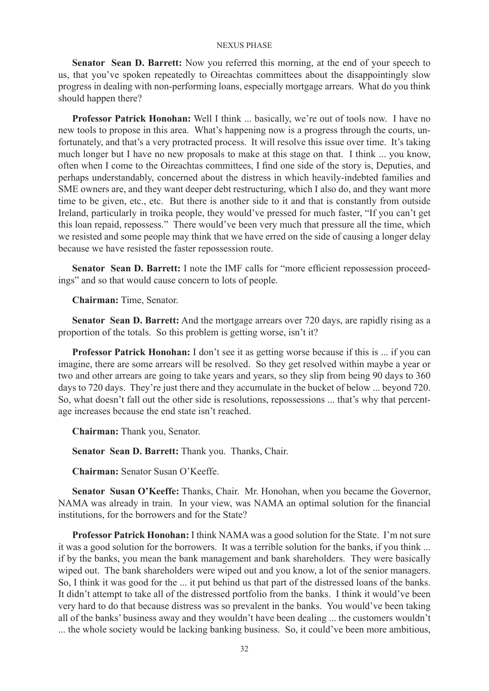**Senator Sean D. Barrett:** Now you referred this morning, at the end of your speech to us, that you've spoken repeatedly to Oireachtas committees about the disappointingly slow progress in dealing with non-performing loans, especially mortgage arrears. What do you think should happen there?

**Professor Patrick Honohan:** Well I think ... basically, we're out of tools now. I have no new tools to propose in this area. What's happening now is a progress through the courts, unfortunately, and that's a very protracted process. It will resolve this issue over time. It's taking much longer but I have no new proposals to make at this stage on that. I think ... you know, often when I come to the Oireachtas committees, I find one side of the story is, Deputies, and perhaps understandably, concerned about the distress in which heavily-indebted families and SME owners are, and they want deeper debt restructuring, which I also do, and they want more time to be given, etc., etc. But there is another side to it and that is constantly from outside Ireland, particularly in troika people, they would've pressed for much faster, "If you can't get this loan repaid, repossess." There would've been very much that pressure all the time, which we resisted and some people may think that we have erred on the side of causing a longer delay because we have resisted the faster repossession route.

**Senator Sean D. Barrett:** I note the IMF calls for "more efficient repossession proceedings" and so that would cause concern to lots of people.

**Chairman:** Time, Senator.

**Senator Sean D. Barrett:** And the mortgage arrears over 720 days, are rapidly rising as a proportion of the totals. So this problem is getting worse, isn't it?

**Professor Patrick Honohan:** I don't see it as getting worse because if this is ... if you can imagine, there are some arrears will be resolved. So they get resolved within maybe a year or two and other arrears are going to take years and years, so they slip from being 90 days to 360 days to 720 days. They're just there and they accumulate in the bucket of below ... beyond 720. So, what doesn't fall out the other side is resolutions, repossessions ... that's why that percentage increases because the end state isn't reached.

**Chairman:** Thank you, Senator.

**Senator Sean D. Barrett:** Thank you. Thanks, Chair.

**Chairman:** Senator Susan O'Keeffe.

**Senator Susan O'Keeffe:** Thanks, Chair. Mr. Honohan, when you became the Governor, NAMA was already in train. In your view, was NAMA an optimal solution for the financial institutions, for the borrowers and for the State?

**Professor Patrick Honohan:** I think NAMA was a good solution for the State. I'm not sure it was a good solution for the borrowers. It was a terrible solution for the banks, if you think ... if by the banks, you mean the bank management and bank shareholders. They were basically wiped out. The bank shareholders were wiped out and you know, a lot of the senior managers. So, I think it was good for the ... it put behind us that part of the distressed loans of the banks. It didn't attempt to take all of the distressed portfolio from the banks. I think it would've been very hard to do that because distress was so prevalent in the banks. You would've been taking all of the banks' business away and they wouldn't have been dealing ... the customers wouldn't ... the whole society would be lacking banking business. So, it could've been more ambitious,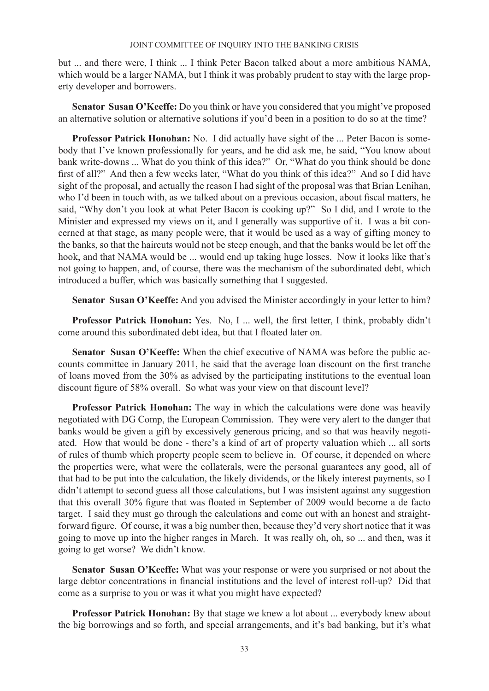but ... and there were, I think ... I think Peter Bacon talked about a more ambitious NAMA, which would be a larger NAMA, but I think it was probably prudent to stay with the large property developer and borrowers.

**Senator Susan O'Keeffe:** Do you think or have you considered that you might've proposed an alternative solution or alternative solutions if you'd been in a position to do so at the time?

**Professor Patrick Honohan:** No. I did actually have sight of the ... Peter Bacon is somebody that I've known professionally for years, and he did ask me, he said, "You know about bank write-downs ... What do you think of this idea?" Or, "What do you think should be done first of all?" And then a few weeks later, "What do you think of this idea?" And so I did have sight of the proposal, and actually the reason I had sight of the proposal was that Brian Lenihan, who I'd been in touch with, as we talked about on a previous occasion, about fiscal matters, he said, "Why don't you look at what Peter Bacon is cooking up?" So I did, and I wrote to the Minister and expressed my views on it, and I generally was supportive of it. I was a bit concerned at that stage, as many people were, that it would be used as a way of gifting money to the banks, so that the haircuts would not be steep enough, and that the banks would be let off the hook, and that NAMA would be ... would end up taking huge losses. Now it looks like that's not going to happen, and, of course, there was the mechanism of the subordinated debt, which introduced a buffer, which was basically something that I suggested.

**Senator Susan O'Keeffe:** And you advised the Minister accordingly in your letter to him?

**Professor Patrick Honohan:** Yes. No, I ... well, the first letter, I think, probably didn't come around this subordinated debt idea, but that I floated later on.

**Senator Susan O'Keeffe:** When the chief executive of NAMA was before the public accounts committee in January 2011, he said that the average loan discount on the first tranche of loans moved from the 30% as advised by the participating institutions to the eventual loan discount figure of 58% overall. So what was your view on that discount level?

**Professor Patrick Honohan:** The way in which the calculations were done was heavily negotiated with DG Comp, the European Commission. They were very alert to the danger that banks would be given a gift by excessively generous pricing, and so that was heavily negotiated. How that would be done - there's a kind of art of property valuation which ... all sorts of rules of thumb which property people seem to believe in. Of course, it depended on where the properties were, what were the collaterals, were the personal guarantees any good, all of that had to be put into the calculation, the likely dividends, or the likely interest payments, so I didn't attempt to second guess all those calculations, but I was insistent against any suggestion that this overall 30% figure that was floated in September of 2009 would become a de facto target. I said they must go through the calculations and come out with an honest and straightforward figure. Of course, it was a big number then, because they'd very short notice that it was going to move up into the higher ranges in March. It was really oh, oh, so ... and then, was it going to get worse? We didn't know.

**Senator Susan O'Keeffe:** What was your response or were you surprised or not about the large debtor concentrations in financial institutions and the level of interest roll-up? Did that come as a surprise to you or was it what you might have expected?

**Professor Patrick Honohan:** By that stage we knew a lot about ... everybody knew about the big borrowings and so forth, and special arrangements, and it's bad banking, but it's what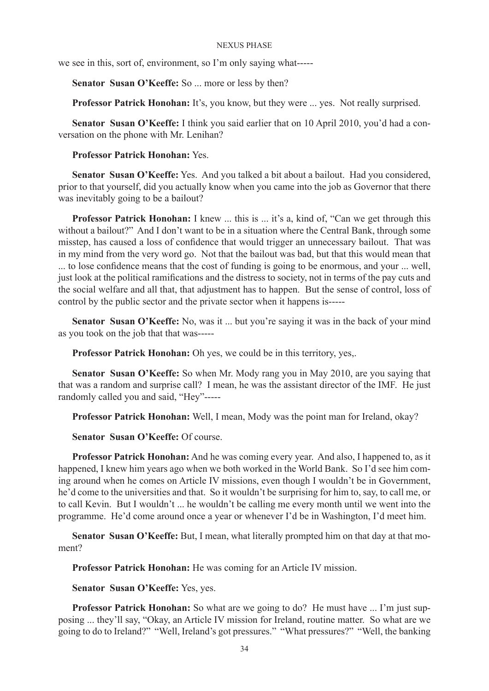we see in this, sort of, environment, so I'm only saying what-----

Senator Susan O'Keeffe: So ... more or less by then?

**Professor Patrick Honohan:** It's, you know, but they were ... yes. Not really surprised.

**Senator Susan O'Keeffe:** I think you said earlier that on 10 April 2010, you'd had a conversation on the phone with Mr. Lenihan?

# **Professor Patrick Honohan:** Yes.

**Senator Susan O'Keeffe:** Yes. And you talked a bit about a bailout. Had you considered, prior to that yourself, did you actually know when you came into the job as Governor that there was inevitably going to be a bailout?

**Professor Patrick Honohan:** I knew ... this is ... it's a, kind of, "Can we get through this without a bailout?" And I don't want to be in a situation where the Central Bank, through some misstep, has caused a loss of confidence that would trigger an unnecessary bailout. That was in my mind from the very word go. Not that the bailout was bad, but that this would mean that ... to lose confidence means that the cost of funding is going to be enormous, and your ... well, just look at the political ramifications and the distress to society, not in terms of the pay cuts and the social welfare and all that, that adjustment has to happen. But the sense of control, loss of control by the public sector and the private sector when it happens is-----

**Senator Susan O'Keeffe:** No, was it ... but you're saying it was in the back of your mind as you took on the job that that was-----

**Professor Patrick Honohan:** Oh yes, we could be in this territory, yes,.

**Senator Susan O'Keeffe:** So when Mr. Mody rang you in May 2010, are you saying that that was a random and surprise call? I mean, he was the assistant director of the IMF. He just randomly called you and said, "Hey"-----

**Professor Patrick Honohan:** Well, I mean, Mody was the point man for Ireland, okay?

**Senator Susan O'Keeffe:** Of course.

**Professor Patrick Honohan:** And he was coming every year. And also, I happened to, as it happened, I knew him years ago when we both worked in the World Bank. So I'd see him coming around when he comes on Article IV missions, even though I wouldn't be in Government, he'd come to the universities and that. So it wouldn't be surprising for him to, say, to call me, or to call Kevin. But I wouldn't ... he wouldn't be calling me every month until we went into the programme. He'd come around once a year or whenever I'd be in Washington, I'd meet him.

**Senator Susan O'Keeffe:** But, I mean, what literally prompted him on that day at that moment?

**Professor Patrick Honohan:** He was coming for an Article IV mission.

**Senator Susan O'Keeffe:** Yes, yes.

**Professor Patrick Honohan:** So what are we going to do? He must have ... I'm just supposing ... they'll say, "Okay, an Article IV mission for Ireland, routine matter. So what are we going to do to Ireland?" "Well, Ireland's got pressures." "What pressures?" "Well, the banking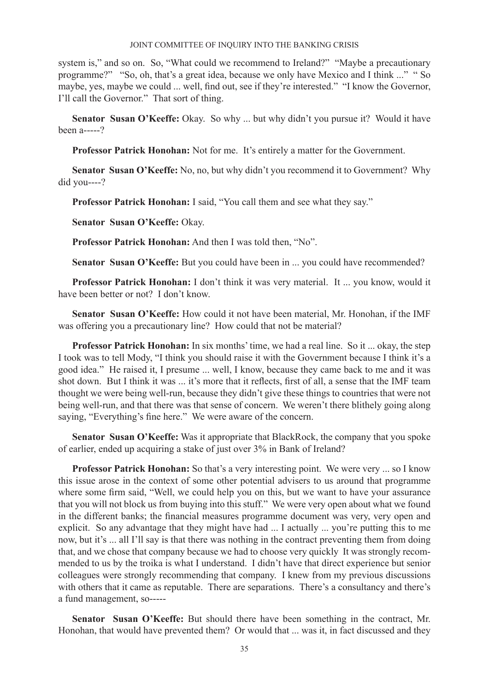system is," and so on. So, "What could we recommend to Ireland?" "Maybe a precautionary programme?" "So, oh, that's a great idea, because we only have Mexico and I think ..." " So maybe, yes, maybe we could ... well, find out, see if they're interested." "I know the Governor, I'll call the Governor." That sort of thing.

**Senator Susan O'Keeffe:** Okay. So why ... but why didn't you pursue it? Would it have been a-----?

**Professor Patrick Honohan:** Not for me. It's entirely a matter for the Government.

**Senator Susan O'Keeffe:** No, no, but why didn't you recommend it to Government? Why did you----?

**Professor Patrick Honohan:** I said, "You call them and see what they say."

**Senator Susan O'Keeffe:** Okay.

**Professor Patrick Honohan:** And then I was told then, "No".

**Senator Susan O'Keeffe:** But you could have been in ... you could have recommended?

**Professor Patrick Honohan:** I don't think it was very material. It ... you know, would it have been better or not? I don't know.

**Senator Susan O'Keeffe:** How could it not have been material, Mr. Honohan, if the IMF was offering you a precautionary line? How could that not be material?

**Professor Patrick Honohan:** In six months' time, we had a real line. So it ... okay, the step I took was to tell Mody, "I think you should raise it with the Government because I think it's a good idea." He raised it, I presume ... well, I know, because they came back to me and it was shot down. But I think it was ... it's more that it reflects, first of all, a sense that the IMF team thought we were being well-run, because they didn't give these things to countries that were not being well-run, and that there was that sense of concern. We weren't there blithely going along saying, "Everything's fine here." We were aware of the concern.

**Senator Susan O'Keeffe:** Was it appropriate that BlackRock, the company that you spoke of earlier, ended up acquiring a stake of just over 3% in Bank of Ireland?

**Professor Patrick Honohan:** So that's a very interesting point. We were very ... so I know this issue arose in the context of some other potential advisers to us around that programme where some firm said, "Well, we could help you on this, but we want to have your assurance that you will not block us from buying into this stuff." We were very open about what we found in the different banks; the financial measures programme document was very, very open and explicit. So any advantage that they might have had ... I actually ... you're putting this to me now, but it's ... all I'll say is that there was nothing in the contract preventing them from doing that, and we chose that company because we had to choose very quickly It was strongly recommended to us by the troika is what I understand. I didn't have that direct experience but senior colleagues were strongly recommending that company. I knew from my previous discussions with others that it came as reputable. There are separations. There's a consultancy and there's a fund management, so-----

**Senator Susan O'Keeffe:** But should there have been something in the contract, Mr. Honohan, that would have prevented them? Or would that ... was it, in fact discussed and they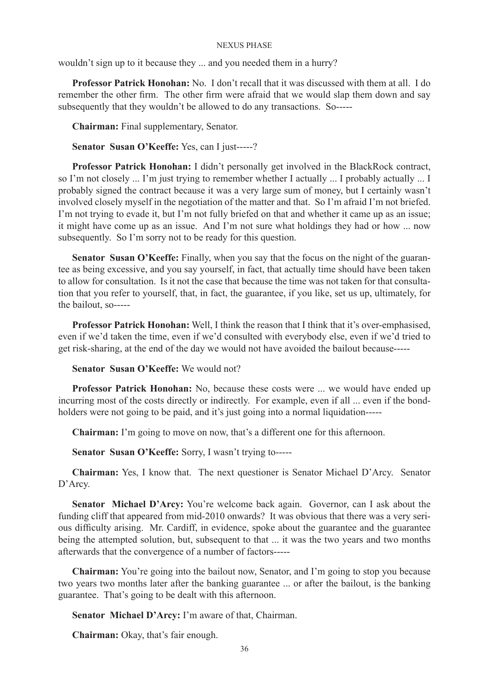wouldn't sign up to it because they ... and you needed them in a hurry?

**Professor Patrick Honohan:** No. I don't recall that it was discussed with them at all. I do remember the other firm. The other firm were afraid that we would slap them down and say subsequently that they wouldn't be allowed to do any transactions. So-----

**Chairman:** Final supplementary, Senator.

**Senator Susan O'Keeffe:** Yes, can I just-----?

**Professor Patrick Honohan:** I didn't personally get involved in the BlackRock contract, so I'm not closely ... I'm just trying to remember whether I actually ... I probably actually ... I probably signed the contract because it was a very large sum of money, but I certainly wasn't involved closely myself in the negotiation of the matter and that. So I'm afraid I'm not briefed. I'm not trying to evade it, but I'm not fully briefed on that and whether it came up as an issue; it might have come up as an issue. And I'm not sure what holdings they had or how ... now subsequently. So I'm sorry not to be ready for this question.

**Senator Susan O'Keeffe:** Finally, when you say that the focus on the night of the guarantee as being excessive, and you say yourself, in fact, that actually time should have been taken to allow for consultation. Is it not the case that because the time was not taken for that consultation that you refer to yourself, that, in fact, the guarantee, if you like, set us up, ultimately, for the bailout, so-----

**Professor Patrick Honohan:** Well, I think the reason that I think that it's over-emphasised, even if we'd taken the time, even if we'd consulted with everybody else, even if we'd tried to get risk-sharing, at the end of the day we would not have avoided the bailout because-----

**Senator Susan O'Keeffe:** We would not?

**Professor Patrick Honohan:** No, because these costs were ... we would have ended up incurring most of the costs directly or indirectly. For example, even if all ... even if the bondholders were not going to be paid, and it's just going into a normal liquidation-----

**Chairman:** I'm going to move on now, that's a different one for this afternoon.

**Senator Susan O'Keeffe:** Sorry, I wasn't trying to-----

**Chairman:** Yes, I know that. The next questioner is Senator Michael D'Arcy. Senator D'Arcy.

**Senator Michael D'Arcy:** You're welcome back again. Governor, can I ask about the funding cliff that appeared from mid-2010 onwards? It was obvious that there was a very serious difficulty arising. Mr. Cardiff, in evidence, spoke about the guarantee and the guarantee being the attempted solution, but, subsequent to that ... it was the two years and two months afterwards that the convergence of a number of factors-----

**Chairman:** You're going into the bailout now, Senator, and I'm going to stop you because two years two months later after the banking guarantee ... or after the bailout, is the banking guarantee. That's going to be dealt with this afternoon.

**Senator Michael D'Arcy:** I'm aware of that, Chairman.

**Chairman:** Okay, that's fair enough.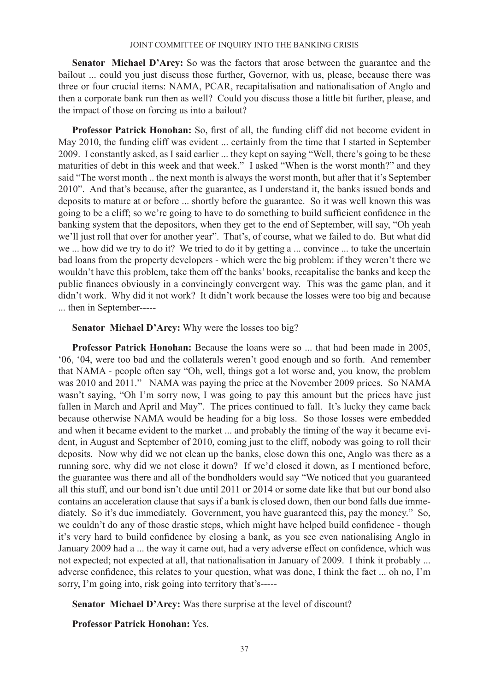**Senator Michael D'Arcy:** So was the factors that arose between the guarantee and the bailout ... could you just discuss those further, Governor, with us, please, because there was three or four crucial items: NAMA, PCAR, recapitalisation and nationalisation of Anglo and then a corporate bank run then as well? Could you discuss those a little bit further, please, and the impact of those on forcing us into a bailout?

**Professor Patrick Honohan:** So, first of all, the funding cliff did not become evident in May 2010, the funding cliff was evident ... certainly from the time that I started in September 2009. I constantly asked, as I said earlier ... they kept on saying "Well, there's going to be these maturities of debt in this week and that week." I asked "When is the worst month?" and they said "The worst month .. the next month is always the worst month, but after that it's September 2010". And that's because, after the guarantee, as I understand it, the banks issued bonds and deposits to mature at or before ... shortly before the guarantee. So it was well known this was going to be a cliff; so we're going to have to do something to build sufficient confidence in the banking system that the depositors, when they get to the end of September, will say, "Oh yeah we'll just roll that over for another year". That's, of course, what we failed to do. But what did we ... how did we try to do it? We tried to do it by getting a ... convince ... to take the uncertain bad loans from the property developers - which were the big problem: if they weren't there we wouldn't have this problem, take them off the banks' books, recapitalise the banks and keep the public finances obviously in a convincingly convergent way. This was the game plan, and it didn't work. Why did it not work? It didn't work because the losses were too big and because ... then in September-----

# **Senator Michael D'Arcy:** Why were the losses too big?

**Professor Patrick Honohan:** Because the loans were so ... that had been made in 2005, '06, '04, were too bad and the collaterals weren't good enough and so forth. And remember that NAMA - people often say "Oh, well, things got a lot worse and, you know, the problem was 2010 and 2011." NAMA was paying the price at the November 2009 prices. So NAMA wasn't saying, "Oh I'm sorry now, I was going to pay this amount but the prices have just fallen in March and April and May". The prices continued to fall. It's lucky they came back because otherwise NAMA would be heading for a big loss. So those losses were embedded and when it became evident to the market ... and probably the timing of the way it became evident, in August and September of 2010, coming just to the cliff, nobody was going to roll their deposits. Now why did we not clean up the banks, close down this one, Anglo was there as a running sore, why did we not close it down? If we'd closed it down, as I mentioned before, the guarantee was there and all of the bondholders would say "We noticed that you guaranteed all this stuff, and our bond isn't due until 2011 or 2014 or some date like that but our bond also contains an acceleration clause that says if a bank is closed down, then our bond falls due immediately. So it's due immediately. Government, you have guaranteed this, pay the money." So, we couldn't do any of those drastic steps, which might have helped build confidence - though it's very hard to build confidence by closing a bank, as you see even nationalising Anglo in January 2009 had a ... the way it came out, had a very adverse effect on confidence, which was not expected; not expected at all, that nationalisation in January of 2009. I think it probably ... adverse confidence, this relates to your question, what was done, I think the fact ... oh no, I'm sorry, I'm going into, risk going into territory that's-----

**Senator Michael D'Arcy:** Was there surprise at the level of discount?

# **Professor Patrick Honohan:** Yes.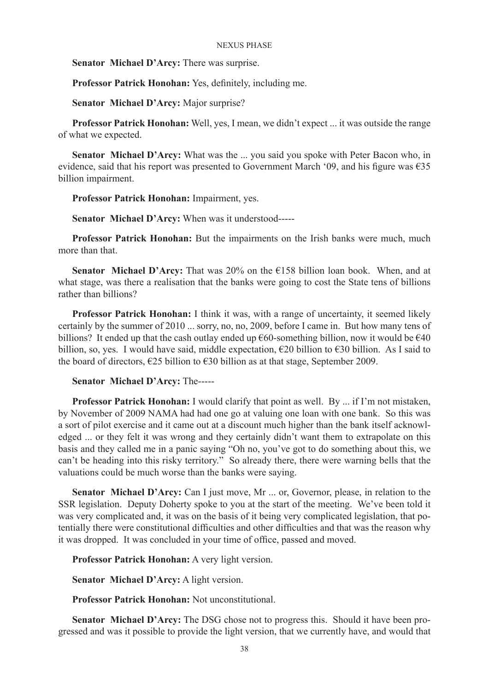## **Senator Michael D'Arcy:** There was surprise.

**Professor Patrick Honohan:** Yes, definitely, including me.

**Senator Michael D'Arcy:** Major surprise?

**Professor Patrick Honohan:** Well, yes, I mean, we didn't expect ... it was outside the range of what we expected.

**Senator Michael D'Arcy:** What was the ... you said you spoke with Peter Bacon who, in evidence, said that his report was presented to Government March '09, and his figure was  $\epsilon$ 35 billion impairment.

**Professor Patrick Honohan:** Impairment, yes.

**Senator Michael D'Arcy:** When was it understood-----

**Professor Patrick Honohan:** But the impairments on the Irish banks were much, much more than that.

**Senator Michael D'Arcy:** That was 20% on the €158 billion loan book. When, and at what stage, was there a realisation that the banks were going to cost the State tens of billions rather than billions?

**Professor Patrick Honohan:** I think it was, with a range of uncertainty, it seemed likely certainly by the summer of 2010 ... sorry, no, no, 2009, before I came in. But how many tens of billions? It ended up that the cash outlay ended up  $\epsilon$ 60-something billion, now it would be  $\epsilon$ 40 billion, so, yes. I would have said, middle expectation,  $\epsilon$ 20 billion to  $\epsilon$ 30 billion. As I said to the board of directors,  $\epsilon$ 25 billion to  $\epsilon$ 30 billion as at that stage, September 2009.

**Senator Michael D'Arcy:** The-----

**Professor Patrick Honohan:** I would clarify that point as well. By ... if I'm not mistaken, by November of 2009 NAMA had had one go at valuing one loan with one bank. So this was a sort of pilot exercise and it came out at a discount much higher than the bank itself acknowledged ... or they felt it was wrong and they certainly didn't want them to extrapolate on this basis and they called me in a panic saying "Oh no, you've got to do something about this, we can't be heading into this risky territory." So already there, there were warning bells that the valuations could be much worse than the banks were saying.

**Senator Michael D'Arcy:** Can I just move, Mr ... or, Governor, please, in relation to the SSR legislation. Deputy Doherty spoke to you at the start of the meeting. We've been told it was very complicated and, it was on the basis of it being very complicated legislation, that potentially there were constitutional difficulties and other difficulties and that was the reason why it was dropped. It was concluded in your time of office, passed and moved.

**Professor Patrick Honohan:** A very light version.

**Senator Michael D'Arcy:** A light version.

**Professor Patrick Honohan:** Not unconstitutional.

**Senator Michael D'Arcy:** The DSG chose not to progress this. Should it have been progressed and was it possible to provide the light version, that we currently have, and would that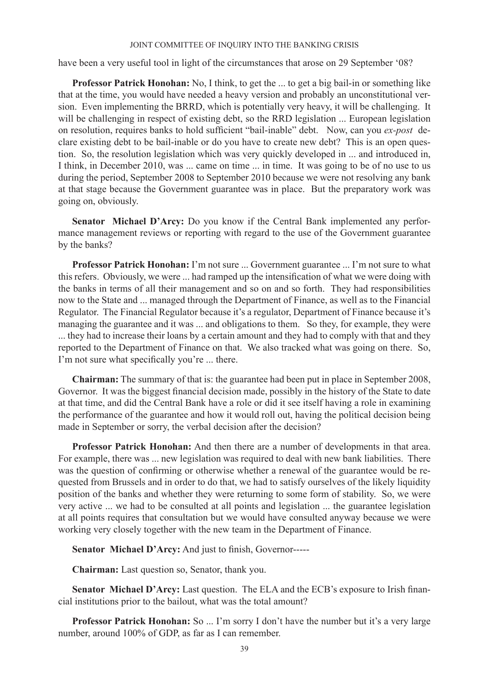have been a very useful tool in light of the circumstances that arose on 29 September '08?

**Professor Patrick Honohan:** No, I think, to get the ... to get a big bail-in or something like that at the time, you would have needed a heavy version and probably an unconstitutional version. Even implementing the BRRD, which is potentially very heavy, it will be challenging. It will be challenging in respect of existing debt, so the RRD legislation ... European legislation on resolution, requires banks to hold sufficient "bail-inable" debt. Now, can you *ex-post* declare existing debt to be bail-inable or do you have to create new debt? This is an open question. So, the resolution legislation which was very quickly developed in ... and introduced in, I think, in December 2010, was ... came on time ... in time. It was going to be of no use to us during the period, September 2008 to September 2010 because we were not resolving any bank at that stage because the Government guarantee was in place. But the preparatory work was going on, obviously.

**Senator Michael D'Arcy:** Do you know if the Central Bank implemented any performance management reviews or reporting with regard to the use of the Government guarantee by the banks?

**Professor Patrick Honohan:** I'm not sure ... Government guarantee ... I'm not sure to what this refers. Obviously, we were ... had ramped up the intensification of what we were doing with the banks in terms of all their management and so on and so forth. They had responsibilities now to the State and ... managed through the Department of Finance, as well as to the Financial Regulator. The Financial Regulator because it's a regulator, Department of Finance because it's managing the guarantee and it was ... and obligations to them. So they, for example, they were ... they had to increase their loans by a certain amount and they had to comply with that and they reported to the Department of Finance on that. We also tracked what was going on there. So, I'm not sure what specifically you're ... there.

**Chairman:** The summary of that is: the guarantee had been put in place in September 2008, Governor. It was the biggest financial decision made, possibly in the history of the State to date at that time, and did the Central Bank have a role or did it see itself having a role in examining the performance of the guarantee and how it would roll out, having the political decision being made in September or sorry, the verbal decision after the decision?

**Professor Patrick Honohan:** And then there are a number of developments in that area. For example, there was ... new legislation was required to deal with new bank liabilities. There was the question of confirming or otherwise whether a renewal of the guarantee would be requested from Brussels and in order to do that, we had to satisfy ourselves of the likely liquidity position of the banks and whether they were returning to some form of stability. So, we were very active ... we had to be consulted at all points and legislation ... the guarantee legislation at all points requires that consultation but we would have consulted anyway because we were working very closely together with the new team in the Department of Finance.

**Senator Michael D'Arcy:** And just to finish, Governor-----

**Chairman:** Last question so, Senator, thank you.

**Senator Michael D'Arcy:** Last question. The ELA and the ECB's exposure to Irish financial institutions prior to the bailout, what was the total amount?

**Professor Patrick Honohan:** So ... I'm sorry I don't have the number but it's a very large number, around 100% of GDP, as far as I can remember.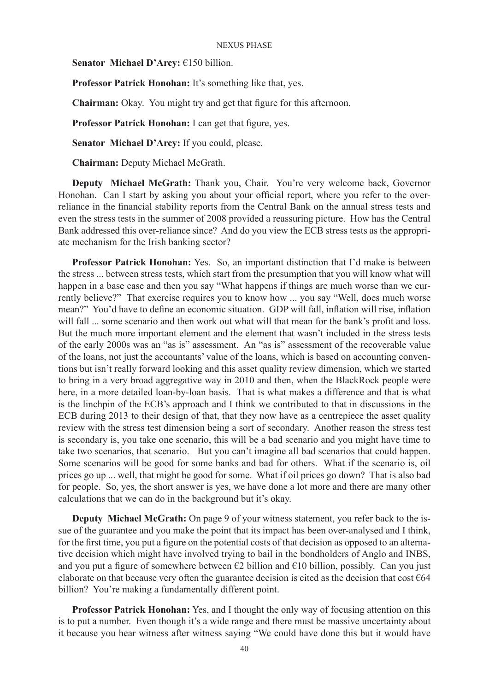**Senator Michael D'Arcy:** €150 billion.

**Professor Patrick Honohan:** It's something like that, yes.

**Chairman:** Okay. You might try and get that figure for this afternoon.

**Professor Patrick Honohan:** I can get that figure, yes.

**Senator Michael D'Arcy:** If you could, please.

**Chairman:** Deputy Michael McGrath.

**Deputy Michael McGrath:** Thank you, Chair. You're very welcome back, Governor Honohan. Can I start by asking you about your official report, where you refer to the overreliance in the financial stability reports from the Central Bank on the annual stress tests and even the stress tests in the summer of 2008 provided a reassuring picture. How has the Central Bank addressed this over-reliance since? And do you view the ECB stress tests as the appropriate mechanism for the Irish banking sector?

**Professor Patrick Honohan:** Yes. So, an important distinction that I'd make is between the stress ... between stress tests, which start from the presumption that you will know what will happen in a base case and then you say "What happens if things are much worse than we currently believe?" That exercise requires you to know how ... you say "Well, does much worse mean?" You'd have to define an economic situation. GDP will fall, inflation will rise, inflation will fall ... some scenario and then work out what will that mean for the bank's profit and loss. But the much more important element and the element that wasn't included in the stress tests of the early 2000s was an "as is" assessment. An "as is" assessment of the recoverable value of the loans, not just the accountants' value of the loans, which is based on accounting conventions but isn't really forward looking and this asset quality review dimension, which we started to bring in a very broad aggregative way in 2010 and then, when the BlackRock people were here, in a more detailed loan-by-loan basis. That is what makes a difference and that is what is the linchpin of the ECB's approach and I think we contributed to that in discussions in the ECB during 2013 to their design of that, that they now have as a centrepiece the asset quality review with the stress test dimension being a sort of secondary. Another reason the stress test is secondary is, you take one scenario, this will be a bad scenario and you might have time to take two scenarios, that scenario. But you can't imagine all bad scenarios that could happen. Some scenarios will be good for some banks and bad for others. What if the scenario is, oil prices go up ... well, that might be good for some. What if oil prices go down? That is also bad for people. So, yes, the short answer is yes, we have done a lot more and there are many other calculations that we can do in the background but it's okay.

**Deputy Michael McGrath:** On page 9 of your witness statement, you refer back to the issue of the guarantee and you make the point that its impact has been over-analysed and I think, for the first time, you put a figure on the potential costs of that decision as opposed to an alternative decision which might have involved trying to bail in the bondholders of Anglo and INBS, and you put a figure of somewhere between  $\epsilon$ 2 billion and  $\epsilon$ 10 billion, possibly. Can you just elaborate on that because very often the guarantee decision is cited as the decision that cost  $\epsilon$ 64 billion? You're making a fundamentally different point.

**Professor Patrick Honohan:** Yes, and I thought the only way of focusing attention on this is to put a number. Even though it's a wide range and there must be massive uncertainty about it because you hear witness after witness saying "We could have done this but it would have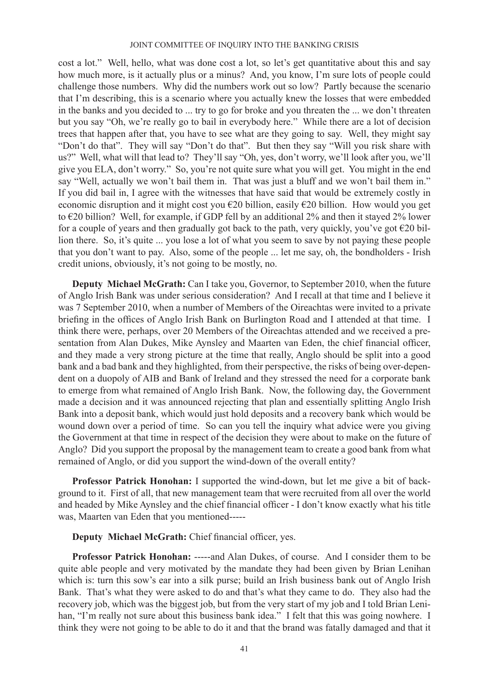cost a lot." Well, hello, what was done cost a lot, so let's get quantitative about this and say how much more, is it actually plus or a minus? And, you know, I'm sure lots of people could challenge those numbers. Why did the numbers work out so low? Partly because the scenario that I'm describing, this is a scenario where you actually knew the losses that were embedded in the banks and you decided to ... try to go for broke and you threaten the ... we don't threaten but you say "Oh, we're really go to bail in everybody here." While there are a lot of decision trees that happen after that, you have to see what are they going to say. Well, they might say "Don't do that". They will say "Don't do that". But then they say "Will you risk share with us?" Well, what will that lead to? They'll say "Oh, yes, don't worry, we'll look after you, we'll give you ELA, don't worry." So, you're not quite sure what you will get. You might in the end say "Well, actually we won't bail them in. That was just a bluff and we won't bail them in." If you did bail in, I agree with the witnesses that have said that would be extremely costly in economic disruption and it might cost you €20 billion, easily €20 billion. How would you get to €20 billion? Well, for example, if GDP fell by an additional 2% and then it stayed 2% lower for a couple of years and then gradually got back to the path, very quickly, you've got  $\epsilon$ 20 billion there. So, it's quite ... you lose a lot of what you seem to save by not paying these people that you don't want to pay. Also, some of the people ... let me say, oh, the bondholders - Irish credit unions, obviously, it's not going to be mostly, no.

**Deputy Michael McGrath:** Can I take you, Governor, to September 2010, when the future of Anglo Irish Bank was under serious consideration? And I recall at that time and I believe it was 7 September 2010, when a number of Members of the Oireachtas were invited to a private briefing in the offices of Anglo Irish Bank on Burlington Road and I attended at that time. I think there were, perhaps, over 20 Members of the Oireachtas attended and we received a presentation from Alan Dukes, Mike Aynsley and Maarten van Eden, the chief financial officer, and they made a very strong picture at the time that really, Anglo should be split into a good bank and a bad bank and they highlighted, from their perspective, the risks of being over-dependent on a duopoly of AIB and Bank of Ireland and they stressed the need for a corporate bank to emerge from what remained of Anglo Irish Bank. Now, the following day, the Government made a decision and it was announced rejecting that plan and essentially splitting Anglo Irish Bank into a deposit bank, which would just hold deposits and a recovery bank which would be wound down over a period of time. So can you tell the inquiry what advice were you giving the Government at that time in respect of the decision they were about to make on the future of Anglo? Did you support the proposal by the management team to create a good bank from what remained of Anglo, or did you support the wind-down of the overall entity?

**Professor Patrick Honohan:** I supported the wind-down, but let me give a bit of background to it. First of all, that new management team that were recruited from all over the world and headed by Mike Aynsley and the chief financial officer - I don't know exactly what his title was, Maarten van Eden that you mentioned-----

**Deputy Michael McGrath:** Chief financial officer, yes.

**Professor Patrick Honohan:** -----and Alan Dukes, of course. And I consider them to be quite able people and very motivated by the mandate they had been given by Brian Lenihan which is: turn this sow's ear into a silk purse; build an Irish business bank out of Anglo Irish Bank. That's what they were asked to do and that's what they came to do. They also had the recovery job, which was the biggest job, but from the very start of my job and I told Brian Lenihan, "I'm really not sure about this business bank idea." I felt that this was going nowhere. I think they were not going to be able to do it and that the brand was fatally damaged and that it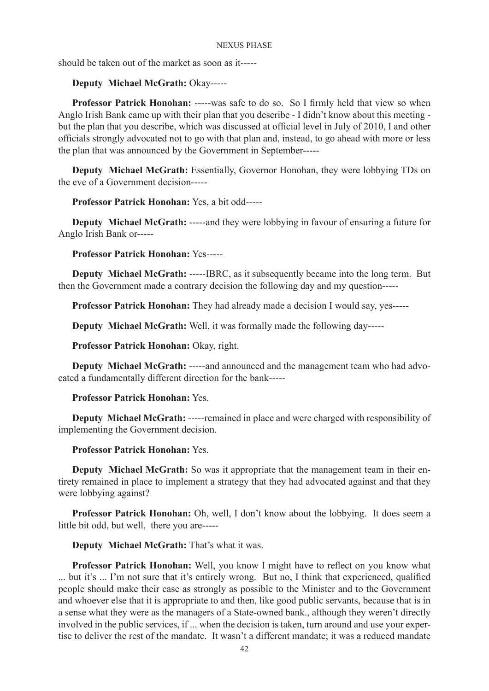should be taken out of the market as soon as it-----

## **Deputy Michael McGrath:** Okay-----

**Professor Patrick Honohan:** -----was safe to do so. So I firmly held that view so when Anglo Irish Bank came up with their plan that you describe - I didn't know about this meeting but the plan that you describe, which was discussed at official level in July of 2010, I and other officials strongly advocated not to go with that plan and, instead, to go ahead with more or less the plan that was announced by the Government in September-----

**Deputy Michael McGrath:** Essentially, Governor Honohan, they were lobbying TDs on the eve of a Government decision-----

**Professor Patrick Honohan:** Yes, a bit odd-----

**Deputy Michael McGrath:** -----and they were lobbying in favour of ensuring a future for Anglo Irish Bank or-----

## **Professor Patrick Honohan:** Yes-----

**Deputy Michael McGrath:** -----IBRC, as it subsequently became into the long term. But then the Government made a contrary decision the following day and my question-----

**Professor Patrick Honohan:** They had already made a decision I would say, yes-----

**Deputy Michael McGrath:** Well, it was formally made the following day-----

**Professor Patrick Honohan:** Okay, right.

**Deputy Michael McGrath:** -----and announced and the management team who had advocated a fundamentally different direction for the bank-----

# **Professor Patrick Honohan:** Yes.

**Deputy Michael McGrath:** -----remained in place and were charged with responsibility of implementing the Government decision.

## **Professor Patrick Honohan:** Yes.

**Deputy Michael McGrath:** So was it appropriate that the management team in their entirety remained in place to implement a strategy that they had advocated against and that they were lobbying against?

**Professor Patrick Honohan:** Oh, well, I don't know about the lobbying. It does seem a little bit odd, but well, there you are-----

**Deputy Michael McGrath:** That's what it was.

**Professor Patrick Honohan:** Well, you know I might have to reflect on you know what ... but it's ... I'm not sure that it's entirely wrong. But no, I think that experienced, qualified people should make their case as strongly as possible to the Minister and to the Government and whoever else that it is appropriate to and then, like good public servants, because that is in a sense what they were as the managers of a State-owned bank., although they weren't directly involved in the public services, if ... when the decision is taken, turn around and use your expertise to deliver the rest of the mandate. It wasn't a different mandate; it was a reduced mandate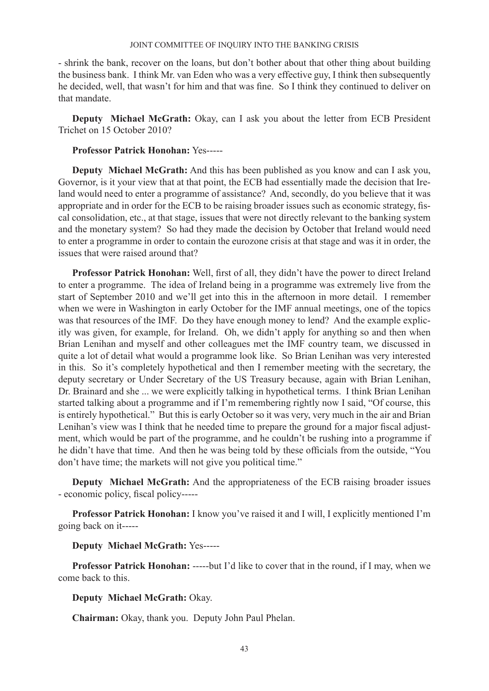- shrink the bank, recover on the loans, but don't bother about that other thing about building the business bank. I think Mr. van Eden who was a very effective guy, I think then subsequently he decided, well, that wasn't for him and that was fine. So I think they continued to deliver on that mandate.

**Deputy Michael McGrath:** Okay, can I ask you about the letter from ECB President Trichet on 15 October 2010?

# **Professor Patrick Honohan:** Yes-----

**Deputy Michael McGrath:** And this has been published as you know and can I ask you, Governor, is it your view that at that point, the ECB had essentially made the decision that Ireland would need to enter a programme of assistance? And, secondly, do you believe that it was appropriate and in order for the ECB to be raising broader issues such as economic strategy, fiscal consolidation, etc., at that stage, issues that were not directly relevant to the banking system and the monetary system? So had they made the decision by October that Ireland would need to enter a programme in order to contain the eurozone crisis at that stage and was it in order, the issues that were raised around that?

**Professor Patrick Honohan:** Well, first of all, they didn't have the power to direct Ireland to enter a programme. The idea of Ireland being in a programme was extremely live from the start of September 2010 and we'll get into this in the afternoon in more detail. I remember when we were in Washington in early October for the IMF annual meetings, one of the topics was that resources of the IMF. Do they have enough money to lend? And the example explicitly was given, for example, for Ireland. Oh, we didn't apply for anything so and then when Brian Lenihan and myself and other colleagues met the IMF country team, we discussed in quite a lot of detail what would a programme look like. So Brian Lenihan was very interested in this. So it's completely hypothetical and then I remember meeting with the secretary, the deputy secretary or Under Secretary of the US Treasury because, again with Brian Lenihan, Dr. Brainard and she ... we were explicitly talking in hypothetical terms. I think Brian Lenihan started talking about a programme and if I'm remembering rightly now I said, "Of course, this is entirely hypothetical." But this is early October so it was very, very much in the air and Brian Lenihan's view was I think that he needed time to prepare the ground for a major fiscal adjustment, which would be part of the programme, and he couldn't be rushing into a programme if he didn't have that time. And then he was being told by these officials from the outside, "You don't have time; the markets will not give you political time."

**Deputy Michael McGrath:** And the appropriateness of the ECB raising broader issues - economic policy, fiscal policy-----

**Professor Patrick Honohan:** I know you've raised it and I will, I explicitly mentioned I'm going back on it-----

# **Deputy Michael McGrath:** Yes-----

**Professor Patrick Honohan:** -----but I'd like to cover that in the round, if I may, when we come back to this.

# **Deputy Michael McGrath:** Okay.

**Chairman:** Okay, thank you. Deputy John Paul Phelan.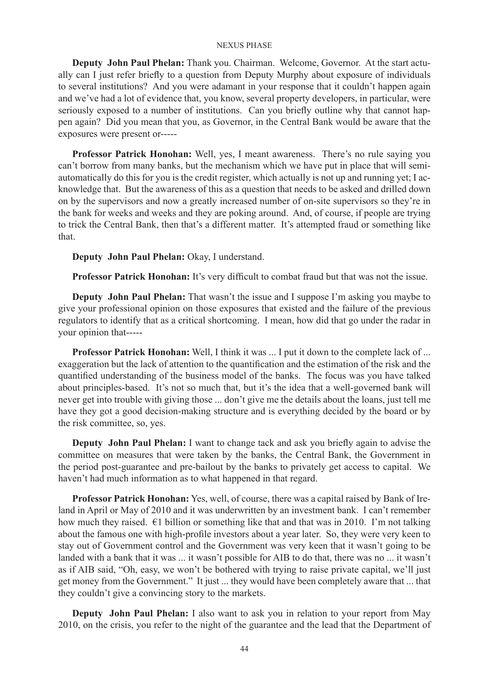**Deputy John Paul Phelan:** Thank you. Chairman. Welcome, Governor. At the start actually can I just refer briefly to a question from Deputy Murphy about exposure of individuals to several institutions? And you were adamant in your response that it couldn't happen again and we've had a lot of evidence that, you know, several property developers, in particular, were seriously exposed to a number of institutions. Can you briefly outline why that cannot happen again? Did you mean that you, as Governor, in the Central Bank would be aware that the exposures were present or-----

**Professor Patrick Honohan:** Well, yes, I meant awareness. There's no rule saying you can't borrow from many banks, but the mechanism which we have put in place that will semiautomatically do this for you is the credit register, which actually is not up and running yet; I acknowledge that. But the awareness of this as a question that needs to be asked and drilled down on by the supervisors and now a greatly increased number of on-site supervisors so they're in the bank for weeks and weeks and they are poking around. And, of course, if people are trying to trick the Central Bank, then that's a different matter. It's attempted fraud or something like that.

**Deputy John Paul Phelan:** Okay, I understand.

**Professor Patrick Honohan:** It's very difficult to combat fraud but that was not the issue.

**Deputy John Paul Phelan:** That wasn't the issue and I suppose I'm asking you maybe to give your professional opinion on those exposures that existed and the failure of the previous regulators to identify that as a critical shortcoming. I mean, how did that go under the radar in your opinion that-----

**Professor Patrick Honohan:** Well, I think it was ... I put it down to the complete lack of ... exaggeration but the lack of attention to the quantification and the estimation of the risk and the quantified understanding of the business model of the banks. The focus was you have talked about principles-based. It's not so much that, but it's the idea that a well-governed bank will never get into trouble with giving those ... don't give me the details about the loans, just tell me have they got a good decision-making structure and is everything decided by the board or by the risk committee, so, yes.

**Deputy John Paul Phelan:** I want to change tack and ask you briefly again to advise the committee on measures that were taken by the banks, the Central Bank, the Government in the period post-guarantee and pre-bailout by the banks to privately get access to capital. We haven't had much information as to what happened in that regard.

**Professor Patrick Honohan:** Yes, well, of course, there was a capital raised by Bank of Ireland in April or May of 2010 and it was underwritten by an investment bank. I can't remember how much they raised. €1 billion or something like that and that was in 2010. I'm not talking about the famous one with high-profile investors about a year later. So, they were very keen to stay out of Government control and the Government was very keen that it wasn't going to be landed with a bank that it was ... it wasn't possible for AIB to do that, there was no ... it wasn't as if AIB said, "Oh, easy, we won't be bothered with trying to raise private capital, we'll just get money from the Government." It just ... they would have been completely aware that ... that they couldn't give a convincing story to the markets.

**Deputy John Paul Phelan:** I also want to ask you in relation to your report from May 2010, on the crisis, you refer to the night of the guarantee and the lead that the Department of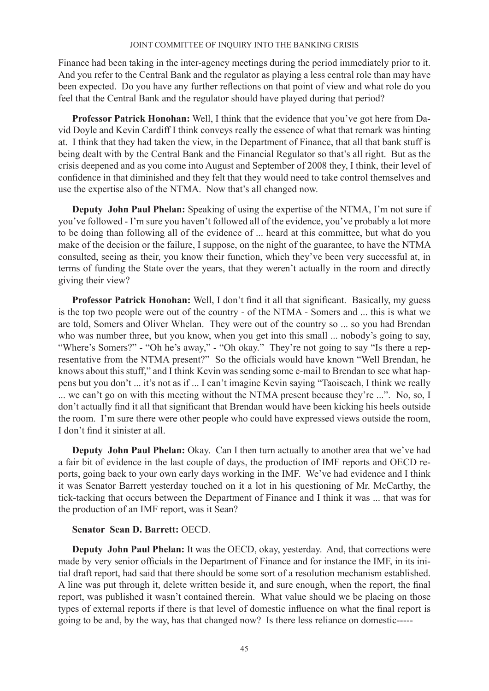Finance had been taking in the inter-agency meetings during the period immediately prior to it. And you refer to the Central Bank and the regulator as playing a less central role than may have been expected. Do you have any further reflections on that point of view and what role do you feel that the Central Bank and the regulator should have played during that period?

**Professor Patrick Honohan:** Well, I think that the evidence that you've got here from David Doyle and Kevin Cardiff I think conveys really the essence of what that remark was hinting at. I think that they had taken the view, in the Department of Finance, that all that bank stuff is being dealt with by the Central Bank and the Financial Regulator so that's all right. But as the crisis deepened and as you come into August and September of 2008 they, I think, their level of confidence in that diminished and they felt that they would need to take control themselves and use the expertise also of the NTMA. Now that's all changed now.

**Deputy John Paul Phelan:** Speaking of using the expertise of the NTMA, I'm not sure if you've followed - I'm sure you haven't followed all of the evidence, you've probably a lot more to be doing than following all of the evidence of ... heard at this committee, but what do you make of the decision or the failure, I suppose, on the night of the guarantee, to have the NTMA consulted, seeing as their, you know their function, which they've been very successful at, in terms of funding the State over the years, that they weren't actually in the room and directly giving their view?

**Professor Patrick Honohan:** Well, I don't find it all that significant. Basically, my guess is the top two people were out of the country - of the NTMA - Somers and ... this is what we are told, Somers and Oliver Whelan. They were out of the country so ... so you had Brendan who was number three, but you know, when you get into this small ... nobody's going to say, "Where's Somers?" - "Oh he's away," - "Oh okay." They're not going to say "Is there a representative from the NTMA present?" So the officials would have known "Well Brendan, he knows about this stuff," and I think Kevin was sending some e-mail to Brendan to see what happens but you don't ... it's not as if ... I can't imagine Kevin saying "Taoiseach, I think we really ... we can't go on with this meeting without the NTMA present because they're ...". No, so, I don't actually find it all that significant that Brendan would have been kicking his heels outside the room. I'm sure there were other people who could have expressed views outside the room, I don't find it sinister at all.

**Deputy John Paul Phelan:** Okay. Can I then turn actually to another area that we've had a fair bit of evidence in the last couple of days, the production of IMF reports and OECD reports, going back to your own early days working in the IMF. We've had evidence and I think it was Senator Barrett yesterday touched on it a lot in his questioning of Mr. McCarthy, the tick-tacking that occurs between the Department of Finance and I think it was ... that was for the production of an IMF report, was it Sean?

### **Senator Sean D. Barrett:** OECD.

**Deputy John Paul Phelan:** It was the OECD, okay, yesterday. And, that corrections were made by very senior officials in the Department of Finance and for instance the IMF, in its initial draft report, had said that there should be some sort of a resolution mechanism established. A line was put through it, delete written beside it, and sure enough, when the report, the final report, was published it wasn't contained therein. What value should we be placing on those types of external reports if there is that level of domestic influence on what the final report is going to be and, by the way, has that changed now? Is there less reliance on domestic-----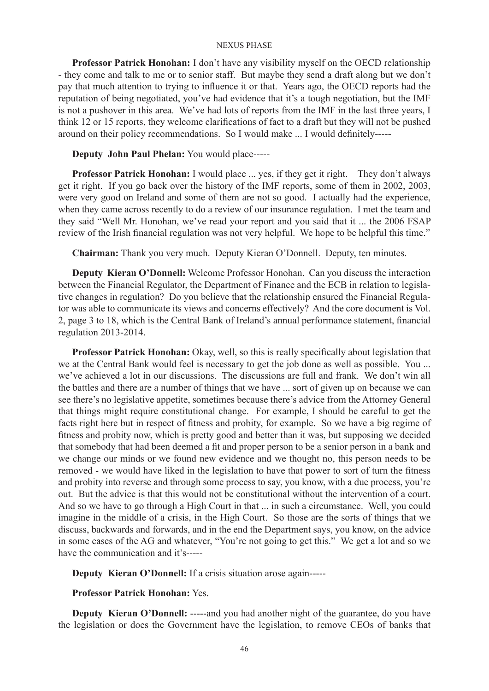**Professor Patrick Honohan:** I don't have any visibility myself on the OECD relationship - they come and talk to me or to senior staff. But maybe they send a draft along but we don't pay that much attention to trying to influence it or that. Years ago, the OECD reports had the reputation of being negotiated, you've had evidence that it's a tough negotiation, but the IMF is not a pushover in this area. We've had lots of reports from the IMF in the last three years, I think 12 or 15 reports, they welcome clarifications of fact to a draft but they will not be pushed around on their policy recommendations. So I would make ... I would definitely-----

**Deputy John Paul Phelan:** You would place-----

**Professor Patrick Honohan:** I would place ... yes, if they get it right. They don't always get it right. If you go back over the history of the IMF reports, some of them in 2002, 2003, were very good on Ireland and some of them are not so good. I actually had the experience, when they came across recently to do a review of our insurance regulation. I met the team and they said "Well Mr. Honohan, we've read your report and you said that it ... the 2006 FSAP review of the Irish financial regulation was not very helpful. We hope to be helpful this time."

**Chairman:** Thank you very much. Deputy Kieran O'Donnell. Deputy, ten minutes.

**Deputy Kieran O'Donnell:** Welcome Professor Honohan. Can you discuss the interaction between the Financial Regulator, the Department of Finance and the ECB in relation to legislative changes in regulation? Do you believe that the relationship ensured the Financial Regulator was able to communicate its views and concerns effectively? And the core document is Vol. 2, page 3 to 18, which is the Central Bank of Ireland's annual performance statement, financial regulation 2013-2014.

**Professor Patrick Honohan:** Okay, well, so this is really specifically about legislation that we at the Central Bank would feel is necessary to get the job done as well as possible. You ... we've achieved a lot in our discussions. The discussions are full and frank. We don't win all the battles and there are a number of things that we have ... sort of given up on because we can see there's no legislative appetite, sometimes because there's advice from the Attorney General that things might require constitutional change. For example, I should be careful to get the facts right here but in respect of fitness and probity, for example. So we have a big regime of fitness and probity now, which is pretty good and better than it was, but supposing we decided that somebody that had been deemed a fit and proper person to be a senior person in a bank and we change our minds or we found new evidence and we thought no, this person needs to be removed - we would have liked in the legislation to have that power to sort of turn the fitness and probity into reverse and through some process to say, you know, with a due process, you're out. But the advice is that this would not be constitutional without the intervention of a court. And so we have to go through a High Court in that ... in such a circumstance. Well, you could imagine in the middle of a crisis, in the High Court. So those are the sorts of things that we discuss, backwards and forwards, and in the end the Department says, you know, on the advice in some cases of the AG and whatever, "You're not going to get this." We get a lot and so we have the communication and it's-----

**Deputy Kieran O'Donnell:** If a crisis situation arose again-----

**Professor Patrick Honohan:** Yes.

**Deputy Kieran O'Donnell:** -----and you had another night of the guarantee, do you have the legislation or does the Government have the legislation, to remove CEOs of banks that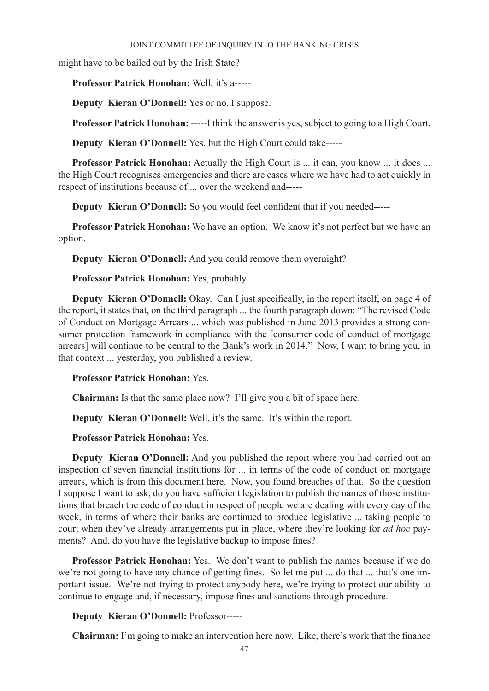might have to be bailed out by the Irish State?

**Professor Patrick Honohan:** Well, it's a-----

**Deputy Kieran O'Donnell:** Yes or no, I suppose.

**Professor Patrick Honohan:** -----I think the answer is yes, subject to going to a High Court.

**Deputy Kieran O'Donnell:** Yes, but the High Court could take-----

**Professor Patrick Honohan:** Actually the High Court is ... it can, you know ... it does ... the High Court recognises emergencies and there are cases where we have had to act quickly in respect of institutions because of ... over the weekend and-----

**Deputy Kieran O'Donnell:** So you would feel confident that if you needed-----

**Professor Patrick Honohan:** We have an option. We know it's not perfect but we have an option.

**Deputy Kieran O'Donnell:** And you could remove them overnight?

**Professor Patrick Honohan:** Yes, probably.

**Deputy Kieran O'Donnell:** Okay. Can I just specifically, in the report itself, on page 4 of the report, it states that, on the third paragraph ... the fourth paragraph down: "The revised Code of Conduct on Mortgage Arrears ... which was published in June 2013 provides a strong consumer protection framework in compliance with the [consumer code of conduct of mortgage arrears] will continue to be central to the Bank's work in 2014." Now, I want to bring you, in that context ... yesterday, you published a review.

### **Professor Patrick Honohan:** Yes.

**Chairman:** Is that the same place now? I'll give you a bit of space here.

**Deputy Kieran O'Donnell:** Well, it's the same. It's within the report.

**Professor Patrick Honohan:** Yes.

**Deputy Kieran O'Donnell:** And you published the report where you had carried out an inspection of seven financial institutions for ... in terms of the code of conduct on mortgage arrears, which is from this document here. Now, you found breaches of that. So the question I suppose I want to ask, do you have sufficient legislation to publish the names of those institutions that breach the code of conduct in respect of people we are dealing with every day of the week, in terms of where their banks are continued to produce legislative ... taking people to court when they've already arrangements put in place, where they're looking for *ad hoc* payments? And, do you have the legislative backup to impose fines?

**Professor Patrick Honohan:** Yes. We don't want to publish the names because if we do we're not going to have any chance of getting fines. So let me put ... do that ... that's one important issue. We're not trying to protect anybody here, we're trying to protect our ability to continue to engage and, if necessary, impose fines and sanctions through procedure.

# **Deputy Kieran O'Donnell:** Professor-----

**Chairman:** I'm going to make an intervention here now. Like, there's work that the finance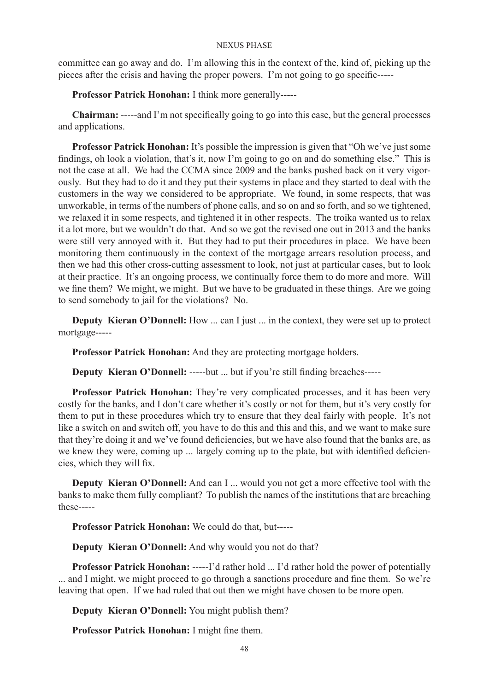committee can go away and do. I'm allowing this in the context of the, kind of, picking up the pieces after the crisis and having the proper powers. I'm not going to go specific-----

**Professor Patrick Honohan:** I think more generally-----

**Chairman:** -----and I'm not specifically going to go into this case, but the general processes and applications.

**Professor Patrick Honohan:** It's possible the impression is given that "Oh we've just some findings, oh look a violation, that's it, now I'm going to go on and do something else." This is not the case at all. We had the CCMA since 2009 and the banks pushed back on it very vigorously. But they had to do it and they put their systems in place and they started to deal with the customers in the way we considered to be appropriate. We found, in some respects, that was unworkable, in terms of the numbers of phone calls, and so on and so forth, and so we tightened, we relaxed it in some respects, and tightened it in other respects. The troika wanted us to relax it a lot more, but we wouldn't do that. And so we got the revised one out in 2013 and the banks were still very annoyed with it. But they had to put their procedures in place. We have been monitoring them continuously in the context of the mortgage arrears resolution process, and then we had this other cross-cutting assessment to look, not just at particular cases, but to look at their practice. It's an ongoing process, we continually force them to do more and more. Will we fine them? We might, we might. But we have to be graduated in these things. Are we going to send somebody to jail for the violations? No.

**Deputy Kieran O'Donnell:** How ... can I just ... in the context, they were set up to protect mortgage-----

**Professor Patrick Honohan:** And they are protecting mortgage holders.

**Deputy Kieran O'Donnell:** -----but ... but if you're still finding breaches-----

**Professor Patrick Honohan:** They're very complicated processes, and it has been very costly for the banks, and I don't care whether it's costly or not for them, but it's very costly for them to put in these procedures which try to ensure that they deal fairly with people. It's not like a switch on and switch off, you have to do this and this and this, and we want to make sure that they're doing it and we've found deficiencies, but we have also found that the banks are, as we knew they were, coming up ... largely coming up to the plate, but with identified deficiencies, which they will fix.

**Deputy Kieran O'Donnell:** And can I ... would you not get a more effective tool with the banks to make them fully compliant? To publish the names of the institutions that are breaching these-----

**Professor Patrick Honohan:** We could do that, but-----

**Deputy Kieran O'Donnell:** And why would you not do that?

**Professor Patrick Honohan:** -----I'd rather hold ... I'd rather hold the power of potentially ... and I might, we might proceed to go through a sanctions procedure and fine them. So we're leaving that open. If we had ruled that out then we might have chosen to be more open.

**Deputy Kieran O'Donnell:** You might publish them?

**Professor Patrick Honohan:** I might fine them.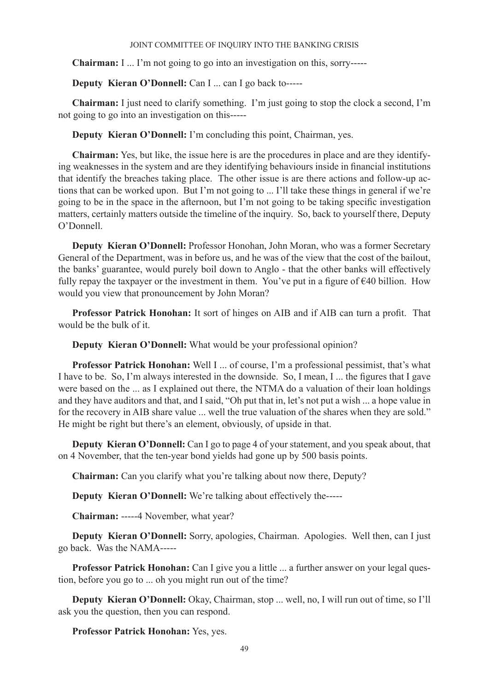**Chairman:** I ... I'm not going to go into an investigation on this, sorry-----

**Deputy Kieran O'Donnell:** Can I ... can I go back to-----

**Chairman:** I just need to clarify something. I'm just going to stop the clock a second, I'm not going to go into an investigation on this-----

**Deputy Kieran O'Donnell:** I'm concluding this point, Chairman, yes.

**Chairman:** Yes, but like, the issue here is are the procedures in place and are they identifying weaknesses in the system and are they identifying behaviours inside in financial institutions that identify the breaches taking place. The other issue is are there actions and follow-up actions that can be worked upon. But I'm not going to ... I'll take these things in general if we're going to be in the space in the afternoon, but I'm not going to be taking specific investigation matters, certainly matters outside the timeline of the inquiry. So, back to yourself there, Deputy O'Donnell.

**Deputy Kieran O'Donnell:** Professor Honohan, John Moran, who was a former Secretary General of the Department, was in before us, and he was of the view that the cost of the bailout, the banks' guarantee, would purely boil down to Anglo - that the other banks will effectively fully repay the taxpayer or the investment in them. You've put in a figure of  $\epsilon$ 40 billion. How would you view that pronouncement by John Moran?

**Professor Patrick Honohan:** It sort of hinges on AIB and if AIB can turn a profit. That would be the bulk of it.

**Deputy Kieran O'Donnell:** What would be your professional opinion?

**Professor Patrick Honohan:** Well I ... of course, I'm a professional pessimist, that's what I have to be. So, I'm always interested in the downside. So, I mean, I ... the figures that I gave were based on the ... as I explained out there, the NTMA do a valuation of their loan holdings and they have auditors and that, and I said, "Oh put that in, let's not put a wish ... a hope value in for the recovery in AIB share value ... well the true valuation of the shares when they are sold." He might be right but there's an element, obviously, of upside in that.

**Deputy Kieran O'Donnell:** Can I go to page 4 of your statement, and you speak about, that on 4 November, that the ten-year bond yields had gone up by 500 basis points.

**Chairman:** Can you clarify what you're talking about now there, Deputy?

**Deputy Kieran O'Donnell:** We're talking about effectively the-----

**Chairman:** -----4 November, what year?

**Deputy Kieran O'Donnell:** Sorry, apologies, Chairman. Apologies. Well then, can I just go back. Was the NAMA-----

**Professor Patrick Honohan:** Can I give you a little ... a further answer on your legal question, before you go to ... oh you might run out of the time?

**Deputy Kieran O'Donnell:** Okay, Chairman, stop ... well, no, I will run out of time, so I'll ask you the question, then you can respond.

**Professor Patrick Honohan:** Yes, yes.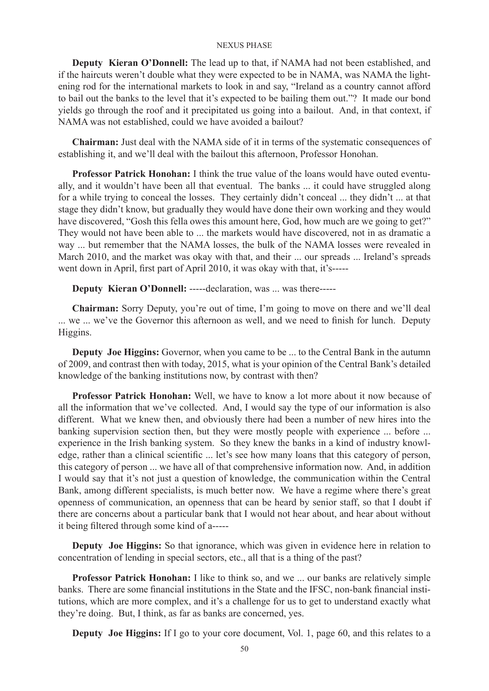**Deputy Kieran O'Donnell:** The lead up to that, if NAMA had not been established, and if the haircuts weren't double what they were expected to be in NAMA, was NAMA the lightening rod for the international markets to look in and say, "Ireland as a country cannot afford to bail out the banks to the level that it's expected to be bailing them out."? It made our bond yields go through the roof and it precipitated us going into a bailout. And, in that context, if NAMA was not established, could we have avoided a bailout?

**Chairman:** Just deal with the NAMA side of it in terms of the systematic consequences of establishing it, and we'll deal with the bailout this afternoon, Professor Honohan.

**Professor Patrick Honohan:** I think the true value of the loans would have outed eventually, and it wouldn't have been all that eventual. The banks ... it could have struggled along for a while trying to conceal the losses. They certainly didn't conceal ... they didn't ... at that stage they didn't know, but gradually they would have done their own working and they would have discovered, "Gosh this fella owes this amount here, God, how much are we going to get?" They would not have been able to ... the markets would have discovered, not in as dramatic a way ... but remember that the NAMA losses, the bulk of the NAMA losses were revealed in March 2010, and the market was okay with that, and their ... our spreads ... Ireland's spreads went down in April, first part of April 2010, it was okay with that, it's-----

**Deputy Kieran O'Donnell:** -----declaration, was ... was there-----

**Chairman:** Sorry Deputy, you're out of time, I'm going to move on there and we'll deal ... we ... we've the Governor this afternoon as well, and we need to finish for lunch. Deputy Higgins.

**Deputy Joe Higgins:** Governor, when you came to be ... to the Central Bank in the autumn of 2009, and contrast then with today, 2015, what is your opinion of the Central Bank's detailed knowledge of the banking institutions now, by contrast with then?

**Professor Patrick Honohan:** Well, we have to know a lot more about it now because of all the information that we've collected. And, I would say the type of our information is also different. What we knew then, and obviously there had been a number of new hires into the banking supervision section then, but they were mostly people with experience ... before ... experience in the Irish banking system. So they knew the banks in a kind of industry knowledge, rather than a clinical scientific ... let's see how many loans that this category of person, this category of person ... we have all of that comprehensive information now. And, in addition I would say that it's not just a question of knowledge, the communication within the Central Bank, among different specialists, is much better now. We have a regime where there's great openness of communication, an openness that can be heard by senior staff, so that I doubt if there are concerns about a particular bank that I would not hear about, and hear about without it being filtered through some kind of a-----

**Deputy Joe Higgins:** So that ignorance, which was given in evidence here in relation to concentration of lending in special sectors, etc., all that is a thing of the past?

**Professor Patrick Honohan:** I like to think so, and we ... our banks are relatively simple banks. There are some financial institutions in the State and the IFSC, non-bank financial institutions, which are more complex, and it's a challenge for us to get to understand exactly what they're doing. But, I think, as far as banks are concerned, yes.

**Deputy Joe Higgins:** If I go to your core document, Vol. 1, page 60, and this relates to a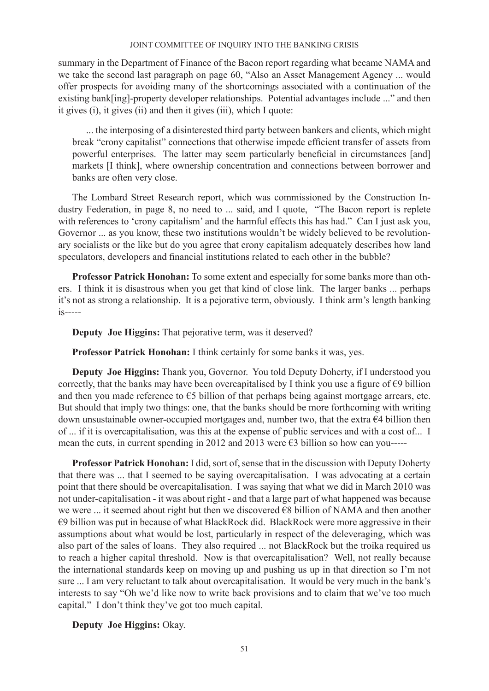summary in the Department of Finance of the Bacon report regarding what became NAMA and we take the second last paragraph on page 60, "Also an Asset Management Agency ... would offer prospects for avoiding many of the shortcomings associated with a continuation of the existing bank[ing]-property developer relationships. Potential advantages include ..." and then it gives (i), it gives (ii) and then it gives (iii), which I quote:

... the interposing of a disinterested third party between bankers and clients, which might break "crony capitalist" connections that otherwise impede efficient transfer of assets from powerful enterprises. The latter may seem particularly beneficial in circumstances [and] markets [I think], where ownership concentration and connections between borrower and banks are often very close.

The Lombard Street Research report, which was commissioned by the Construction Industry Federation, in page 8, no need to ... said, and I quote, "The Bacon report is replete with references to 'crony capitalism' and the harmful effects this has had." Can I just ask you, Governor ... as you know, these two institutions wouldn't be widely believed to be revolutionary socialists or the like but do you agree that crony capitalism adequately describes how land speculators, developers and financial institutions related to each other in the bubble?

**Professor Patrick Honohan:** To some extent and especially for some banks more than others. I think it is disastrous when you get that kind of close link. The larger banks ... perhaps it's not as strong a relationship. It is a pejorative term, obviously. I think arm's length banking is-----

**Deputy Joe Higgins:** That pejorative term, was it deserved?

**Professor Patrick Honohan:** I think certainly for some banks it was, yes.

**Deputy Joe Higgins:** Thank you, Governor. You told Deputy Doherty, if I understood you correctly, that the banks may have been overcapitalised by I think you use a figure of  $\epsilon$ 9 billion and then you made reference to €5 billion of that perhaps being against mortgage arrears, etc. But should that imply two things: one, that the banks should be more forthcoming with writing down unsustainable owner-occupied mortgages and, number two, that the extra €4 billion then of ... if it is overcapitalisation, was this at the expense of public services and with a cost of... I mean the cuts, in current spending in 2012 and 2013 were  $\epsilon$ 3 billion so how can you-----

**Professor Patrick Honohan:** I did, sort of, sense that in the discussion with Deputy Doherty that there was ... that I seemed to be saying overcapitalisation. I was advocating at a certain point that there should be overcapitalisation. I was saying that what we did in March 2010 was not under-capitalisation - it was about right - and that a large part of what happened was because we were ... it seemed about right but then we discovered €8 billion of NAMA and then another €9 billion was put in because of what BlackRock did. BlackRock were more aggressive in their assumptions about what would be lost, particularly in respect of the deleveraging, which was also part of the sales of loans. They also required ... not BlackRock but the troika required us to reach a higher capital threshold. Now is that overcapitalisation? Well, not really because the international standards keep on moving up and pushing us up in that direction so I'm not sure ... I am very reluctant to talk about overcapitalisation. It would be very much in the bank's interests to say "Oh we'd like now to write back provisions and to claim that we've too much capital." I don't think they've got too much capital.

**Deputy Joe Higgins:** Okay.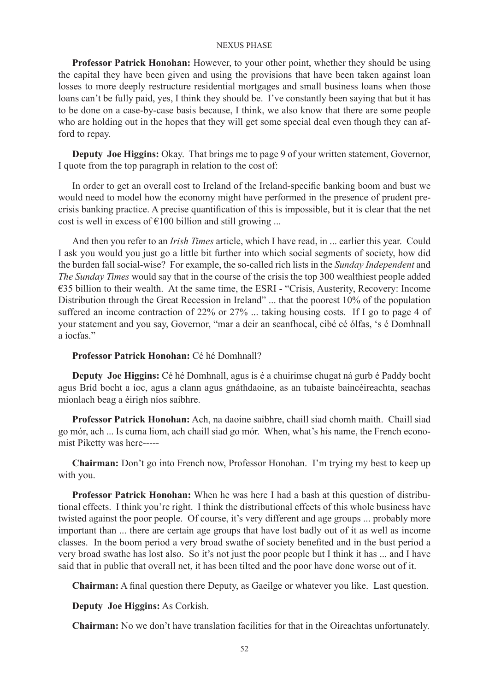**Professor Patrick Honohan:** However, to your other point, whether they should be using the capital they have been given and using the provisions that have been taken against loan losses to more deeply restructure residential mortgages and small business loans when those loans can't be fully paid, yes, I think they should be. I've constantly been saying that but it has to be done on a case-by-case basis because, I think, we also know that there are some people who are holding out in the hopes that they will get some special deal even though they can afford to repay.

**Deputy Joe Higgins:** Okay. That brings me to page 9 of your written statement, Governor, I quote from the top paragraph in relation to the cost of:

In order to get an overall cost to Ireland of the Ireland-specific banking boom and bust we would need to model how the economy might have performed in the presence of prudent precrisis banking practice. A precise quantification of this is impossible, but it is clear that the net cost is well in excess of  $\epsilon$ 100 billion and still growing ...

And then you refer to an *Irish Times* article, which I have read, in ... earlier this year. Could I ask you would you just go a little bit further into which social segments of society, how did the burden fall social-wise? For example, the so-called rich lists in the *Sunday Independent* and *The Sunday Times* would say that in the course of the crisis the top 300 wealthiest people added €35 billion to their wealth. At the same time, the ESRI - "Crisis, Austerity, Recovery: Income Distribution through the Great Recession in Ireland" ... that the poorest 10% of the population suffered an income contraction of 22% or 27% ... taking housing costs. If I go to page 4 of your statement and you say, Governor, "mar a deir an seanfhocal, cibé cé ólfas, 's é Domhnall a íocfas."

## **Professor Patrick Honohan:** Cé hé Domhnall?

**Deputy Joe Higgins:** Cé hé Domhnall, agus is é a chuirimse chugat ná gurb é Paddy bocht agus Bríd bocht a íoc, agus a clann agus gnáthdaoine, as an tubaiste baincéireachta, seachas mionlach beag a éirigh níos saibhre.

**Professor Patrick Honohan:** Ach, na daoine saibhre, chaill siad chomh maith. Chaill siad go mór, ach ... Is cuma liom, ach chaill siad go mór. When, what's his name, the French economist Piketty was here-----

**Chairman:** Don't go into French now, Professor Honohan. I'm trying my best to keep up with you.

**Professor Patrick Honohan:** When he was here I had a bash at this question of distributional effects. I think you're right. I think the distributional effects of this whole business have twisted against the poor people. Of course, it's very different and age groups ... probably more important than ... there are certain age groups that have lost badly out of it as well as income classes. In the boom period a very broad swathe of society benefited and in the bust period a very broad swathe has lost also. So it's not just the poor people but I think it has ... and I have said that in public that overall net, it has been tilted and the poor have done worse out of it.

**Chairman:** A final question there Deputy, as Gaeilge or whatever you like. Last question.

## **Deputy Joe Higgins:** As Corkísh.

**Chairman:** No we don't have translation facilities for that in the Oireachtas unfortunately.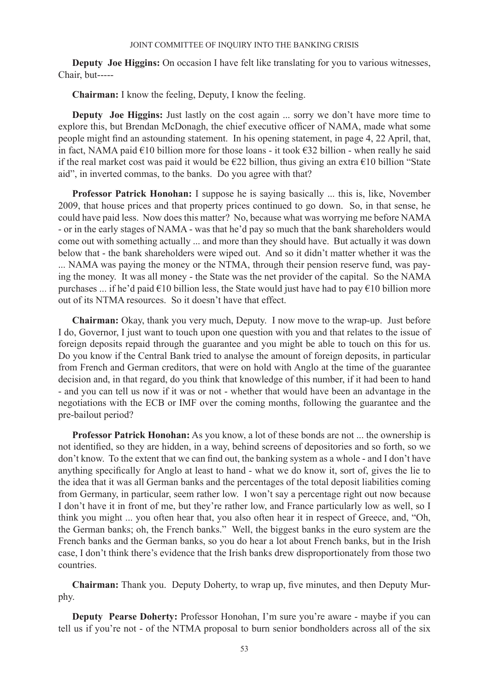**Deputy Joe Higgins:** On occasion I have felt like translating for you to various witnesses, Chair, but-----

**Chairman:** I know the feeling, Deputy, I know the feeling.

**Deputy Joe Higgins:** Just lastly on the cost again ... sorry we don't have more time to explore this, but Brendan McDonagh, the chief executive officer of NAMA, made what some people might find an astounding statement. In his opening statement, in page 4, 22 April, that, in fact, NAMA paid €10 billion more for those loans - it took €32 billion - when really he said if the real market cost was paid it would be  $\epsilon$ 22 billion, thus giving an extra  $\epsilon$ 10 billion "State aid", in inverted commas, to the banks. Do you agree with that?

**Professor Patrick Honohan:** I suppose he is saying basically ... this is, like, November 2009, that house prices and that property prices continued to go down. So, in that sense, he could have paid less. Now does this matter? No, because what was worrying me before NAMA - or in the early stages of NAMA - was that he'd pay so much that the bank shareholders would come out with something actually ... and more than they should have. But actually it was down below that - the bank shareholders were wiped out. And so it didn't matter whether it was the ... NAMA was paying the money or the NTMA, through their pension reserve fund, was paying the money. It was all money - the State was the net provider of the capital. So the NAMA purchases ... if he'd paid  $\epsilon$ 10 billion less, the State would just have had to pay  $\epsilon$ 10 billion more out of its NTMA resources. So it doesn't have that effect.

**Chairman:** Okay, thank you very much, Deputy. I now move to the wrap-up. Just before I do, Governor, I just want to touch upon one question with you and that relates to the issue of foreign deposits repaid through the guarantee and you might be able to touch on this for us. Do you know if the Central Bank tried to analyse the amount of foreign deposits, in particular from French and German creditors, that were on hold with Anglo at the time of the guarantee decision and, in that regard, do you think that knowledge of this number, if it had been to hand - and you can tell us now if it was or not - whether that would have been an advantage in the negotiations with the ECB or IMF over the coming months, following the guarantee and the pre-bailout period?

**Professor Patrick Honohan:** As you know, a lot of these bonds are not ... the ownership is not identified, so they are hidden, in a way, behind screens of depositories and so forth, so we don't know. To the extent that we can find out, the banking system as a whole - and I don't have anything specifically for Anglo at least to hand - what we do know it, sort of, gives the lie to the idea that it was all German banks and the percentages of the total deposit liabilities coming from Germany, in particular, seem rather low. I won't say a percentage right out now because I don't have it in front of me, but they're rather low, and France particularly low as well, so I think you might ... you often hear that, you also often hear it in respect of Greece, and, "Oh, the German banks; oh, the French banks." Well, the biggest banks in the euro system are the French banks and the German banks, so you do hear a lot about French banks, but in the Irish case, I don't think there's evidence that the Irish banks drew disproportionately from those two countries.

**Chairman:** Thank you. Deputy Doherty, to wrap up, five minutes, and then Deputy Murphy.

**Deputy Pearse Doherty:** Professor Honohan, I'm sure you're aware - maybe if you can tell us if you're not - of the NTMA proposal to burn senior bondholders across all of the six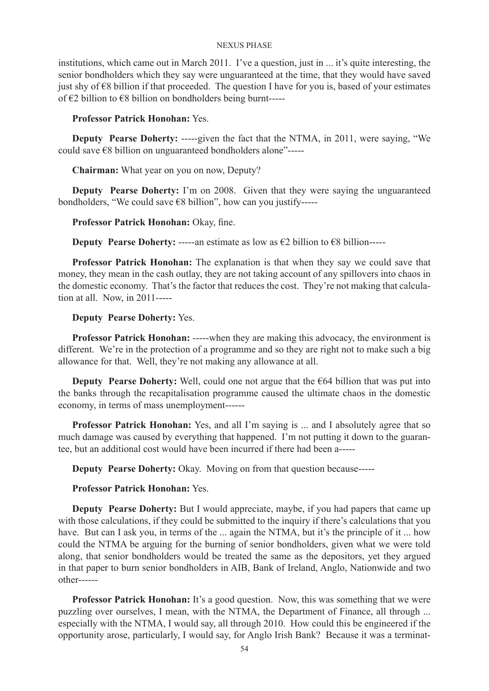institutions, which came out in March 2011. I've a question, just in ... it's quite interesting, the senior bondholders which they say were unguaranteed at the time, that they would have saved just shy of €8 billion if that proceeded. The question I have for you is, based of your estimates of  $€2$  billion to  $€8$  billion on bondholders being burnt-----

### **Professor Patrick Honohan:** Yes.

**Deputy Pearse Doherty:** -----given the fact that the NTMA, in 2011, were saying, "We could save €8 billion on unguaranteed bondholders alone"-----

**Chairman:** What year on you on now, Deputy?

**Deputy Pearse Doherty:** I'm on 2008. Given that they were saying the unguaranteed bondholders, "We could save €8 billion", how can you justify-----

### **Professor Patrick Honohan:** Okay, fine.

**Deputy Pearse Doherty:** -----an estimate as low as  $\epsilon$ 2 billion to  $\epsilon$ 8 billion-----

**Professor Patrick Honohan:** The explanation is that when they say we could save that money, they mean in the cash outlay, they are not taking account of any spillovers into chaos in the domestic economy. That's the factor that reduces the cost. They're not making that calculation at all. Now, in 2011-----

### **Deputy Pearse Doherty:** Yes.

**Professor Patrick Honohan:** -----when they are making this advocacy, the environment is different. We're in the protection of a programme and so they are right not to make such a big allowance for that. Well, they're not making any allowance at all.

**Deputy Pearse Doherty:** Well, could one not argue that the €64 billion that was put into the banks through the recapitalisation programme caused the ultimate chaos in the domestic economy, in terms of mass unemployment------

**Professor Patrick Honohan:** Yes, and all I'm saying is ... and I absolutely agree that so much damage was caused by everything that happened. I'm not putting it down to the guarantee, but an additional cost would have been incurred if there had been a-----

**Deputy Pearse Doherty:** Okay. Moving on from that question because-----

### **Professor Patrick Honohan:** Yes.

**Deputy Pearse Doherty:** But I would appreciate, maybe, if you had papers that came up with those calculations, if they could be submitted to the inquiry if there's calculations that you have. But can I ask you, in terms of the ... again the NTMA, but it's the principle of it ... how could the NTMA be arguing for the burning of senior bondholders, given what we were told along, that senior bondholders would be treated the same as the depositors, yet they argued in that paper to burn senior bondholders in AIB, Bank of Ireland, Anglo, Nationwide and two other------

Professor Patrick Honohan: It's a good question. Now, this was something that we were puzzling over ourselves, I mean, with the NTMA, the Department of Finance, all through ... especially with the NTMA, I would say, all through 2010. How could this be engineered if the opportunity arose, particularly, I would say, for Anglo Irish Bank? Because it was a terminat-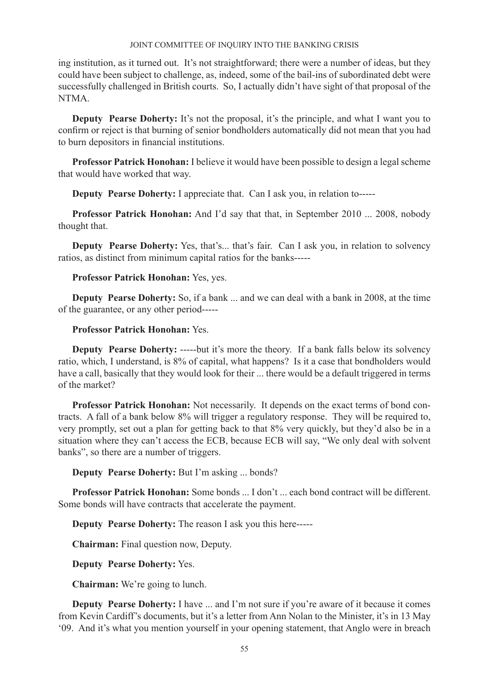ing institution, as it turned out. It's not straightforward; there were a number of ideas, but they could have been subject to challenge, as, indeed, some of the bail-ins of subordinated debt were successfully challenged in British courts. So, I actually didn't have sight of that proposal of the NTMA.

**Deputy Pearse Doherty:** It's not the proposal, it's the principle, and what I want you to confirm or reject is that burning of senior bondholders automatically did not mean that you had to burn depositors in financial institutions.

**Professor Patrick Honohan:** I believe it would have been possible to design a legal scheme that would have worked that way.

**Deputy Pearse Doherty:** I appreciate that. Can I ask you, in relation to-----

**Professor Patrick Honohan:** And I'd say that that, in September 2010 ... 2008, nobody thought that.

**Deputy Pearse Doherty:** Yes, that's... that's fair. Can I ask you, in relation to solvency ratios, as distinct from minimum capital ratios for the banks-----

# **Professor Patrick Honohan:** Yes, yes.

**Deputy Pearse Doherty:** So, if a bank ... and we can deal with a bank in 2008, at the time of the guarantee, or any other period-----

# **Professor Patrick Honohan:** Yes.

**Deputy Pearse Doherty:** -----but it's more the theory. If a bank falls below its solvency ratio, which, I understand, is 8% of capital, what happens? Is it a case that bondholders would have a call, basically that they would look for their ... there would be a default triggered in terms of the market?

**Professor Patrick Honohan:** Not necessarily. It depends on the exact terms of bond contracts. A fall of a bank below 8% will trigger a regulatory response. They will be required to, very promptly, set out a plan for getting back to that 8% very quickly, but they'd also be in a situation where they can't access the ECB, because ECB will say, "We only deal with solvent banks", so there are a number of triggers.

**Deputy Pearse Doherty:** But I'm asking ... bonds?

**Professor Patrick Honohan:** Some bonds ... I don't ... each bond contract will be different. Some bonds will have contracts that accelerate the payment.

**Deputy Pearse Doherty:** The reason I ask you this here-----

**Chairman:** Final question now, Deputy.

**Deputy Pearse Doherty:** Yes.

**Chairman:** We're going to lunch.

**Deputy Pearse Doherty:** I have ... and I'm not sure if you're aware of it because it comes from Kevin Cardiff's documents, but it's a letter from Ann Nolan to the Minister, it's in 13 May '09. And it's what you mention yourself in your opening statement, that Anglo were in breach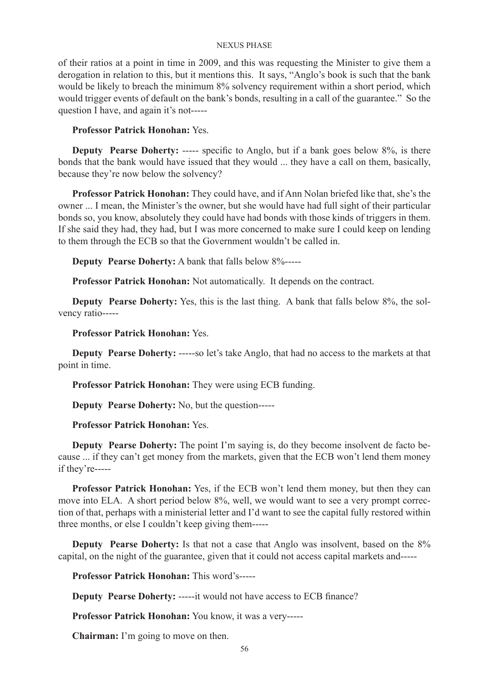of their ratios at a point in time in 2009, and this was requesting the Minister to give them a derogation in relation to this, but it mentions this. It says, "Anglo's book is such that the bank would be likely to breach the minimum 8% solvency requirement within a short period, which would trigger events of default on the bank's bonds, resulting in a call of the guarantee." So the question I have, and again it's not-----

# **Professor Patrick Honohan:** Yes.

**Deputy Pearse Doherty:** ----- specific to Anglo, but if a bank goes below 8%, is there bonds that the bank would have issued that they would ... they have a call on them, basically, because they're now below the solvency?

**Professor Patrick Honohan:** They could have, and if Ann Nolan briefed like that, she's the owner ... I mean, the Minister's the owner, but she would have had full sight of their particular bonds so, you know, absolutely they could have had bonds with those kinds of triggers in them. If she said they had, they had, but I was more concerned to make sure I could keep on lending to them through the ECB so that the Government wouldn't be called in.

**Deputy Pearse Doherty:** A bank that falls below 8%-----

**Professor Patrick Honohan:** Not automatically. It depends on the contract.

**Deputy Pearse Doherty:** Yes, this is the last thing. A bank that falls below 8%, the solvency ratio-----

## **Professor Patrick Honohan:** Yes.

**Deputy Pearse Doherty:** -----so let's take Anglo, that had no access to the markets at that point in time.

**Professor Patrick Honohan:** They were using ECB funding.

**Deputy Pearse Doherty:** No, but the question-----

### **Professor Patrick Honohan:** Yes.

**Deputy Pearse Doherty:** The point I'm saying is, do they become insolvent de facto because ... if they can't get money from the markets, given that the ECB won't lend them money if they're-----

**Professor Patrick Honohan:** Yes, if the ECB won't lend them money, but then they can move into ELA. A short period below 8%, well, we would want to see a very prompt correction of that, perhaps with a ministerial letter and I'd want to see the capital fully restored within three months, or else I couldn't keep giving them-----

**Deputy Pearse Doherty:** Is that not a case that Anglo was insolvent, based on the 8% capital, on the night of the guarantee, given that it could not access capital markets and-----

**Professor Patrick Honohan:** This word's-----

**Deputy Pearse Doherty:** -----it would not have access to ECB finance?

**Professor Patrick Honohan:** You know, it was a very-----

**Chairman:** I'm going to move on then.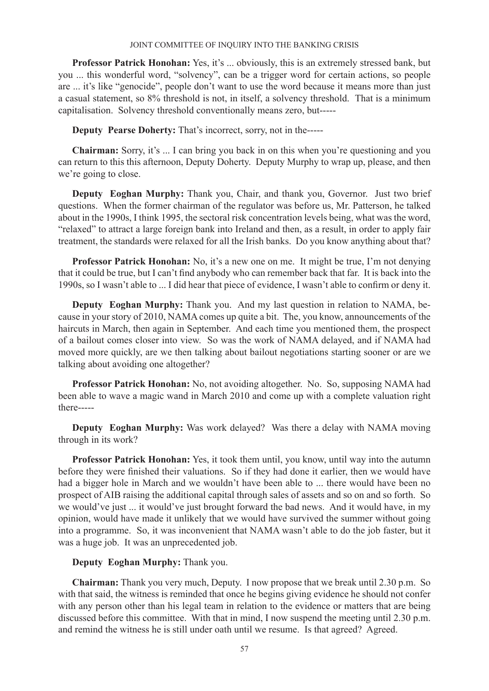**Professor Patrick Honohan:** Yes, it's ... obviously, this is an extremely stressed bank, but you ... this wonderful word, "solvency", can be a trigger word for certain actions, so people are ... it's like "genocide", people don't want to use the word because it means more than just a casual statement, so 8% threshold is not, in itself, a solvency threshold. That is a minimum capitalisation. Solvency threshold conventionally means zero, but-----

**Deputy Pearse Doherty:** That's incorrect, sorry, not in the-----

**Chairman:** Sorry, it's ... I can bring you back in on this when you're questioning and you can return to this this afternoon, Deputy Doherty. Deputy Murphy to wrap up, please, and then we're going to close.

**Deputy Eoghan Murphy:** Thank you, Chair, and thank you, Governor. Just two brief questions. When the former chairman of the regulator was before us, Mr. Patterson, he talked about in the 1990s, I think 1995, the sectoral risk concentration levels being, what was the word, "relaxed" to attract a large foreign bank into Ireland and then, as a result, in order to apply fair treatment, the standards were relaxed for all the Irish banks. Do you know anything about that?

**Professor Patrick Honohan:** No, it's a new one on me. It might be true, I'm not denying that it could be true, but I can't find anybody who can remember back that far. It is back into the 1990s, so I wasn't able to ... I did hear that piece of evidence, I wasn't able to confirm or deny it.

**Deputy Eoghan Murphy:** Thank you. And my last question in relation to NAMA, because in your story of 2010, NAMA comes up quite a bit. The, you know, announcements of the haircuts in March, then again in September. And each time you mentioned them, the prospect of a bailout comes closer into view. So was the work of NAMA delayed, and if NAMA had moved more quickly, are we then talking about bailout negotiations starting sooner or are we talking about avoiding one altogether?

**Professor Patrick Honohan:** No, not avoiding altogether. No. So, supposing NAMA had been able to wave a magic wand in March 2010 and come up with a complete valuation right there-----

**Deputy Eoghan Murphy:** Was work delayed? Was there a delay with NAMA moving through in its work?

**Professor Patrick Honohan:** Yes, it took them until, you know, until way into the autumn before they were finished their valuations. So if they had done it earlier, then we would have had a bigger hole in March and we wouldn't have been able to ... there would have been no prospect of AIB raising the additional capital through sales of assets and so on and so forth. So we would've just ... it would've just brought forward the bad news. And it would have, in my opinion, would have made it unlikely that we would have survived the summer without going into a programme. So, it was inconvenient that NAMA wasn't able to do the job faster, but it was a huge job. It was an unprecedented job.

# **Deputy Eoghan Murphy:** Thank you.

**Chairman:** Thank you very much, Deputy. I now propose that we break until 2.30 p.m. So with that said, the witness is reminded that once he begins giving evidence he should not confer with any person other than his legal team in relation to the evidence or matters that are being discussed before this committee. With that in mind, I now suspend the meeting until 2.30 p.m. and remind the witness he is still under oath until we resume. Is that agreed? Agreed.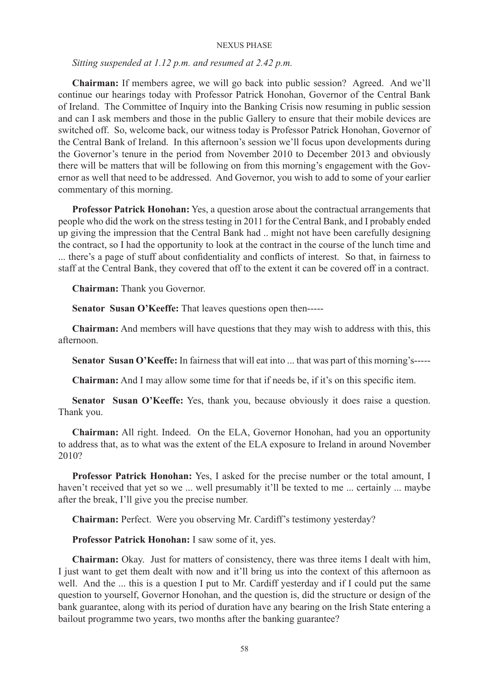*Sitting suspended at 1.12 p.m. and resumed at 2.42 p.m.*

**Chairman:** If members agree, we will go back into public session? Agreed. And we'll continue our hearings today with Professor Patrick Honohan, Governor of the Central Bank of Ireland. The Committee of Inquiry into the Banking Crisis now resuming in public session and can I ask members and those in the public Gallery to ensure that their mobile devices are switched off. So, welcome back, our witness today is Professor Patrick Honohan, Governor of the Central Bank of Ireland. In this afternoon's session we'll focus upon developments during the Governor's tenure in the period from November 2010 to December 2013 and obviously there will be matters that will be following on from this morning's engagement with the Governor as well that need to be addressed. And Governor, you wish to add to some of your earlier commentary of this morning.

**Professor Patrick Honohan:** Yes, a question arose about the contractual arrangements that people who did the work on the stress testing in 2011 for the Central Bank, and I probably ended up giving the impression that the Central Bank had .. might not have been carefully designing the contract, so I had the opportunity to look at the contract in the course of the lunch time and ... there's a page of stuff about confidentiality and conflicts of interest. So that, in fairness to staff at the Central Bank, they covered that off to the extent it can be covered off in a contract.

**Chairman:** Thank you Governor.

**Senator Susan O'Keeffe:** That leaves questions open then-----

**Chairman:** And members will have questions that they may wish to address with this, this afternoon.

**Senator Susan O'Keeffe:** In fairness that will eat into ... that was part of this morning's-----

**Chairman:** And I may allow some time for that if needs be, if it's on this specific item.

**Senator Susan O'Keeffe:** Yes, thank you, because obviously it does raise a question. Thank you.

**Chairman:** All right. Indeed. On the ELA, Governor Honohan, had you an opportunity to address that, as to what was the extent of the ELA exposure to Ireland in around November 2010?

**Professor Patrick Honohan:** Yes, I asked for the precise number or the total amount, I haven't received that yet so we ... well presumably it'll be texted to me ... certainly ... maybe after the break, I'll give you the precise number.

**Chairman:** Perfect. Were you observing Mr. Cardiff's testimony yesterday?

**Professor Patrick Honohan:** I saw some of it, yes.

**Chairman:** Okay. Just for matters of consistency, there was three items I dealt with him, I just want to get them dealt with now and it'll bring us into the context of this afternoon as well. And the ... this is a question I put to Mr. Cardiff yesterday and if I could put the same question to yourself, Governor Honohan, and the question is, did the structure or design of the bank guarantee, along with its period of duration have any bearing on the Irish State entering a bailout programme two years, two months after the banking guarantee?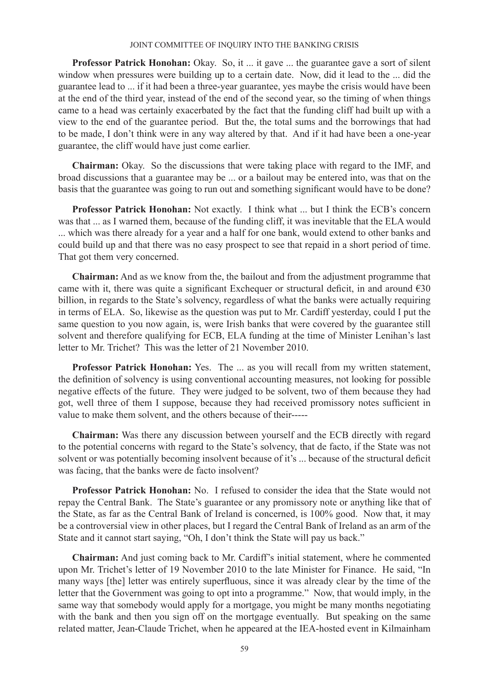**Professor Patrick Honohan:** Okay. So, it ... it gave ... the guarantee gave a sort of silent window when pressures were building up to a certain date. Now, did it lead to the ... did the guarantee lead to ... if it had been a three-year guarantee, yes maybe the crisis would have been at the end of the third year, instead of the end of the second year, so the timing of when things came to a head was certainly exacerbated by the fact that the funding cliff had built up with a view to the end of the guarantee period. But the, the total sums and the borrowings that had to be made, I don't think were in any way altered by that. And if it had have been a one-year guarantee, the cliff would have just come earlier.

**Chairman:** Okay. So the discussions that were taking place with regard to the IMF, and broad discussions that a guarantee may be ... or a bailout may be entered into, was that on the basis that the guarantee was going to run out and something significant would have to be done?

**Professor Patrick Honohan:** Not exactly. I think what ... but I think the ECB's concern was that ... as I warned them, because of the funding cliff, it was inevitable that the ELA would ... which was there already for a year and a half for one bank, would extend to other banks and could build up and that there was no easy prospect to see that repaid in a short period of time. That got them very concerned.

**Chairman:** And as we know from the, the bailout and from the adjustment programme that came with it, there was quite a significant Exchequer or structural deficit, in and around  $\epsilon$ 30 billion, in regards to the State's solvency, regardless of what the banks were actually requiring in terms of ELA. So, likewise as the question was put to Mr. Cardiff yesterday, could I put the same question to you now again, is, were Irish banks that were covered by the guarantee still solvent and therefore qualifying for ECB, ELA funding at the time of Minister Lenihan's last letter to Mr. Trichet? This was the letter of 21 November 2010.

**Professor Patrick Honohan:** Yes. The ... as you will recall from my written statement, the definition of solvency is using conventional accounting measures, not looking for possible negative effects of the future. They were judged to be solvent, two of them because they had got, well three of them I suppose, because they had received promissory notes sufficient in value to make them solvent, and the others because of their-----

**Chairman:** Was there any discussion between yourself and the ECB directly with regard to the potential concerns with regard to the State's solvency, that de facto, if the State was not solvent or was potentially becoming insolvent because of it's ... because of the structural deficit was facing, that the banks were de facto insolvent?

**Professor Patrick Honohan:** No. I refused to consider the idea that the State would not repay the Central Bank. The State's guarantee or any promissory note or anything like that of the State, as far as the Central Bank of Ireland is concerned, is 100% good. Now that, it may be a controversial view in other places, but I regard the Central Bank of Ireland as an arm of the State and it cannot start saying, "Oh, I don't think the State will pay us back."

**Chairman:** And just coming back to Mr. Cardiff's initial statement, where he commented upon Mr. Trichet's letter of 19 November 2010 to the late Minister for Finance. He said, "In many ways [the] letter was entirely superfluous, since it was already clear by the time of the letter that the Government was going to opt into a programme." Now, that would imply, in the same way that somebody would apply for a mortgage, you might be many months negotiating with the bank and then you sign off on the mortgage eventually. But speaking on the same related matter, Jean-Claude Trichet, when he appeared at the IEA-hosted event in Kilmainham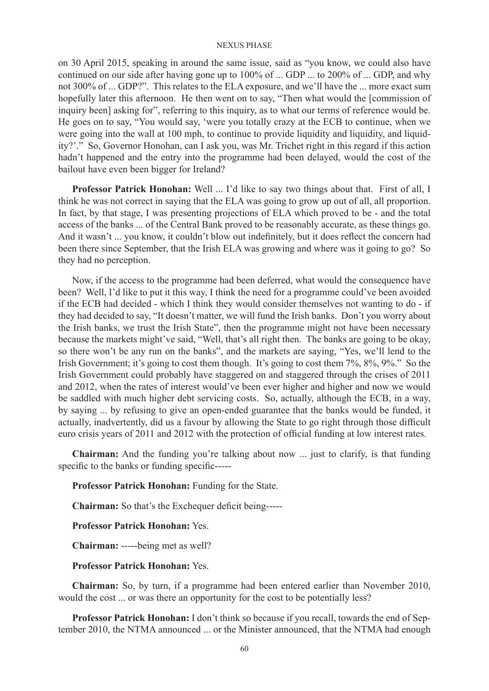on 30 April 2015, speaking in around the same issue, said as "you know, we could also have continued on our side after having gone up to 100% of ... GDP ... to 200% of ... GDP, and why not 300% of ... GDP?". This relates to the ELA exposure, and we'll have the ... more exact sum hopefully later this afternoon. He then went on to say, "Then what would the [commission of inquiry been] asking for", referring to this inquiry, as to what our terms of reference would be. He goes on to say, "You would say, 'were you totally crazy at the ECB to continue, when we were going into the wall at 100 mph, to continue to provide liquidity and liquidity, and liquidity?'." So, Governor Honohan, can I ask you, was Mr. Trichet right in this regard if this action hadn't happened and the entry into the programme had been delayed, would the cost of the bailout have even been bigger for Ireland?

**Professor Patrick Honohan:** Well ... I'd like to say two things about that. First of all, I think he was not correct in saying that the ELA was going to grow up out of all, all proportion. In fact, by that stage, I was presenting projections of ELA which proved to be - and the total access of the banks ... of the Central Bank proved to be reasonably accurate, as these things go. And it wasn't ... you know, it couldn't blow out indefinitely, but it does reflect the concern had been there since September, that the Irish ELA was growing and where was it going to go? So they had no perception.

Now, if the access to the programme had been deferred, what would the consequence have been? Well, I'd like to put it this way, I think the need for a programme could've been avoided if the ECB had decided - which I think they would consider themselves not wanting to do - if they had decided to say, "It doesn't matter, we will fund the Irish banks. Don't you worry about the Irish banks, we trust the Irish State", then the programme might not have been necessary because the markets might've said, "Well, that's all right then. The banks are going to be okay, so there won't be any run on the banks", and the markets are saying, "Yes, we'll lend to the Irish Government; it's going to cost them though. It's going to cost them 7%, 8%, 9%." So the Irish Government could probably have staggered on and staggered through the crises of 2011 and 2012, when the rates of interest would've been ever higher and higher and now we would be saddled with much higher debt servicing costs. So, actually, although the ECB, in a way, by saying ... by refusing to give an open-ended guarantee that the banks would be funded, it actually, inadvertently, did us a favour by allowing the State to go right through those difficult euro crisis years of 2011 and 2012 with the protection of official funding at low interest rates.

**Chairman:** And the funding you're talking about now ... just to clarify, is that funding specific to the banks or funding specific-----

**Professor Patrick Honohan:** Funding for the State.

**Chairman:** So that's the Exchequer deficit being-----

**Professor Patrick Honohan:** Yes.

**Chairman:** -----being met as well?

### **Professor Patrick Honohan:** Yes.

**Chairman:** So, by turn, if a programme had been entered earlier than November 2010, would the cost ... or was there an opportunity for the cost to be potentially less?

**Professor Patrick Honohan:** I don't think so because if you recall, towards the end of September 2010, the NTMA announced ... or the Minister announced, that the NTMA had enough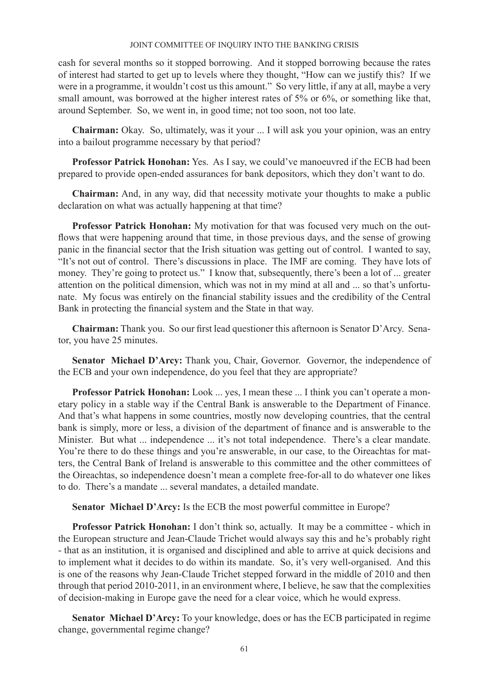cash for several months so it stopped borrowing. And it stopped borrowing because the rates of interest had started to get up to levels where they thought, "How can we justify this? If we were in a programme, it wouldn't cost us this amount." So very little, if any at all, maybe a very small amount, was borrowed at the higher interest rates of 5% or 6%, or something like that, around September. So, we went in, in good time; not too soon, not too late.

**Chairman:** Okay. So, ultimately, was it your ... I will ask you your opinion, was an entry into a bailout programme necessary by that period?

**Professor Patrick Honohan:** Yes. As I say, we could've manoeuvred if the ECB had been prepared to provide open-ended assurances for bank depositors, which they don't want to do.

**Chairman:** And, in any way, did that necessity motivate your thoughts to make a public declaration on what was actually happening at that time?

**Professor Patrick Honohan:** My motivation for that was focused very much on the outflows that were happening around that time, in those previous days, and the sense of growing panic in the financial sector that the Irish situation was getting out of control. I wanted to say, "It's not out of control. There's discussions in place. The IMF are coming. They have lots of money. They're going to protect us." I know that, subsequently, there's been a lot of ... greater attention on the political dimension, which was not in my mind at all and ... so that's unfortunate. My focus was entirely on the financial stability issues and the credibility of the Central Bank in protecting the financial system and the State in that way.

**Chairman:** Thank you. So our first lead questioner this afternoon is Senator D'Arcy. Senator, you have 25 minutes.

**Senator Michael D'Arcy:** Thank you, Chair, Governor. Governor, the independence of the ECB and your own independence, do you feel that they are appropriate?

**Professor Patrick Honohan:** Look ... yes, I mean these ... I think you can't operate a monetary policy in a stable way if the Central Bank is answerable to the Department of Finance. And that's what happens in some countries, mostly now developing countries, that the central bank is simply, more or less, a division of the department of finance and is answerable to the Minister. But what ... independence ... it's not total independence. There's a clear mandate. You're there to do these things and you're answerable, in our case, to the Oireachtas for matters, the Central Bank of Ireland is answerable to this committee and the other committees of the Oireachtas, so independence doesn't mean a complete free-for-all to do whatever one likes to do. There's a mandate ... several mandates, a detailed mandate.

**Senator Michael D'Arcy:** Is the ECB the most powerful committee in Europe?

**Professor Patrick Honohan:** I don't think so, actually. It may be a committee - which in the European structure and Jean-Claude Trichet would always say this and he's probably right - that as an institution, it is organised and disciplined and able to arrive at quick decisions and to implement what it decides to do within its mandate. So, it's very well-organised. And this is one of the reasons why Jean-Claude Trichet stepped forward in the middle of 2010 and then through that period 2010-2011, in an environment where, I believe, he saw that the complexities of decision-making in Europe gave the need for a clear voice, which he would express.

**Senator Michael D'Arcy:** To your knowledge, does or has the ECB participated in regime change, governmental regime change?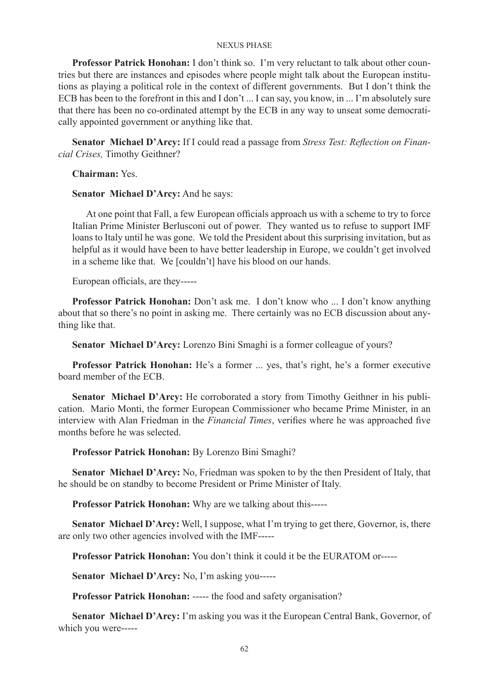**Professor Patrick Honohan:** I don't think so. I'm very reluctant to talk about other countries but there are instances and episodes where people might talk about the European institutions as playing a political role in the context of different governments. But I don't think the ECB has been to the forefront in this and I don't ... I can say, you know, in ... I'm absolutely sure that there has been no co-ordinated attempt by the ECB in any way to unseat some democratically appointed government or anything like that.

**Senator Michael D'Arcy:** If I could read a passage from *Stress Test: Reflection on Financial Crises,* Timothy Geithner?

**Chairman:** Yes.

**Senator Michael D'Arcy:** And he says:

At one point that Fall, a few European officials approach us with a scheme to try to force Italian Prime Minister Berlusconi out of power. They wanted us to refuse to support IMF loans to Italy until he was gone. We told the President about this surprising invitation, but as helpful as it would have been to have better leadership in Europe, we couldn't get involved in a scheme like that. We [couldn't] have his blood on our hands.

European officials, are they-----

**Professor Patrick Honohan:** Don't ask me. I don't know who ... I don't know anything about that so there's no point in asking me. There certainly was no ECB discussion about anything like that.

**Senator Michael D'Arcy:** Lorenzo Bini Smaghi is a former colleague of yours?

**Professor Patrick Honohan:** He's a former ... yes, that's right, he's a former executive board member of the ECB.

**Senator Michael D'Arcy:** He corroborated a story from Timothy Geithner in his publication. Mario Monti, the former European Commissioner who became Prime Minister, in an interview with Alan Friedman in the *Financial Times*, verifies where he was approached five months before he was selected.

**Professor Patrick Honohan:** By Lorenzo Bini Smaghi?

**Senator Michael D'Arcy:** No, Friedman was spoken to by the then President of Italy, that he should be on standby to become President or Prime Minister of Italy.

**Professor Patrick Honohan:** Why are we talking about this-----

**Senator Michael D'Arcy:** Well, I suppose, what I'm trying to get there, Governor, is, there are only two other agencies involved with the IMF-----

**Professor Patrick Honohan:** You don't think it could it be the EURATOM or-----

**Senator Michael D'Arcy:** No, I'm asking you-----

**Professor Patrick Honohan:** ----- the food and safety organisation?

**Senator Michael D'Arcy:** I'm asking you was it the European Central Bank, Governor, of which you were-----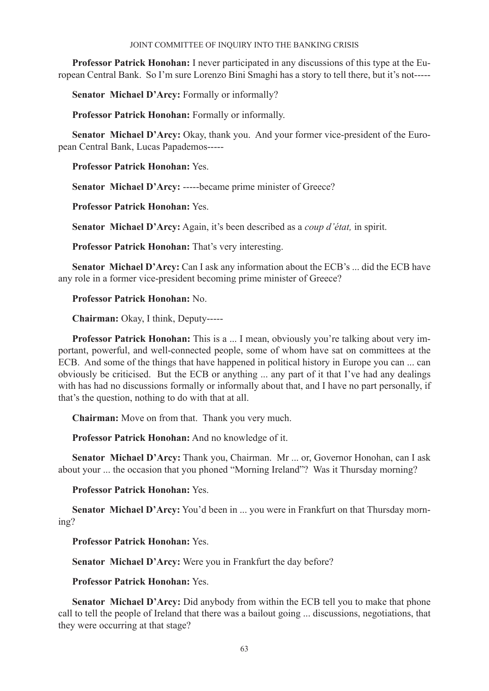**Professor Patrick Honohan:** I never participated in any discussions of this type at the European Central Bank. So I'm sure Lorenzo Bini Smaghi has a story to tell there, but it's not-----

**Senator Michael D'Arcy:** Formally or informally?

**Professor Patrick Honohan:** Formally or informally.

**Senator Michael D'Arcy:** Okay, thank you. And your former vice-president of the European Central Bank, Lucas Papademos-----

**Professor Patrick Honohan:** Yes.

**Senator Michael D'Arcy:** -----became prime minister of Greece?

**Professor Patrick Honohan:** Yes.

**Senator Michael D'Arcy:** Again, it's been described as a *coup d'état,* in spirit.

**Professor Patrick Honohan:** That's very interesting.

**Senator Michael D'Arcy:** Can I ask any information about the ECB's ... did the ECB have any role in a former vice-president becoming prime minister of Greece?

# **Professor Patrick Honohan:** No.

**Chairman:** Okay, I think, Deputy-----

**Professor Patrick Honohan:** This is a ... I mean, obviously you're talking about very important, powerful, and well-connected people, some of whom have sat on committees at the ECB. And some of the things that have happened in political history in Europe you can ... can obviously be criticised. But the ECB or anything ... any part of it that I've had any dealings with has had no discussions formally or informally about that, and I have no part personally, if that's the question, nothing to do with that at all.

**Chairman:** Move on from that. Thank you very much.

**Professor Patrick Honohan:** And no knowledge of it.

**Senator Michael D'Arcy:** Thank you, Chairman. Mr ... or, Governor Honohan, can I ask about your ... the occasion that you phoned "Morning Ireland"? Was it Thursday morning?

**Professor Patrick Honohan:** Yes.

**Senator Michael D'Arcy:** You'd been in ... you were in Frankfurt on that Thursday morning?

**Professor Patrick Honohan:** Yes.

**Senator Michael D'Arcy:** Were you in Frankfurt the day before?

**Professor Patrick Honohan:** Yes.

**Senator Michael D'Arcy:** Did anybody from within the ECB tell you to make that phone call to tell the people of Ireland that there was a bailout going ... discussions, negotiations, that they were occurring at that stage?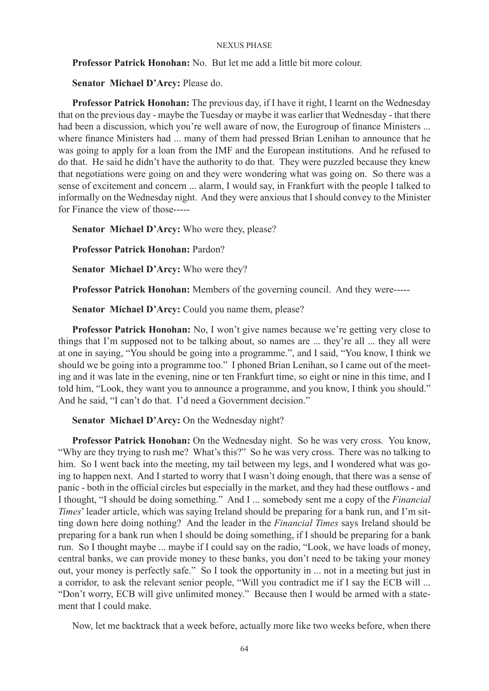**Professor Patrick Honohan:** No. But let me add a little bit more colour.

**Senator Michael D'Arcy:** Please do.

**Professor Patrick Honohan:** The previous day, if I have it right, I learnt on the Wednesday that on the previous day - maybe the Tuesday or maybe it was earlier that Wednesday - that there had been a discussion, which you're well aware of now, the Eurogroup of finance Ministers ... where finance Ministers had ... many of them had pressed Brian Lenihan to announce that he was going to apply for a loan from the IMF and the European institutions. And he refused to do that. He said he didn't have the authority to do that. They were puzzled because they knew that negotiations were going on and they were wondering what was going on. So there was a sense of excitement and concern ... alarm, I would say, in Frankfurt with the people I talked to informally on the Wednesday night. And they were anxious that I should convey to the Minister for Finance the view of those-----

**Senator Michael D'Arcy:** Who were they, please?

**Professor Patrick Honohan:** Pardon?

**Senator Michael D'Arcy:** Who were they?

**Professor Patrick Honohan:** Members of the governing council. And they were-----

**Senator Michael D'Arcy:** Could you name them, please?

**Professor Patrick Honohan:** No, I won't give names because we're getting very close to things that I'm supposed not to be talking about, so names are ... they're all ... they all were at one in saying, "You should be going into a programme.", and I said, "You know, I think we should we be going into a programme too." I phoned Brian Lenihan, so I came out of the meeting and it was late in the evening, nine or ten Frankfurt time, so eight or nine in this time, and I told him, "Look, they want you to announce a programme, and you know, I think you should." And he said, "I can't do that. I'd need a Government decision."

**Senator Michael D'Arcy:** On the Wednesday night?

**Professor Patrick Honohan:** On the Wednesday night. So he was very cross. You know, "Why are they trying to rush me? What's this?" So he was very cross. There was no talking to him. So I went back into the meeting, my tail between my legs, and I wondered what was going to happen next. And I started to worry that I wasn't doing enough, that there was a sense of panic - both in the official circles but especially in the market, and they had these outflows - and I thought, "I should be doing something." And I ... somebody sent me a copy of the *Financial Times*' leader article, which was saying Ireland should be preparing for a bank run, and I'm sitting down here doing nothing? And the leader in the *Financial Times* says Ireland should be preparing for a bank run when I should be doing something, if I should be preparing for a bank run. So I thought maybe ... maybe if I could say on the radio, "Look, we have loads of money, central banks, we can provide money to these banks, you don't need to be taking your money out, your money is perfectly safe." So I took the opportunity in ... not in a meeting but just in a corridor, to ask the relevant senior people, "Will you contradict me if I say the ECB will ... "Don't worry, ECB will give unlimited money." Because then I would be armed with a statement that I could make.

Now, let me backtrack that a week before, actually more like two weeks before, when there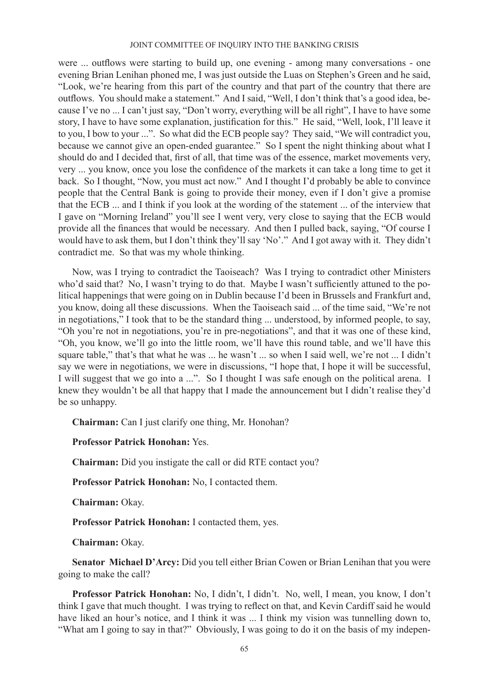were ... outflows were starting to build up, one evening - among many conversations - one evening Brian Lenihan phoned me, I was just outside the Luas on Stephen's Green and he said, "Look, we're hearing from this part of the country and that part of the country that there are outflows. You should make a statement." And I said, "Well, I don't think that's a good idea, because I've no ... I can't just say, "Don't worry, everything will be all right", I have to have some story, I have to have some explanation, justification for this." He said, "Well, look, I'll leave it to you, I bow to your ...". So what did the ECB people say? They said, "We will contradict you, because we cannot give an open-ended guarantee." So I spent the night thinking about what I should do and I decided that, first of all, that time was of the essence, market movements very, very ... you know, once you lose the confidence of the markets it can take a long time to get it back. So I thought, "Now, you must act now." And I thought I'd probably be able to convince people that the Central Bank is going to provide their money, even if I don't give a promise that the ECB ... and I think if you look at the wording of the statement ... of the interview that I gave on "Morning Ireland" you'll see I went very, very close to saying that the ECB would provide all the finances that would be necessary. And then I pulled back, saying, "Of course I would have to ask them, but I don't think they'll say 'No'." And I got away with it. They didn't contradict me. So that was my whole thinking.

Now, was I trying to contradict the Taoiseach? Was I trying to contradict other Ministers who'd said that? No, I wasn't trying to do that. Maybe I wasn't sufficiently attuned to the political happenings that were going on in Dublin because I'd been in Brussels and Frankfurt and, you know, doing all these discussions. When the Taoiseach said ... of the time said, "We're not in negotiations," I took that to be the standard thing ... understood, by informed people, to say, "Oh you're not in negotiations, you're in pre-negotiations", and that it was one of these kind, "Oh, you know, we'll go into the little room, we'll have this round table, and we'll have this square table," that's that what he was ... he wasn't ... so when I said well, we're not ... I didn't say we were in negotiations, we were in discussions, "I hope that, I hope it will be successful, I will suggest that we go into a ...". So I thought I was safe enough on the political arena. I knew they wouldn't be all that happy that I made the announcement but I didn't realise they'd be so unhappy.

**Chairman:** Can I just clarify one thing, Mr. Honohan?

**Professor Patrick Honohan:** Yes.

**Chairman:** Did you instigate the call or did RTE contact you?

**Professor Patrick Honohan:** No, I contacted them.

**Chairman:** Okay.

**Professor Patrick Honohan:** I contacted them, yes.

**Chairman:** Okay.

**Senator Michael D'Arcy:** Did you tell either Brian Cowen or Brian Lenihan that you were going to make the call?

**Professor Patrick Honohan:** No, I didn't, I didn't. No, well, I mean, you know, I don't think I gave that much thought. I was trying to reflect on that, and Kevin Cardiff said he would have liked an hour's notice, and I think it was ... I think my vision was tunnelling down to, "What am I going to say in that?" Obviously, I was going to do it on the basis of my indepen-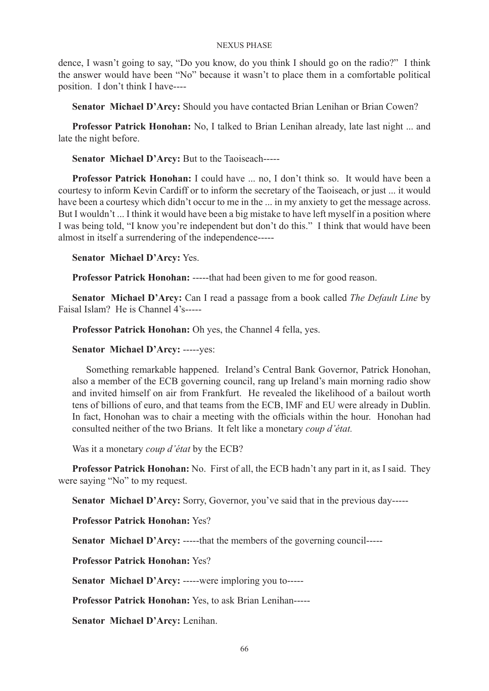dence, I wasn't going to say, "Do you know, do you think I should go on the radio?" I think the answer would have been "No" because it wasn't to place them in a comfortable political position. I don't think I have----

**Senator Michael D'Arcy:** Should you have contacted Brian Lenihan or Brian Cowen?

**Professor Patrick Honohan:** No, I talked to Brian Lenihan already, late last night ... and late the night before.

**Senator Michael D'Arcy:** But to the Taoiseach-----

**Professor Patrick Honohan:** I could have ... no, I don't think so. It would have been a courtesy to inform Kevin Cardiff or to inform the secretary of the Taoiseach, or just ... it would have been a courtesy which didn't occur to me in the ... in my anxiety to get the message across. But I wouldn't ... I think it would have been a big mistake to have left myself in a position where I was being told, "I know you're independent but don't do this." I think that would have been almost in itself a surrendering of the independence-----

# **Senator Michael D'Arcy:** Yes.

**Professor Patrick Honohan:** -----that had been given to me for good reason.

**Senator Michael D'Arcy:** Can I read a passage from a book called *The Default Line* by Faisal Islam? He is Channel 4's-----

**Professor Patrick Honohan:** Oh yes, the Channel 4 fella, yes.

# **Senator Michael D'Arcy:** -----yes:

Something remarkable happened. Ireland's Central Bank Governor, Patrick Honohan, also a member of the ECB governing council, rang up Ireland's main morning radio show and invited himself on air from Frankfurt. He revealed the likelihood of a bailout worth tens of billions of euro, and that teams from the ECB, IMF and EU were already in Dublin. In fact, Honohan was to chair a meeting with the officials within the hour. Honohan had consulted neither of the two Brians. It felt like a monetary *coup d'état.*

Was it a monetary *coup d'état* by the ECB?

**Professor Patrick Honohan:** No. First of all, the ECB hadn't any part in it, as I said. They were saying "No" to my request.

**Senator Michael D'Arcy:** Sorry, Governor, you've said that in the previous day-----

# **Professor Patrick Honohan:** Yes?

**Senator Michael D'Arcy:** -----that the members of the governing council-----

**Professor Patrick Honohan:** Yes?

**Senator Michael D'Arcy:** -----were imploring you to-----

**Professor Patrick Honohan:** Yes, to ask Brian Lenihan-----

**Senator Michael D'Arcy:** Lenihan.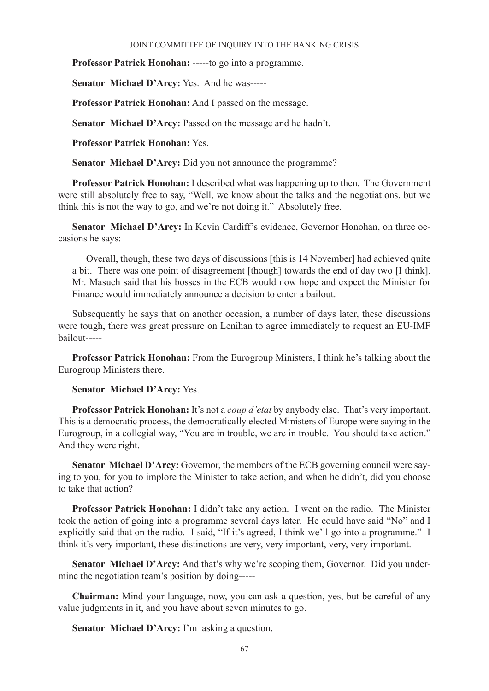**Professor Patrick Honohan:** -----to go into a programme.

**Senator Michael D'Arcy:** Yes. And he was-----

**Professor Patrick Honohan:** And I passed on the message.

**Senator Michael D'Arcy:** Passed on the message and he hadn't.

**Professor Patrick Honohan:** Yes.

**Senator Michael D'Arcy:** Did you not announce the programme?

**Professor Patrick Honohan:** I described what was happening up to then. The Government were still absolutely free to say, "Well, we know about the talks and the negotiations, but we think this is not the way to go, and we're not doing it." Absolutely free.

**Senator Michael D'Arcy:** In Kevin Cardiff's evidence, Governor Honohan, on three occasions he says:

Overall, though, these two days of discussions [this is 14 November] had achieved quite a bit. There was one point of disagreement [though] towards the end of day two [I think]. Mr. Masuch said that his bosses in the ECB would now hope and expect the Minister for Finance would immediately announce a decision to enter a bailout.

Subsequently he says that on another occasion, a number of days later, these discussions were tough, there was great pressure on Lenihan to agree immediately to request an EU-IMF bailout-----

**Professor Patrick Honohan:** From the Eurogroup Ministers, I think he's talking about the Eurogroup Ministers there.

**Senator Michael D'Arcy:** Yes.

**Professor Patrick Honohan:** It's not a *coup d'etat* by anybody else. That's very important. This is a democratic process, the democratically elected Ministers of Europe were saying in the Eurogroup, in a collegial way, "You are in trouble, we are in trouble. You should take action." And they were right.

**Senator Michael D'Arcy:** Governor, the members of the ECB governing council were saying to you, for you to implore the Minister to take action, and when he didn't, did you choose to take that action?

**Professor Patrick Honohan:** I didn't take any action. I went on the radio. The Minister took the action of going into a programme several days later. He could have said "No" and I explicitly said that on the radio. I said, "If it's agreed, I think we'll go into a programme." I think it's very important, these distinctions are very, very important, very, very important.

**Senator Michael D'Arcy:** And that's why we're scoping them, Governor. Did you undermine the negotiation team's position by doing-----

**Chairman:** Mind your language, now, you can ask a question, yes, but be careful of any value judgments in it, and you have about seven minutes to go.

**Senator Michael D'Arcy:** I'm asking a question.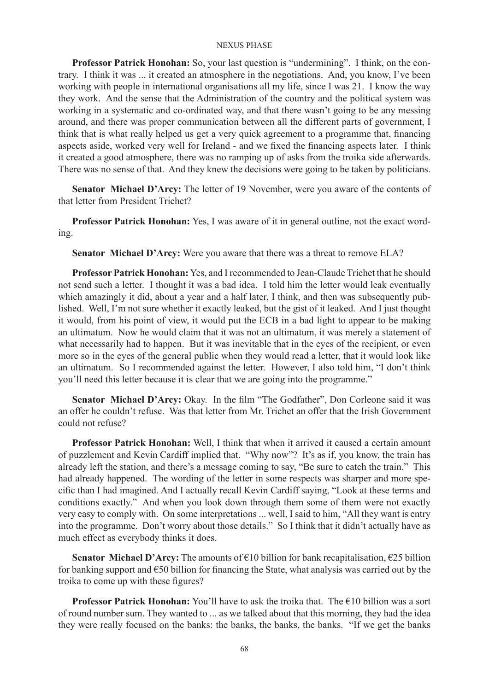**Professor Patrick Honohan:** So, your last question is "undermining". I think, on the contrary. I think it was ... it created an atmosphere in the negotiations. And, you know, I've been working with people in international organisations all my life, since I was 21. I know the way they work. And the sense that the Administration of the country and the political system was working in a systematic and co-ordinated way, and that there wasn't going to be any messing around, and there was proper communication between all the different parts of government, I think that is what really helped us get a very quick agreement to a programme that, financing aspects aside, worked very well for Ireland - and we fixed the financing aspects later. I think it created a good atmosphere, there was no ramping up of asks from the troika side afterwards. There was no sense of that. And they knew the decisions were going to be taken by politicians.

**Senator Michael D'Arcy:** The letter of 19 November, were you aware of the contents of that letter from President Trichet?

**Professor Patrick Honohan:** Yes, I was aware of it in general outline, not the exact wording.

**Senator Michael D'Arcy:** Were you aware that there was a threat to remove ELA?

**Professor Patrick Honohan:** Yes, and I recommended to Jean-Claude Trichet that he should not send such a letter. I thought it was a bad idea. I told him the letter would leak eventually which amazingly it did, about a year and a half later, I think, and then was subsequently published. Well, I'm not sure whether it exactly leaked, but the gist of it leaked. And I just thought it would, from his point of view, it would put the ECB in a bad light to appear to be making an ultimatum. Now he would claim that it was not an ultimatum, it was merely a statement of what necessarily had to happen. But it was inevitable that in the eyes of the recipient, or even more so in the eyes of the general public when they would read a letter, that it would look like an ultimatum. So I recommended against the letter. However, I also told him, "I don't think you'll need this letter because it is clear that we are going into the programme."

**Senator Michael D'Arcy:** Okay. In the film "The Godfather", Don Corleone said it was an offer he couldn't refuse. Was that letter from Mr. Trichet an offer that the Irish Government could not refuse?

**Professor Patrick Honohan:** Well, I think that when it arrived it caused a certain amount of puzzlement and Kevin Cardiff implied that. "Why now"? It's as if, you know, the train has already left the station, and there's a message coming to say, "Be sure to catch the train." This had already happened. The wording of the letter in some respects was sharper and more specific than I had imagined. And I actually recall Kevin Cardiff saying, "Look at these terms and conditions exactly." And when you look down through them some of them were not exactly very easy to comply with. On some interpretations ... well, I said to him, "All they want is entry into the programme. Don't worry about those details." So I think that it didn't actually have as much effect as everybody thinks it does.

**Senator Michael D'Arcy:** The amounts of €10 billion for bank recapitalisation, €25 billion for banking support and €50 billion for financing the State, what analysis was carried out by the troika to come up with these figures?

**Professor Patrick Honohan:** You'll have to ask the troika that. The €10 billion was a sort of round number sum. They wanted to ... as we talked about that this morning, they had the idea they were really focused on the banks: the banks, the banks, the banks. "If we get the banks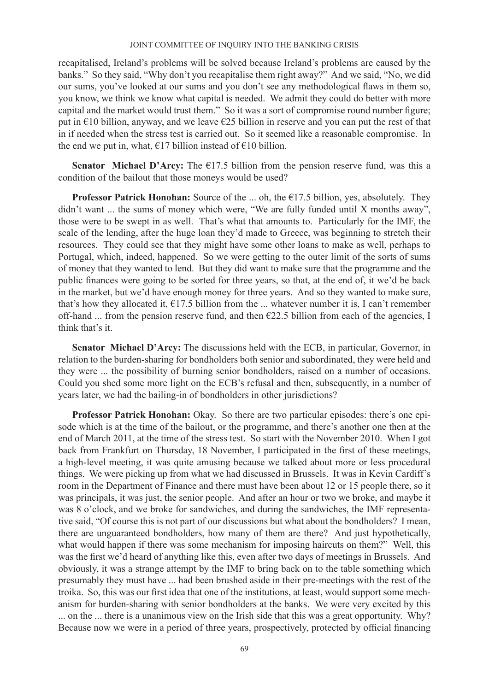recapitalised, Ireland's problems will be solved because Ireland's problems are caused by the banks." So they said, "Why don't you recapitalise them right away?" And we said, "No, we did our sums, you've looked at our sums and you don't see any methodological flaws in them so, you know, we think we know what capital is needed. We admit they could do better with more capital and the market would trust them." So it was a sort of compromise round number figure; put in €10 billion, anyway, and we leave €25 billion in reserve and you can put the rest of that in if needed when the stress test is carried out. So it seemed like a reasonable compromise. In the end we put in, what,  $\epsilon$ 17 billion instead of  $\epsilon$ 10 billion.

**Senator Michael D'Arcy:** The  $\epsilon$ 17.5 billion from the pension reserve fund, was this a condition of the bailout that those moneys would be used?

**Professor Patrick Honohan:** Source of the ... oh, the €17.5 billion, yes, absolutely. They didn't want ... the sums of money which were, "We are fully funded until X months away", those were to be swept in as well. That's what that amounts to. Particularly for the IMF, the scale of the lending, after the huge loan they'd made to Greece, was beginning to stretch their resources. They could see that they might have some other loans to make as well, perhaps to Portugal, which, indeed, happened. So we were getting to the outer limit of the sorts of sums of money that they wanted to lend. But they did want to make sure that the programme and the public finances were going to be sorted for three years, so that, at the end of, it we'd be back in the market, but we'd have enough money for three years. And so they wanted to make sure, that's how they allocated it,  $\epsilon$ 17.5 billion from the ... whatever number it is, I can't remember off-hand ... from the pension reserve fund, and then  $E22.5$  billion from each of the agencies, I think that's it.

**Senator Michael D'Arcy:** The discussions held with the ECB, in particular, Governor, in relation to the burden-sharing for bondholders both senior and subordinated, they were held and they were ... the possibility of burning senior bondholders, raised on a number of occasions. Could you shed some more light on the ECB's refusal and then, subsequently, in a number of years later, we had the bailing-in of bondholders in other jurisdictions?

**Professor Patrick Honohan:** Okay. So there are two particular episodes: there's one episode which is at the time of the bailout, or the programme, and there's another one then at the end of March 2011, at the time of the stress test. So start with the November 2010. When I got back from Frankfurt on Thursday, 18 November, I participated in the first of these meetings, a high-level meeting, it was quite amusing because we talked about more or less procedural things. We were picking up from what we had discussed in Brussels. It was in Kevin Cardiff's room in the Department of Finance and there must have been about 12 or 15 people there, so it was principals, it was just, the senior people. And after an hour or two we broke, and maybe it was 8 o'clock, and we broke for sandwiches, and during the sandwiches, the IMF representative said, "Of course this is not part of our discussions but what about the bondholders? I mean, there are unguaranteed bondholders, how many of them are there? And just hypothetically, what would happen if there was some mechanism for imposing haircuts on them?" Well, this was the first we'd heard of anything like this, even after two days of meetings in Brussels. And obviously, it was a strange attempt by the IMF to bring back on to the table something which presumably they must have ... had been brushed aside in their pre-meetings with the rest of the troika. So, this was our first idea that one of the institutions, at least, would support some mechanism for burden-sharing with senior bondholders at the banks. We were very excited by this ... on the ... there is a unanimous view on the Irish side that this was a great opportunity. Why? Because now we were in a period of three years, prospectively, protected by official financing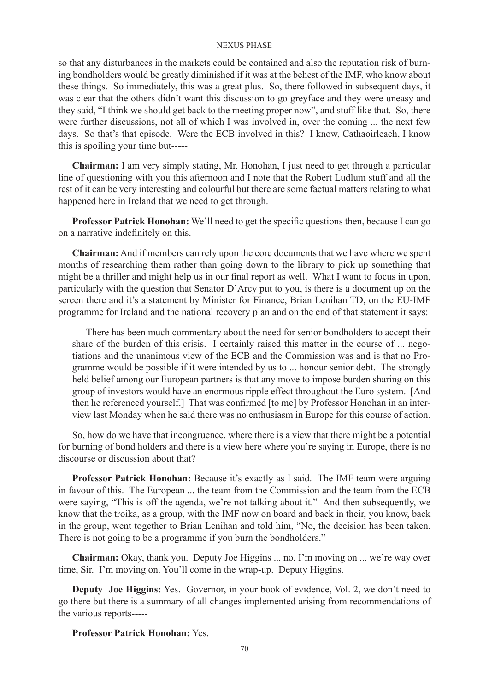so that any disturbances in the markets could be contained and also the reputation risk of burning bondholders would be greatly diminished if it was at the behest of the IMF, who know about these things. So immediately, this was a great plus. So, there followed in subsequent days, it was clear that the others didn't want this discussion to go greyface and they were uneasy and they said, "I think we should get back to the meeting proper now", and stuff like that. So, there were further discussions, not all of which I was involved in, over the coming ... the next few days. So that's that episode. Were the ECB involved in this? I know, Cathaoirleach, I know this is spoiling your time but-----

**Chairman:** I am very simply stating, Mr. Honohan, I just need to get through a particular line of questioning with you this afternoon and I note that the Robert Ludlum stuff and all the rest of it can be very interesting and colourful but there are some factual matters relating to what happened here in Ireland that we need to get through.

**Professor Patrick Honohan:** We'll need to get the specific questions then, because I can go on a narrative indefinitely on this.

**Chairman:** And if members can rely upon the core documents that we have where we spent months of researching them rather than going down to the library to pick up something that might be a thriller and might help us in our final report as well. What I want to focus in upon, particularly with the question that Senator D'Arcy put to you, is there is a document up on the screen there and it's a statement by Minister for Finance, Brian Lenihan TD, on the EU-IMF programme for Ireland and the national recovery plan and on the end of that statement it says:

There has been much commentary about the need for senior bondholders to accept their share of the burden of this crisis. I certainly raised this matter in the course of ... negotiations and the unanimous view of the ECB and the Commission was and is that no Programme would be possible if it were intended by us to ... honour senior debt. The strongly held belief among our European partners is that any move to impose burden sharing on this group of investors would have an enormous ripple effect throughout the Euro system. [And then he referenced yourself.] That was confirmed [to me] by Professor Honohan in an interview last Monday when he said there was no enthusiasm in Europe for this course of action.

So, how do we have that incongruence, where there is a view that there might be a potential for burning of bond holders and there is a view here where you're saying in Europe, there is no discourse or discussion about that?

**Professor Patrick Honohan:** Because it's exactly as I said. The IMF team were arguing in favour of this. The European ... the team from the Commission and the team from the ECB were saying, "This is off the agenda, we're not talking about it." And then subsequently, we know that the troika, as a group, with the IMF now on board and back in their, you know, back in the group, went together to Brian Lenihan and told him, "No, the decision has been taken. There is not going to be a programme if you burn the bondholders."

**Chairman:** Okay, thank you. Deputy Joe Higgins ... no, I'm moving on ... we're way over time, Sir. I'm moving on. You'll come in the wrap-up. Deputy Higgins.

**Deputy Joe Higgins:** Yes. Governor, in your book of evidence, Vol. 2, we don't need to go there but there is a summary of all changes implemented arising from recommendations of the various reports-----

# **Professor Patrick Honohan:** Yes.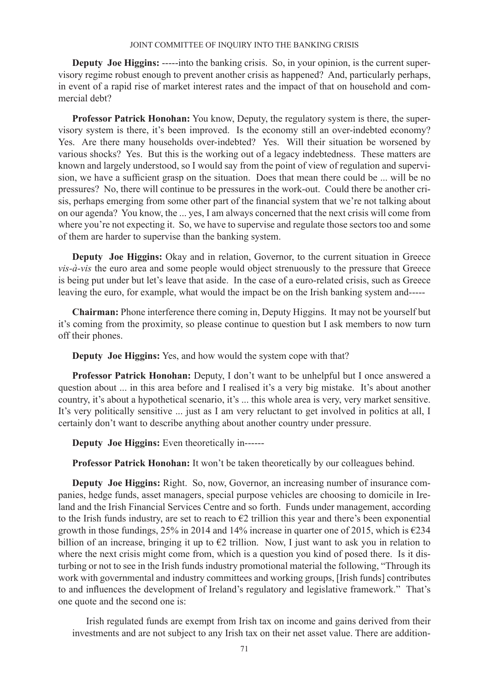**Deputy Joe Higgins:** -----into the banking crisis. So, in your opinion, is the current supervisory regime robust enough to prevent another crisis as happened? And, particularly perhaps, in event of a rapid rise of market interest rates and the impact of that on household and commercial debt?

**Professor Patrick Honohan:** You know, Deputy, the regulatory system is there, the supervisory system is there, it's been improved. Is the economy still an over-indebted economy? Yes. Are there many households over-indebted? Yes. Will their situation be worsened by various shocks? Yes. But this is the working out of a legacy indebtedness. These matters are known and largely understood, so I would say from the point of view of regulation and supervision, we have a sufficient grasp on the situation. Does that mean there could be ... will be no pressures? No, there will continue to be pressures in the work-out. Could there be another crisis, perhaps emerging from some other part of the financial system that we're not talking about on our agenda? You know, the ... yes, I am always concerned that the next crisis will come from where you're not expecting it. So, we have to supervise and regulate those sectors too and some of them are harder to supervise than the banking system.

**Deputy Joe Higgins:** Okay and in relation, Governor, to the current situation in Greece *vis-à-vis* the euro area and some people would object strenuously to the pressure that Greece is being put under but let's leave that aside. In the case of a euro-related crisis, such as Greece leaving the euro, for example, what would the impact be on the Irish banking system and-----

**Chairman:** Phone interference there coming in, Deputy Higgins. It may not be yourself but it's coming from the proximity, so please continue to question but I ask members to now turn off their phones.

**Deputy Joe Higgins:** Yes, and how would the system cope with that?

**Professor Patrick Honohan:** Deputy, I don't want to be unhelpful but I once answered a question about ... in this area before and I realised it's a very big mistake. It's about another country, it's about a hypothetical scenario, it's ... this whole area is very, very market sensitive. It's very politically sensitive ... just as I am very reluctant to get involved in politics at all, I certainly don't want to describe anything about another country under pressure.

**Deputy Joe Higgins:** Even theoretically in------

**Professor Patrick Honohan:** It won't be taken theoretically by our colleagues behind.

**Deputy Joe Higgins:** Right. So, now, Governor, an increasing number of insurance companies, hedge funds, asset managers, special purpose vehicles are choosing to domicile in Ireland and the Irish Financial Services Centre and so forth. Funds under management, according to the Irish funds industry, are set to reach to  $\epsilon$ 2 trillion this year and there's been exponential growth in those fundings, 25% in 2014 and 14% increase in quarter one of 2015, which is  $\epsilon$ 234 billion of an increase, bringing it up to  $\epsilon$ 2 trillion. Now, I just want to ask you in relation to where the next crisis might come from, which is a question you kind of posed there. Is it disturbing or not to see in the Irish funds industry promotional material the following, "Through its work with governmental and industry committees and working groups, [Irish funds] contributes to and influences the development of Ireland's regulatory and legislative framework." That's one quote and the second one is:

Irish regulated funds are exempt from Irish tax on income and gains derived from their investments and are not subject to any Irish tax on their net asset value. There are addition-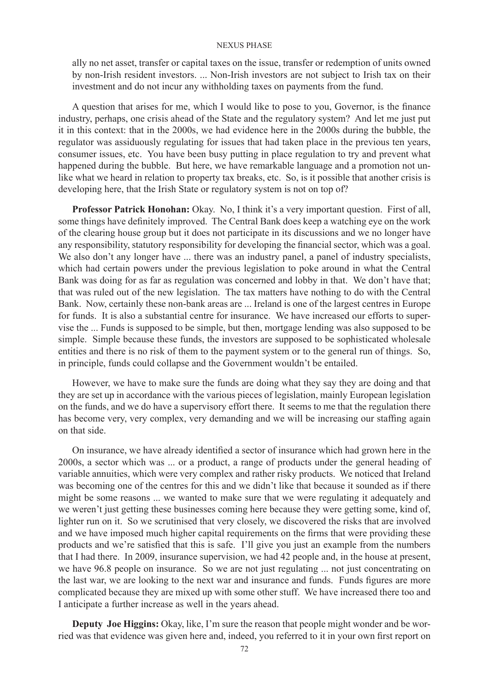ally no net asset, transfer or capital taxes on the issue, transfer or redemption of units owned by non-Irish resident investors. ... Non-Irish investors are not subject to Irish tax on their investment and do not incur any withholding taxes on payments from the fund.

A question that arises for me, which I would like to pose to you, Governor, is the finance industry, perhaps, one crisis ahead of the State and the regulatory system? And let me just put it in this context: that in the 2000s, we had evidence here in the 2000s during the bubble, the regulator was assiduously regulating for issues that had taken place in the previous ten years, consumer issues, etc. You have been busy putting in place regulation to try and prevent what happened during the bubble. But here, we have remarkable language and a promotion not unlike what we heard in relation to property tax breaks, etc. So, is it possible that another crisis is developing here, that the Irish State or regulatory system is not on top of?

**Professor Patrick Honohan:** Okay. No, I think it's a very important question. First of all, some things have definitely improved. The Central Bank does keep a watching eye on the work of the clearing house group but it does not participate in its discussions and we no longer have any responsibility, statutory responsibility for developing the financial sector, which was a goal. We also don't any longer have ... there was an industry panel, a panel of industry specialists, which had certain powers under the previous legislation to poke around in what the Central Bank was doing for as far as regulation was concerned and lobby in that. We don't have that; that was ruled out of the new legislation. The tax matters have nothing to do with the Central Bank. Now, certainly these non-bank areas are ... Ireland is one of the largest centres in Europe for funds. It is also a substantial centre for insurance. We have increased our efforts to supervise the ... Funds is supposed to be simple, but then, mortgage lending was also supposed to be simple. Simple because these funds, the investors are supposed to be sophisticated wholesale entities and there is no risk of them to the payment system or to the general run of things. So, in principle, funds could collapse and the Government wouldn't be entailed.

However, we have to make sure the funds are doing what they say they are doing and that they are set up in accordance with the various pieces of legislation, mainly European legislation on the funds, and we do have a supervisory effort there. It seems to me that the regulation there has become very, very complex, very demanding and we will be increasing our staffing again on that side.

On insurance, we have already identified a sector of insurance which had grown here in the 2000s, a sector which was ... or a product, a range of products under the general heading of variable annuities, which were very complex and rather risky products. We noticed that Ireland was becoming one of the centres for this and we didn't like that because it sounded as if there might be some reasons ... we wanted to make sure that we were regulating it adequately and we weren't just getting these businesses coming here because they were getting some, kind of, lighter run on it. So we scrutinised that very closely, we discovered the risks that are involved and we have imposed much higher capital requirements on the firms that were providing these products and we're satisfied that this is safe. I'll give you just an example from the numbers that I had there. In 2009, insurance supervision, we had 42 people and, in the house at present, we have 96.8 people on insurance. So we are not just regulating ... not just concentrating on the last war, we are looking to the next war and insurance and funds. Funds figures are more complicated because they are mixed up with some other stuff. We have increased there too and I anticipate a further increase as well in the years ahead.

**Deputy Joe Higgins:** Okay, like, I'm sure the reason that people might wonder and be worried was that evidence was given here and, indeed, you referred to it in your own first report on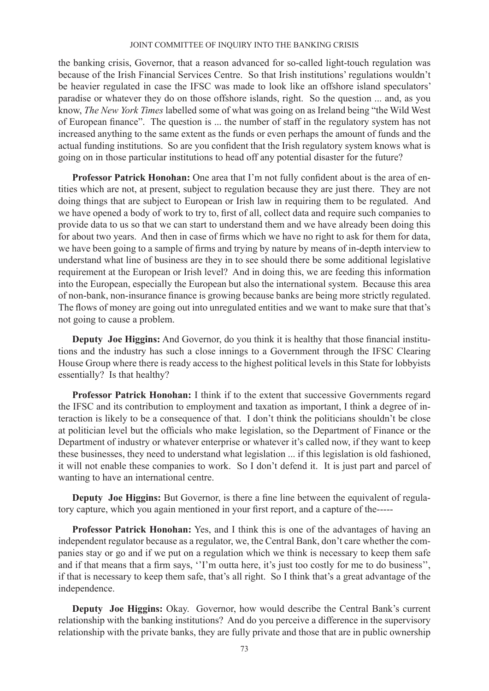the banking crisis, Governor, that a reason advanced for so-called light-touch regulation was because of the Irish Financial Services Centre. So that Irish institutions' regulations wouldn't be heavier regulated in case the IFSC was made to look like an offshore island speculators' paradise or whatever they do on those offshore islands, right. So the question ... and, as you know, *The New York Times* labelled some of what was going on as Ireland being "the Wild West of European finance". The question is ... the number of staff in the regulatory system has not increased anything to the same extent as the funds or even perhaps the amount of funds and the actual funding institutions. So are you confident that the Irish regulatory system knows what is going on in those particular institutions to head off any potential disaster for the future?

**Professor Patrick Honohan:** One area that I'm not fully confident about is the area of entities which are not, at present, subject to regulation because they are just there. They are not doing things that are subject to European or Irish law in requiring them to be regulated. And we have opened a body of work to try to, first of all, collect data and require such companies to provide data to us so that we can start to understand them and we have already been doing this for about two years. And then in case of firms which we have no right to ask for them for data, we have been going to a sample of firms and trying by nature by means of in-depth interview to understand what line of business are they in to see should there be some additional legislative requirement at the European or Irish level? And in doing this, we are feeding this information into the European, especially the European but also the international system. Because this area of non-bank, non-insurance finance is growing because banks are being more strictly regulated. The flows of money are going out into unregulated entities and we want to make sure that that's not going to cause a problem.

**Deputy Joe Higgins:** And Governor, do you think it is healthy that those financial institutions and the industry has such a close innings to a Government through the IFSC Clearing House Group where there is ready access to the highest political levels in this State for lobbyists essentially? Is that healthy?

**Professor Patrick Honohan:** I think if to the extent that successive Governments regard the IFSC and its contribution to employment and taxation as important, I think a degree of interaction is likely to be a consequence of that. I don't think the politicians shouldn't be close at politician level but the officials who make legislation, so the Department of Finance or the Department of industry or whatever enterprise or whatever it's called now, if they want to keep these businesses, they need to understand what legislation ... if this legislation is old fashioned, it will not enable these companies to work. So I don't defend it. It is just part and parcel of wanting to have an international centre.

**Deputy Joe Higgins:** But Governor, is there a fine line between the equivalent of regulatory capture, which you again mentioned in your first report, and a capture of the-----

**Professor Patrick Honohan:** Yes, and I think this is one of the advantages of having an independent regulator because as a regulator, we, the Central Bank, don't care whether the companies stay or go and if we put on a regulation which we think is necessary to keep them safe and if that means that a firm says, ''I'm outta here, it's just too costly for me to do business'', if that is necessary to keep them safe, that's all right. So I think that's a great advantage of the independence.

**Deputy Joe Higgins:** Okay. Governor, how would describe the Central Bank's current relationship with the banking institutions? And do you perceive a difference in the supervisory relationship with the private banks, they are fully private and those that are in public ownership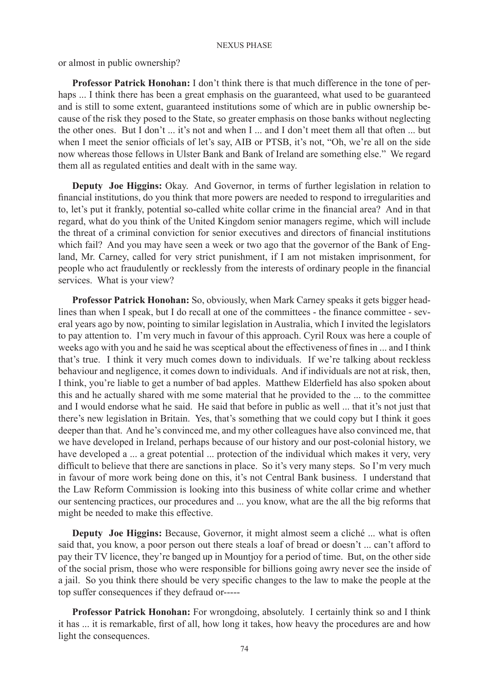or almost in public ownership?

**Professor Patrick Honohan:** I don't think there is that much difference in the tone of perhaps ... I think there has been a great emphasis on the guaranteed, what used to be guaranteed and is still to some extent, guaranteed institutions some of which are in public ownership because of the risk they posed to the State, so greater emphasis on those banks without neglecting the other ones. But I don't ... it's not and when I ... and I don't meet them all that often ... but when I meet the senior officials of let's say, AIB or PTSB, it's not, "Oh, we're all on the side now whereas those fellows in Ulster Bank and Bank of Ireland are something else." We regard them all as regulated entities and dealt with in the same way.

**Deputy Joe Higgins:** Okay. And Governor, in terms of further legislation in relation to financial institutions, do you think that more powers are needed to respond to irregularities and to, let's put it frankly, potential so-called white collar crime in the financial area? And in that regard, what do you think of the United Kingdom senior managers regime, which will include the threat of a criminal conviction for senior executives and directors of financial institutions which fail? And you may have seen a week or two ago that the governor of the Bank of England, Mr. Carney, called for very strict punishment, if I am not mistaken imprisonment, for people who act fraudulently or recklessly from the interests of ordinary people in the financial services. What is your view?

**Professor Patrick Honohan:** So, obviously, when Mark Carney speaks it gets bigger headlines than when I speak, but I do recall at one of the committees - the finance committee - several years ago by now, pointing to similar legislation in Australia, which I invited the legislators to pay attention to. I'm very much in favour of this approach. Cyril Roux was here a couple of weeks ago with you and he said he was sceptical about the effectiveness of fines in ... and I think that's true. I think it very much comes down to individuals. If we're talking about reckless behaviour and negligence, it comes down to individuals. And if individuals are not at risk, then, I think, you're liable to get a number of bad apples. Matthew Elderfield has also spoken about this and he actually shared with me some material that he provided to the ... to the committee and I would endorse what he said. He said that before in public as well ... that it's not just that there's new legislation in Britain. Yes, that's something that we could copy but I think it goes deeper than that. And he's convinced me, and my other colleagues have also convinced me, that we have developed in Ireland, perhaps because of our history and our post-colonial history, we have developed a ... a great potential ... protection of the individual which makes it very, very difficult to believe that there are sanctions in place. So it's very many steps. So I'm very much in favour of more work being done on this, it's not Central Bank business. I understand that the Law Reform Commission is looking into this business of white collar crime and whether our sentencing practices, our procedures and ... you know, what are the all the big reforms that might be needed to make this effective.

**Deputy Joe Higgins:** Because, Governor, it might almost seem a cliché ... what is often said that, you know, a poor person out there steals a loaf of bread or doesn't ... can't afford to pay their TV licence, they're banged up in Mountjoy for a period of time. But, on the other side of the social prism, those who were responsible for billions going awry never see the inside of a jail. So you think there should be very specific changes to the law to make the people at the top suffer consequences if they defraud or-----

**Professor Patrick Honohan:** For wrongdoing, absolutely. I certainly think so and I think it has ... it is remarkable, first of all, how long it takes, how heavy the procedures are and how light the consequences.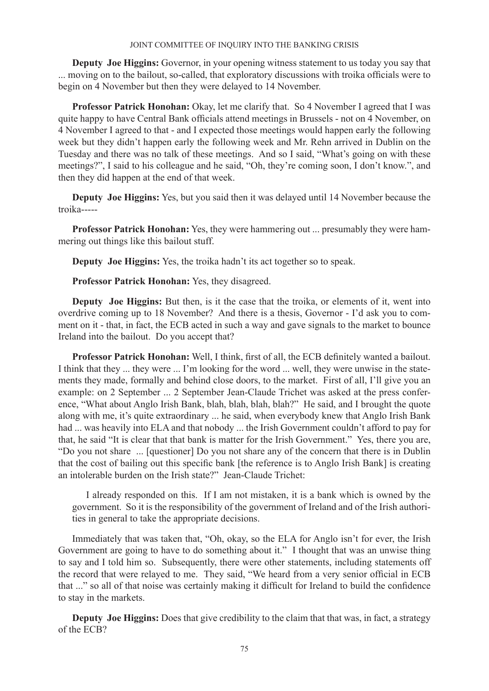**Deputy Joe Higgins:** Governor, in your opening witness statement to us today you say that ... moving on to the bailout, so-called, that exploratory discussions with troika officials were to begin on 4 November but then they were delayed to 14 November.

**Professor Patrick Honohan:** Okay, let me clarify that. So 4 November I agreed that I was quite happy to have Central Bank officials attend meetings in Brussels - not on 4 November, on 4 November I agreed to that - and I expected those meetings would happen early the following week but they didn't happen early the following week and Mr. Rehn arrived in Dublin on the Tuesday and there was no talk of these meetings. And so I said, "What's going on with these meetings?", I said to his colleague and he said, "Oh, they're coming soon, I don't know.", and then they did happen at the end of that week.

**Deputy Joe Higgins:** Yes, but you said then it was delayed until 14 November because the troika-----

**Professor Patrick Honohan:** Yes, they were hammering out ... presumably they were hammering out things like this bailout stuff.

**Deputy Joe Higgins:** Yes, the troika hadn't its act together so to speak.

**Professor Patrick Honohan:** Yes, they disagreed.

**Deputy Joe Higgins:** But then, is it the case that the troika, or elements of it, went into overdrive coming up to 18 November? And there is a thesis, Governor - I'd ask you to comment on it - that, in fact, the ECB acted in such a way and gave signals to the market to bounce Ireland into the bailout. Do you accept that?

**Professor Patrick Honohan:** Well, I think, first of all, the ECB definitely wanted a bailout. I think that they ... they were ... I'm looking for the word ... well, they were unwise in the statements they made, formally and behind close doors, to the market. First of all, I'll give you an example: on 2 September ... 2 September Jean-Claude Trichet was asked at the press conference, "What about Anglo Irish Bank, blah, blah, blah, blah?" He said, and I brought the quote along with me, it's quite extraordinary ... he said, when everybody knew that Anglo Irish Bank had ... was heavily into ELA and that nobody ... the Irish Government couldn't afford to pay for that, he said "It is clear that that bank is matter for the Irish Government." Yes, there you are, "Do you not share ... [questioner] Do you not share any of the concern that there is in Dublin that the cost of bailing out this specific bank [the reference is to Anglo Irish Bank] is creating an intolerable burden on the Irish state?" Jean-Claude Trichet:

I already responded on this. If I am not mistaken, it is a bank which is owned by the government. So it is the responsibility of the government of Ireland and of the Irish authorities in general to take the appropriate decisions.

Immediately that was taken that, "Oh, okay, so the ELA for Anglo isn't for ever, the Irish Government are going to have to do something about it." I thought that was an unwise thing to say and I told him so. Subsequently, there were other statements, including statements off the record that were relayed to me. They said, "We heard from a very senior official in ECB that ..." so all of that noise was certainly making it difficult for Ireland to build the confidence to stay in the markets.

**Deputy Joe Higgins:** Does that give credibility to the claim that that was, in fact, a strategy of the ECB?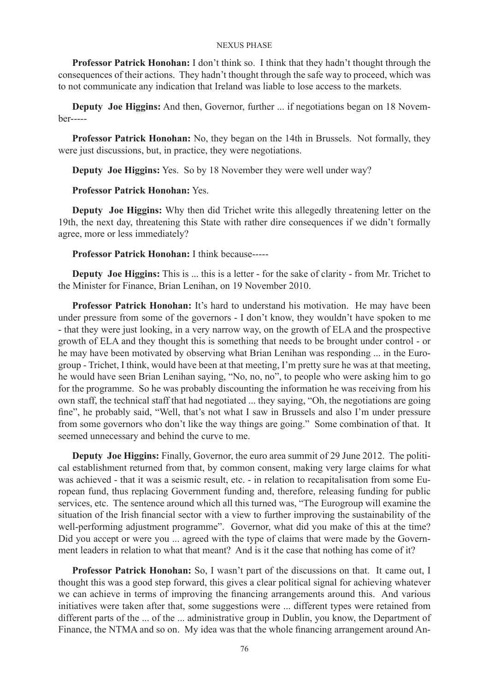**Professor Patrick Honohan:** I don't think so. I think that they hadn't thought through the consequences of their actions. They hadn't thought through the safe way to proceed, which was to not communicate any indication that Ireland was liable to lose access to the markets.

**Deputy Joe Higgins:** And then, Governor, further ... if negotiations began on 18 November-----

**Professor Patrick Honohan:** No, they began on the 14th in Brussels. Not formally, they were just discussions, but, in practice, they were negotiations.

**Deputy Joe Higgins:** Yes. So by 18 November they were well under way?

# **Professor Patrick Honohan:** Yes.

**Deputy Joe Higgins:** Why then did Trichet write this allegedly threatening letter on the 19th, the next day, threatening this State with rather dire consequences if we didn't formally agree, more or less immediately?

## **Professor Patrick Honohan:** I think because-----

**Deputy Joe Higgins:** This is ... this is a letter - for the sake of clarity - from Mr. Trichet to the Minister for Finance, Brian Lenihan, on 19 November 2010.

**Professor Patrick Honohan:** It's hard to understand his motivation. He may have been under pressure from some of the governors - I don't know, they wouldn't have spoken to me - that they were just looking, in a very narrow way, on the growth of ELA and the prospective growth of ELA and they thought this is something that needs to be brought under control - or he may have been motivated by observing what Brian Lenihan was responding ... in the Eurogroup - Trichet, I think, would have been at that meeting, I'm pretty sure he was at that meeting, he would have seen Brian Lenihan saying, "No, no, no", to people who were asking him to go for the programme. So he was probably discounting the information he was receiving from his own staff, the technical staff that had negotiated ... they saying, "Oh, the negotiations are going fine", he probably said, "Well, that's not what I saw in Brussels and also I'm under pressure from some governors who don't like the way things are going." Some combination of that. It seemed unnecessary and behind the curve to me.

**Deputy Joe Higgins:** Finally, Governor, the euro area summit of 29 June 2012. The political establishment returned from that, by common consent, making very large claims for what was achieved - that it was a seismic result, etc. - in relation to recapitalisation from some European fund, thus replacing Government funding and, therefore, releasing funding for public services, etc. The sentence around which all this turned was, "The Eurogroup will examine the situation of the Irish financial sector with a view to further improving the sustainability of the well-performing adjustment programme". Governor, what did you make of this at the time? Did you accept or were you ... agreed with the type of claims that were made by the Government leaders in relation to what that meant? And is it the case that nothing has come of it?

**Professor Patrick Honohan:** So, I wasn't part of the discussions on that. It came out, I thought this was a good step forward, this gives a clear political signal for achieving whatever we can achieve in terms of improving the financing arrangements around this. And various initiatives were taken after that, some suggestions were ... different types were retained from different parts of the ... of the ... administrative group in Dublin, you know, the Department of Finance, the NTMA and so on. My idea was that the whole financing arrangement around An-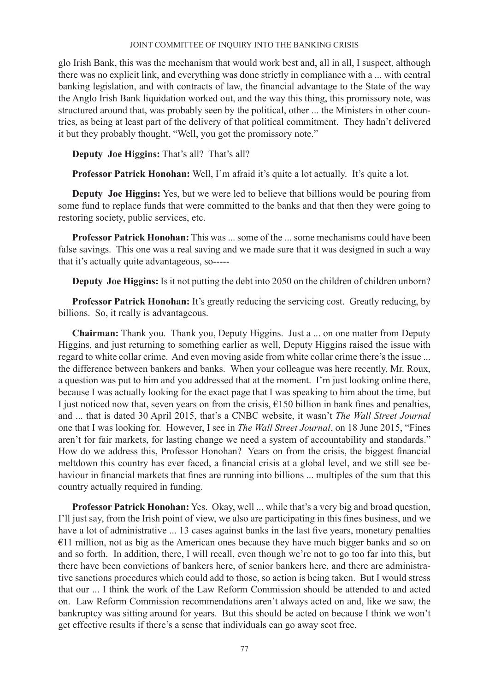glo Irish Bank, this was the mechanism that would work best and, all in all, I suspect, although there was no explicit link, and everything was done strictly in compliance with a ... with central banking legislation, and with contracts of law, the financial advantage to the State of the way the Anglo Irish Bank liquidation worked out, and the way this thing, this promissory note, was structured around that, was probably seen by the political, other ... the Ministers in other countries, as being at least part of the delivery of that political commitment. They hadn't delivered it but they probably thought, "Well, you got the promissory note."

**Deputy Joe Higgins:** That's all? That's all?

**Professor Patrick Honohan:** Well, I'm afraid it's quite a lot actually. It's quite a lot.

**Deputy Joe Higgins:** Yes, but we were led to believe that billions would be pouring from some fund to replace funds that were committed to the banks and that then they were going to restoring society, public services, etc.

**Professor Patrick Honohan:** This was ... some of the ... some mechanisms could have been false savings. This one was a real saving and we made sure that it was designed in such a way that it's actually quite advantageous, so-----

**Deputy Joe Higgins:** Is it not putting the debt into 2050 on the children of children unborn?

**Professor Patrick Honohan:** It's greatly reducing the servicing cost. Greatly reducing, by billions. So, it really is advantageous.

**Chairman:** Thank you. Thank you, Deputy Higgins. Just a ... on one matter from Deputy Higgins, and just returning to something earlier as well, Deputy Higgins raised the issue with regard to white collar crime. And even moving aside from white collar crime there's the issue ... the difference between bankers and banks. When your colleague was here recently, Mr. Roux, a question was put to him and you addressed that at the moment. I'm just looking online there, because I was actually looking for the exact page that I was speaking to him about the time, but I just noticed now that, seven years on from the crisis,  $\epsilon$ 150 billion in bank fines and penalties, and ... that is dated 30 April 2015, that's a CNBC website, it wasn't *The Wall Street Journal* one that I was looking for. However, I see in *The Wall Street Journal*, on 18 June 2015, "Fines aren't for fair markets, for lasting change we need a system of accountability and standards." How do we address this, Professor Honohan? Years on from the crisis, the biggest financial meltdown this country has ever faced, a financial crisis at a global level, and we still see behaviour in financial markets that fines are running into billions ... multiples of the sum that this country actually required in funding.

**Professor Patrick Honohan:** Yes. Okay, well ... while that's a very big and broad question, I'll just say, from the Irish point of view, we also are participating in this fines business, and we have a lot of administrative ... 13 cases against banks in the last five years, monetary penalties €11 million, not as big as the American ones because they have much bigger banks and so on and so forth. In addition, there, I will recall, even though we're not to go too far into this, but there have been convictions of bankers here, of senior bankers here, and there are administrative sanctions procedures which could add to those, so action is being taken. But I would stress that our ... I think the work of the Law Reform Commission should be attended to and acted on. Law Reform Commission recommendations aren't always acted on and, like we saw, the bankruptcy was sitting around for years. But this should be acted on because I think we won't get effective results if there's a sense that individuals can go away scot free.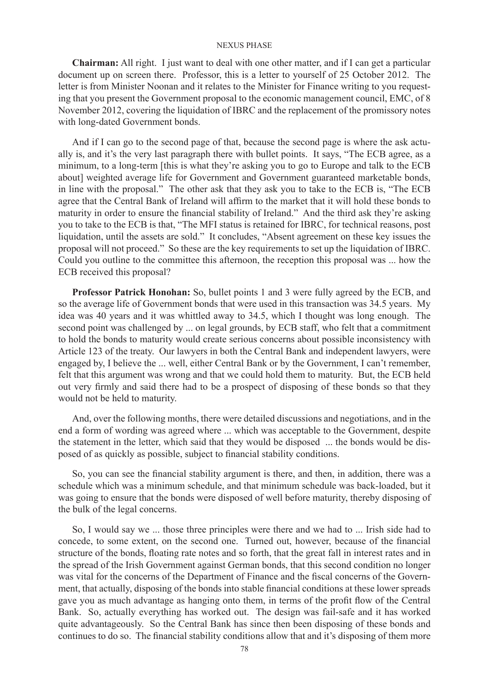**Chairman:** All right. I just want to deal with one other matter, and if I can get a particular document up on screen there. Professor, this is a letter to yourself of 25 October 2012. The letter is from Minister Noonan and it relates to the Minister for Finance writing to you requesting that you present the Government proposal to the economic management council, EMC, of 8 November 2012, covering the liquidation of IBRC and the replacement of the promissory notes with long-dated Government bonds.

And if I can go to the second page of that, because the second page is where the ask actually is, and it's the very last paragraph there with bullet points. It says, "The ECB agree, as a minimum, to a long-term [this is what they're asking you to go to Europe and talk to the ECB about] weighted average life for Government and Government guaranteed marketable bonds, in line with the proposal." The other ask that they ask you to take to the ECB is, "The ECB agree that the Central Bank of Ireland will affirm to the market that it will hold these bonds to maturity in order to ensure the financial stability of Ireland." And the third ask they're asking you to take to the ECB is that, "The MFI status is retained for IBRC, for technical reasons, post liquidation, until the assets are sold." It concludes, "Absent agreement on these key issues the proposal will not proceed." So these are the key requirements to set up the liquidation of IBRC. Could you outline to the committee this afternoon, the reception this proposal was ... how the ECB received this proposal?

**Professor Patrick Honohan:** So, bullet points 1 and 3 were fully agreed by the ECB, and so the average life of Government bonds that were used in this transaction was 34.5 years. My idea was 40 years and it was whittled away to 34.5, which I thought was long enough. The second point was challenged by ... on legal grounds, by ECB staff, who felt that a commitment to hold the bonds to maturity would create serious concerns about possible inconsistency with Article 123 of the treaty. Our lawyers in both the Central Bank and independent lawyers, were engaged by, I believe the ... well, either Central Bank or by the Government, I can't remember, felt that this argument was wrong and that we could hold them to maturity. But, the ECB held out very firmly and said there had to be a prospect of disposing of these bonds so that they would not be held to maturity.

And, over the following months, there were detailed discussions and negotiations, and in the end a form of wording was agreed where ... which was acceptable to the Government, despite the statement in the letter, which said that they would be disposed ... the bonds would be disposed of as quickly as possible, subject to financial stability conditions.

So, you can see the financial stability argument is there, and then, in addition, there was a schedule which was a minimum schedule, and that minimum schedule was back-loaded, but it was going to ensure that the bonds were disposed of well before maturity, thereby disposing of the bulk of the legal concerns.

So, I would say we ... those three principles were there and we had to ... Irish side had to concede, to some extent, on the second one. Turned out, however, because of the financial structure of the bonds, floating rate notes and so forth, that the great fall in interest rates and in the spread of the Irish Government against German bonds, that this second condition no longer was vital for the concerns of the Department of Finance and the fiscal concerns of the Government, that actually, disposing of the bonds into stable financial conditions at these lower spreads gave you as much advantage as hanging onto them, in terms of the profit flow of the Central Bank. So, actually everything has worked out. The design was fail-safe and it has worked quite advantageously. So the Central Bank has since then been disposing of these bonds and continues to do so. The financial stability conditions allow that and it's disposing of them more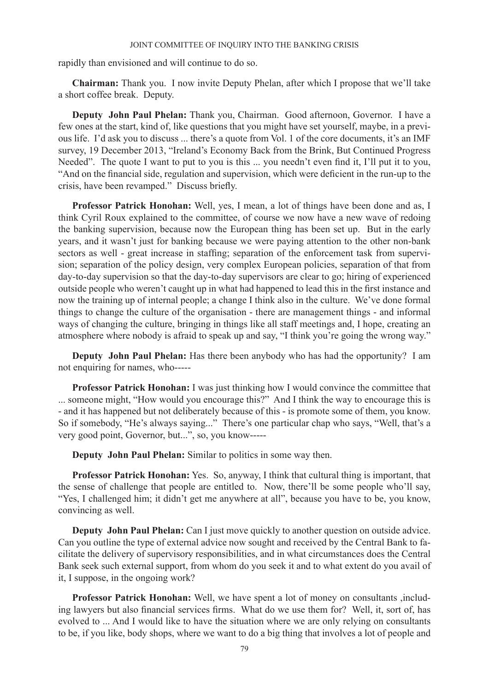rapidly than envisioned and will continue to do so.

**Chairman:** Thank you. I now invite Deputy Phelan, after which I propose that we'll take a short coffee break. Deputy.

**Deputy John Paul Phelan:** Thank you, Chairman. Good afternoon, Governor. I have a few ones at the start, kind of, like questions that you might have set yourself, maybe, in a previous life. I'd ask you to discuss ... there's a quote from Vol. 1 of the core documents, it's an IMF survey, 19 December 2013, "Ireland's Economy Back from the Brink, But Continued Progress Needed". The quote I want to put to you is this ... you needn't even find it, I'll put it to you, "And on the financial side, regulation and supervision, which were deficient in the run-up to the crisis, have been revamped." Discuss briefly.

**Professor Patrick Honohan:** Well, yes, I mean, a lot of things have been done and as, I think Cyril Roux explained to the committee, of course we now have a new wave of redoing the banking supervision, because now the European thing has been set up. But in the early years, and it wasn't just for banking because we were paying attention to the other non-bank sectors as well - great increase in staffing; separation of the enforcement task from supervision; separation of the policy design, very complex European policies, separation of that from day-to-day supervision so that the day-to-day supervisors are clear to go; hiring of experienced outside people who weren't caught up in what had happened to lead this in the first instance and now the training up of internal people; a change I think also in the culture. We've done formal things to change the culture of the organisation - there are management things - and informal ways of changing the culture, bringing in things like all staff meetings and, I hope, creating an atmosphere where nobody is afraid to speak up and say, "I think you're going the wrong way."

**Deputy John Paul Phelan:** Has there been anybody who has had the opportunity? I am not enquiring for names, who-----

**Professor Patrick Honohan:** I was just thinking how I would convince the committee that ... someone might, "How would you encourage this?" And I think the way to encourage this is - and it has happened but not deliberately because of this - is promote some of them, you know. So if somebody, "He's always saying..." There's one particular chap who says, "Well, that's a very good point, Governor, but...", so, you know-----

**Deputy John Paul Phelan:** Similar to politics in some way then.

**Professor Patrick Honohan:** Yes. So, anyway, I think that cultural thing is important, that the sense of challenge that people are entitled to. Now, there'll be some people who'll say, "Yes, I challenged him; it didn't get me anywhere at all", because you have to be, you know, convincing as well.

**Deputy John Paul Phelan:** Can I just move quickly to another question on outside advice. Can you outline the type of external advice now sought and received by the Central Bank to facilitate the delivery of supervisory responsibilities, and in what circumstances does the Central Bank seek such external support, from whom do you seek it and to what extent do you avail of it, I suppose, in the ongoing work?

**Professor Patrick Honohan:** Well, we have spent a lot of money on consultants ,including lawyers but also financial services firms. What do we use them for? Well, it, sort of, has evolved to ... And I would like to have the situation where we are only relying on consultants to be, if you like, body shops, where we want to do a big thing that involves a lot of people and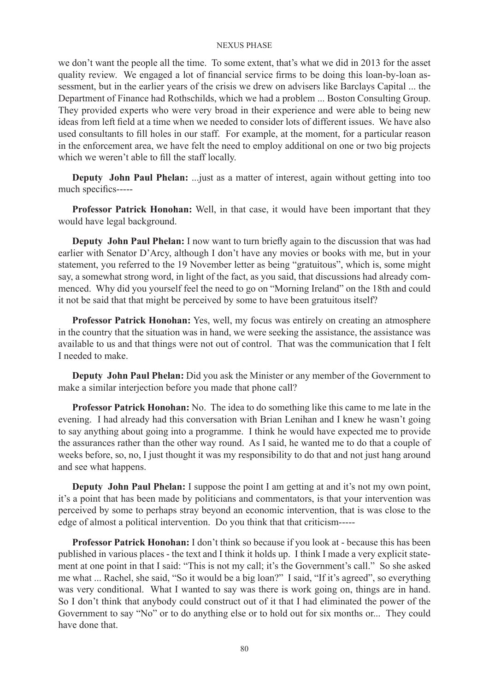we don't want the people all the time. To some extent, that's what we did in 2013 for the asset quality review. We engaged a lot of financial service firms to be doing this loan-by-loan assessment, but in the earlier years of the crisis we drew on advisers like Barclays Capital ... the Department of Finance had Rothschilds, which we had a problem ... Boston Consulting Group. They provided experts who were very broad in their experience and were able to being new ideas from left field at a time when we needed to consider lots of different issues. We have also used consultants to fill holes in our staff. For example, at the moment, for a particular reason in the enforcement area, we have felt the need to employ additional on one or two big projects which we weren't able to fill the staff locally.

**Deputy John Paul Phelan:** ...just as a matter of interest, again without getting into too much specifics-----

**Professor Patrick Honohan:** Well, in that case, it would have been important that they would have legal background.

**Deputy John Paul Phelan:** I now want to turn briefly again to the discussion that was had earlier with Senator D'Arcy, although I don't have any movies or books with me, but in your statement, you referred to the 19 November letter as being "gratuitous", which is, some might say, a somewhat strong word, in light of the fact, as you said, that discussions had already commenced. Why did you yourself feel the need to go on "Morning Ireland" on the 18th and could it not be said that that might be perceived by some to have been gratuitous itself?

**Professor Patrick Honohan:** Yes, well, my focus was entirely on creating an atmosphere in the country that the situation was in hand, we were seeking the assistance, the assistance was available to us and that things were not out of control. That was the communication that I felt I needed to make.

**Deputy John Paul Phelan:** Did you ask the Minister or any member of the Government to make a similar interjection before you made that phone call?

**Professor Patrick Honohan:** No. The idea to do something like this came to me late in the evening. I had already had this conversation with Brian Lenihan and I knew he wasn't going to say anything about going into a programme. I think he would have expected me to provide the assurances rather than the other way round. As I said, he wanted me to do that a couple of weeks before, so, no, I just thought it was my responsibility to do that and not just hang around and see what happens.

**Deputy John Paul Phelan:** I suppose the point I am getting at and it's not my own point, it's a point that has been made by politicians and commentators, is that your intervention was perceived by some to perhaps stray beyond an economic intervention, that is was close to the edge of almost a political intervention. Do you think that that criticism-----

**Professor Patrick Honohan:** I don't think so because if you look at - because this has been published in various places - the text and I think it holds up. I think I made a very explicit statement at one point in that I said: "This is not my call; it's the Government's call." So she asked me what ... Rachel, she said, "So it would be a big loan?" I said, "If it's agreed", so everything was very conditional. What I wanted to say was there is work going on, things are in hand. So I don't think that anybody could construct out of it that I had eliminated the power of the Government to say "No" or to do anything else or to hold out for six months or... They could have done that.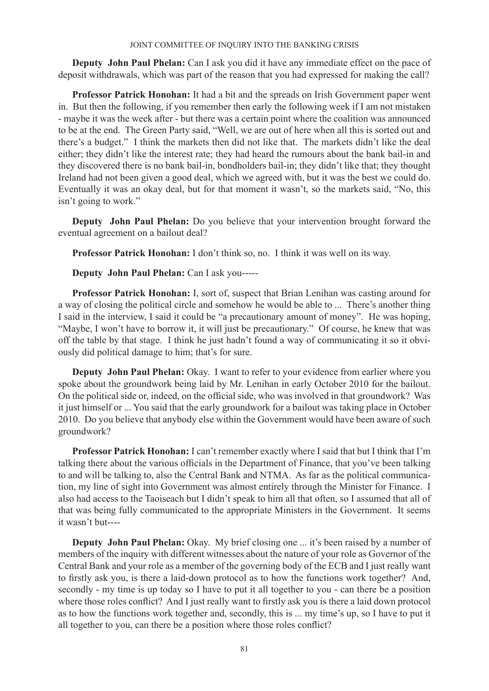**Deputy John Paul Phelan:** Can I ask you did it have any immediate effect on the pace of deposit withdrawals, which was part of the reason that you had expressed for making the call?

**Professor Patrick Honohan:** It had a bit and the spreads on Irish Government paper went in. But then the following, if you remember then early the following week if I am not mistaken - maybe it was the week after - but there was a certain point where the coalition was announced to be at the end. The Green Party said, "Well, we are out of here when all this is sorted out and there's a budget." I think the markets then did not like that. The markets didn't like the deal either; they didn't like the interest rate; they had heard the rumours about the bank bail-in and they discovered there is no bank bail-in, bondholders bail-in; they didn't like that; they thought Ireland had not been given a good deal, which we agreed with, but it was the best we could do. Eventually it was an okay deal, but for that moment it wasn't, so the markets said, "No, this isn't going to work."

**Deputy John Paul Phelan:** Do you believe that your intervention brought forward the eventual agreement on a bailout deal?

**Professor Patrick Honohan:** I don't think so, no. I think it was well on its way.

**Deputy John Paul Phelan:** Can I ask you-----

**Professor Patrick Honohan:** I, sort of, suspect that Brian Lenihan was casting around for a way of closing the political circle and somehow he would be able to ... There's another thing I said in the interview, I said it could be "a precautionary amount of money". He was hoping, "Maybe, I won't have to borrow it, it will just be precautionary." Of course, he knew that was off the table by that stage. I think he just hadn't found a way of communicating it so it obviously did political damage to him; that's for sure.

**Deputy John Paul Phelan:** Okay. I want to refer to your evidence from earlier where you spoke about the groundwork being laid by Mr. Lenihan in early October 2010 for the bailout. On the political side or, indeed, on the official side, who was involved in that groundwork? Was it just himself or ... You said that the early groundwork for a bailout was taking place in October 2010. Do you believe that anybody else within the Government would have been aware of such groundwork?

**Professor Patrick Honohan:** I can't remember exactly where I said that but I think that I'm talking there about the various officials in the Department of Finance, that you've been talking to and will be talking to, also the Central Bank and NTMA. As far as the political communication, my line of sight into Government was almost entirely through the Minister for Finance. I also had access to the Taoiseach but I didn't speak to him all that often, so I assumed that all of that was being fully communicated to the appropriate Ministers in the Government. It seems it wasn't but----

**Deputy John Paul Phelan:** Okay. My brief closing one ... it's been raised by a number of members of the inquiry with different witnesses about the nature of your role as Governor of the Central Bank and your role as a member of the governing body of the ECB and I just really want to firstly ask you, is there a laid-down protocol as to how the functions work together? And, secondly - my time is up today so I have to put it all together to you - can there be a position where those roles conflict? And I just really want to firstly ask you is there a laid down protocol as to how the functions work together and, secondly, this is ... my time's up, so I have to put it all together to you, can there be a position where those roles conflict?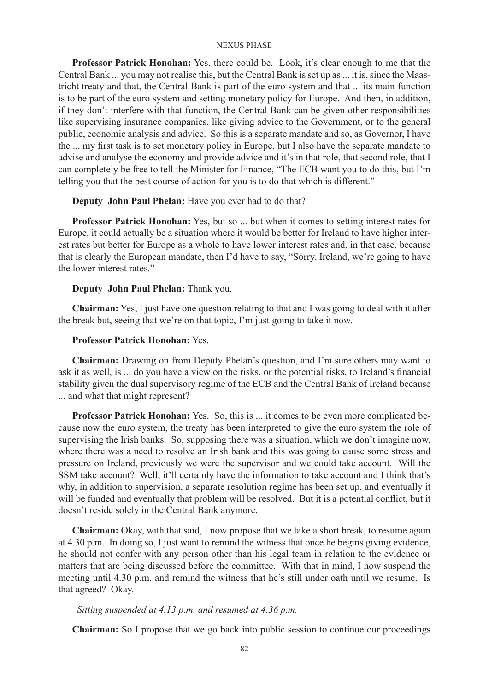**Professor Patrick Honohan:** Yes, there could be. Look, it's clear enough to me that the Central Bank ... you may not realise this, but the Central Bank is set up as ... it is, since the Maastricht treaty and that, the Central Bank is part of the euro system and that ... its main function is to be part of the euro system and setting monetary policy for Europe. And then, in addition, if they don't interfere with that function, the Central Bank can be given other responsibilities like supervising insurance companies, like giving advice to the Government, or to the general public, economic analysis and advice. So this is a separate mandate and so, as Governor, I have the ... my first task is to set monetary policy in Europe, but I also have the separate mandate to advise and analyse the economy and provide advice and it's in that role, that second role, that I can completely be free to tell the Minister for Finance, "The ECB want you to do this, but I'm telling you that the best course of action for you is to do that which is different."

## **Deputy John Paul Phelan:** Have you ever had to do that?

**Professor Patrick Honohan:** Yes, but so ... but when it comes to setting interest rates for Europe, it could actually be a situation where it would be better for Ireland to have higher interest rates but better for Europe as a whole to have lower interest rates and, in that case, because that is clearly the European mandate, then I'd have to say, "Sorry, Ireland, we're going to have the lower interest rates."

## **Deputy John Paul Phelan:** Thank you.

**Chairman:** Yes, I just have one question relating to that and I was going to deal with it after the break but, seeing that we're on that topic, I'm just going to take it now.

# **Professor Patrick Honohan:** Yes.

**Chairman:** Drawing on from Deputy Phelan's question, and I'm sure others may want to ask it as well, is ... do you have a view on the risks, or the potential risks, to Ireland's financial stability given the dual supervisory regime of the ECB and the Central Bank of Ireland because ... and what that might represent?

**Professor Patrick Honohan:** Yes. So, this is ... it comes to be even more complicated because now the euro system, the treaty has been interpreted to give the euro system the role of supervising the Irish banks. So, supposing there was a situation, which we don't imagine now, where there was a need to resolve an Irish bank and this was going to cause some stress and pressure on Ireland, previously we were the supervisor and we could take account. Will the SSM take account? Well, it'll certainly have the information to take account and I think that's why, in addition to supervision, a separate resolution regime has been set up, and eventually it will be funded and eventually that problem will be resolved. But it is a potential conflict, but it doesn't reside solely in the Central Bank anymore.

**Chairman:** Okay, with that said, I now propose that we take a short break, to resume again at 4.30 p.m. In doing so, I just want to remind the witness that once he begins giving evidence, he should not confer with any person other than his legal team in relation to the evidence or matters that are being discussed before the committee. With that in mind, I now suspend the meeting until 4.30 p.m. and remind the witness that he's still under oath until we resume. Is that agreed? Okay.

# *Sitting suspended at 4.13 p.m. and resumed at 4.36 p.m.*

**Chairman:** So I propose that we go back into public session to continue our proceedings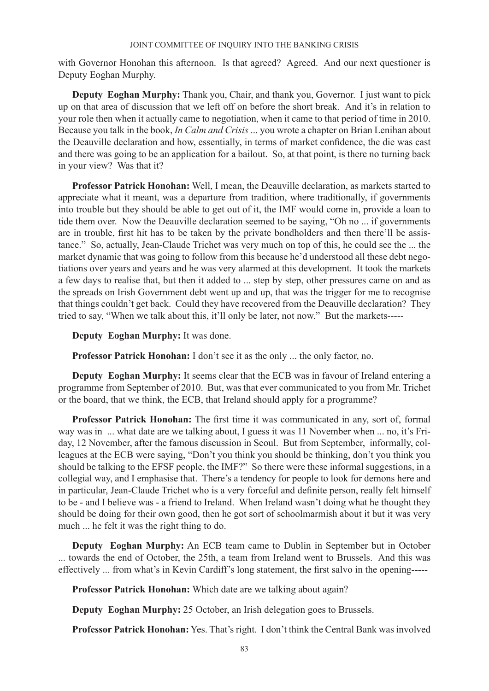with Governor Honohan this afternoon. Is that agreed? Agreed. And our next questioner is Deputy Eoghan Murphy.

**Deputy Eoghan Murphy:** Thank you, Chair, and thank you, Governor. I just want to pick up on that area of discussion that we left off on before the short break. And it's in relation to your role then when it actually came to negotiation, when it came to that period of time in 2010. Because you talk in the book, *In Calm and Crisis* ... you wrote a chapter on Brian Lenihan about the Deauville declaration and how, essentially, in terms of market confidence, the die was cast and there was going to be an application for a bailout. So, at that point, is there no turning back in your view? Was that it?

**Professor Patrick Honohan:** Well, I mean, the Deauville declaration, as markets started to appreciate what it meant, was a departure from tradition, where traditionally, if governments into trouble but they should be able to get out of it, the IMF would come in, provide a loan to tide them over. Now the Deauville declaration seemed to be saying, "Oh no ... if governments are in trouble, first hit has to be taken by the private bondholders and then there'll be assistance." So, actually, Jean-Claude Trichet was very much on top of this, he could see the ... the market dynamic that was going to follow from this because he'd understood all these debt negotiations over years and years and he was very alarmed at this development. It took the markets a few days to realise that, but then it added to ... step by step, other pressures came on and as the spreads on Irish Government debt went up and up, that was the trigger for me to recognise that things couldn't get back. Could they have recovered from the Deauville declaration? They tried to say, "When we talk about this, it'll only be later, not now." But the markets-----

**Deputy Eoghan Murphy:** It was done.

**Professor Patrick Honohan:** I don't see it as the only ... the only factor, no.

**Deputy Eoghan Murphy:** It seems clear that the ECB was in favour of Ireland entering a programme from September of 2010. But, was that ever communicated to you from Mr. Trichet or the board, that we think, the ECB, that Ireland should apply for a programme?

**Professor Patrick Honohan:** The first time it was communicated in any, sort of, formal way was in ... what date are we talking about, I guess it was 11 November when ... no, it's Friday, 12 November, after the famous discussion in Seoul. But from September, informally, colleagues at the ECB were saying, "Don't you think you should be thinking, don't you think you should be talking to the EFSF people, the IMF?" So there were these informal suggestions, in a collegial way, and I emphasise that. There's a tendency for people to look for demons here and in particular, Jean-Claude Trichet who is a very forceful and definite person, really felt himself to be - and I believe was - a friend to Ireland. When Ireland wasn't doing what he thought they should be doing for their own good, then he got sort of schoolmarmish about it but it was very much ... he felt it was the right thing to do.

**Deputy Eoghan Murphy:** An ECB team came to Dublin in September but in October ... towards the end of October, the 25th, a team from Ireland went to Brussels. And this was effectively ... from what's in Kevin Cardiff's long statement, the first salvo in the opening-----

**Professor Patrick Honohan:** Which date are we talking about again?

**Deputy Eoghan Murphy:** 25 October, an Irish delegation goes to Brussels.

**Professor Patrick Honohan:** Yes. That's right. I don't think the Central Bank was involved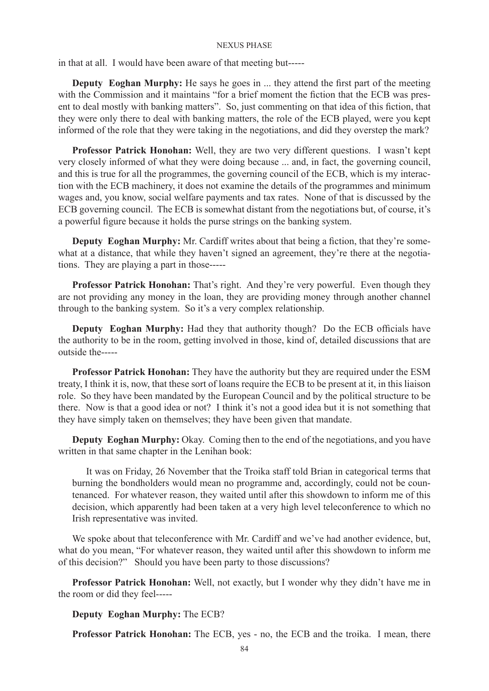in that at all. I would have been aware of that meeting but-----

**Deputy Eoghan Murphy:** He says he goes in ... they attend the first part of the meeting with the Commission and it maintains "for a brief moment the fiction that the ECB was present to deal mostly with banking matters". So, just commenting on that idea of this fiction, that they were only there to deal with banking matters, the role of the ECB played, were you kept informed of the role that they were taking in the negotiations, and did they overstep the mark?

**Professor Patrick Honohan:** Well, they are two very different questions. I wasn't kept very closely informed of what they were doing because ... and, in fact, the governing council, and this is true for all the programmes, the governing council of the ECB, which is my interaction with the ECB machinery, it does not examine the details of the programmes and minimum wages and, you know, social welfare payments and tax rates. None of that is discussed by the ECB governing council. The ECB is somewhat distant from the negotiations but, of course, it's a powerful figure because it holds the purse strings on the banking system.

**Deputy Eoghan Murphy:** Mr. Cardiff writes about that being a fiction, that they're somewhat at a distance, that while they haven't signed an agreement, they're there at the negotiations. They are playing a part in those-----

**Professor Patrick Honohan:** That's right. And they're very powerful. Even though they are not providing any money in the loan, they are providing money through another channel through to the banking system. So it's a very complex relationship.

**Deputy Eoghan Murphy:** Had they that authority though? Do the ECB officials have the authority to be in the room, getting involved in those, kind of, detailed discussions that are outside the-----

**Professor Patrick Honohan:** They have the authority but they are required under the ESM treaty, I think it is, now, that these sort of loans require the ECB to be present at it, in this liaison role. So they have been mandated by the European Council and by the political structure to be there. Now is that a good idea or not? I think it's not a good idea but it is not something that they have simply taken on themselves; they have been given that mandate.

**Deputy Eoghan Murphy:** Okay. Coming then to the end of the negotiations, and you have written in that same chapter in the Lenihan book:

It was on Friday, 26 November that the Troika staff told Brian in categorical terms that burning the bondholders would mean no programme and, accordingly, could not be countenanced. For whatever reason, they waited until after this showdown to inform me of this decision, which apparently had been taken at a very high level teleconference to which no Irish representative was invited.

We spoke about that teleconference with Mr. Cardiff and we've had another evidence, but, what do you mean, "For whatever reason, they waited until after this showdown to inform me of this decision?" Should you have been party to those discussions?

**Professor Patrick Honohan:** Well, not exactly, but I wonder why they didn't have me in the room or did they feel-----

**Deputy Eoghan Murphy:** The ECB?

**Professor Patrick Honohan:** The ECB, yes - no, the ECB and the troika. I mean, there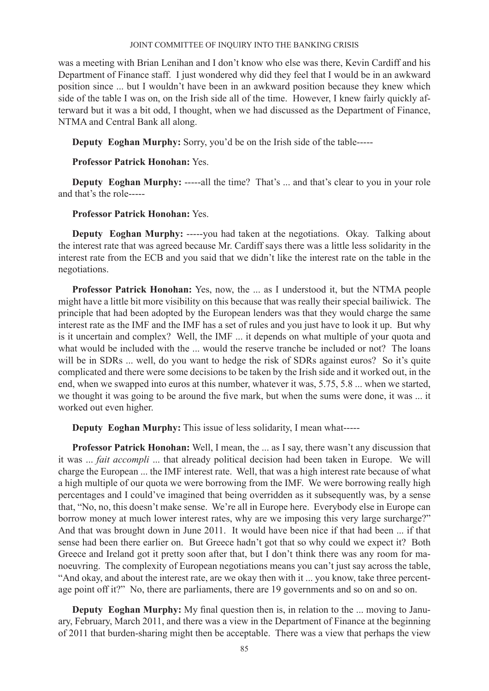was a meeting with Brian Lenihan and I don't know who else was there, Kevin Cardiff and his Department of Finance staff. I just wondered why did they feel that I would be in an awkward position since ... but I wouldn't have been in an awkward position because they knew which side of the table I was on, on the Irish side all of the time. However, I knew fairly quickly afterward but it was a bit odd, I thought, when we had discussed as the Department of Finance, NTMA and Central Bank all along.

**Deputy Eoghan Murphy:** Sorry, you'd be on the Irish side of the table-----

# **Professor Patrick Honohan:** Yes.

**Deputy Eoghan Murphy:** -----all the time? That's ... and that's clear to you in your role and that's the role-----

# **Professor Patrick Honohan:** Yes.

**Deputy Eoghan Murphy:** -----you had taken at the negotiations. Okay. Talking about the interest rate that was agreed because Mr. Cardiff says there was a little less solidarity in the interest rate from the ECB and you said that we didn't like the interest rate on the table in the negotiations.

**Professor Patrick Honohan:** Yes, now, the ... as I understood it, but the NTMA people might have a little bit more visibility on this because that was really their special bailiwick. The principle that had been adopted by the European lenders was that they would charge the same interest rate as the IMF and the IMF has a set of rules and you just have to look it up. But why is it uncertain and complex? Well, the IMF ... it depends on what multiple of your quota and what would be included with the ... would the reserve tranche be included or not? The loans will be in SDRs ... well, do you want to hedge the risk of SDRs against euros? So it's quite complicated and there were some decisions to be taken by the Irish side and it worked out, in the end, when we swapped into euros at this number, whatever it was, 5.75, 5.8 ... when we started, we thought it was going to be around the five mark, but when the sums were done, it was ... it worked out even higher.

**Deputy Eoghan Murphy:** This issue of less solidarity, I mean what-----

**Professor Patrick Honohan:** Well, I mean, the ... as I say, there wasn't any discussion that it was ... *fait accompli* ... that already political decision had been taken in Europe. We will charge the European ... the IMF interest rate. Well, that was a high interest rate because of what a high multiple of our quota we were borrowing from the IMF. We were borrowing really high percentages and I could've imagined that being overridden as it subsequently was, by a sense that, "No, no, this doesn't make sense. We're all in Europe here. Everybody else in Europe can borrow money at much lower interest rates, why are we imposing this very large surcharge?" And that was brought down in June 2011. It would have been nice if that had been ... if that sense had been there earlier on. But Greece hadn't got that so why could we expect it? Both Greece and Ireland got it pretty soon after that, but I don't think there was any room for manoeuvring. The complexity of European negotiations means you can't just say across the table, "And okay, and about the interest rate, are we okay then with it ... you know, take three percentage point off it?" No, there are parliaments, there are 19 governments and so on and so on.

**Deputy Eoghan Murphy:** My final question then is, in relation to the ... moving to January, February, March 2011, and there was a view in the Department of Finance at the beginning of 2011 that burden-sharing might then be acceptable. There was a view that perhaps the view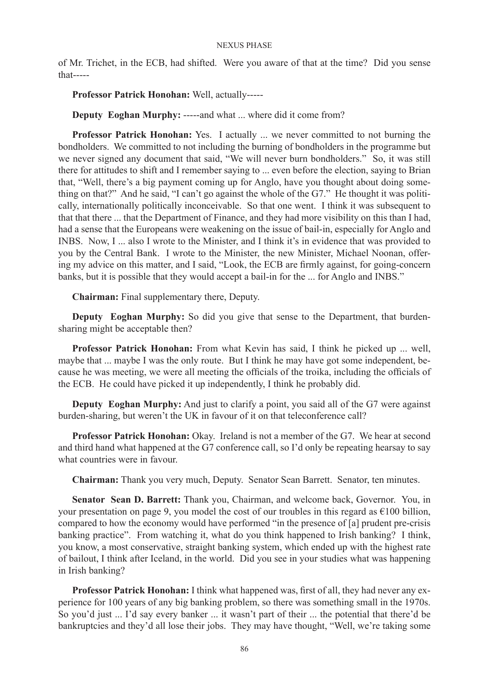of Mr. Trichet, in the ECB, had shifted. Were you aware of that at the time? Did you sense that-----

**Professor Patrick Honohan:** Well, actually-----

**Deputy Eoghan Murphy:** -----and what ... where did it come from?

**Professor Patrick Honohan:** Yes. I actually ... we never committed to not burning the bondholders. We committed to not including the burning of bondholders in the programme but we never signed any document that said, "We will never burn bondholders." So, it was still there for attitudes to shift and I remember saying to ... even before the election, saying to Brian that, "Well, there's a big payment coming up for Anglo, have you thought about doing something on that?" And he said, "I can't go against the whole of the G7." He thought it was politically, internationally politically inconceivable. So that one went. I think it was subsequent to that that there ... that the Department of Finance, and they had more visibility on this than I had, had a sense that the Europeans were weakening on the issue of bail-in, especially for Anglo and INBS. Now, I ... also I wrote to the Minister, and I think it's in evidence that was provided to you by the Central Bank. I wrote to the Minister, the new Minister, Michael Noonan, offering my advice on this matter, and I said, "Look, the ECB are firmly against, for going-concern banks, but it is possible that they would accept a bail-in for the ... for Anglo and INBS."

**Chairman:** Final supplementary there, Deputy.

**Deputy Eoghan Murphy:** So did you give that sense to the Department, that burdensharing might be acceptable then?

**Professor Patrick Honohan:** From what Kevin has said, I think he picked up ... well, maybe that ... maybe I was the only route. But I think he may have got some independent, because he was meeting, we were all meeting the officials of the troika, including the officials of the ECB. He could have picked it up independently, I think he probably did.

**Deputy Eoghan Murphy:** And just to clarify a point, you said all of the G7 were against burden-sharing, but weren't the UK in favour of it on that teleconference call?

**Professor Patrick Honohan:** Okay. Ireland is not a member of the G7. We hear at second and third hand what happened at the G7 conference call, so I'd only be repeating hearsay to say what countries were in favour.

**Chairman:** Thank you very much, Deputy. Senator Sean Barrett. Senator, ten minutes.

**Senator Sean D. Barrett:** Thank you, Chairman, and welcome back, Governor. You, in your presentation on page 9, you model the cost of our troubles in this regard as  $\epsilon$ 100 billion, compared to how the economy would have performed "in the presence of [a] prudent pre-crisis banking practice". From watching it, what do you think happened to Irish banking? I think, you know, a most conservative, straight banking system, which ended up with the highest rate of bailout, I think after Iceland, in the world. Did you see in your studies what was happening in Irish banking?

**Professor Patrick Honohan:** I think what happened was, first of all, they had never any experience for 100 years of any big banking problem, so there was something small in the 1970s. So you'd just ... I'd say every banker ... it wasn't part of their ... the potential that there'd be bankruptcies and they'd all lose their jobs. They may have thought, "Well, we're taking some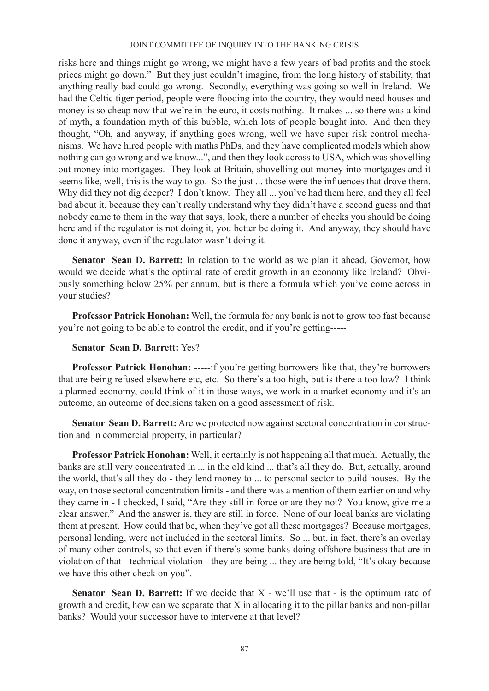risks here and things might go wrong, we might have a few years of bad profits and the stock prices might go down." But they just couldn't imagine, from the long history of stability, that anything really bad could go wrong. Secondly, everything was going so well in Ireland. We had the Celtic tiger period, people were flooding into the country, they would need houses and money is so cheap now that we're in the euro, it costs nothing. It makes ... so there was a kind of myth, a foundation myth of this bubble, which lots of people bought into. And then they thought, "Oh, and anyway, if anything goes wrong, well we have super risk control mechanisms. We have hired people with maths PhDs, and they have complicated models which show nothing can go wrong and we know...", and then they look across to USA, which was shovelling out money into mortgages. They look at Britain, shovelling out money into mortgages and it seems like, well, this is the way to go. So the just ... those were the influences that drove them. Why did they not dig deeper? I don't know. They all ... you've had them here, and they all feel bad about it, because they can't really understand why they didn't have a second guess and that nobody came to them in the way that says, look, there a number of checks you should be doing here and if the regulator is not doing it, you better be doing it. And anyway, they should have done it anyway, even if the regulator wasn't doing it.

**Senator Sean D. Barrett:** In relation to the world as we plan it ahead, Governor, how would we decide what's the optimal rate of credit growth in an economy like Ireland? Obviously something below 25% per annum, but is there a formula which you've come across in your studies?

**Professor Patrick Honohan:** Well, the formula for any bank is not to grow too fast because you're not going to be able to control the credit, and if you're getting-----

# **Senator Sean D. Barrett:** Yes?

**Professor Patrick Honohan:** -----if you're getting borrowers like that, they're borrowers that are being refused elsewhere etc, etc. So there's a too high, but is there a too low? I think a planned economy, could think of it in those ways, we work in a market economy and it's an outcome, an outcome of decisions taken on a good assessment of risk.

**Senator Sean D. Barrett:** Are we protected now against sectoral concentration in construction and in commercial property, in particular?

**Professor Patrick Honohan:** Well, it certainly is not happening all that much. Actually, the banks are still very concentrated in ... in the old kind ... that's all they do. But, actually, around the world, that's all they do - they lend money to ... to personal sector to build houses. By the way, on those sectoral concentration limits - and there was a mention of them earlier on and why they came in - I checked, I said, "Are they still in force or are they not? You know, give me a clear answer." And the answer is, they are still in force. None of our local banks are violating them at present. How could that be, when they've got all these mortgages? Because mortgages, personal lending, were not included in the sectoral limits. So ... but, in fact, there's an overlay of many other controls, so that even if there's some banks doing offshore business that are in violation of that - technical violation - they are being ... they are being told, "It's okay because we have this other check on you".

**Senator Sean D. Barrett:** If we decide that X - we'll use that - is the optimum rate of growth and credit, how can we separate that X in allocating it to the pillar banks and non-pillar banks? Would your successor have to intervene at that level?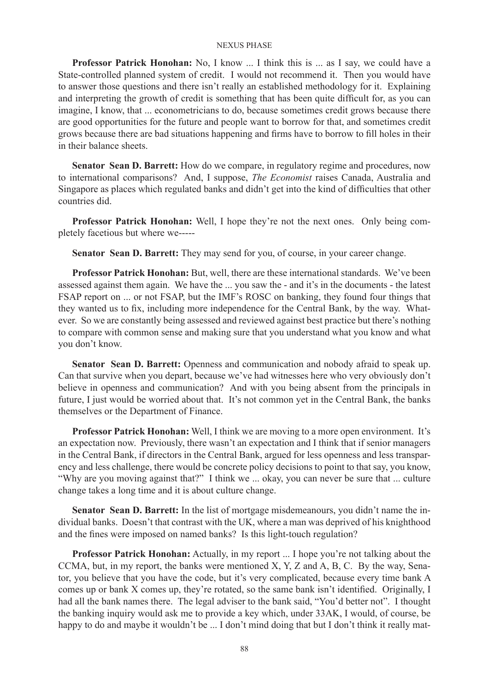**Professor Patrick Honohan:** No, I know ... I think this is ... as I say, we could have a State-controlled planned system of credit. I would not recommend it. Then you would have to answer those questions and there isn't really an established methodology for it. Explaining and interpreting the growth of credit is something that has been quite difficult for, as you can imagine, I know, that ... econometricians to do, because sometimes credit grows because there are good opportunities for the future and people want to borrow for that, and sometimes credit grows because there are bad situations happening and firms have to borrow to fill holes in their in their balance sheets.

**Senator Sean D. Barrett:** How do we compare, in regulatory regime and procedures, now to international comparisons? And, I suppose, *The Economist* raises Canada, Australia and Singapore as places which regulated banks and didn't get into the kind of difficulties that other countries did.

**Professor Patrick Honohan:** Well, I hope they're not the next ones. Only being completely facetious but where we-----

**Senator Sean D. Barrett:** They may send for you, of course, in your career change.

**Professor Patrick Honohan:** But, well, there are these international standards. We've been assessed against them again. We have the ... you saw the - and it's in the documents - the latest FSAP report on ... or not FSAP, but the IMF's ROSC on banking, they found four things that they wanted us to fix, including more independence for the Central Bank, by the way. Whatever. So we are constantly being assessed and reviewed against best practice but there's nothing to compare with common sense and making sure that you understand what you know and what you don't know.

**Senator Sean D. Barrett:** Openness and communication and nobody afraid to speak up. Can that survive when you depart, because we've had witnesses here who very obviously don't believe in openness and communication? And with you being absent from the principals in future, I just would be worried about that. It's not common yet in the Central Bank, the banks themselves or the Department of Finance.

**Professor Patrick Honohan:** Well, I think we are moving to a more open environment. It's an expectation now. Previously, there wasn't an expectation and I think that if senior managers in the Central Bank, if directors in the Central Bank, argued for less openness and less transparency and less challenge, there would be concrete policy decisions to point to that say, you know, "Why are you moving against that?" I think we ... okay, you can never be sure that ... culture change takes a long time and it is about culture change.

**Senator Sean D. Barrett:** In the list of mortgage misdemeanours, you didn't name the individual banks. Doesn't that contrast with the UK, where a man was deprived of his knighthood and the fines were imposed on named banks? Is this light-touch regulation?

**Professor Patrick Honohan:** Actually, in my report ... I hope you're not talking about the CCMA, but, in my report, the banks were mentioned X, Y, Z and A, B, C. By the way, Senator, you believe that you have the code, but it's very complicated, because every time bank A comes up or bank X comes up, they're rotated, so the same bank isn't identified. Originally, I had all the bank names there. The legal adviser to the bank said, "You'd better not". I thought the banking inquiry would ask me to provide a key which, under 33AK, I would, of course, be happy to do and maybe it wouldn't be ... I don't mind doing that but I don't think it really mat-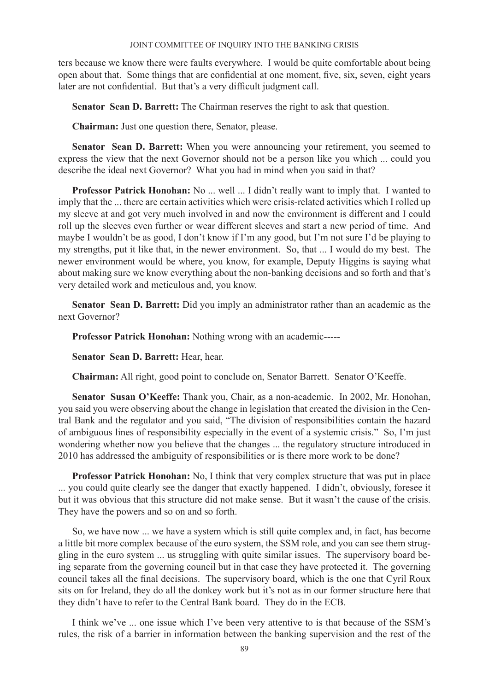ters because we know there were faults everywhere. I would be quite comfortable about being open about that. Some things that are confidential at one moment, five, six, seven, eight years later are not confidential. But that's a very difficult judgment call.

**Senator Sean D. Barrett:** The Chairman reserves the right to ask that question.

**Chairman:** Just one question there, Senator, please.

**Senator Sean D. Barrett:** When you were announcing your retirement, you seemed to express the view that the next Governor should not be a person like you which ... could you describe the ideal next Governor? What you had in mind when you said in that?

**Professor Patrick Honohan:** No ... well ... I didn't really want to imply that. I wanted to imply that the ... there are certain activities which were crisis-related activities which I rolled up my sleeve at and got very much involved in and now the environment is different and I could roll up the sleeves even further or wear different sleeves and start a new period of time. And maybe I wouldn't be as good, I don't know if I'm any good, but I'm not sure I'd be playing to my strengths, put it like that, in the newer environment. So, that ... I would do my best. The newer environment would be where, you know, for example, Deputy Higgins is saying what about making sure we know everything about the non-banking decisions and so forth and that's very detailed work and meticulous and, you know.

**Senator Sean D. Barrett:** Did you imply an administrator rather than an academic as the next Governor?

**Professor Patrick Honohan:** Nothing wrong with an academic-----

**Senator Sean D. Barrett:** Hear, hear.

**Chairman:** All right, good point to conclude on, Senator Barrett. Senator O'Keeffe.

**Senator Susan O'Keeffe:** Thank you, Chair, as a non-academic. In 2002, Mr. Honohan, you said you were observing about the change in legislation that created the division in the Central Bank and the regulator and you said, "The division of responsibilities contain the hazard of ambiguous lines of responsibility especially in the event of a systemic crisis." So, I'm just wondering whether now you believe that the changes ... the regulatory structure introduced in 2010 has addressed the ambiguity of responsibilities or is there more work to be done?

**Professor Patrick Honohan:** No, I think that very complex structure that was put in place ... you could quite clearly see the danger that exactly happened. I didn't, obviously, foresee it but it was obvious that this structure did not make sense. But it wasn't the cause of the crisis. They have the powers and so on and so forth.

So, we have now ... we have a system which is still quite complex and, in fact, has become a little bit more complex because of the euro system, the SSM role, and you can see them struggling in the euro system ... us struggling with quite similar issues. The supervisory board being separate from the governing council but in that case they have protected it. The governing council takes all the final decisions. The supervisory board, which is the one that Cyril Roux sits on for Ireland, they do all the donkey work but it's not as in our former structure here that they didn't have to refer to the Central Bank board. They do in the ECB.

I think we've ... one issue which I've been very attentive to is that because of the SSM's rules, the risk of a barrier in information between the banking supervision and the rest of the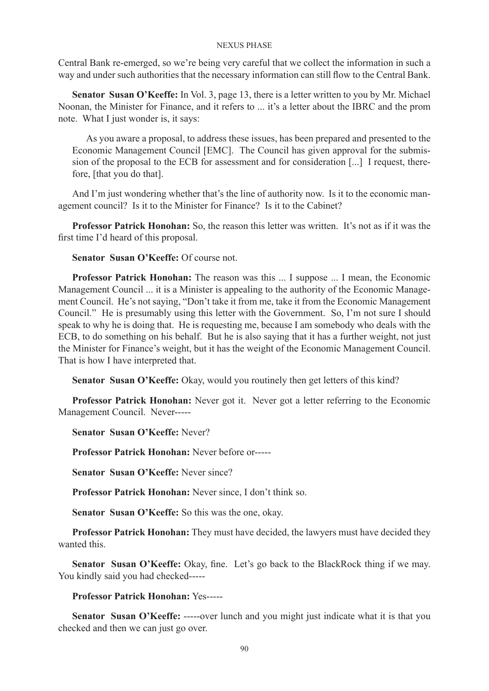Central Bank re-emerged, so we're being very careful that we collect the information in such a way and under such authorities that the necessary information can still flow to the Central Bank.

**Senator Susan O'Keeffe:** In Vol. 3, page 13, there is a letter written to you by Mr. Michael Noonan, the Minister for Finance, and it refers to ... it's a letter about the IBRC and the prom note. What I just wonder is, it says:

As you aware a proposal, to address these issues, has been prepared and presented to the Economic Management Council [EMC]. The Council has given approval for the submission of the proposal to the ECB for assessment and for consideration [...] I request, therefore, [that you do that].

And I'm just wondering whether that's the line of authority now. Is it to the economic management council? Is it to the Minister for Finance? Is it to the Cabinet?

**Professor Patrick Honohan:** So, the reason this letter was written. It's not as if it was the first time I'd heard of this proposal.

**Senator Susan O'Keeffe:** Of course not.

**Professor Patrick Honohan:** The reason was this ... I suppose ... I mean, the Economic Management Council ... it is a Minister is appealing to the authority of the Economic Management Council. He's not saying, "Don't take it from me, take it from the Economic Management Council." He is presumably using this letter with the Government. So, I'm not sure I should speak to why he is doing that. He is requesting me, because I am somebody who deals with the ECB, to do something on his behalf. But he is also saying that it has a further weight, not just the Minister for Finance's weight, but it has the weight of the Economic Management Council. That is how I have interpreted that.

**Senator Susan O'Keeffe:** Okay, would you routinely then get letters of this kind?

**Professor Patrick Honohan:** Never got it. Never got a letter referring to the Economic Management Council. Never-----

**Senator Susan O'Keeffe:** Never?

**Professor Patrick Honohan:** Never before or-----

**Senator Susan O'Keeffe:** Never since?

**Professor Patrick Honohan:** Never since, I don't think so.

**Senator Susan O'Keeffe:** So this was the one, okay.

**Professor Patrick Honohan:** They must have decided, the lawyers must have decided they wanted this.

**Senator Susan O'Keeffe:** Okay, fine. Let's go back to the BlackRock thing if we may. You kindly said you had checked-----

**Professor Patrick Honohan:** Yes-----

**Senator Susan O'Keeffe:** -----over lunch and you might just indicate what it is that you checked and then we can just go over.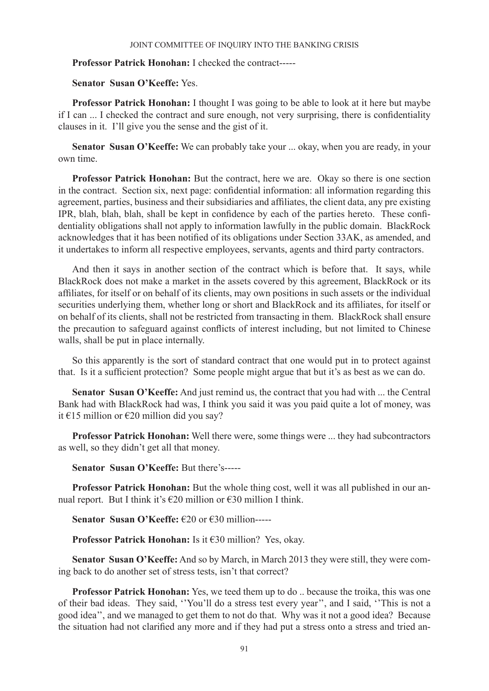# **Professor Patrick Honohan:** I checked the contract-----

## **Senator Susan O'Keeffe:** Yes.

**Professor Patrick Honohan:** I thought I was going to be able to look at it here but maybe if I can ... I checked the contract and sure enough, not very surprising, there is confidentiality clauses in it. I'll give you the sense and the gist of it.

**Senator Susan O'Keeffe:** We can probably take your ... okay, when you are ready, in your own time.

**Professor Patrick Honohan:** But the contract, here we are. Okay so there is one section in the contract. Section six, next page: confidential information: all information regarding this agreement, parties, business and their subsidiaries and affiliates, the client data, any pre existing IPR, blah, blah, blah, shall be kept in confidence by each of the parties hereto. These confidentiality obligations shall not apply to information lawfully in the public domain. BlackRock acknowledges that it has been notified of its obligations under Section 33AK, as amended, and it undertakes to inform all respective employees, servants, agents and third party contractors.

And then it says in another section of the contract which is before that. It says, while BlackRock does not make a market in the assets covered by this agreement, BlackRock or its affiliates, for itself or on behalf of its clients, may own positions in such assets or the individual securities underlying them, whether long or short and BlackRock and its affiliates, for itself or on behalf of its clients, shall not be restricted from transacting in them. BlackRock shall ensure the precaution to safeguard against conflicts of interest including, but not limited to Chinese walls, shall be put in place internally.

So this apparently is the sort of standard contract that one would put in to protect against that. Is it a sufficient protection? Some people might argue that but it's as best as we can do.

**Senator Susan O'Keeffe:** And just remind us, the contract that you had with ... the Central Bank had with BlackRock had was, I think you said it was you paid quite a lot of money, was it €15 million or €20 million did you say?

**Professor Patrick Honohan:** Well there were, some things were ... they had subcontractors as well, so they didn't get all that money.

**Senator Susan O'Keeffe:** But there's-----

**Professor Patrick Honohan:** But the whole thing cost, well it was all published in our annual report. But I think it's  $\epsilon$ 20 million or  $\epsilon$ 30 million I think.

**Senator Susan O'Keeffe:** €20 or €30 million-----

**Professor Patrick Honohan:** Is it €30 million? Yes, okay.

**Senator Susan O'Keeffe:** And so by March, in March 2013 they were still, they were coming back to do another set of stress tests, isn't that correct?

**Professor Patrick Honohan:** Yes, we teed them up to do .. because the troika, this was one of their bad ideas. They said, ''You'll do a stress test every year'', and I said, ''This is not a good idea'', and we managed to get them to not do that. Why was it not a good idea? Because the situation had not clarified any more and if they had put a stress onto a stress and tried an-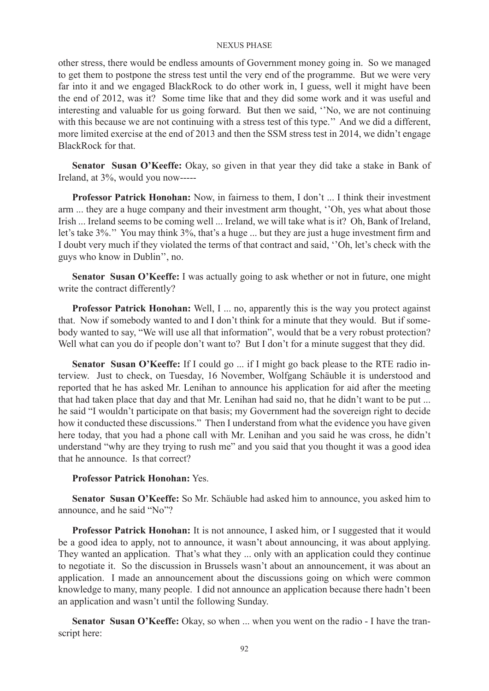other stress, there would be endless amounts of Government money going in. So we managed to get them to postpone the stress test until the very end of the programme. But we were very far into it and we engaged BlackRock to do other work in, I guess, well it might have been the end of 2012, was it? Some time like that and they did some work and it was useful and interesting and valuable for us going forward. But then we said, ''No, we are not continuing with this because we are not continuing with a stress test of this type." And we did a different, more limited exercise at the end of 2013 and then the SSM stress test in 2014, we didn't engage BlackRock for that.

**Senator Susan O'Keeffe:** Okay, so given in that year they did take a stake in Bank of Ireland, at 3%, would you now-----

**Professor Patrick Honohan:** Now, in fairness to them, I don't ... I think their investment arm ... they are a huge company and their investment arm thought, ''Oh, yes what about those Irish ... Ireland seems to be coming well ... Ireland, we will take what is it? Oh, Bank of Ireland, let's take 3%.'' You may think 3%, that's a huge ... but they are just a huge investment firm and I doubt very much if they violated the terms of that contract and said, ''Oh, let's check with the guys who know in Dublin'', no.

**Senator Susan O'Keeffe:** I was actually going to ask whether or not in future, one might write the contract differently?

**Professor Patrick Honohan:** Well, I ... no, apparently this is the way you protect against that. Now if somebody wanted to and I don't think for a minute that they would. But if somebody wanted to say, "We will use all that information", would that be a very robust protection? Well what can you do if people don't want to? But I don't for a minute suggest that they did.

**Senator Susan O'Keeffe:** If I could go ... if I might go back please to the RTE radio interview. Just to check, on Tuesday, 16 November, Wolfgang Schäuble it is understood and reported that he has asked Mr. Lenihan to announce his application for aid after the meeting that had taken place that day and that Mr. Lenihan had said no, that he didn't want to be put ... he said "I wouldn't participate on that basis; my Government had the sovereign right to decide how it conducted these discussions." Then I understand from what the evidence you have given here today, that you had a phone call with Mr. Lenihan and you said he was cross, he didn't understand "why are they trying to rush me" and you said that you thought it was a good idea that he announce. Is that correct?

## **Professor Patrick Honohan:** Yes.

**Senator Susan O'Keeffe:** So Mr. Schäuble had asked him to announce, you asked him to announce, and he said "No"?

**Professor Patrick Honohan:** It is not announce, I asked him, or I suggested that it would be a good idea to apply, not to announce, it wasn't about announcing, it was about applying. They wanted an application. That's what they ... only with an application could they continue to negotiate it. So the discussion in Brussels wasn't about an announcement, it was about an application. I made an announcement about the discussions going on which were common knowledge to many, many people. I did not announce an application because there hadn't been an application and wasn't until the following Sunday.

**Senator Susan O'Keeffe:** Okay, so when ... when you went on the radio - I have the transcript here: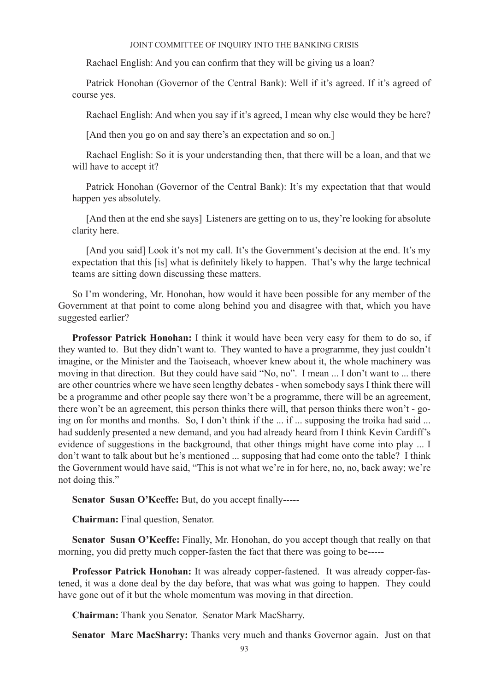Rachael English: And you can confirm that they will be giving us a loan?

Patrick Honohan (Governor of the Central Bank): Well if it's agreed. If it's agreed of course yes.

Rachael English: And when you say if it's agreed, I mean why else would they be here?

[And then you go on and say there's an expectation and so on.]

Rachael English: So it is your understanding then, that there will be a loan, and that we will have to accept it?

Patrick Honohan (Governor of the Central Bank): It's my expectation that that would happen yes absolutely.

[And then at the end she says] Listeners are getting on to us, they're looking for absolute clarity here.

[And you said] Look it's not my call. It's the Government's decision at the end. It's my expectation that this [is] what is definitely likely to happen. That's why the large technical teams are sitting down discussing these matters.

So I'm wondering, Mr. Honohan, how would it have been possible for any member of the Government at that point to come along behind you and disagree with that, which you have suggested earlier?

**Professor Patrick Honohan:** I think it would have been very easy for them to do so, if they wanted to. But they didn't want to. They wanted to have a programme, they just couldn't imagine, or the Minister and the Taoiseach, whoever knew about it, the whole machinery was moving in that direction. But they could have said "No, no". I mean ... I don't want to ... there are other countries where we have seen lengthy debates - when somebody says I think there will be a programme and other people say there won't be a programme, there will be an agreement, there won't be an agreement, this person thinks there will, that person thinks there won't - going on for months and months. So, I don't think if the ... if ... supposing the troika had said ... had suddenly presented a new demand, and you had already heard from I think Kevin Cardiff's evidence of suggestions in the background, that other things might have come into play ... I don't want to talk about but he's mentioned ... supposing that had come onto the table? I think the Government would have said, "This is not what we're in for here, no, no, back away; we're not doing this."

**Senator Susan O'Keeffe:** But, do you accept finally-----

**Chairman:** Final question, Senator.

**Senator Susan O'Keeffe:** Finally, Mr. Honohan, do you accept though that really on that morning, you did pretty much copper-fasten the fact that there was going to be-----

**Professor Patrick Honohan:** It was already copper-fastened. It was already copper-fastened, it was a done deal by the day before, that was what was going to happen. They could have gone out of it but the whole momentum was moving in that direction.

**Chairman:** Thank you Senator. Senator Mark MacSharry.

**Senator Marc MacSharry:** Thanks very much and thanks Governor again. Just on that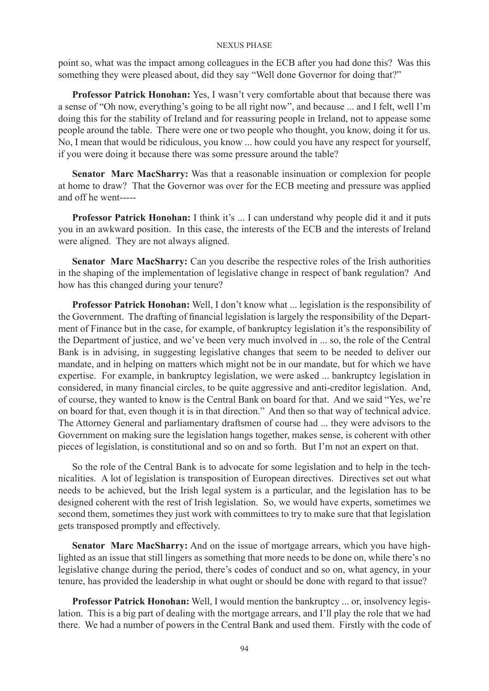point so, what was the impact among colleagues in the ECB after you had done this? Was this something they were pleased about, did they say "Well done Governor for doing that?"

**Professor Patrick Honohan:** Yes, I wasn't very comfortable about that because there was a sense of "Oh now, everything's going to be all right now", and because ... and I felt, well I'm doing this for the stability of Ireland and for reassuring people in Ireland, not to appease some people around the table. There were one or two people who thought, you know, doing it for us. No, I mean that would be ridiculous, you know ... how could you have any respect for yourself, if you were doing it because there was some pressure around the table?

**Senator Marc MacSharry:** Was that a reasonable insinuation or complexion for people at home to draw? That the Governor was over for the ECB meeting and pressure was applied and off he went-----

**Professor Patrick Honohan:** I think it's ... I can understand why people did it and it puts you in an awkward position. In this case, the interests of the ECB and the interests of Ireland were aligned. They are not always aligned.

Senator Marc MacSharry: Can you describe the respective roles of the Irish authorities in the shaping of the implementation of legislative change in respect of bank regulation? And how has this changed during your tenure?

**Professor Patrick Honohan:** Well, I don't know what ... legislation is the responsibility of the Government. The drafting of financial legislation is largely the responsibility of the Department of Finance but in the case, for example, of bankruptcy legislation it's the responsibility of the Department of justice, and we've been very much involved in ... so, the role of the Central Bank is in advising, in suggesting legislative changes that seem to be needed to deliver our mandate, and in helping on matters which might not be in our mandate, but for which we have expertise. For example, in bankruptcy legislation, we were asked ... bankruptcy legislation in considered, in many financial circles, to be quite aggressive and anti-creditor legislation. And, of course, they wanted to know is the Central Bank on board for that. And we said "Yes, we're on board for that, even though it is in that direction." And then so that way of technical advice. The Attorney General and parliamentary draftsmen of course had ... they were advisors to the Government on making sure the legislation hangs together, makes sense, is coherent with other pieces of legislation, is constitutional and so on and so forth. But I'm not an expert on that.

So the role of the Central Bank is to advocate for some legislation and to help in the technicalities. A lot of legislation is transposition of European directives. Directives set out what needs to be achieved, but the Irish legal system is a particular, and the legislation has to be designed coherent with the rest of Irish legislation. So, we would have experts, sometimes we second them, sometimes they just work with committees to try to make sure that that legislation gets transposed promptly and effectively.

**Senator Marc MacSharry:** And on the issue of mortgage arrears, which you have highlighted as an issue that still lingers as something that more needs to be done on, while there's no legislative change during the period, there's codes of conduct and so on, what agency, in your tenure, has provided the leadership in what ought or should be done with regard to that issue?

**Professor Patrick Honohan:** Well, I would mention the bankruptcy ... or, insolvency legislation. This is a big part of dealing with the mortgage arrears, and I'll play the role that we had there. We had a number of powers in the Central Bank and used them. Firstly with the code of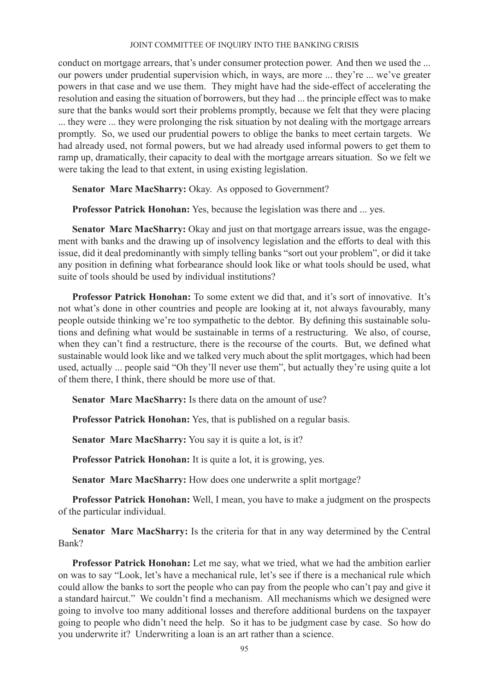conduct on mortgage arrears, that's under consumer protection power. And then we used the ... our powers under prudential supervision which, in ways, are more ... they're ... we've greater powers in that case and we use them. They might have had the side-effect of accelerating the resolution and easing the situation of borrowers, but they had ... the principle effect was to make sure that the banks would sort their problems promptly, because we felt that they were placing ... they were ... they were prolonging the risk situation by not dealing with the mortgage arrears promptly. So, we used our prudential powers to oblige the banks to meet certain targets. We had already used, not formal powers, but we had already used informal powers to get them to ramp up, dramatically, their capacity to deal with the mortgage arrears situation. So we felt we were taking the lead to that extent, in using existing legislation.

**Senator Marc MacSharry:** Okay. As opposed to Government?

**Professor Patrick Honohan:** Yes, because the legislation was there and ... yes.

**Senator Marc MacSharry:** Okay and just on that mortgage arrears issue, was the engagement with banks and the drawing up of insolvency legislation and the efforts to deal with this issue, did it deal predominantly with simply telling banks "sort out your problem", or did it take any position in defining what forbearance should look like or what tools should be used, what suite of tools should be used by individual institutions?

**Professor Patrick Honohan:** To some extent we did that, and it's sort of innovative. It's not what's done in other countries and people are looking at it, not always favourably, many people outside thinking we're too sympathetic to the debtor. By defining this sustainable solutions and defining what would be sustainable in terms of a restructuring. We also, of course, when they can't find a restructure, there is the recourse of the courts. But, we defined what sustainable would look like and we talked very much about the split mortgages, which had been used, actually ... people said "Oh they'll never use them", but actually they're using quite a lot of them there, I think, there should be more use of that.

**Senator Marc MacSharry:** Is there data on the amount of use?

**Professor Patrick Honohan:** Yes, that is published on a regular basis.

**Senator Marc MacSharry:** You say it is quite a lot, is it?

**Professor Patrick Honohan:** It is quite a lot, it is growing, yes.

**Senator Marc MacSharry:** How does one underwrite a split mortgage?

**Professor Patrick Honohan:** Well, I mean, you have to make a judgment on the prospects of the particular individual.

**Senator Marc MacSharry:** Is the criteria for that in any way determined by the Central Bank?

**Professor Patrick Honohan:** Let me say, what we tried, what we had the ambition earlier on was to say "Look, let's have a mechanical rule, let's see if there is a mechanical rule which could allow the banks to sort the people who can pay from the people who can't pay and give it a standard haircut." We couldn't find a mechanism. All mechanisms which we designed were going to involve too many additional losses and therefore additional burdens on the taxpayer going to people who didn't need the help. So it has to be judgment case by case. So how do you underwrite it? Underwriting a loan is an art rather than a science.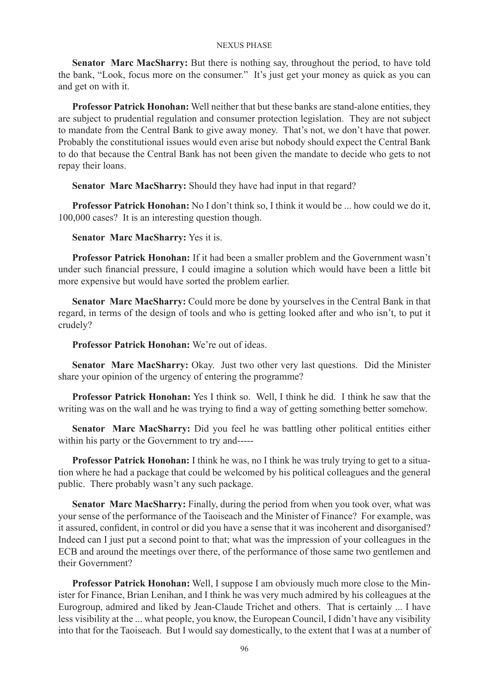**Senator Marc MacSharry:** But there is nothing say, throughout the period, to have told the bank, "Look, focus more on the consumer." It's just get your money as quick as you can and get on with it.

**Professor Patrick Honohan:** Well neither that but these banks are stand-alone entities, they are subject to prudential regulation and consumer protection legislation. They are not subject to mandate from the Central Bank to give away money. That's not, we don't have that power. Probably the constitutional issues would even arise but nobody should expect the Central Bank to do that because the Central Bank has not been given the mandate to decide who gets to not repay their loans.

**Senator Marc MacSharry:** Should they have had input in that regard?

**Professor Patrick Honohan:** No I don't think so, I think it would be ... how could we do it, 100,000 cases? It is an interesting question though.

**Senator Marc MacSharry:** Yes it is.

**Professor Patrick Honohan:** If it had been a smaller problem and the Government wasn't under such financial pressure, I could imagine a solution which would have been a little bit more expensive but would have sorted the problem earlier.

**Senator Marc MacSharry:** Could more be done by yourselves in the Central Bank in that regard, in terms of the design of tools and who is getting looked after and who isn't, to put it crudely?

**Professor Patrick Honohan:** We're out of ideas.

**Senator Marc MacSharry:** Okay. Just two other very last questions. Did the Minister share your opinion of the urgency of entering the programme?

**Professor Patrick Honohan:** Yes I think so. Well, I think he did. I think he saw that the writing was on the wall and he was trying to find a way of getting something better somehow.

**Senator Marc MacSharry:** Did you feel he was battling other political entities either within his party or the Government to try and-----

**Professor Patrick Honohan:** I think he was, no I think he was truly trying to get to a situation where he had a package that could be welcomed by his political colleagues and the general public. There probably wasn't any such package.

**Senator Marc MacSharry:** Finally, during the period from when you took over, what was your sense of the performance of the Taoiseach and the Minister of Finance? For example, was it assured, confident, in control or did you have a sense that it was incoherent and disorganised? Indeed can I just put a second point to that; what was the impression of your colleagues in the ECB and around the meetings over there, of the performance of those same two gentlemen and their Government?

**Professor Patrick Honohan:** Well, I suppose I am obviously much more close to the Minister for Finance, Brian Lenihan, and I think he was very much admired by his colleagues at the Eurogroup, admired and liked by Jean-Claude Trichet and others. That is certainly ... I have less visibility at the ... what people, you know, the European Council, I didn't have any visibility into that for the Taoiseach. But I would say domestically, to the extent that I was at a number of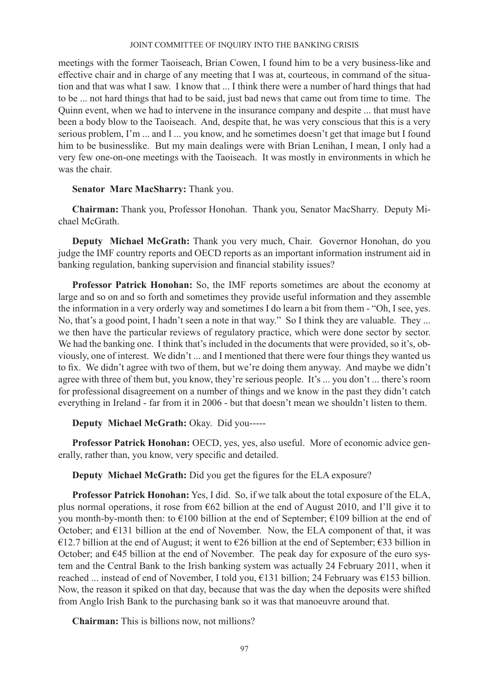meetings with the former Taoiseach, Brian Cowen, I found him to be a very business-like and effective chair and in charge of any meeting that I was at, courteous, in command of the situation and that was what I saw. I know that ... I think there were a number of hard things that had to be ... not hard things that had to be said, just bad news that came out from time to time. The Quinn event, when we had to intervene in the insurance company and despite ... that must have been a body blow to the Taoiseach. And, despite that, he was very conscious that this is a very serious problem, I'm ... and I ... you know, and he sometimes doesn't get that image but I found him to be businesslike. But my main dealings were with Brian Lenihan, I mean, I only had a very few one-on-one meetings with the Taoiseach. It was mostly in environments in which he was the chair.

# **Senator Marc MacSharry:** Thank you.

**Chairman:** Thank you, Professor Honohan. Thank you, Senator MacSharry. Deputy Michael McGrath.

**Deputy Michael McGrath:** Thank you very much, Chair. Governor Honohan, do you judge the IMF country reports and OECD reports as an important information instrument aid in banking regulation, banking supervision and financial stability issues?

**Professor Patrick Honohan:** So, the IMF reports sometimes are about the economy at large and so on and so forth and sometimes they provide useful information and they assemble the information in a very orderly way and sometimes I do learn a bit from them - "Oh, I see, yes. No, that's a good point, I hadn't seen a note in that way." So I think they are valuable. They ... we then have the particular reviews of regulatory practice, which were done sector by sector. We had the banking one. I think that's included in the documents that were provided, so it's, obviously, one of interest. We didn't ... and I mentioned that there were four things they wanted us to fix. We didn't agree with two of them, but we're doing them anyway. And maybe we didn't agree with three of them but, you know, they're serious people. It's ... you don't ... there's room for professional disagreement on a number of things and we know in the past they didn't catch everything in Ireland - far from it in 2006 - but that doesn't mean we shouldn't listen to them.

# **Deputy Michael McGrath:** Okay. Did you-----

**Professor Patrick Honohan:** OECD, yes, yes, also useful. More of economic advice generally, rather than, you know, very specific and detailed.

**Deputy Michael McGrath:** Did you get the figures for the ELA exposure?

**Professor Patrick Honohan:** Yes, I did. So, if we talk about the total exposure of the ELA, plus normal operations, it rose from  $662$  billion at the end of August 2010, and I'll give it to you month-by-month then: to  $\epsilon$ 100 billion at the end of September;  $\epsilon$ 109 billion at the end of October; and  $E131$  billion at the end of November. Now, the ELA component of that, it was €12.7 billion at the end of August; it went to €26 billion at the end of September; €33 billion in October; and  $E$ 45 billion at the end of November. The peak day for exposure of the euro system and the Central Bank to the Irish banking system was actually 24 February 2011, when it reached ... instead of end of November, I told you, €131 billion; 24 February was €153 billion. Now, the reason it spiked on that day, because that was the day when the deposits were shifted from Anglo Irish Bank to the purchasing bank so it was that manoeuvre around that.

**Chairman:** This is billions now, not millions?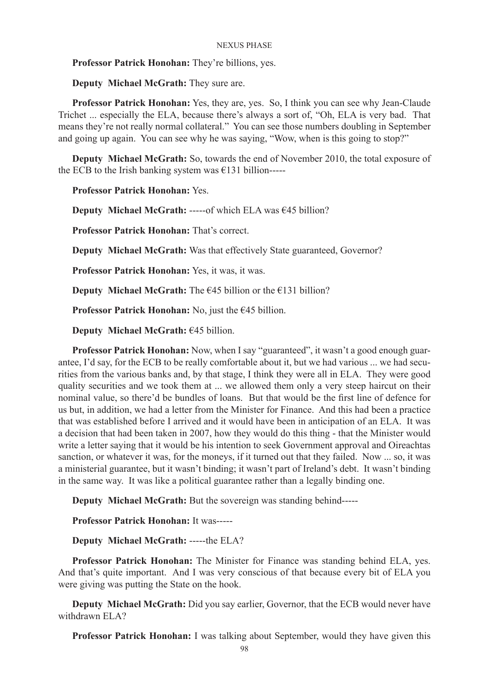**Professor Patrick Honohan:** They're billions, yes.

**Deputy Michael McGrath:** They sure are.

**Professor Patrick Honohan:** Yes, they are, yes. So, I think you can see why Jean-Claude Trichet ... especially the ELA, because there's always a sort of, "Oh, ELA is very bad. That means they're not really normal collateral." You can see those numbers doubling in September and going up again. You can see why he was saying, "Wow, when is this going to stop?"

**Deputy Michael McGrath:** So, towards the end of November 2010, the total exposure of the ECB to the Irish banking system was  $\epsilon$ 131 billion-----

**Professor Patrick Honohan:** Yes.

**Deputy Michael McGrath:** -----of which ELA was €45 billion?

**Professor Patrick Honohan:** That's correct.

**Deputy Michael McGrath:** Was that effectively State guaranteed, Governor?

**Professor Patrick Honohan:** Yes, it was, it was.

**Deputy Michael McGrath:** The  $\epsilon$ 45 billion or the  $\epsilon$ 131 billion?

**Professor Patrick Honohan:** No, just the €45 billion.

**Deputy Michael McGrath:** €45 billion.

**Professor Patrick Honohan:** Now, when I say "guaranteed", it wasn't a good enough guarantee, I'd say, for the ECB to be really comfortable about it, but we had various ... we had securities from the various banks and, by that stage, I think they were all in ELA. They were good quality securities and we took them at ... we allowed them only a very steep haircut on their nominal value, so there'd be bundles of loans. But that would be the first line of defence for us but, in addition, we had a letter from the Minister for Finance. And this had been a practice that was established before I arrived and it would have been in anticipation of an ELA. It was a decision that had been taken in 2007, how they would do this thing - that the Minister would write a letter saying that it would be his intention to seek Government approval and Oireachtas sanction, or whatever it was, for the moneys, if it turned out that they failed. Now ... so, it was a ministerial guarantee, but it wasn't binding; it wasn't part of Ireland's debt. It wasn't binding in the same way. It was like a political guarantee rather than a legally binding one.

**Deputy Michael McGrath:** But the sovereign was standing behind-----

**Professor Patrick Honohan:** It was-----

**Deputy Michael McGrath:** -----the ELA?

**Professor Patrick Honohan:** The Minister for Finance was standing behind ELA, yes. And that's quite important. And I was very conscious of that because every bit of ELA you were giving was putting the State on the hook.

**Deputy Michael McGrath:** Did you say earlier, Governor, that the ECB would never have withdrawn ELA?

**Professor Patrick Honohan:** I was talking about September, would they have given this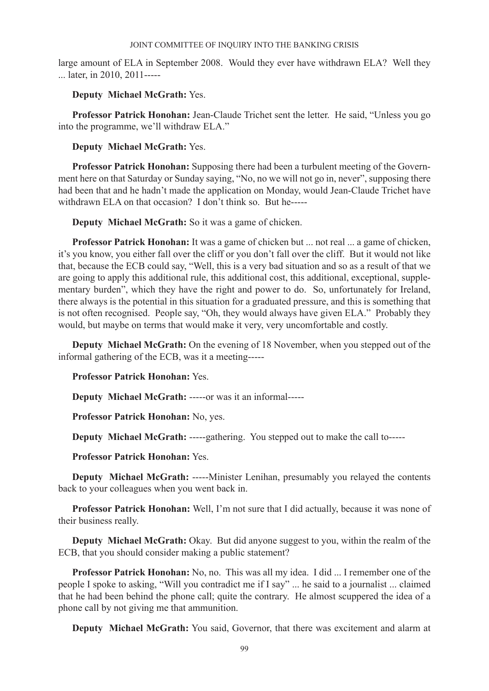large amount of ELA in September 2008. Would they ever have withdrawn ELA? Well they ... later, in 2010, 2011-----

**Deputy Michael McGrath:** Yes.

Professor Patrick Honohan: Jean-Claude Trichet sent the letter. He said, "Unless you go into the programme, we'll withdraw ELA."

# **Deputy Michael McGrath:** Yes.

**Professor Patrick Honohan:** Supposing there had been a turbulent meeting of the Government here on that Saturday or Sunday saying, "No, no we will not go in, never", supposing there had been that and he hadn't made the application on Monday, would Jean-Claude Trichet have withdrawn ELA on that occasion? I don't think so. But he-----

**Deputy Michael McGrath:** So it was a game of chicken.

**Professor Patrick Honohan:** It was a game of chicken but ... not real ... a game of chicken, it's you know, you either fall over the cliff or you don't fall over the cliff. But it would not like that, because the ECB could say, "Well, this is a very bad situation and so as a result of that we are going to apply this additional rule, this additional cost, this additional, exceptional, supplementary burden", which they have the right and power to do. So, unfortunately for Ireland, there always is the potential in this situation for a graduated pressure, and this is something that is not often recognised. People say, "Oh, they would always have given ELA." Probably they would, but maybe on terms that would make it very, very uncomfortable and costly.

**Deputy Michael McGrath:** On the evening of 18 November, when you stepped out of the informal gathering of the ECB, was it a meeting-----

**Professor Patrick Honohan:** Yes.

**Deputy Michael McGrath:** -----or was it an informal-----

**Professor Patrick Honohan:** No, yes.

**Deputy Michael McGrath:** -----gathering. You stepped out to make the call to-----

**Professor Patrick Honohan:** Yes.

**Deputy Michael McGrath:** -----Minister Lenihan, presumably you relayed the contents back to your colleagues when you went back in.

**Professor Patrick Honohan:** Well, I'm not sure that I did actually, because it was none of their business really.

**Deputy Michael McGrath:** Okay. But did anyone suggest to you, within the realm of the ECB, that you should consider making a public statement?

**Professor Patrick Honohan:** No, no. This was all my idea. I did ... I remember one of the people I spoke to asking, "Will you contradict me if I say" ... he said to a journalist ... claimed that he had been behind the phone call; quite the contrary. He almost scuppered the idea of a phone call by not giving me that ammunition.

**Deputy Michael McGrath:** You said, Governor, that there was excitement and alarm at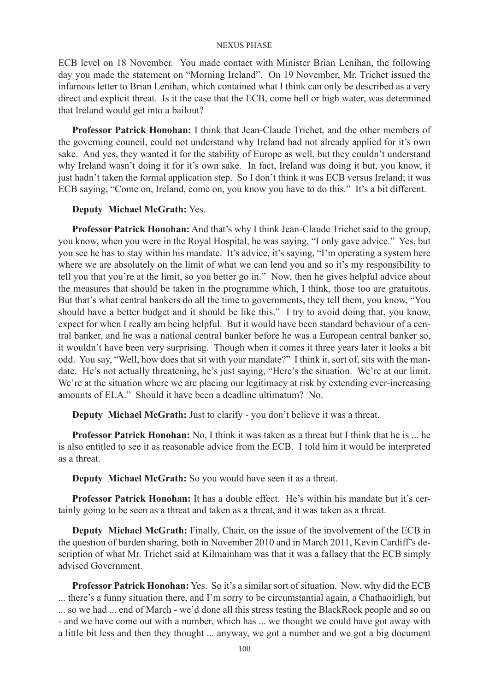ECB level on 18 November. You made contact with Minister Brian Lenihan, the following day you made the statement on "Morning Ireland". On 19 November, Mr. Trichet issued the infamous letter to Brian Lenihan, which contained what I think can only be described as a very direct and explicit threat. Is it the case that the ECB, come hell or high water, was determined that Ireland would get into a bailout?

**Professor Patrick Honohan:** I think that Jean-Claude Trichet, and the other members of the governing council, could not understand why Ireland had not already applied for it's own sake. And yes, they wanted it for the stability of Europe as well, but they couldn't understand why Ireland wasn't doing it for it's own sake. In fact, Ireland was doing it but, you know, it just hadn't taken the formal application step. So I don't think it was ECB versus Ireland; it was ECB saying, "Come on, Ireland, come on, you know you have to do this." It's a bit different.

## **Deputy Michael McGrath:** Yes.

**Professor Patrick Honohan:** And that's why I think Jean-Claude Trichet said to the group, you know, when you were in the Royal Hospital, he was saying, "I only gave advice." Yes, but you see he has to stay within his mandate. It's advice, it's saying, "I'm operating a system here where we are absolutely on the limit of what we can lend you and so it's my responsibility to tell you that you're at the limit, so you better go in." Now, then he gives helpful advice about the measures that should be taken in the programme which, I think, those too are gratuitous. But that's what central bankers do all the time to governments, they tell them, you know, "You should have a better budget and it should be like this." I try to avoid doing that, you know, expect for when I really am being helpful. But it would have been standard behaviour of a central banker, and he was a national central banker before he was a European central banker so, it wouldn't have been very surprising. Though when it comes it three years later it looks a bit odd. You say, "Well, how does that sit with your mandate?" I think it, sort of, sits with the mandate. He's not actually threatening, he's just saying, "Here's the situation. We're at our limit. We're at the situation where we are placing our legitimacy at risk by extending ever-increasing amounts of ELA." Should it have been a deadline ultimatum? No.

**Deputy Michael McGrath:** Just to clarify - you don't believe it was a threat.

**Professor Patrick Honohan:** No, I think it was taken as a threat but I think that he is ... he is also entitled to see it as reasonable advice from the ECB. I told him it would be interpreted as a threat.

**Deputy Michael McGrath:** So you would have seen it as a threat.

**Professor Patrick Honohan:** It has a double effect. He's within his mandate but it's certainly going to be seen as a threat and taken as a threat, and it was taken as a threat.

**Deputy Michael McGrath:** Finally, Chair, on the issue of the involvement of the ECB in the question of burden sharing, both in November 2010 and in March 2011, Kevin Cardiff's description of what Mr. Trichet said at Kilmainham was that it was a fallacy that the ECB simply advised Government.

**Professor Patrick Honohan:** Yes. So it's a similar sort of situation. Now, why did the ECB ... there's a funny situation there, and I'm sorry to be circumstantial again, a Chathaoirligh, but ... so we had ... end of March - we'd done all this stress testing the BlackRock people and so on - and we have come out with a number, which has ... we thought we could have got away with a little bit less and then they thought ... anyway, we got a number and we got a big document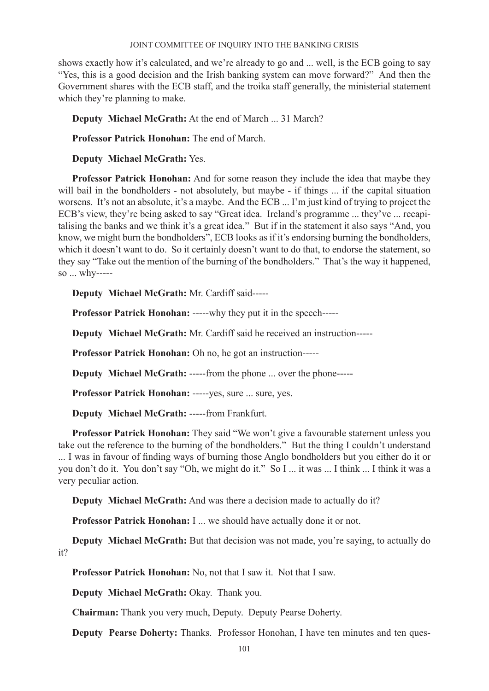shows exactly how it's calculated, and we're already to go and ... well, is the ECB going to say "Yes, this is a good decision and the Irish banking system can move forward?" And then the Government shares with the ECB staff, and the troika staff generally, the ministerial statement which they're planning to make.

**Deputy Michael McGrath:** At the end of March ... 31 March?

**Professor Patrick Honohan:** The end of March.

**Deputy Michael McGrath:** Yes.

**Professor Patrick Honohan:** And for some reason they include the idea that maybe they will bail in the bondholders - not absolutely, but maybe - if things ... if the capital situation worsens. It's not an absolute, it's a maybe. And the ECB ... I'm just kind of trying to project the ECB's view, they're being asked to say "Great idea. Ireland's programme ... they've ... recapitalising the banks and we think it's a great idea." But if in the statement it also says "And, you know, we might burn the bondholders", ECB looks as if it's endorsing burning the bondholders, which it doesn't want to do. So it certainly doesn't want to do that, to endorse the statement, so they say "Take out the mention of the burning of the bondholders." That's the way it happened, so ... why-----

**Deputy Michael McGrath:** Mr. Cardiff said-----

**Professor Patrick Honohan:** -----why they put it in the speech-----

**Deputy Michael McGrath:** Mr. Cardiff said he received an instruction-----

**Professor Patrick Honohan:** Oh no, he got an instruction-----

**Deputy Michael McGrath:** -----from the phone ... over the phone-----

**Professor Patrick Honohan:** -----yes, sure ... sure, yes.

**Deputy Michael McGrath:** -----from Frankfurt.

**Professor Patrick Honohan:** They said "We won't give a favourable statement unless you take out the reference to the burning of the bondholders." But the thing I couldn't understand ... I was in favour of finding ways of burning those Anglo bondholders but you either do it or you don't do it. You don't say "Oh, we might do it." So I ... it was ... I think ... I think it was a very peculiar action.

**Deputy Michael McGrath:** And was there a decision made to actually do it?

**Professor Patrick Honohan:** I ... we should have actually done it or not.

**Deputy Michael McGrath:** But that decision was not made, you're saying, to actually do it?

**Professor Patrick Honohan:** No, not that I saw it. Not that I saw.

**Deputy Michael McGrath:** Okay. Thank you.

**Chairman:** Thank you very much, Deputy. Deputy Pearse Doherty.

**Deputy Pearse Doherty:** Thanks. Professor Honohan, I have ten minutes and ten ques-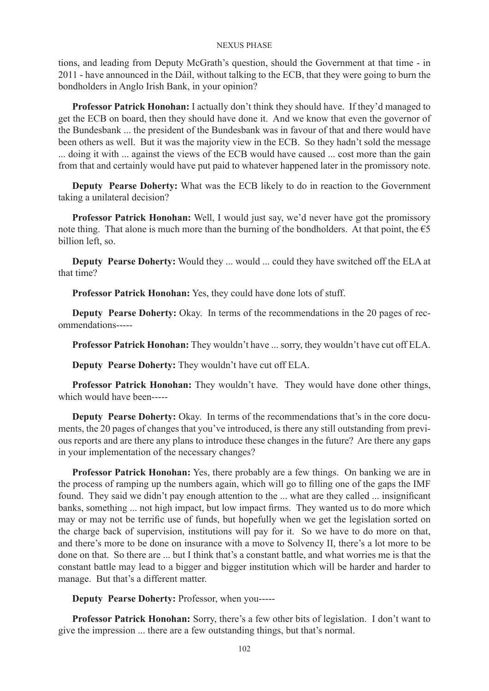tions, and leading from Deputy McGrath's question, should the Government at that time - in 2011 - have announced in the Dáil, without talking to the ECB, that they were going to burn the bondholders in Anglo Irish Bank, in your opinion?

**Professor Patrick Honohan:** I actually don't think they should have. If they'd managed to get the ECB on board, then they should have done it. And we know that even the governor of the Bundesbank ... the president of the Bundesbank was in favour of that and there would have been others as well. But it was the majority view in the ECB. So they hadn't sold the message ... doing it with ... against the views of the ECB would have caused ... cost more than the gain from that and certainly would have put paid to whatever happened later in the promissory note.

**Deputy Pearse Doherty:** What was the ECB likely to do in reaction to the Government taking a unilateral decision?

**Professor Patrick Honohan:** Well, I would just say, we'd never have got the promissory note thing. That alone is much more than the burning of the bondholders. At that point, the  $\epsilon$ 5 billion left, so.

**Deputy Pearse Doherty:** Would they ... would ... could they have switched off the ELA at that time?

**Professor Patrick Honohan:** Yes, they could have done lots of stuff.

**Deputy Pearse Doherty:** Okay. In terms of the recommendations in the 20 pages of recommendations-----

**Professor Patrick Honohan:** They wouldn't have ... sorry, they wouldn't have cut off ELA.

**Deputy Pearse Doherty:** They wouldn't have cut off ELA.

**Professor Patrick Honohan:** They wouldn't have. They would have done other things, which would have been-----

**Deputy Pearse Doherty:** Okay. In terms of the recommendations that's in the core documents, the 20 pages of changes that you've introduced, is there any still outstanding from previous reports and are there any plans to introduce these changes in the future? Are there any gaps in your implementation of the necessary changes?

**Professor Patrick Honohan:** Yes, there probably are a few things. On banking we are in the process of ramping up the numbers again, which will go to filling one of the gaps the IMF found. They said we didn't pay enough attention to the ... what are they called ... insignificant banks, something ... not high impact, but low impact firms. They wanted us to do more which may or may not be terrific use of funds, but hopefully when we get the legislation sorted on the charge back of supervision, institutions will pay for it. So we have to do more on that, and there's more to be done on insurance with a move to Solvency II, there's a lot more to be done on that. So there are ... but I think that's a constant battle, and what worries me is that the constant battle may lead to a bigger and bigger institution which will be harder and harder to manage. But that's a different matter.

**Deputy Pearse Doherty:** Professor, when you-----

**Professor Patrick Honohan:** Sorry, there's a few other bits of legislation. I don't want to give the impression ... there are a few outstanding things, but that's normal.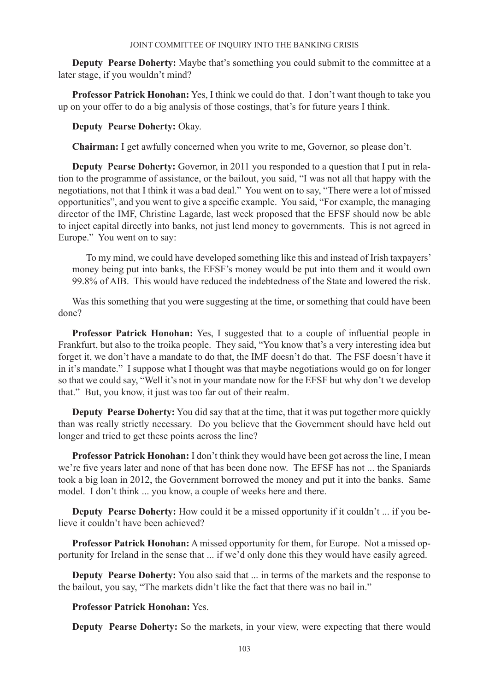**Deputy Pearse Doherty:** Maybe that's something you could submit to the committee at a later stage, if you wouldn't mind?

**Professor Patrick Honohan:** Yes, I think we could do that. I don't want though to take you up on your offer to do a big analysis of those costings, that's for future years I think.

**Deputy Pearse Doherty:** Okay.

**Chairman:** I get awfully concerned when you write to me, Governor, so please don't.

**Deputy Pearse Doherty:** Governor, in 2011 you responded to a question that I put in relation to the programme of assistance, or the bailout, you said, "I was not all that happy with the negotiations, not that I think it was a bad deal." You went on to say, "There were a lot of missed opportunities", and you went to give a specific example. You said, "For example, the managing director of the IMF, Christine Lagarde, last week proposed that the EFSF should now be able to inject capital directly into banks, not just lend money to governments. This is not agreed in Europe." You went on to say:

To my mind, we could have developed something like this and instead of Irish taxpayers' money being put into banks, the EFSF's money would be put into them and it would own 99.8% of AIB. This would have reduced the indebtedness of the State and lowered the risk.

Was this something that you were suggesting at the time, or something that could have been done?

**Professor Patrick Honohan:** Yes, I suggested that to a couple of influential people in Frankfurt, but also to the troika people. They said, "You know that's a very interesting idea but forget it, we don't have a mandate to do that, the IMF doesn't do that. The FSF doesn't have it in it's mandate." I suppose what I thought was that maybe negotiations would go on for longer so that we could say, "Well it's not in your mandate now for the EFSF but why don't we develop that." But, you know, it just was too far out of their realm.

**Deputy Pearse Doherty:** You did say that at the time, that it was put together more quickly than was really strictly necessary. Do you believe that the Government should have held out longer and tried to get these points across the line?

**Professor Patrick Honohan:** I don't think they would have been got across the line, I mean we're five years later and none of that has been done now. The EFSF has not ... the Spaniards took a big loan in 2012, the Government borrowed the money and put it into the banks. Same model. I don't think ... you know, a couple of weeks here and there.

**Deputy Pearse Doherty:** How could it be a missed opportunity if it couldn't ... if you believe it couldn't have been achieved?

**Professor Patrick Honohan:** A missed opportunity for them, for Europe. Not a missed opportunity for Ireland in the sense that ... if we'd only done this they would have easily agreed.

**Deputy Pearse Doherty:** You also said that ... in terms of the markets and the response to the bailout, you say, "The markets didn't like the fact that there was no bail in."

# **Professor Patrick Honohan:** Yes.

**Deputy Pearse Doherty:** So the markets, in your view, were expecting that there would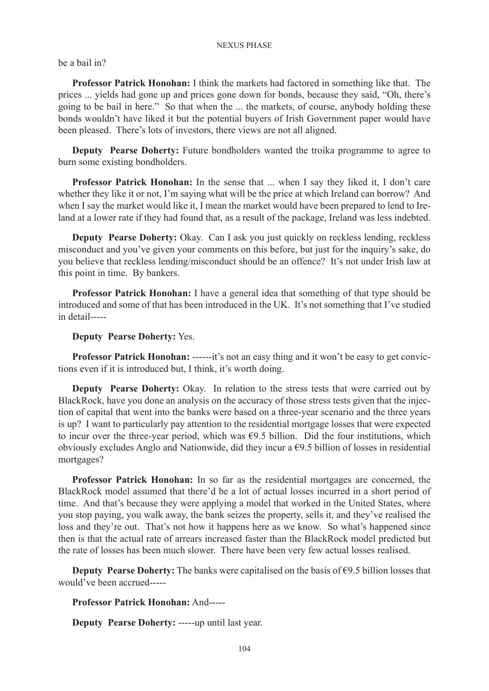be a bail in?

**Professor Patrick Honohan:** I think the markets had factored in something like that. The prices ... yields had gone up and prices gone down for bonds, because they said, "Oh, there's going to be bail in here." So that when the ... the markets, of course, anybody holding these bonds wouldn't have liked it but the potential buyers of Irish Government paper would have been pleased. There's lots of investors, there views are not all aligned.

**Deputy Pearse Doherty:** Future bondholders wanted the troika programme to agree to burn some existing bondholders.

**Professor Patrick Honohan:** In the sense that ... when I say they liked it, I don't care whether they like it or not, I'm saying what will be the price at which Ireland can borrow? And when I say the market would like it, I mean the market would have been prepared to lend to Ireland at a lower rate if they had found that, as a result of the package, Ireland was less indebted.

**Deputy Pearse Doherty:** Okay. Can I ask you just quickly on reckless lending, reckless misconduct and you've given your comments on this before, but just for the inquiry's sake, do you believe that reckless lending/misconduct should be an offence? It's not under Irish law at this point in time. By bankers.

**Professor Patrick Honohan:** I have a general idea that something of that type should be introduced and some of that has been introduced in the UK. It's not something that I've studied in detail-----

**Deputy Pearse Doherty:** Yes.

**Professor Patrick Honohan:** ------it's not an easy thing and it won't be easy to get convictions even if it is introduced but, I think, it's worth doing.

**Deputy Pearse Doherty:** Okay. In relation to the stress tests that were carried out by BlackRock, have you done an analysis on the accuracy of those stress tests given that the injection of capital that went into the banks were based on a three-year scenario and the three years is up? I want to particularly pay attention to the residential mortgage losses that were expected to incur over the three-year period, which was  $\epsilon$ 9.5 billion. Did the four institutions, which obviously excludes Anglo and Nationwide, did they incur a  $\epsilon$ 9.5 billion of losses in residential mortgages?

**Professor Patrick Honohan:** In so far as the residential mortgages are concerned, the BlackRock model assumed that there'd be a lot of actual losses incurred in a short period of time. And that's because they were applying a model that worked in the United States, where you stop paying, you walk away, the bank seizes the property, sells it, and they've realised the loss and they're out. That's not how it happens here as we know. So what's happened since then is that the actual rate of arrears increased faster than the BlackRock model predicted but the rate of losses has been much slower. There have been very few actual losses realised.

**Deputy Pearse Doherty:** The banks were capitalised on the basis of €9.5 billion losses that would've been accrued-----

**Professor Patrick Honohan:** And-----

**Deputy Pearse Doherty:** -----up until last year.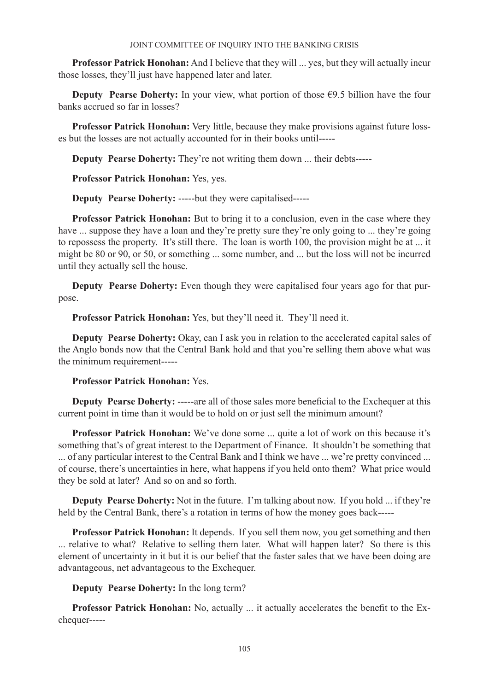**Professor Patrick Honohan:** And I believe that they will ... yes, but they will actually incur those losses, they'll just have happened later and later.

**Deputy Pearse Doherty:** In your view, what portion of those  $\epsilon$ 9.5 billion have the four banks accrued so far in losses?

**Professor Patrick Honohan:** Very little, because they make provisions against future losses but the losses are not actually accounted for in their books until-----

**Deputy Pearse Doherty:** They're not writing them down ... their debts-----

**Professor Patrick Honohan:** Yes, yes.

**Deputy Pearse Doherty:** -----but they were capitalised-----

**Professor Patrick Honohan:** But to bring it to a conclusion, even in the case where they have ... suppose they have a loan and they're pretty sure they're only going to ... they're going to repossess the property. It's still there. The loan is worth 100, the provision might be at ... it might be 80 or 90, or 50, or something ... some number, and ... but the loss will not be incurred until they actually sell the house.

**Deputy Pearse Doherty:** Even though they were capitalised four years ago for that purpose.

**Professor Patrick Honohan:** Yes, but they'll need it. They'll need it.

**Deputy Pearse Doherty:** Okay, can I ask you in relation to the accelerated capital sales of the Anglo bonds now that the Central Bank hold and that you're selling them above what was the minimum requirement-----

**Professor Patrick Honohan:** Yes.

**Deputy Pearse Doherty:** -----are all of those sales more beneficial to the Exchequer at this current point in time than it would be to hold on or just sell the minimum amount?

**Professor Patrick Honohan:** We've done some ... quite a lot of work on this because it's something that's of great interest to the Department of Finance. It shouldn't be something that ... of any particular interest to the Central Bank and I think we have ... we're pretty convinced ... of course, there's uncertainties in here, what happens if you held onto them? What price would they be sold at later? And so on and so forth.

**Deputy Pearse Doherty:** Not in the future. I'm talking about now. If you hold ... if they're held by the Central Bank, there's a rotation in terms of how the money goes back-----

**Professor Patrick Honohan:** It depends. If you sell them now, you get something and then ... relative to what? Relative to selling them later. What will happen later? So there is this element of uncertainty in it but it is our belief that the faster sales that we have been doing are advantageous, net advantageous to the Exchequer.

**Deputy Pearse Doherty:** In the long term?

**Professor Patrick Honohan:** No, actually ... it actually accelerates the benefit to the Exchequer-----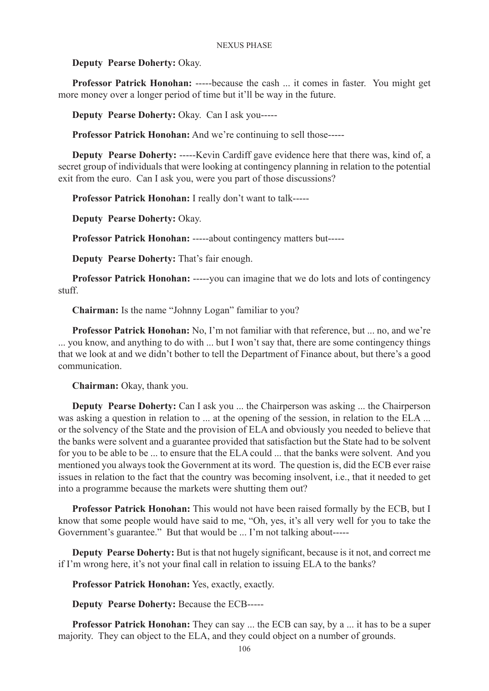**Deputy Pearse Doherty:** Okay.

**Professor Patrick Honohan:** -----because the cash ... it comes in faster. You might get more money over a longer period of time but it'll be way in the future.

**Deputy Pearse Doherty:** Okay. Can I ask you-----

**Professor Patrick Honohan:** And we're continuing to sell those-----

**Deputy Pearse Doherty:** -----Kevin Cardiff gave evidence here that there was, kind of, a secret group of individuals that were looking at contingency planning in relation to the potential exit from the euro. Can I ask you, were you part of those discussions?

**Professor Patrick Honohan:** I really don't want to talk-----

**Deputy Pearse Doherty:** Okay.

**Professor Patrick Honohan:** -----about contingency matters but-----

**Deputy Pearse Doherty:** That's fair enough.

**Professor Patrick Honohan:** -----you can imagine that we do lots and lots of contingency stuff.

**Chairman:** Is the name "Johnny Logan" familiar to you?

**Professor Patrick Honohan:** No, I'm not familiar with that reference, but ... no, and we're ... you know, and anything to do with ... but I won't say that, there are some contingency things that we look at and we didn't bother to tell the Department of Finance about, but there's a good communication.

**Chairman:** Okay, thank you.

**Deputy Pearse Doherty:** Can I ask you ... the Chairperson was asking ... the Chairperson was asking a question in relation to ... at the opening of the session, in relation to the ELA ... or the solvency of the State and the provision of ELA and obviously you needed to believe that the banks were solvent and a guarantee provided that satisfaction but the State had to be solvent for you to be able to be ... to ensure that the ELA could ... that the banks were solvent. And you mentioned you always took the Government at its word. The question is, did the ECB ever raise issues in relation to the fact that the country was becoming insolvent, i.e., that it needed to get into a programme because the markets were shutting them out?

**Professor Patrick Honohan:** This would not have been raised formally by the ECB, but I know that some people would have said to me, "Oh, yes, it's all very well for you to take the Government's guarantee." But that would be ... I'm not talking about-----

**Deputy Pearse Doherty:** But is that not hugely significant, because is it not, and correct me if I'm wrong here, it's not your final call in relation to issuing ELA to the banks?

**Professor Patrick Honohan:** Yes, exactly, exactly.

**Deputy Pearse Doherty:** Because the ECB-----

**Professor Patrick Honohan:** They can say ... the ECB can say, by a ... it has to be a super majority. They can object to the ELA, and they could object on a number of grounds.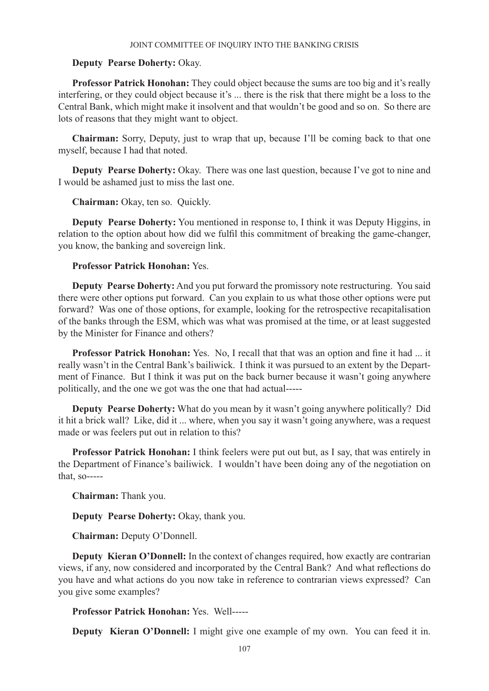## **Deputy Pearse Doherty:** Okay.

**Professor Patrick Honohan:** They could object because the sums are too big and it's really interfering, or they could object because it's ... there is the risk that there might be a loss to the Central Bank, which might make it insolvent and that wouldn't be good and so on. So there are lots of reasons that they might want to object.

**Chairman:** Sorry, Deputy, just to wrap that up, because I'll be coming back to that one myself, because I had that noted.

**Deputy Pearse Doherty:** Okay. There was one last question, because I've got to nine and I would be ashamed just to miss the last one.

**Chairman:** Okay, ten so. Quickly.

**Deputy Pearse Doherty:** You mentioned in response to, I think it was Deputy Higgins, in relation to the option about how did we fulfil this commitment of breaking the game-changer, you know, the banking and sovereign link.

# **Professor Patrick Honohan:** Yes.

**Deputy Pearse Doherty:** And you put forward the promissory note restructuring. You said there were other options put forward. Can you explain to us what those other options were put forward? Was one of those options, for example, looking for the retrospective recapitalisation of the banks through the ESM, which was what was promised at the time, or at least suggested by the Minister for Finance and others?

**Professor Patrick Honohan:** Yes. No, I recall that that was an option and fine it had ... it really wasn't in the Central Bank's bailiwick. I think it was pursued to an extent by the Department of Finance. But I think it was put on the back burner because it wasn't going anywhere politically, and the one we got was the one that had actual-----

**Deputy Pearse Doherty:** What do you mean by it wasn't going anywhere politically? Did it hit a brick wall? Like, did it ... where, when you say it wasn't going anywhere, was a request made or was feelers put out in relation to this?

**Professor Patrick Honohan:** I think feelers were put out but, as I say, that was entirely in the Department of Finance's bailiwick. I wouldn't have been doing any of the negotiation on that, so-----

**Chairman:** Thank you.

**Deputy Pearse Doherty:** Okay, thank you.

**Chairman:** Deputy O'Donnell.

**Deputy Kieran O'Donnell:** In the context of changes required, how exactly are contrarian views, if any, now considered and incorporated by the Central Bank? And what reflections do you have and what actions do you now take in reference to contrarian views expressed? Can you give some examples?

**Professor Patrick Honohan:** Yes. Well-----

**Deputy Kieran O'Donnell:** I might give one example of my own. You can feed it in.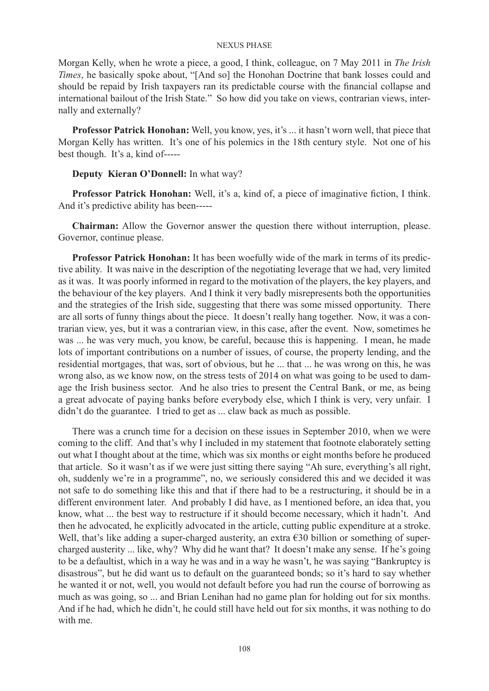Morgan Kelly, when he wrote a piece, a good, I think, colleague, on 7 May 2011 in *The Irish Times*, he basically spoke about, "[And so] the Honohan Doctrine that bank losses could and should be repaid by Irish taxpayers ran its predictable course with the financial collapse and international bailout of the Irish State." So how did you take on views, contrarian views, internally and externally?

**Professor Patrick Honohan:** Well, you know, yes, it's ... it hasn't worn well, that piece that Morgan Kelly has written. It's one of his polemics in the 18th century style. Not one of his best though. It's a, kind of-----

## **Deputy Kieran O'Donnell:** In what way?

**Professor Patrick Honohan:** Well, it's a, kind of, a piece of imaginative fiction, I think. And it's predictive ability has been-----

**Chairman:** Allow the Governor answer the question there without interruption, please. Governor, continue please.

**Professor Patrick Honohan:** It has been woefully wide of the mark in terms of its predictive ability. It was naive in the description of the negotiating leverage that we had, very limited as it was. It was poorly informed in regard to the motivation of the players, the key players, and the behaviour of the key players. And I think it very badly misrepresents both the opportunities and the strategies of the Irish side, suggesting that there was some missed opportunity. There are all sorts of funny things about the piece. It doesn't really hang together. Now, it was a contrarian view, yes, but it was a contrarian view, in this case, after the event. Now, sometimes he was ... he was very much, you know, be careful, because this is happening. I mean, he made lots of important contributions on a number of issues, of course, the property lending, and the residential mortgages, that was, sort of obvious, but he ... that ... he was wrong on this, he was wrong also, as we know now, on the stress tests of 2014 on what was going to be used to damage the Irish business sector. And he also tries to present the Central Bank, or me, as being a great advocate of paying banks before everybody else, which I think is very, very unfair. I didn't do the guarantee. I tried to get as ... claw back as much as possible.

There was a crunch time for a decision on these issues in September 2010, when we were coming to the cliff. And that's why I included in my statement that footnote elaborately setting out what I thought about at the time, which was six months or eight months before he produced that article. So it wasn't as if we were just sitting there saying "Ah sure, everything's all right, oh, suddenly we're in a programme", no, we seriously considered this and we decided it was not safe to do something like this and that if there had to be a restructuring, it should be in a different environment later. And probably I did have, as I mentioned before, an idea that, you know, what ... the best way to restructure if it should become necessary, which it hadn't. And then he advocated, he explicitly advocated in the article, cutting public expenditure at a stroke. Well, that's like adding a super-charged austerity, an extra  $\epsilon$ 30 billion or something of supercharged austerity ... like, why? Why did he want that? It doesn't make any sense. If he's going to be a defaultist, which in a way he was and in a way he wasn't, he was saying "Bankruptcy is disastrous", but he did want us to default on the guaranteed bonds; so it's hard to say whether he wanted it or not, well, you would not default before you had run the course of borrowing as much as was going, so ... and Brian Lenihan had no game plan for holding out for six months. And if he had, which he didn't, he could still have held out for six months, it was nothing to do with me.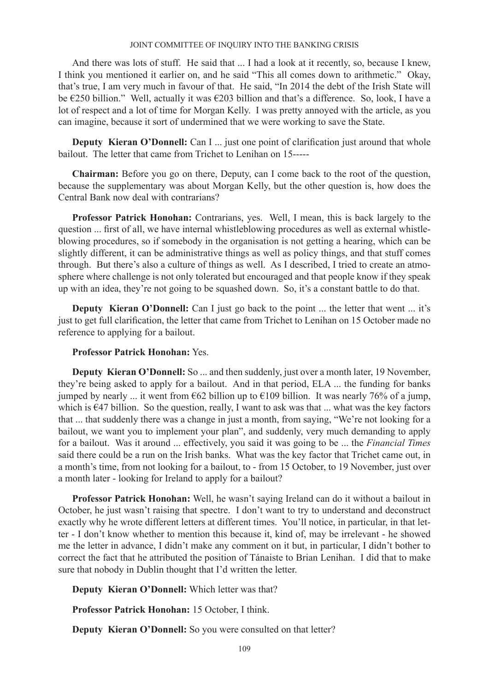And there was lots of stuff. He said that ... I had a look at it recently, so, because I knew, I think you mentioned it earlier on, and he said "This all comes down to arithmetic." Okay, that's true, I am very much in favour of that. He said, "In 2014 the debt of the Irish State will be €250 billion." Well, actually it was €203 billion and that's a difference. So, look, I have a lot of respect and a lot of time for Morgan Kelly. I was pretty annoyed with the article, as you can imagine, because it sort of undermined that we were working to save the State.

**Deputy Kieran O'Donnell:** Can I ... just one point of clarification just around that whole bailout. The letter that came from Trichet to Lenihan on 15-----

**Chairman:** Before you go on there, Deputy, can I come back to the root of the question, because the supplementary was about Morgan Kelly, but the other question is, how does the Central Bank now deal with contrarians?

**Professor Patrick Honohan:** Contrarians, yes. Well, I mean, this is back largely to the question ... first of all, we have internal whistleblowing procedures as well as external whistleblowing procedures, so if somebody in the organisation is not getting a hearing, which can be slightly different, it can be administrative things as well as policy things, and that stuff comes through. But there's also a culture of things as well. As I described, I tried to create an atmosphere where challenge is not only tolerated but encouraged and that people know if they speak up with an idea, they're not going to be squashed down. So, it's a constant battle to do that.

**Deputy Kieran O'Donnell:** Can I just go back to the point ... the letter that went ... it's just to get full clarification, the letter that came from Trichet to Lenihan on 15 October made no reference to applying for a bailout.

# **Professor Patrick Honohan:** Yes.

**Deputy Kieran O'Donnell:** So ... and then suddenly, just over a month later, 19 November, they're being asked to apply for a bailout. And in that period, ELA ... the funding for banks jumped by nearly ... it went from €62 billion up to €109 billion. It was nearly 76% of a jump, which is  $E$ 47 billion. So the question, really, I want to ask was that ... what was the key factors that ... that suddenly there was a change in just a month, from saying, "We're not looking for a bailout, we want you to implement your plan", and suddenly, very much demanding to apply for a bailout. Was it around ... effectively, you said it was going to be ... the *Financial Times*  said there could be a run on the Irish banks. What was the key factor that Trichet came out, in a month's time, from not looking for a bailout, to - from 15 October, to 19 November, just over a month later - looking for Ireland to apply for a bailout?

**Professor Patrick Honohan:** Well, he wasn't saying Ireland can do it without a bailout in October, he just wasn't raising that spectre. I don't want to try to understand and deconstruct exactly why he wrote different letters at different times. You'll notice, in particular, in that letter - I don't know whether to mention this because it, kind of, may be irrelevant - he showed me the letter in advance, I didn't make any comment on it but, in particular, I didn't bother to correct the fact that he attributed the position of Tánaiste to Brian Lenihan. I did that to make sure that nobody in Dublin thought that I'd written the letter.

**Deputy Kieran O'Donnell:** Which letter was that?

**Professor Patrick Honohan:** 15 October, I think.

**Deputy Kieran O'Donnell:** So you were consulted on that letter?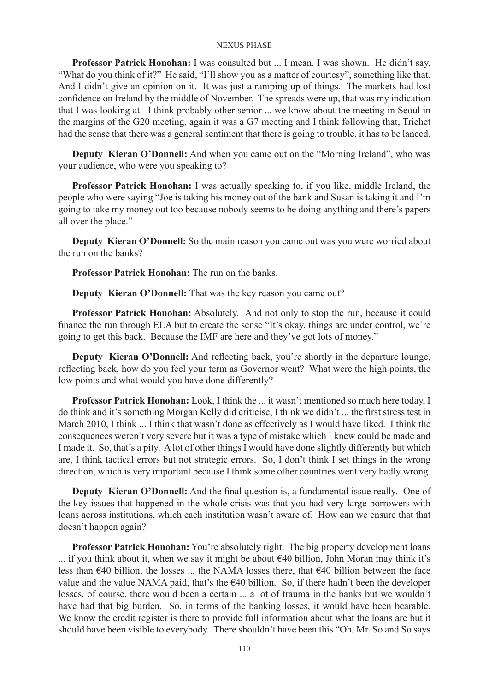**Professor Patrick Honohan:** I was consulted but ... I mean, I was shown. He didn't say, "What do you think of it?" He said, "I'll show you as a matter of courtesy", something like that. And I didn't give an opinion on it. It was just a ramping up of things. The markets had lost confidence on Ireland by the middle of November. The spreads were up, that was my indication that I was looking at. I think probably other senior ... we know about the meeting in Seoul in the margins of the G20 meeting, again it was a G7 meeting and I think following that, Trichet had the sense that there was a general sentiment that there is going to trouble, it has to be lanced.

**Deputy Kieran O'Donnell:** And when you came out on the "Morning Ireland", who was your audience, who were you speaking to?

**Professor Patrick Honohan:** I was actually speaking to, if you like, middle Ireland, the people who were saying "Joe is taking his money out of the bank and Susan is taking it and I'm going to take my money out too because nobody seems to be doing anything and there's papers all over the place."

**Deputy Kieran O'Donnell:** So the main reason you came out was you were worried about the run on the banks?

**Professor Patrick Honohan:** The run on the banks.

**Deputy Kieran O'Donnell:** That was the key reason you came out?

**Professor Patrick Honohan:** Absolutely. And not only to stop the run, because it could finance the run through ELA but to create the sense "It's okay, things are under control, we're going to get this back. Because the IMF are here and they've got lots of money."

**Deputy Kieran O'Donnell:** And reflecting back, you're shortly in the departure lounge, reflecting back, how do you feel your term as Governor went? What were the high points, the low points and what would you have done differently?

**Professor Patrick Honohan:** Look, I think the ... it wasn't mentioned so much here today, I do think and it's something Morgan Kelly did criticise, I think we didn't ... the first stress test in March 2010, I think ... I think that wasn't done as effectively as I would have liked. I think the consequences weren't very severe but it was a type of mistake which I knew could be made and I made it. So, that's a pity. A lot of other things I would have done slightly differently but which are, I think tactical errors but not strategic errors. So, I don't think I set things in the wrong direction, which is very important because I think some other countries went very badly wrong.

**Deputy Kieran O'Donnell:** And the final question is, a fundamental issue really. One of the key issues that happened in the whole crisis was that you had very large borrowers with loans across institutions, which each institution wasn't aware of. How can we ensure that that doesn't happen again?

**Professor Patrick Honohan:** You're absolutely right. The big property development loans ... if you think about it, when we say it might be about €40 billion, John Moran may think it's less than  $\epsilon$ 40 billion, the losses ... the NAMA losses there, that  $\epsilon$ 40 billion between the face value and the value NAMA paid, that's the  $\epsilon$ 40 billion. So, if there hadn't been the developer losses, of course, there would been a certain ... a lot of trauma in the banks but we wouldn't have had that big burden. So, in terms of the banking losses, it would have been bearable. We know the credit register is there to provide full information about what the loans are but it should have been visible to everybody. There shouldn't have been this "Oh, Mr. So and So says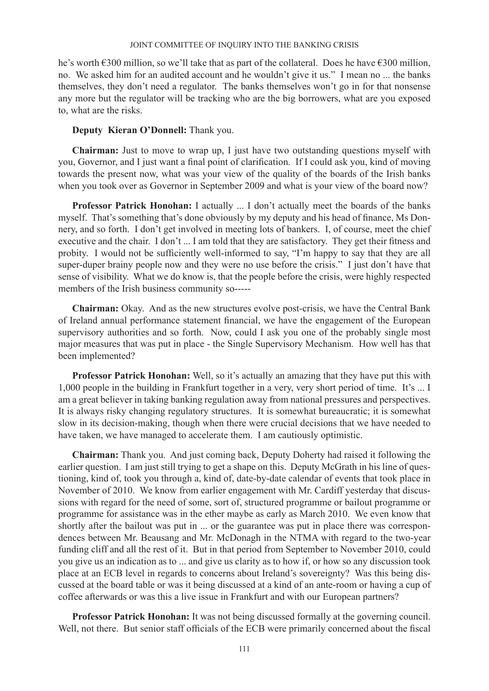he's worth €300 million, so we'll take that as part of the collateral. Does he have €300 million, no. We asked him for an audited account and he wouldn't give it us." I mean no ... the banks themselves, they don't need a regulator. The banks themselves won't go in for that nonsense any more but the regulator will be tracking who are the big borrowers, what are you exposed to, what are the risks.

# **Deputy Kieran O'Donnell:** Thank you.

**Chairman:** Just to move to wrap up, I just have two outstanding questions myself with you, Governor, and I just want a final point of clarification. If I could ask you, kind of moving towards the present now, what was your view of the quality of the boards of the Irish banks when you took over as Governor in September 2009 and what is your view of the board now?

**Professor Patrick Honohan:** I actually ... I don't actually meet the boards of the banks myself. That's something that's done obviously by my deputy and his head of finance, Ms Donnery, and so forth. I don't get involved in meeting lots of bankers. I, of course, meet the chief executive and the chair. I don't ... I am told that they are satisfactory. They get their fitness and probity. I would not be sufficiently well-informed to say, "I'm happy to say that they are all super-duper brainy people now and they were no use before the crisis." I just don't have that sense of visibility. What we do know is, that the people before the crisis, were highly respected members of the Irish business community so-----

**Chairman:** Okay. And as the new structures evolve post-crisis, we have the Central Bank of Ireland annual performance statement financial, we have the engagement of the European supervisory authorities and so forth. Now, could I ask you one of the probably single most major measures that was put in place - the Single Supervisory Mechanism. How well has that been implemented?

**Professor Patrick Honohan:** Well, so it's actually an amazing that they have put this with 1,000 people in the building in Frankfurt together in a very, very short period of time. It's ... I am a great believer in taking banking regulation away from national pressures and perspectives. It is always risky changing regulatory structures. It is somewhat bureaucratic; it is somewhat slow in its decision-making, though when there were crucial decisions that we have needed to have taken, we have managed to accelerate them. I am cautiously optimistic.

**Chairman:** Thank you. And just coming back, Deputy Doherty had raised it following the earlier question. I am just still trying to get a shape on this. Deputy McGrath in his line of questioning, kind of, took you through a, kind of, date-by-date calendar of events that took place in November of 2010. We know from earlier engagement with Mr. Cardiff yesterday that discussions with regard for the need of some, sort of, structured programme or bailout programme or programme for assistance was in the ether maybe as early as March 2010. We even know that shortly after the bailout was put in ... or the guarantee was put in place there was correspondences between Mr. Beausang and Mr. McDonagh in the NTMA with regard to the two-year funding cliff and all the rest of it. But in that period from September to November 2010, could you give us an indication as to ... and give us clarity as to how if, or how so any discussion took place at an ECB level in regards to concerns about Ireland's sovereignty? Was this being discussed at the board table or was it being discussed at a kind of an ante-room or having a cup of coffee afterwards or was this a live issue in Frankfurt and with our European partners?

**Professor Patrick Honohan:** It was not being discussed formally at the governing council. Well, not there. But senior staff officials of the ECB were primarily concerned about the fiscal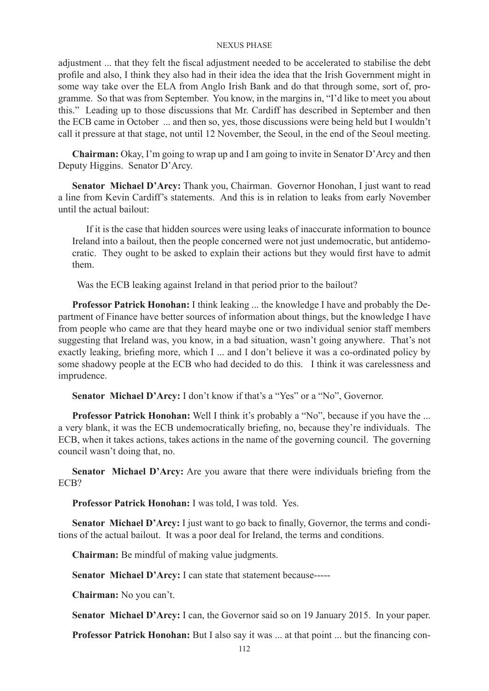adjustment ... that they felt the fiscal adjustment needed to be accelerated to stabilise the debt profile and also, I think they also had in their idea the idea that the Irish Government might in some way take over the ELA from Anglo Irish Bank and do that through some, sort of, programme. So that was from September. You know, in the margins in, "I'd like to meet you about this." Leading up to those discussions that Mr. Cardiff has described in September and then the ECB came in October ... and then so, yes, those discussions were being held but I wouldn't call it pressure at that stage, not until 12 November, the Seoul, in the end of the Seoul meeting.

**Chairman:** Okay, I'm going to wrap up and I am going to invite in Senator D'Arcy and then Deputy Higgins. Senator D'Arcy.

**Senator Michael D'Arcy:** Thank you, Chairman. Governor Honohan, I just want to read a line from Kevin Cardiff's statements. And this is in relation to leaks from early November until the actual bailout:

If it is the case that hidden sources were using leaks of inaccurate information to bounce Ireland into a bailout, then the people concerned were not just undemocratic, but antidemocratic. They ought to be asked to explain their actions but they would first have to admit them.

Was the ECB leaking against Ireland in that period prior to the bailout?

**Professor Patrick Honohan:** I think leaking ... the knowledge I have and probably the Department of Finance have better sources of information about things, but the knowledge I have from people who came are that they heard maybe one or two individual senior staff members suggesting that Ireland was, you know, in a bad situation, wasn't going anywhere. That's not exactly leaking, briefing more, which I ... and I don't believe it was a co-ordinated policy by some shadowy people at the ECB who had decided to do this. I think it was carelessness and imprudence.

**Senator Michael D'Arcy:** I don't know if that's a "Yes" or a "No", Governor.

**Professor Patrick Honohan:** Well I think it's probably a "No", because if you have the ... a very blank, it was the ECB undemocratically briefing, no, because they're individuals. The ECB, when it takes actions, takes actions in the name of the governing council. The governing council wasn't doing that, no.

**Senator Michael D'Arcy:** Are you aware that there were individuals briefing from the ECB?

**Professor Patrick Honohan:** I was told, I was told. Yes.

**Senator Michael D'Arcy:** I just want to go back to finally, Governor, the terms and conditions of the actual bailout. It was a poor deal for Ireland, the terms and conditions.

**Chairman:** Be mindful of making value judgments.

**Senator Michael D'Arcy:** I can state that statement because-----

**Chairman:** No you can't.

**Senator Michael D'Arcy:** I can, the Governor said so on 19 January 2015. In your paper.

**Professor Patrick Honohan:** But I also say it was ... at that point ... but the financing con-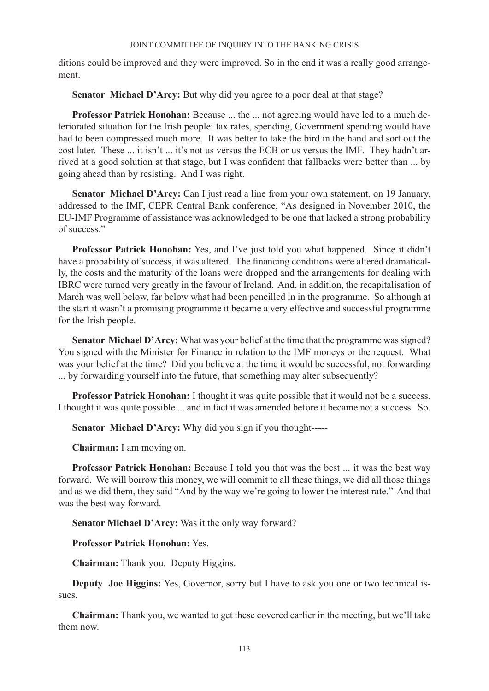ditions could be improved and they were improved. So in the end it was a really good arrangement.

**Senator Michael D'Arcy:** But why did you agree to a poor deal at that stage?

**Professor Patrick Honohan:** Because ... the ... not agreeing would have led to a much deteriorated situation for the Irish people: tax rates, spending, Government spending would have had to been compressed much more. It was better to take the bird in the hand and sort out the cost later. These ... it isn't ... it's not us versus the ECB or us versus the IMF. They hadn't arrived at a good solution at that stage, but I was confident that fallbacks were better than ... by going ahead than by resisting. And I was right.

**Senator Michael D'Arcy:** Can I just read a line from your own statement, on 19 January, addressed to the IMF, CEPR Central Bank conference, "As designed in November 2010, the EU-IMF Programme of assistance was acknowledged to be one that lacked a strong probability of success."

**Professor Patrick Honohan:** Yes, and I've just told you what happened. Since it didn't have a probability of success, it was altered. The financing conditions were altered dramatically, the costs and the maturity of the loans were dropped and the arrangements for dealing with IBRC were turned very greatly in the favour of Ireland. And, in addition, the recapitalisation of March was well below, far below what had been pencilled in in the programme. So although at the start it wasn't a promising programme it became a very effective and successful programme for the Irish people.

Senator Michael D'Arcy: What was your belief at the time that the programme was signed? You signed with the Minister for Finance in relation to the IMF moneys or the request. What was your belief at the time? Did you believe at the time it would be successful, not forwarding ... by forwarding yourself into the future, that something may alter subsequently?

**Professor Patrick Honohan:** I thought it was quite possible that it would not be a success. I thought it was quite possible ... and in fact it was amended before it became not a success. So.

**Senator Michael D'Arcy:** Why did you sign if you thought-----

**Chairman:** I am moving on.

**Professor Patrick Honohan:** Because I told you that was the best ... it was the best way forward. We will borrow this money, we will commit to all these things, we did all those things and as we did them, they said "And by the way we're going to lower the interest rate." And that was the best way forward.

**Senator Michael D'Arcy:** Was it the only way forward?

**Professor Patrick Honohan:** Yes.

**Chairman:** Thank you. Deputy Higgins.

**Deputy Joe Higgins:** Yes, Governor, sorry but I have to ask you one or two technical issues.

**Chairman:** Thank you, we wanted to get these covered earlier in the meeting, but we'll take them now.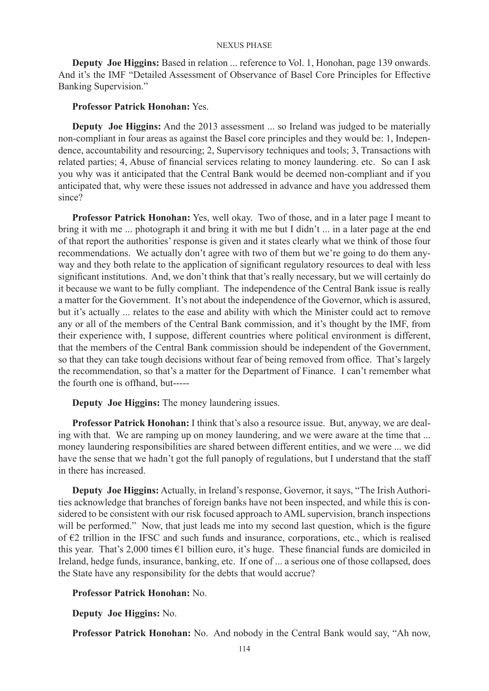**Deputy Joe Higgins:** Based in relation ... reference to Vol. 1, Honohan, page 139 onwards. And it's the IMF "Detailed Assessment of Observance of Basel Core Principles for Effective Banking Supervision."

# **Professor Patrick Honohan:** Yes.

**Deputy Joe Higgins:** And the 2013 assessment ... so Ireland was judged to be materially non-compliant in four areas as against the Basel core principles and they would be: 1, Independence, accountability and resourcing; 2, Supervisory techniques and tools; 3, Transactions with related parties; 4, Abuse of financial services relating to money laundering. etc. So can I ask you why was it anticipated that the Central Bank would be deemed non-compliant and if you anticipated that, why were these issues not addressed in advance and have you addressed them since?

**Professor Patrick Honohan:** Yes, well okay. Two of those, and in a later page I meant to bring it with me ... photograph it and bring it with me but I didn't ... in a later page at the end of that report the authorities' response is given and it states clearly what we think of those four recommendations. We actually don't agree with two of them but we're going to do them anyway and they both relate to the application of significant regulatory resources to deal with less significant institutions. And, we don't think that that's really necessary, but we will certainly do it because we want to be fully compliant. The independence of the Central Bank issue is really a matter for the Government. It's not about the independence of the Governor, which is assured, but it's actually ... relates to the ease and ability with which the Minister could act to remove any or all of the members of the Central Bank commission, and it's thought by the IMF, from their experience with, I suppose, different countries where political environment is different, that the members of the Central Bank commission should be independent of the Government, so that they can take tough decisions without fear of being removed from office. That's largely the recommendation, so that's a matter for the Department of Finance. I can't remember what the fourth one is offhand, but-----

**Deputy Joe Higgins:** The money laundering issues.

**Professor Patrick Honohan:** I think that's also a resource issue. But, anyway, we are dealing with that. We are ramping up on money laundering, and we were aware at the time that ... money laundering responsibilities are shared between different entities, and we were ... we did have the sense that we hadn't got the full panoply of regulations, but I understand that the staff in there has increased.

**Deputy Joe Higgins:** Actually, in Ireland's response, Governor, it says, "The Irish Authorities acknowledge that branches of foreign banks have not been inspected, and while this is considered to be consistent with our risk focused approach to AML supervision, branch inspections will be performed." Now, that just leads me into my second last question, which is the figure of €2 trillion in the IFSC and such funds and insurance, corporations, etc., which is realised this year. That's 2,000 times €1 billion euro, it's huge. These financial funds are domiciled in Ireland, hedge funds, insurance, banking, etc. If one of ... a serious one of those collapsed, does the State have any responsibility for the debts that would accrue?

# **Professor Patrick Honohan:** No.

**Deputy Joe Higgins:** No.

**Professor Patrick Honohan:** No. And nobody in the Central Bank would say, "Ah now,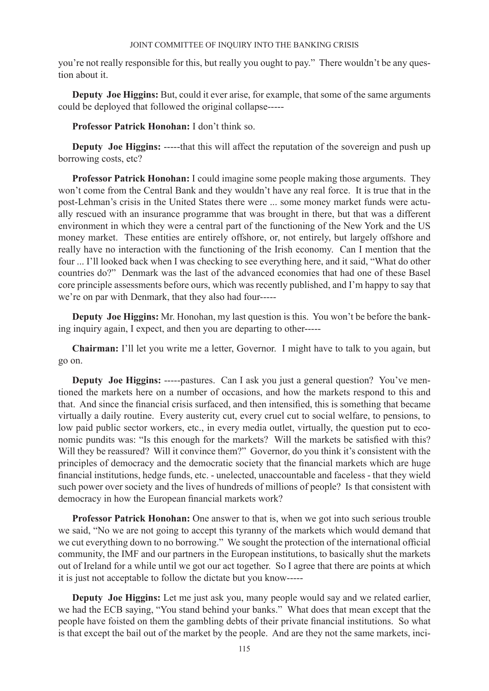you're not really responsible for this, but really you ought to pay." There wouldn't be any question about it.

**Deputy Joe Higgins:** But, could it ever arise, for example, that some of the same arguments could be deployed that followed the original collapse-----

**Professor Patrick Honohan:** I don't think so.

**Deputy Joe Higgins:** -----that this will affect the reputation of the sovereign and push up borrowing costs, etc?

**Professor Patrick Honohan:** I could imagine some people making those arguments. They won't come from the Central Bank and they wouldn't have any real force. It is true that in the post-Lehman's crisis in the United States there were ... some money market funds were actually rescued with an insurance programme that was brought in there, but that was a different environment in which they were a central part of the functioning of the New York and the US money market. These entities are entirely offshore, or, not entirely, but largely offshore and really have no interaction with the functioning of the Irish economy. Can I mention that the four ... I'll looked back when I was checking to see everything here, and it said, "What do other countries do?" Denmark was the last of the advanced economies that had one of these Basel core principle assessments before ours, which was recently published, and I'm happy to say that we're on par with Denmark, that they also had four-----

**Deputy Joe Higgins:** Mr. Honohan, my last question is this. You won't be before the banking inquiry again, I expect, and then you are departing to other-----

**Chairman:** I'll let you write me a letter, Governor. I might have to talk to you again, but go on.

**Deputy Joe Higgins:** -----pastures. Can I ask you just a general question? You've mentioned the markets here on a number of occasions, and how the markets respond to this and that. And since the financial crisis surfaced, and then intensified, this is something that became virtually a daily routine. Every austerity cut, every cruel cut to social welfare, to pensions, to low paid public sector workers, etc., in every media outlet, virtually, the question put to economic pundits was: "Is this enough for the markets? Will the markets be satisfied with this? Will they be reassured? Will it convince them?" Governor, do you think it's consistent with the principles of democracy and the democratic society that the financial markets which are huge financial institutions, hedge funds, etc. - unelected, unaccountable and faceless - that they wield such power over society and the lives of hundreds of millions of people? Is that consistent with democracy in how the European financial markets work?

**Professor Patrick Honohan:** One answer to that is, when we got into such serious trouble we said, "No we are not going to accept this tyranny of the markets which would demand that we cut everything down to no borrowing." We sought the protection of the international official community, the IMF and our partners in the European institutions, to basically shut the markets out of Ireland for a while until we got our act together. So I agree that there are points at which it is just not acceptable to follow the dictate but you know-----

**Deputy Joe Higgins:** Let me just ask you, many people would say and we related earlier, we had the ECB saying, "You stand behind your banks." What does that mean except that the people have foisted on them the gambling debts of their private financial institutions. So what is that except the bail out of the market by the people. And are they not the same markets, inci-